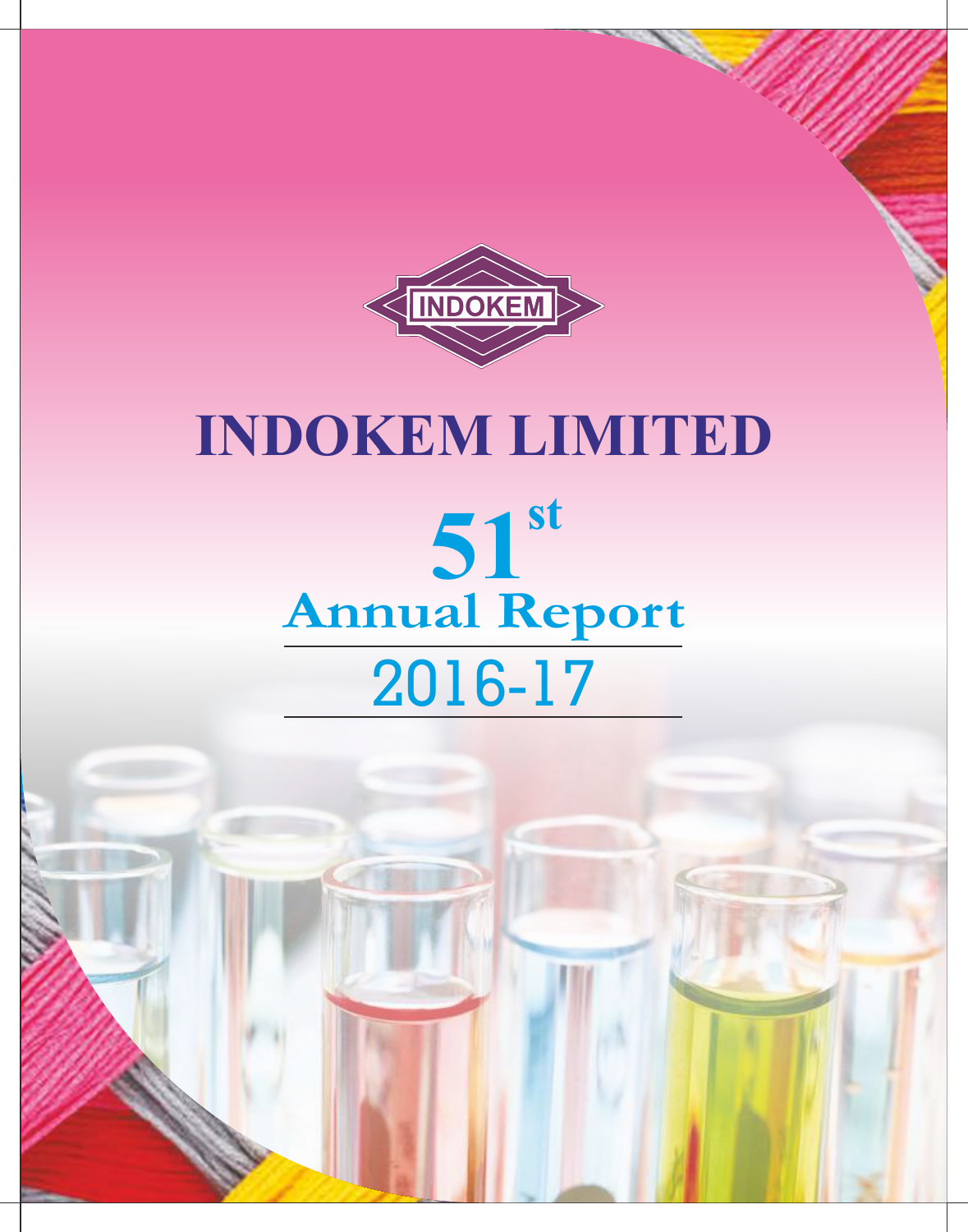

# **INDOKEM LIMITED Annual Report st 51** 2016-17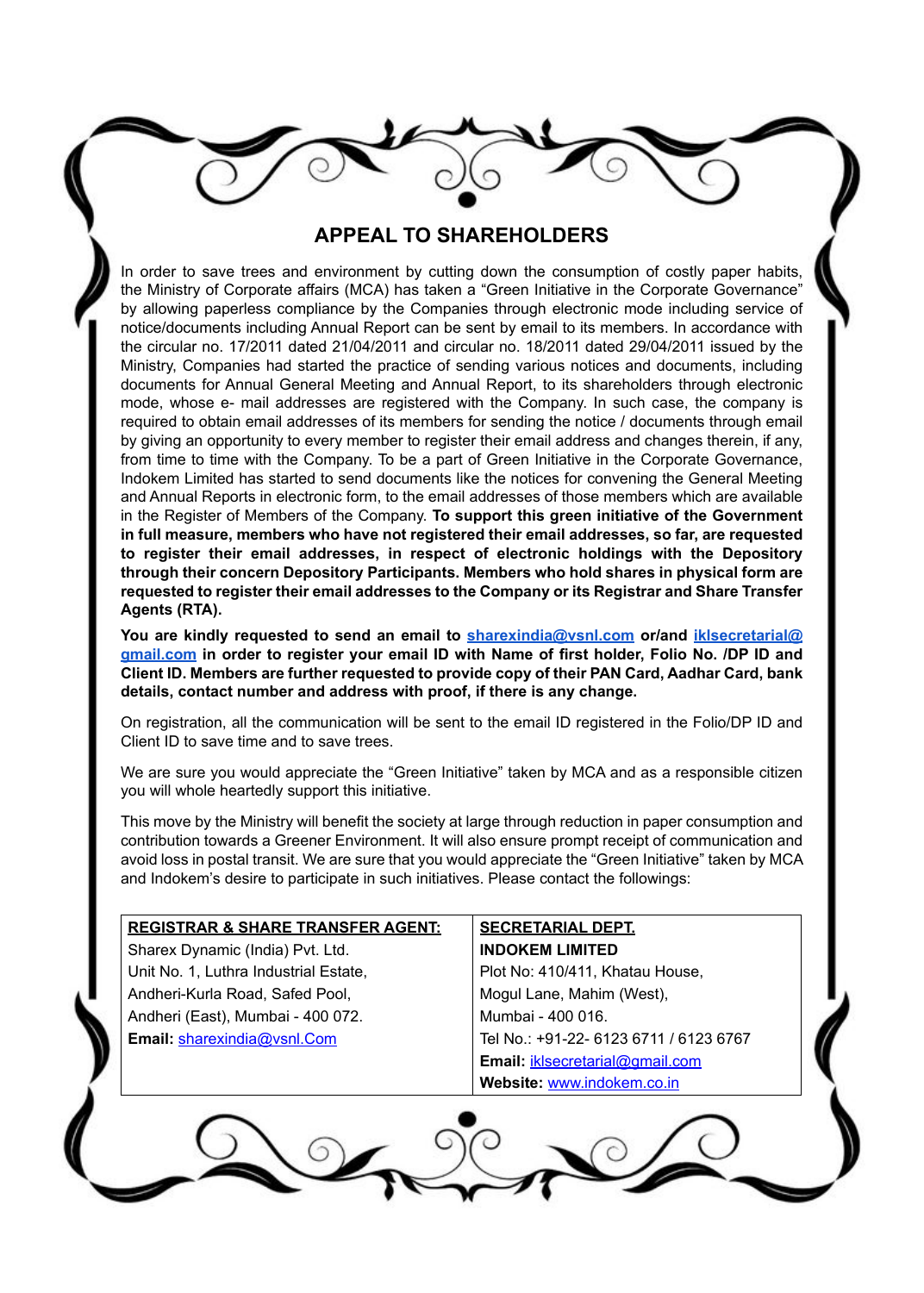### **Appeal to Shareholders**

In order to save trees and environment by cutting down the consumption of costly paper habits, the Ministry of Corporate affairs (MCA) has taken a "Green Initiative in the Corporate Governance" by allowing paperless compliance by the Companies through electronic mode including service of notice/documents including Annual Report can be sent by email to its members. In accordance with the circular no. 17/2011 dated 21/04/2011 and circular no. 18/2011 dated 29/04/2011 issued by the Ministry, Companies had started the practice of sending various notices and documents, including documents for Annual General Meeting and Annual Report, to its shareholders through electronic mode, whose e- mail addresses are registered with the Company. In such case, the company is required to obtain email addresses of its members for sending the notice / documents through email by giving an opportunity to every member to register their email address and changes therein, if any, from time to time with the Company. To be a part of Green Initiative in the Corporate Governance, Indokem Limited has started to send documents like the notices for convening the General Meeting and Annual Reports in electronic form, to the email addresses of those members which are available in the Register of Members of the Company. **To support this green initiative of the Government in full measure, members who have not registered their email addresses, so far, are requested to register their email addresses, in respect of electronic holdings with the Depository through their concern Depository Participants. Members who hold shares in physical form are requested to register their email addresses to the Company or its Registrar and Share Transfer Agents (RTA).**

**You are kindly requested to send an email to sharexindia@vsnl.com or/and iklsecretarial@ gmail.com in order to register your email ID with Name of first holder, Folio No. /DP ID and Client ID. Members are further requested to provide copy of their PAN Card, Aadhar Card, bank details, contact number and address with proof, if there is any change.**

On registration, all the communication will be sent to the email ID registered in the Folio/DP ID and Client ID to save time and to save trees.

We are sure you would appreciate the "Green Initiative" taken by MCA and as a responsible citizen you will whole heartedly support this initiative.

This move by the Ministry will benefit the society at large through reduction in paper consumption and contribution towards a Greener Environment. It will also ensure prompt receipt of communication and avoid loss in postal transit. We are sure that you would appreciate the "Green Initiative" taken by MCA and Indokem's desire to participate in such initiatives. Please contact the followings:

#### **REGISTRAR & SHARE TRANSFER AGENT:**

Sharex Dynamic (India) Pvt. Ltd. Unit No. 1, Luthra Industrial Estate, Andheri-Kurla Road, Safed Pool, Andheri (East), Mumbai - 400 072. **Email:** sharexindia@vsnl.Com

#### **SECRETARIAL DEPT. INDOKEM LIMITED**

Plot No: 410/411, Khatau House, Mogul Lane, Mahim (West), Mumbai - 400 016. Tel No.: +91-22- 6123 6711 / 6123 6767 **Email:** iklsecretarial@gmail.com **Website:** www.indokem.co.in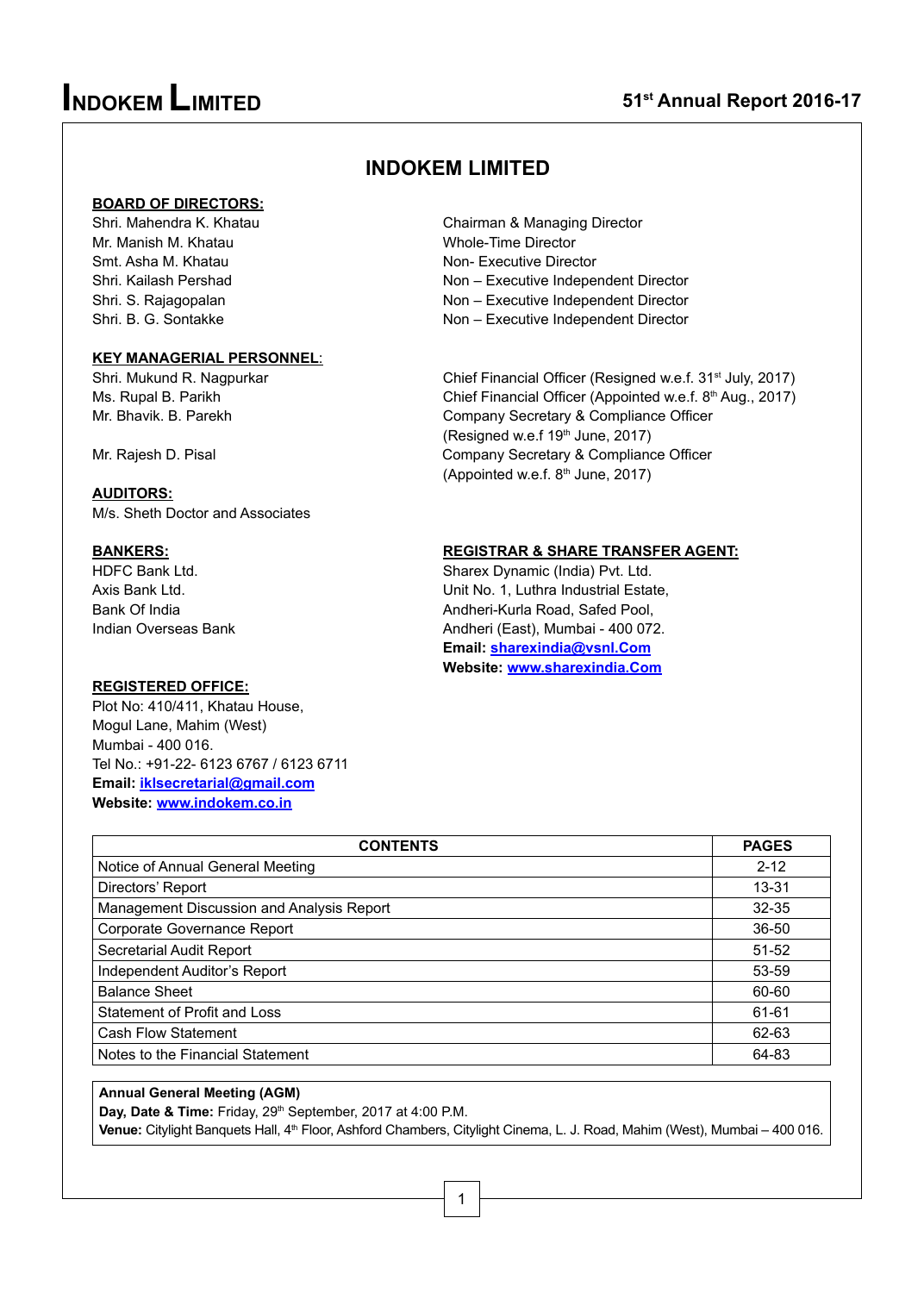### **INDOKEM LIMITED**

#### **BOARD OF DIRECTORS:**

Mr. Manish M. Khatau Whole-Time Director

#### **KEY MANAGERIAL PERSONNEL**:

#### **AUDITORS:**

M/s. Sheth Doctor and Associates

#### **REGISTERED OFFICE:**

Plot No: 410/411, Khatau House, Mogul Lane, Mahim (West) Mumbai - 400 016. Tel No.: +91-22- 6123 6767 / 6123 6711 **Email: iklsecretarial@gmail.com Website: www.indokem.co.in**

Shri. Mahendra K. Khatau Chairman & Managing Director Smt. Asha M. Khatau Non- Executive Director Shri. Kailash Pershad Non – Executive Independent Director Shri. S. Rajagopalan **Non – Executive Independent Director** Shri. B. G. Sontakke Non – Executive Independent Director

Shri. Mukund R. Nagpurkar Chief Financial Officer (Resigned w.e.f. 31<sup>st</sup> July, 2017) Ms. Rupal B. Parikh Chief Financial Officer (Appointed w.e.f. 8<sup>th</sup> Aug., 2017) Mr. Bhavik. B. Parekh Company Secretary & Compliance Officer (Resigned w.e.f 19<sup>th</sup> June, 2017) Mr. Rajesh D. Pisal Company Secretary & Compliance Officer (Appointed w.e.f.  $8<sup>th</sup>$  June, 2017)

#### **BANKERS: REGISTRAR & SHARE TRANSFER AGENT:**

HDFC Bank Ltd. Sharex Dynamic (India) Pvt. Ltd. Axis Bank Ltd. **No. 1, 2008** Unit No. 1, Luthra Industrial Estate, Bank Of India **Andheri-Kurla Road, Safed Pool**, Indian Overseas Bank Andheri (East), Mumbai - 400 072. **Email: sharexindia@vsnl.Com Website: www.sharexindia.Com**

| <b>CONTENTS</b>                           | <b>PAGES</b> |
|-------------------------------------------|--------------|
| Notice of Annual General Meeting          | $2 - 12$     |
| Directors' Report                         | $13 - 31$    |
| Management Discussion and Analysis Report | $32 - 35$    |
| Corporate Governance Report               | 36-50        |
| Secretarial Audit Report                  | $51 - 52$    |
| Independent Auditor's Report              | 53-59        |
| <b>Balance Sheet</b>                      | 60-60        |
| Statement of Profit and Loss              | 61-61        |
| <b>Cash Flow Statement</b>                | 62-63        |
| Notes to the Financial Statement          | 64-83        |

#### **Annual General Meeting (AGM)**

Day, Date & Time: Friday, 29<sup>th</sup> September, 2017 at 4:00 P.M.

Venue: Citylight Banquets Hall, 4<sup>th</sup> Floor, Ashford Chambers, Citylight Cinema, L. J. Road, Mahim (West), Mumbai – 400 016.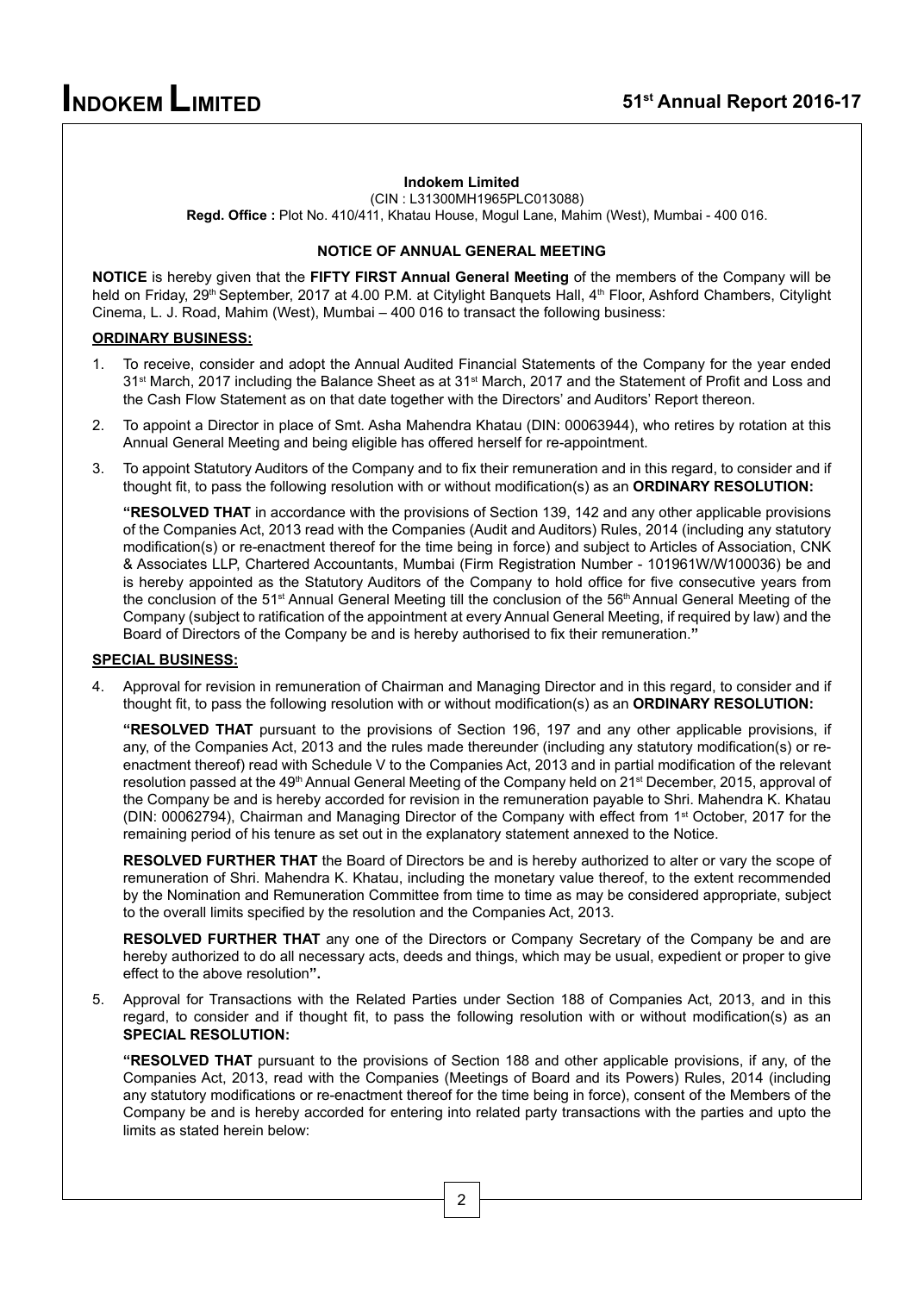#### **Indokem Limited**

(CIN : L31300MH1965PLC013088) **Regd. Office :** Plot No. 410/411, Khatau House, Mogul Lane, Mahim (West), Mumbai - 400 016.

#### **NOTICE OF ANNUAL GENERAL MEETING**

**NOTICE** is hereby given that the **FIFTY FIRST Annual General Meeting** of the members of the Company will be held on Friday, 29<sup>th</sup> September, 2017 at 4.00 P.M. at Citylight Banquets Hall, 4<sup>th</sup> Floor, Ashford Chambers, Citylight Cinema, L. J. Road, Mahim (West), Mumbai – 400 016 to transact the following business:

#### **ORDINARY BUSINESS:**

- 1. To receive, consider and adopt the Annual Audited Financial Statements of the Company for the year ended 31<sup>st</sup> March, 2017 including the Balance Sheet as at 31<sup>st</sup> March, 2017 and the Statement of Profit and Loss and the Cash Flow Statement as on that date together with the Directors' and Auditors' Report thereon.
- 2. To appoint a Director in place of Smt. Asha Mahendra Khatau (DIN: 00063944), who retires by rotation at this Annual General Meeting and being eligible has offered herself for re-appointment.
- 3. To appoint Statutory Auditors of the Company and to fix their remuneration and in this regard, to consider and if thought fit, to pass the following resolution with or without modification(s) as an **ORDINARY RESOLUTION:**

**"RESOLVED THAT** in accordance with the provisions of Section 139, 142 and any other applicable provisions of the Companies Act, 2013 read with the Companies (Audit and Auditors) Rules, 2014 (including any statutory modification(s) or re-enactment thereof for the time being in force) and subject to Articles of Association, CNK & Associates LLP, Chartered Accountants, Mumbai (Firm Registration Number - 101961W/W100036) be and is hereby appointed as the Statutory Auditors of the Company to hold office for five consecutive years from the conclusion of the 51<sup>st</sup> Annual General Meeting till the conclusion of the 56<sup>th</sup> Annual General Meeting of the Company (subject to ratification of the appointment at every Annual General Meeting, if required by law) and the Board of Directors of the Company be and is hereby authorised to fix their remuneration.**"**

#### **SPECIAL BUSINESS:**

4. Approval for revision in remuneration of Chairman and Managing Director and in this regard, to consider and if thought fit, to pass the following resolution with or without modification(s) as an **ORDINARY RESOLUTION:**

**"RESOLVED THAT** pursuant to the provisions of Section 196, 197 and any other applicable provisions, if any, of the Companies Act, 2013 and the rules made thereunder (including any statutory modification(s) or reenactment thereof) read with Schedule V to the Companies Act, 2013 and in partial modification of the relevant resolution passed at the 49<sup>th</sup> Annual General Meeting of the Company held on 21<sup>st</sup> December, 2015, approval of the Company be and is hereby accorded for revision in the remuneration payable to Shri. Mahendra K. Khatau (DIN: 00062794), Chairman and Managing Director of the Company with effect from 1st October, 2017 for the remaining period of his tenure as set out in the explanatory statement annexed to the Notice.

**RESOLVED FURTHER THAT** the Board of Directors be and is hereby authorized to alter or vary the scope of remuneration of Shri. Mahendra K. Khatau, including the monetary value thereof, to the extent recommended by the Nomination and Remuneration Committee from time to time as may be considered appropriate, subject to the overall limits specified by the resolution and the Companies Act, 2013.

**RESOLVED FURTHER THAT** any one of the Directors or Company Secretary of the Company be and are hereby authorized to do all necessary acts, deeds and things, which may be usual, expedient or proper to give effect to the above resolution**".**

5. Approval for Transactions with the Related Parties under Section 188 of Companies Act, 2013, and in this regard, to consider and if thought fit, to pass the following resolution with or without modification(s) as an **SPECIAL RESOLUTION:**

**"RESOLVED THAT** pursuant to the provisions of Section 188 and other applicable provisions, if any, of the Companies Act, 2013, read with the Companies (Meetings of Board and its Powers) Rules, 2014 (including any statutory modifications or re-enactment thereof for the time being in force), consent of the Members of the Company be and is hereby accorded for entering into related party transactions with the parties and upto the limits as stated herein below: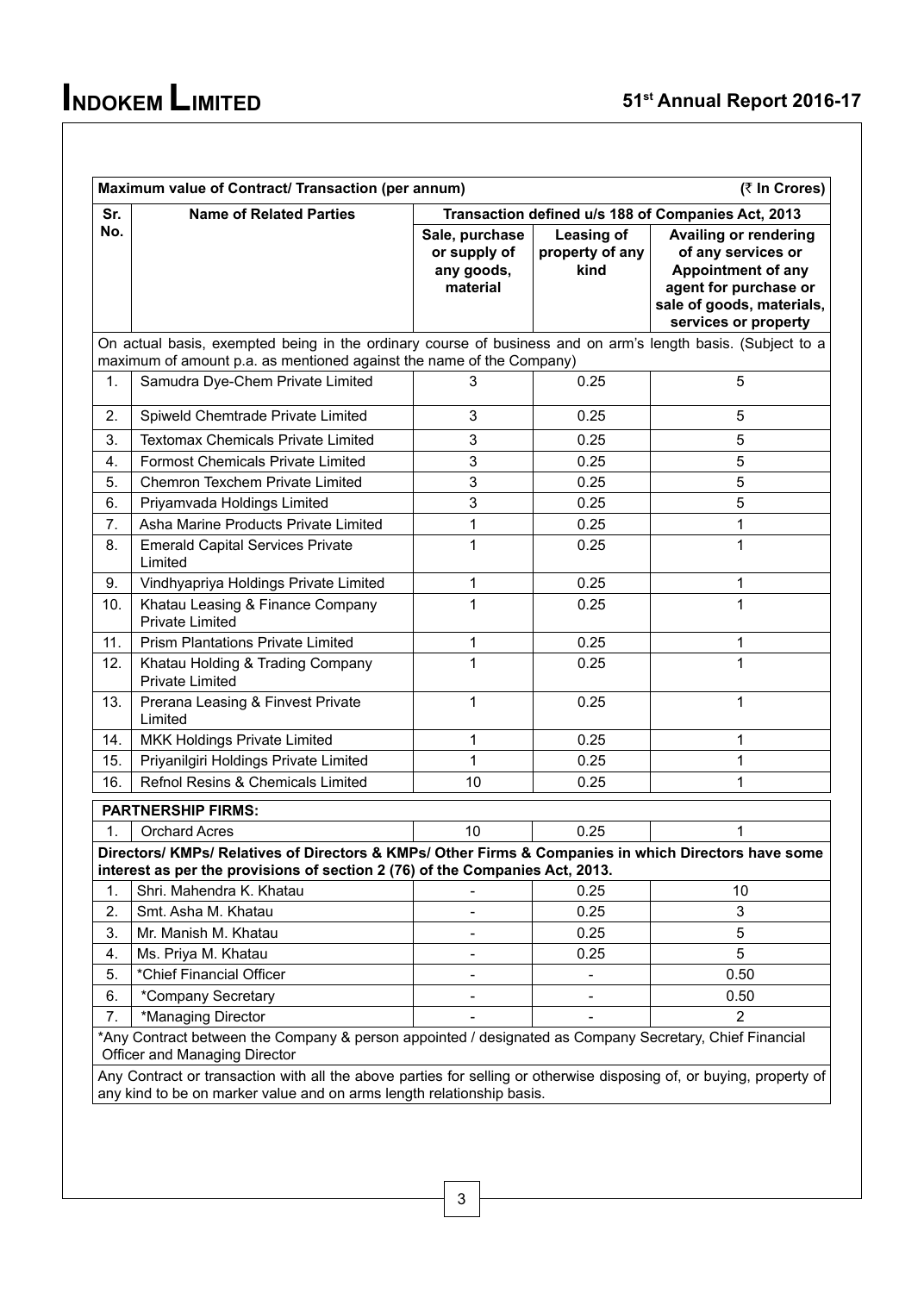| Sr.<br><b>Name of Related Parties</b><br>Transaction defined u/s 188 of Companies Act, 2013 |                                                                                                                                                                                               |                                                          |                                       |                                                                                                                                                               |
|---------------------------------------------------------------------------------------------|-----------------------------------------------------------------------------------------------------------------------------------------------------------------------------------------------|----------------------------------------------------------|---------------------------------------|---------------------------------------------------------------------------------------------------------------------------------------------------------------|
| No.                                                                                         |                                                                                                                                                                                               | Sale, purchase<br>or supply of<br>any goods,<br>material | Leasing of<br>property of any<br>kind | <b>Availing or rendering</b><br>of any services or<br><b>Appointment of any</b><br>agent for purchase or<br>sale of goods, materials,<br>services or property |
|                                                                                             | On actual basis, exempted being in the ordinary course of business and on arm's length basis. (Subject to a<br>maximum of amount p.a. as mentioned against the name of the Company)           |                                                          |                                       |                                                                                                                                                               |
| 1.                                                                                          | Samudra Dye-Chem Private Limited                                                                                                                                                              | 3                                                        | 0.25                                  | 5                                                                                                                                                             |
| 2.                                                                                          | Spiweld Chemtrade Private Limited                                                                                                                                                             | 3                                                        | 0.25                                  | 5                                                                                                                                                             |
| 3.                                                                                          | <b>Textomax Chemicals Private Limited</b>                                                                                                                                                     | 3                                                        | 0.25                                  | 5                                                                                                                                                             |
| 4.                                                                                          | <b>Formost Chemicals Private Limited</b>                                                                                                                                                      | 3                                                        | 0.25                                  | 5                                                                                                                                                             |
| 5.                                                                                          | Chemron Texchem Private Limited                                                                                                                                                               | 3                                                        | 0.25                                  | 5                                                                                                                                                             |
| 6.                                                                                          | Priyamvada Holdings Limited                                                                                                                                                                   | 3                                                        | 0.25                                  | 5                                                                                                                                                             |
| 7.                                                                                          | Asha Marine Products Private Limited                                                                                                                                                          | 1                                                        | 0.25                                  | 1                                                                                                                                                             |
| 8.                                                                                          | <b>Emerald Capital Services Private</b><br>Limited                                                                                                                                            | $\mathbf{1}$                                             | 0.25                                  | 1                                                                                                                                                             |
| 9.                                                                                          | Vindhyapriya Holdings Private Limited                                                                                                                                                         | 1                                                        | 0.25                                  | 1                                                                                                                                                             |
| 10.                                                                                         | Khatau Leasing & Finance Company<br><b>Private Limited</b>                                                                                                                                    | $\mathbf{1}$                                             | 0.25                                  | 1                                                                                                                                                             |
| 11.                                                                                         | Prism Plantations Private Limited                                                                                                                                                             | 1                                                        | 0.25                                  | 1                                                                                                                                                             |
| 12.                                                                                         | Khatau Holding & Trading Company<br><b>Private Limited</b>                                                                                                                                    | 1                                                        | 0.25                                  | 1                                                                                                                                                             |
| 13.                                                                                         | Prerana Leasing & Finvest Private<br>Limited                                                                                                                                                  | 1                                                        | 0.25                                  | 1                                                                                                                                                             |
| 14.                                                                                         | MKK Holdings Private Limited                                                                                                                                                                  | 1                                                        | 0.25                                  | 1                                                                                                                                                             |
| 15.                                                                                         | Priyanilgiri Holdings Private Limited                                                                                                                                                         | 1                                                        | 0.25                                  | 1                                                                                                                                                             |
| 16.                                                                                         | Refnol Resins & Chemicals Limited                                                                                                                                                             | 10                                                       | 0.25                                  | 1                                                                                                                                                             |
|                                                                                             | <b>PARTNERSHIP FIRMS:</b>                                                                                                                                                                     |                                                          |                                       |                                                                                                                                                               |
| $\mathbf 1$                                                                                 | <b>Orchard Acres</b>                                                                                                                                                                          | 10                                                       | 0.25                                  | 1                                                                                                                                                             |
|                                                                                             | Directors/ KMPs/ Relatives of Directors & KMPs/ Other Firms & Companies in which Directors have some<br>interest as per the provisions of section 2 (76) of the Companies Act, 2013.          |                                                          |                                       |                                                                                                                                                               |
| 1.                                                                                          | Shri, Mahendra K. Khatau                                                                                                                                                                      |                                                          | 0.25                                  | 10                                                                                                                                                            |
| 2.                                                                                          | Smt. Asha M. Khatau                                                                                                                                                                           |                                                          | 0.25                                  | 3                                                                                                                                                             |
| 3.                                                                                          | Mr. Manish M. Khatau                                                                                                                                                                          |                                                          | 0.25                                  | 5                                                                                                                                                             |
| 4.                                                                                          | Ms. Priya M. Khatau                                                                                                                                                                           |                                                          | 0.25                                  | 5                                                                                                                                                             |
| 5.                                                                                          | *Chief Financial Officer                                                                                                                                                                      |                                                          |                                       | 0.50                                                                                                                                                          |
| 6.                                                                                          | *Company Secretary                                                                                                                                                                            |                                                          |                                       | 0.50                                                                                                                                                          |
| 7.                                                                                          | *Managing Director                                                                                                                                                                            |                                                          |                                       | 2                                                                                                                                                             |
|                                                                                             | *Any Contract between the Company & person appointed / designated as Company Secretary, Chief Financial<br>Officer and Managing Director                                                      |                                                          |                                       |                                                                                                                                                               |
|                                                                                             | Any Contract or transaction with all the above parties for selling or otherwise disposing of, or buying, property of<br>any kind to be on marker value and on arms length relationship basis. |                                                          |                                       |                                                                                                                                                               |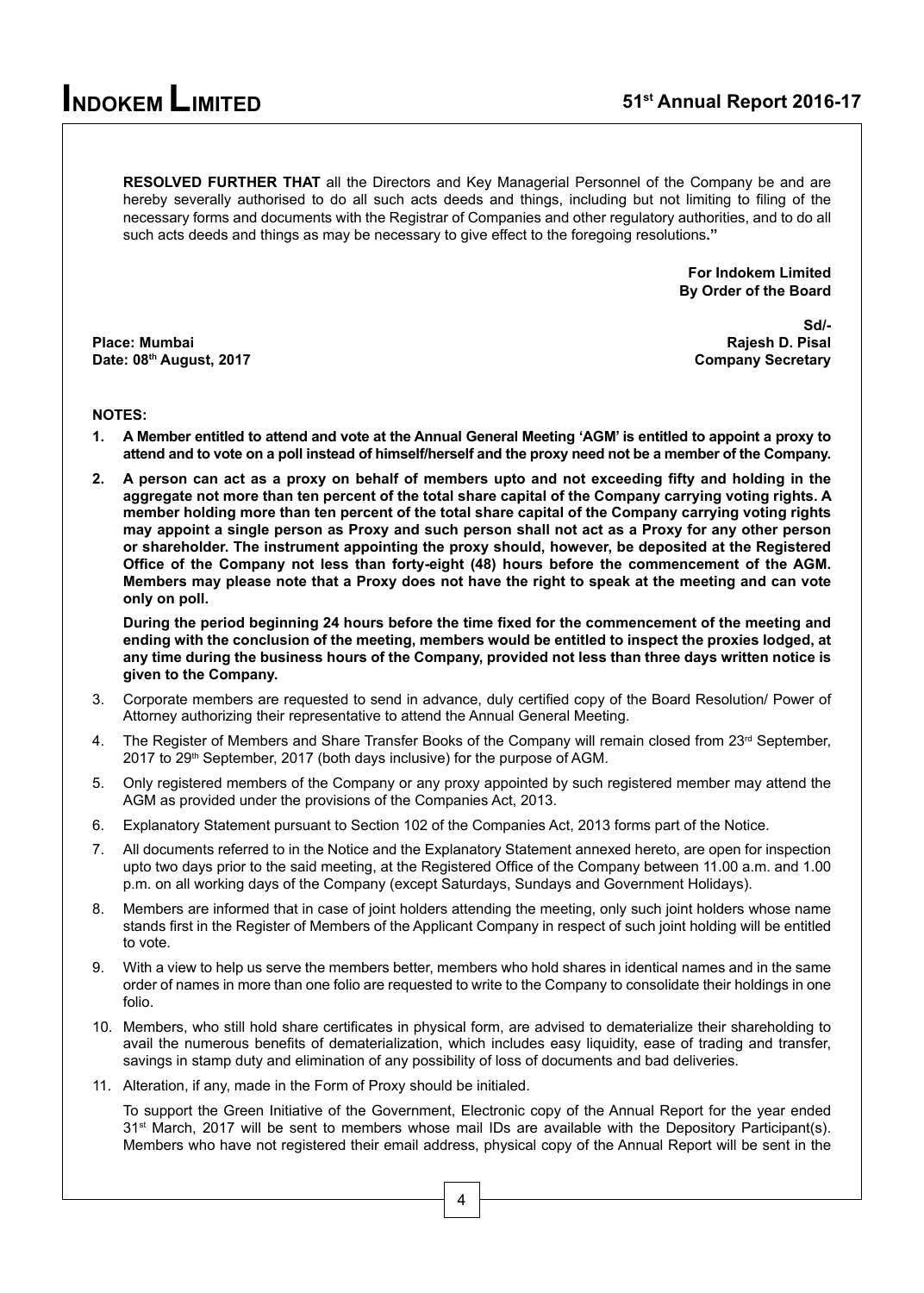**RESOLVED FURTHER THAT** all the Directors and Key Managerial Personnel of the Company be and are hereby severally authorised to do all such acts deeds and things, including but not limiting to filing of the necessary forms and documents with the Registrar of Companies and other regulatory authorities, and to do all such acts deeds and things as may be necessary to give effect to the foregoing resolutions**."**

> **For Indokem Limited By Order of the Board**

**Place: Mumbai Rajesh D. Pisal Date: 08<sup>th</sup> August, 2017** 

**Sd/-** 

#### **NOTES:**

- **1. A Member entitled to attend and vote at the Annual General Meeting 'AGM' is entitled to appoint a proxy to attend and to vote on a poll instead of himself/herself and the proxy need not be a member of the Company.**
- **2. A person can act as a proxy on behalf of members upto and not exceeding fifty and holding in the aggregate not more than ten percent of the total share capital of the Company carrying voting rights. A member holding more than ten percent of the total share capital of the Company carrying voting rights may appoint a single person as Proxy and such person shall not act as a Proxy for any other person or shareholder. The instrument appointing the proxy should, however, be deposited at the Registered Office of the Company not less than forty-eight (48) hours before the commencement of the AGM. Members may please note that a Proxy does not have the right to speak at the meeting and can vote only on poll.**

**During the period beginning 24 hours before the time fixed for the commencement of the meeting and ending with the conclusion of the meeting, members would be entitled to inspect the proxies lodged, at any time during the business hours of the Company, provided not less than three days written notice is given to the Company.**

- 3. Corporate members are requested to send in advance, duly certified copy of the Board Resolution/ Power of Attorney authorizing their representative to attend the Annual General Meeting.
- 4. The Register of Members and Share Transfer Books of the Company will remain closed from 23<sup>rd</sup> September, 2017 to 29<sup>th</sup> September, 2017 (both days inclusive) for the purpose of AGM.
- 5. Only registered members of the Company or any proxy appointed by such registered member may attend the AGM as provided under the provisions of the Companies Act, 2013.
- 6. Explanatory Statement pursuant to Section 102 of the Companies Act, 2013 forms part of the Notice.
- 7. All documents referred to in the Notice and the Explanatory Statement annexed hereto, are open for inspection upto two days prior to the said meeting, at the Registered Office of the Company between 11.00 a.m. and 1.00 p.m. on all working days of the Company (except Saturdays, Sundays and Government Holidays).
- 8. Members are informed that in case of joint holders attending the meeting, only such joint holders whose name stands first in the Register of Members of the Applicant Company in respect of such joint holding will be entitled to vote.
- 9. With a view to help us serve the members better, members who hold shares in identical names and in the same order of names in more than one folio are requested to write to the Company to consolidate their holdings in one folio.
- 10. Members, who still hold share certificates in physical form, are advised to dematerialize their shareholding to avail the numerous benefits of dematerialization, which includes easy liquidity, ease of trading and transfer, savings in stamp duty and elimination of any possibility of loss of documents and bad deliveries.
- 11. Alteration, if any, made in the Form of Proxy should be initialed.

To support the Green Initiative of the Government, Electronic copy of the Annual Report for the year ended 31<sup>st</sup> March, 2017 will be sent to members whose mail IDs are available with the Depository Participant(s). Members who have not registered their email address, physical copy of the Annual Report will be sent in the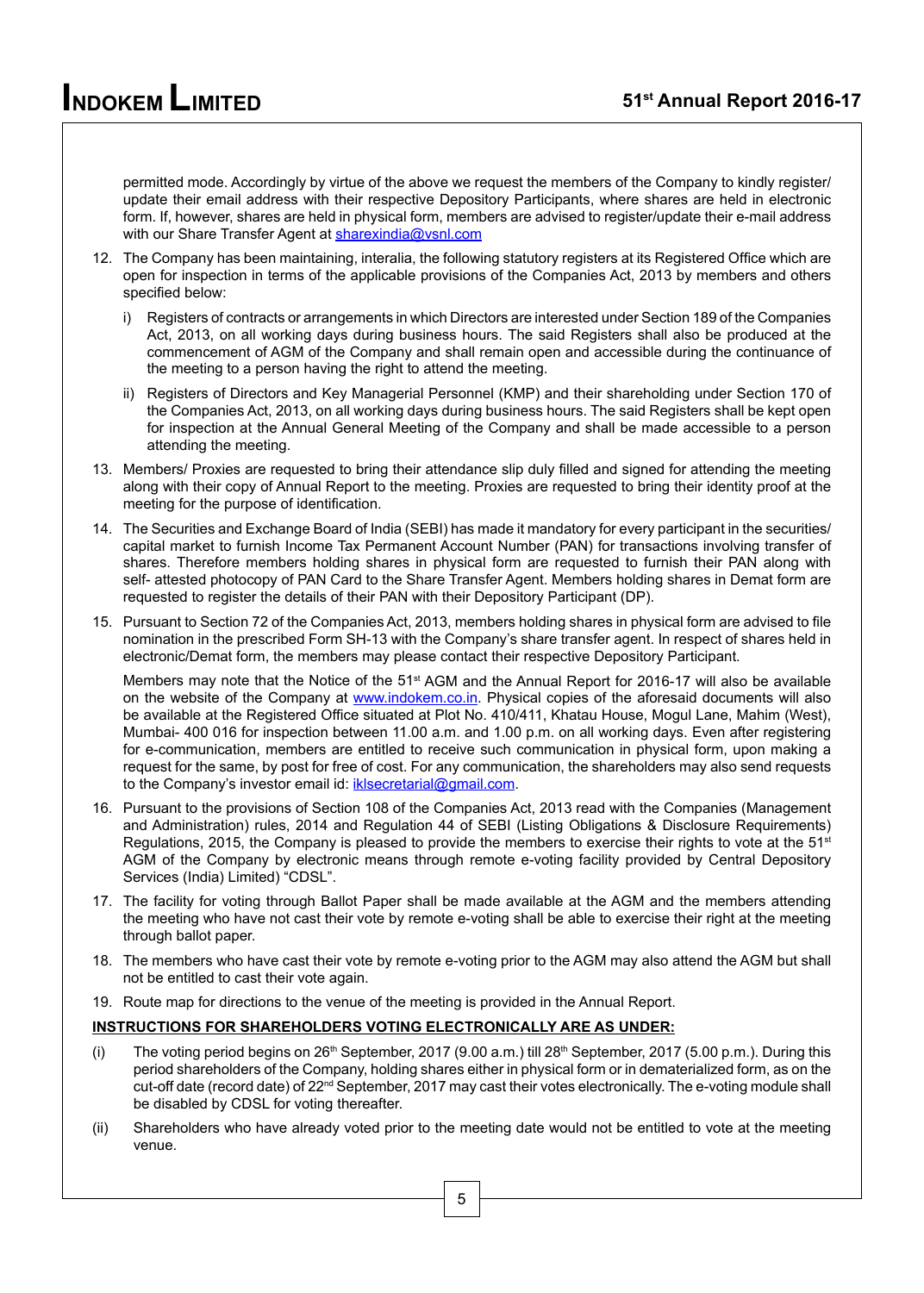permitted mode. Accordingly by virtue of the above we request the members of the Company to kindly register/ update their email address with their respective Depository Participants, where shares are held in electronic form. If, however, shares are held in physical form, members are advised to register/update their e-mail address with our Share Transfer Agent at sharexindia@vsnl.com

- 12. The Company has been maintaining, interalia, the following statutory registers at its Registered Office which are open for inspection in terms of the applicable provisions of the Companies Act, 2013 by members and others specified below:
	- i) Registers of contracts or arrangements in which Directors are interested under Section 189 of the Companies Act, 2013, on all working days during business hours. The said Registers shall also be produced at the commencement of AGM of the Company and shall remain open and accessible during the continuance of the meeting to a person having the right to attend the meeting.
	- ii) Registers of Directors and Key Managerial Personnel (KMP) and their shareholding under Section 170 of the Companies Act, 2013, on all working days during business hours. The said Registers shall be kept open for inspection at the Annual General Meeting of the Company and shall be made accessible to a person attending the meeting.
- 13. Members/ Proxies are requested to bring their attendance slip duly filled and signed for attending the meeting along with their copy of Annual Report to the meeting. Proxies are requested to bring their identity proof at the meeting for the purpose of identification.
- 14. The Securities and Exchange Board of India (SEBI) has made it mandatory for every participant in the securities/ capital market to furnish Income Tax Permanent Account Number (PAN) for transactions involving transfer of shares. Therefore members holding shares in physical form are requested to furnish their PAN along with self- attested photocopy of PAN Card to the Share Transfer Agent. Members holding shares in Demat form are requested to register the details of their PAN with their Depository Participant (DP).
- 15. Pursuant to Section 72 of the Companies Act, 2013, members holding shares in physical form are advised to file nomination in the prescribed Form SH-13 with the Company's share transfer agent. In respect of shares held in electronic/Demat form, the members may please contact their respective Depository Participant.

Members may note that the Notice of the 51<sup>st</sup> AGM and the Annual Report for 2016-17 will also be available on the website of the Company at www.indokem.co.in. Physical copies of the aforesaid documents will also be available at the Registered Office situated at Plot No. 410/411, Khatau House, Mogul Lane, Mahim (West), Mumbai- 400 016 for inspection between 11.00 a.m. and 1.00 p.m. on all working days. Even after registering for e-communication, members are entitled to receive such communication in physical form, upon making a request for the same, by post for free of cost. For any communication, the shareholders may also send requests to the Company's investor email id: *iklsecretarial@gmail.com*.

- 16. Pursuant to the provisions of Section 108 of the Companies Act, 2013 read with the Companies (Management and Administration) rules, 2014 and Regulation 44 of SEBI (Listing Obligations & Disclosure Requirements) Regulations, 2015, the Company is pleased to provide the members to exercise their rights to vote at the 51<sup>st</sup> AGM of the Company by electronic means through remote e-voting facility provided by Central Depository Services (India) Limited) "CDSL".
- 17. The facility for voting through Ballot Paper shall be made available at the AGM and the members attending the meeting who have not cast their vote by remote e-voting shall be able to exercise their right at the meeting through ballot paper.
- 18. The members who have cast their vote by remote e-voting prior to the AGM may also attend the AGM but shall not be entitled to cast their vote again.
- 19. Route map for directions to the venue of the meeting is provided in the Annual Report.

#### **INSTRUCTIONS FOR SHAREHOLDERS VOTING ELECTRONICALLY ARE AS UNDER:**

- (i) The voting period begins on  $26<sup>th</sup>$  September, 2017 (9.00 a.m.) till  $28<sup>th</sup>$  September, 2017 (5.00 p.m.). During this period shareholders of the Company, holding shares either in physical form or in dematerialized form, as on the cut-off date (record date) of 22<sup>nd</sup> September, 2017 may cast their votes electronically. The e-voting module shall be disabled by CDSL for voting thereafter.
- (ii) Shareholders who have already voted prior to the meeting date would not be entitled to vote at the meeting venue.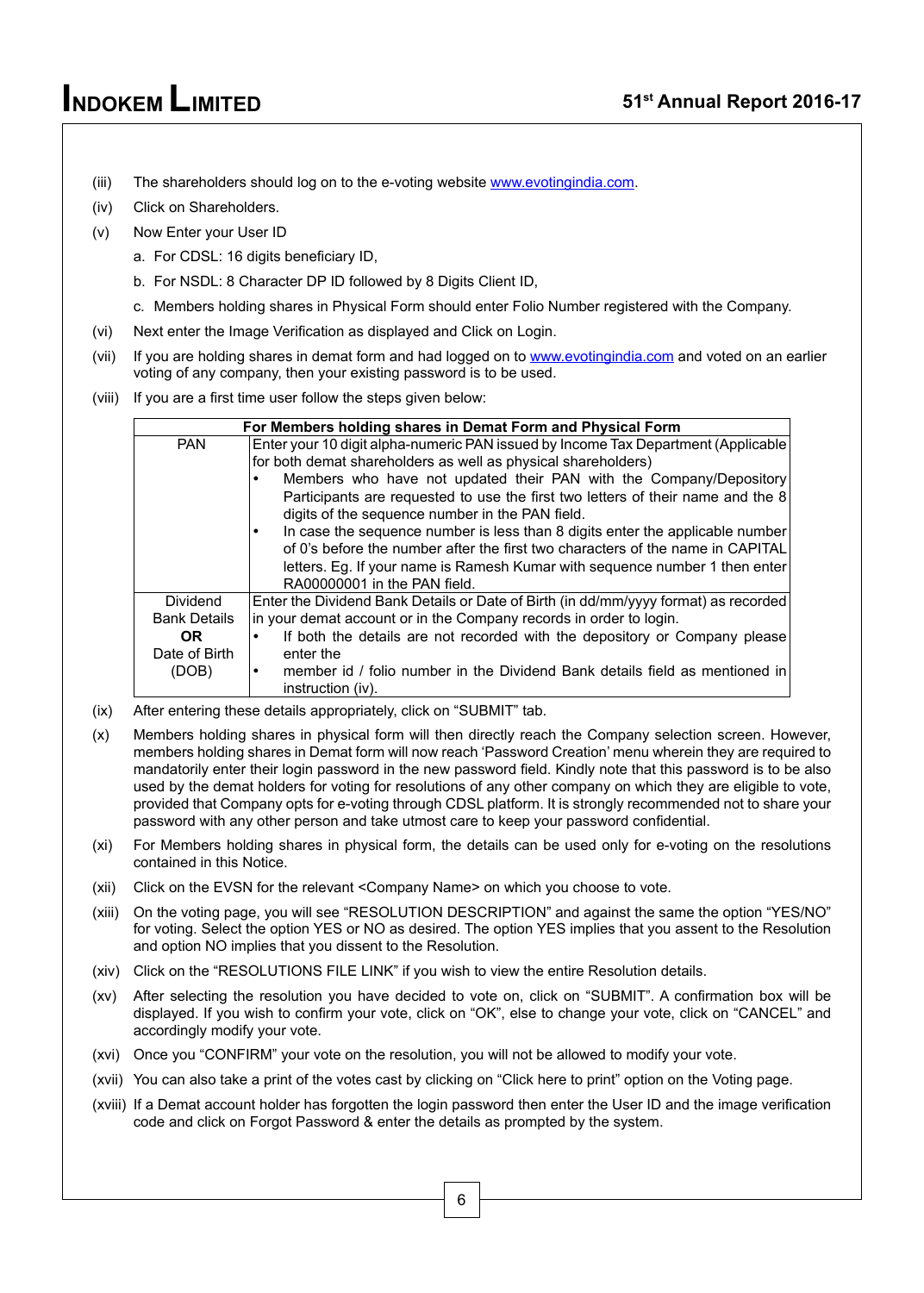- (iii) The shareholders should log on to the e-voting website www.evotingindia.com.
- (iv) Click on Shareholders.
- (v) Now Enter your User ID
	- a. For CDSL: 16 digits beneficiary ID,
	- b. For NSDL: 8 Character DP ID followed by 8 Digits Client ID,
	- c. Members holding shares in Physical Form should enter Folio Number registered with the Company.
- (vi) Next enter the Image Verification as displayed and Click on Login.
- (vii) If you are holding shares in demat form and had logged on to www.evotingindia.com and voted on an earlier voting of any company, then your existing password is to be used.
- (viii) If you are a first time user follow the steps given below:

|                     | For Members holding shares in Demat Form and Physical Form                              |
|---------------------|-----------------------------------------------------------------------------------------|
| <b>PAN</b>          | Enter your 10 digit alpha-numeric PAN issued by Income Tax Department (Applicable       |
|                     | for both demat shareholders as well as physical shareholders)                           |
|                     | Members who have not updated their PAN with the Company/Depository                      |
|                     | Participants are requested to use the first two letters of their name and the 8         |
|                     | digits of the sequence number in the PAN field.                                         |
|                     | In case the sequence number is less than 8 digits enter the applicable number           |
|                     | of 0's before the number after the first two characters of the name in CAPITAL          |
|                     | letters. Eq. If your name is Ramesh Kumar with sequence number 1 then enter             |
|                     | RA00000001 in the PAN field.                                                            |
| <b>Dividend</b>     | Enter the Dividend Bank Details or Date of Birth (in dd/mm/yyyy format) as recorded     |
| <b>Bank Details</b> | in your demat account or in the Company records in order to login.                      |
| <b>OR</b>           | If both the details are not recorded with the depository or Company please<br>$\bullet$ |
| Date of Birth       | enter the                                                                               |
| (DOB)               | member id / folio number in the Dividend Bank details field as mentioned in             |
|                     | instruction (iv).                                                                       |

- (ix) After entering these details appropriately, click on "SUBMIT" tab.
- (x) Members holding shares in physical form will then directly reach the Company selection screen. However, members holding shares in Demat form will now reach 'Password Creation' menu wherein they are required to mandatorily enter their login password in the new password field. Kindly note that this password is to be also used by the demat holders for voting for resolutions of any other company on which they are eligible to vote, provided that Company opts for e-voting through CDSL platform. It is strongly recommended not to share your password with any other person and take utmost care to keep your password confidential.
- (xi) For Members holding shares in physical form, the details can be used only for e-voting on the resolutions contained in this Notice.
- (xii) Click on the EVSN for the relevant <Company Name> on which you choose to vote.
- (xiii) On the voting page, you will see "RESOLUTION DESCRIPTION" and against the same the option "YES/NO" for voting. Select the option YES or NO as desired. The option YES implies that you assent to the Resolution and option NO implies that you dissent to the Resolution.
- (xiv) Click on the "RESOLUTIONS FILE LINK" if you wish to view the entire Resolution details.
- (xv) After selecting the resolution you have decided to vote on, click on "SUBMIT". A confirmation box will be displayed. If you wish to confirm your vote, click on "OK", else to change your vote, click on "CANCEL" and accordingly modify your vote.
- (xvi) Once you "CONFIRM" your vote on the resolution, you will not be allowed to modify your vote.
- (xvii) You can also take a print of the votes cast by clicking on "Click here to print" option on the Voting page.
- (xviii) If a Demat account holder has forgotten the login password then enter the User ID and the image verification code and click on Forgot Password & enter the details as prompted by the system.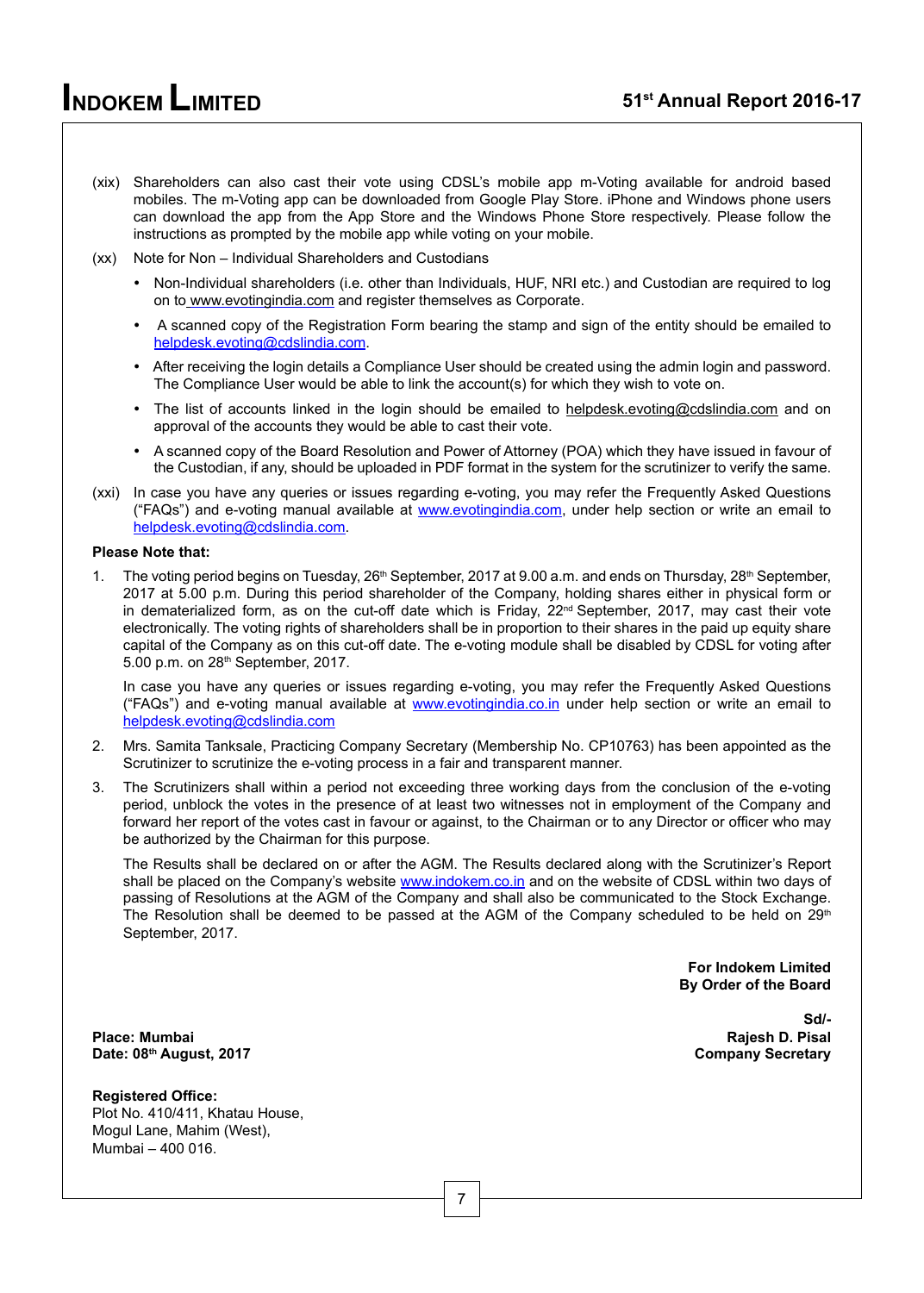### **INDOKEM LIMITED 1999 12016-17**

- (xix) Shareholders can also cast their vote using CDSL's mobile app m-Voting available for android based mobiles. The m-Voting app can be downloaded from Google Play Store. iPhone and Windows phone users can download the app from the App Store and the Windows Phone Store respectively. Please follow the instructions as prompted by the mobile app while voting on your mobile.
- (xx) Note for Non Individual Shareholders and Custodians
	- Non-Individual shareholders (i.e. other than Individuals, HUF, NRI etc.) and Custodian are required to log on to www.evotingindia.com and register themselves as Corporate.
	- A scanned copy of the Registration Form bearing the stamp and sign of the entity should be emailed to helpdesk.evoting@cdslindia.com.
	- After receiving the login details a Compliance User should be created using the admin login and password. The Compliance User would be able to link the account(s) for which they wish to vote on.
	- The list of accounts linked in the login should be emailed to helpdesk.evoting@cdslindia.com and on approval of the accounts they would be able to cast their vote.
	- A scanned copy of the Board Resolution and Power of Attorney (POA) which they have issued in favour of the Custodian, if any, should be uploaded in PDF format in the system for the scrutinizer to verify the same.
- (xxi) In case you have any queries or issues regarding e-voting, you may refer the Frequently Asked Questions ("FAQs") and e-voting manual available at www.evotingindia.com, under help section or write an email to helpdesk.evoting@cdslindia.com.

#### **Please Note that:**

The voting period begins on Tuesday, 26<sup>th</sup> September, 2017 at 9.00 a.m. and ends on Thursday, 28<sup>th</sup> September, 2017 at 5.00 p.m. During this period shareholder of the Company, holding shares either in physical form or in dematerialized form, as on the cut-off date which is Friday,  $22<sup>nd</sup>$  September, 2017, may cast their vote electronically. The voting rights of shareholders shall be in proportion to their shares in the paid up equity share capital of the Company as on this cut-off date. The e-voting module shall be disabled by CDSL for voting after 5.00 p.m. on 28th September, 2017.

In case you have any queries or issues regarding e-voting, you may refer the Frequently Asked Questions ("FAQs") and e-voting manual available at www.evotingindia.co.in under help section or write an email to helpdesk.evoting@cdslindia.com

- 2. Mrs. Samita Tanksale, Practicing Company Secretary (Membership No. CP10763) has been appointed as the Scrutinizer to scrutinize the e-voting process in a fair and transparent manner.
- 3. The Scrutinizers shall within a period not exceeding three working days from the conclusion of the e-voting period, unblock the votes in the presence of at least two witnesses not in employment of the Company and forward her report of the votes cast in favour or against, to the Chairman or to any Director or officer who may be authorized by the Chairman for this purpose.

The Results shall be declared on or after the AGM. The Results declared along with the Scrutinizer's Report shall be placed on the Company's website www.indokem.co.in and on the website of CDSL within two days of passing of Resolutions at the AGM of the Company and shall also be communicated to the Stock Exchange. The Resolution shall be deemed to be passed at the AGM of the Company scheduled to be held on  $29<sup>th</sup>$ September, 2017.

> **For Indokem Limited By Order of the Board**

**Place: Mumbai Rajesh D. Pisal Date: 08<sup>th</sup> August, 2017** Company Secretary

**Sd/-** 

**Registered Office:** Plot No. 410/411, Khatau House, Mogul Lane, Mahim (West), Mumbai – 400 016.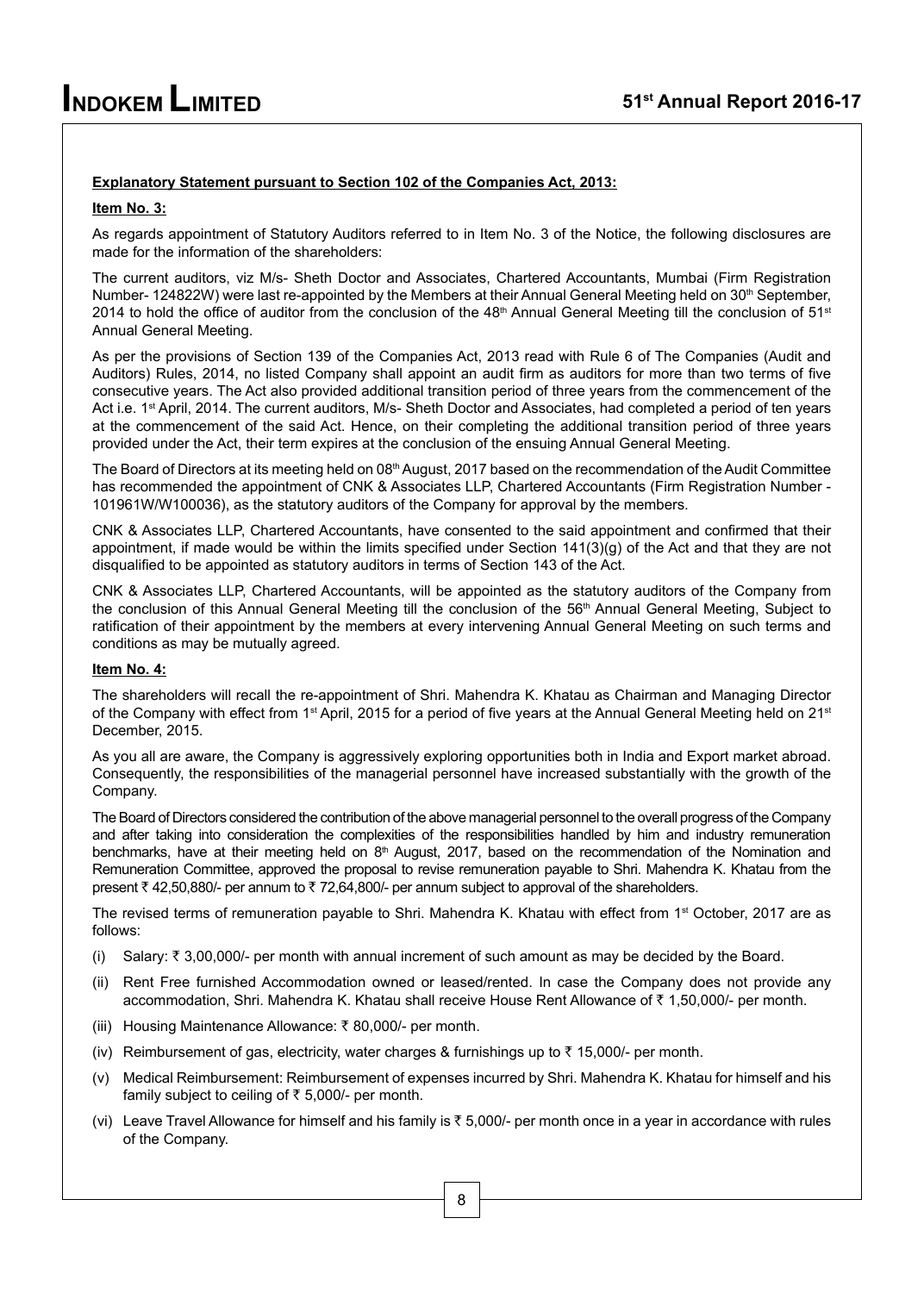#### **Explanatory Statement pursuant to Section 102 of the Companies Act, 2013:**

#### **Item No. 3:**

As regards appointment of Statutory Auditors referred to in Item No. 3 of the Notice, the following disclosures are made for the information of the shareholders:

The current auditors, viz M/s- Sheth Doctor and Associates, Chartered Accountants, Mumbai (Firm Registration Number- 124822W) were last re-appointed by the Members at their Annual General Meeting held on 30<sup>th</sup> September, 2014 to hold the office of auditor from the conclusion of the 48th Annual General Meeting till the conclusion of  $51st$ Annual General Meeting.

As per the provisions of Section 139 of the Companies Act, 2013 read with Rule 6 of The Companies (Audit and Auditors) Rules, 2014, no listed Company shall appoint an audit firm as auditors for more than two terms of five consecutive years. The Act also provided additional transition period of three years from the commencement of the Act i.e. 1<sup>st</sup> April, 2014. The current auditors, M/s- Sheth Doctor and Associates, had completed a period of ten years at the commencement of the said Act. Hence, on their completing the additional transition period of three years provided under the Act, their term expires at the conclusion of the ensuing Annual General Meeting.

The Board of Directors at its meeting held on 08<sup>th</sup> August, 2017 based on the recommendation of the Audit Committee has recommended the appointment of CNK & Associates LLP, Chartered Accountants (Firm Registration Number - 101961W/W100036), as the statutory auditors of the Company for approval by the members.

CNK & Associates LLP, Chartered Accountants, have consented to the said appointment and confirmed that their appointment, if made would be within the limits specified under Section 141(3)(g) of the Act and that they are not disqualified to be appointed as statutory auditors in terms of Section 143 of the Act.

CNK & Associates LLP, Chartered Accountants, will be appointed as the statutory auditors of the Company from the conclusion of this Annual General Meeting till the conclusion of the 56<sup>th</sup> Annual General Meeting, Subject to ratification of their appointment by the members at every intervening Annual General Meeting on such terms and conditions as may be mutually agreed.

### **Item No. 4:**

The shareholders will recall the re-appointment of Shri. Mahendra K. Khatau as Chairman and Managing Director of the Company with effect from 1<sup>st</sup> April, 2015 for a period of five years at the Annual General Meeting held on 21<sup>st</sup> December, 2015.

As you all are aware, the Company is aggressively exploring opportunities both in India and Export market abroad. Consequently, the responsibilities of the managerial personnel have increased substantially with the growth of the Company.

The Board of Directors considered the contribution of the above managerial personnel to the overall progress of the Company and after taking into consideration the complexities of the responsibilities handled by him and industry remuneration benchmarks, have at their meeting held on 8<sup>th</sup> August, 2017, based on the recommendation of the Nomination and Remuneration Committee, approved the proposal to revise remuneration payable to Shri. Mahendra K. Khatau from the present  $\bar{\tau}$  42,50,880/- per annum to  $\bar{\tau}$  72,64,800/- per annum subject to approval of the shareholders.

The revised terms of remuneration payable to Shri. Mahendra K. Khatau with effect from 1<sup>st</sup> October, 2017 are as follows:

- (i) Salary:  $\bar{\tau}$  3,00,000/- per month with annual increment of such amount as may be decided by the Board.
- (ii) Rent Free furnished Accommodation owned or leased/rented. In case the Company does not provide any accommodation, Shri. Mahendra K. Khatau shall receive House Rent Allowance of  $\bar{\tau}$  1,50,000/- per month.
- (iii) Housing Maintenance Allowance:  $\bar{\tau}$  80,000/- per month.
- (iv) Reimbursement of gas, electricity, water charges & furnishings up to  $\bar{\tau}$  15,000/- per month.
- (v) Medical Reimbursement: Reimbursement of expenses incurred by Shri. Mahendra K. Khatau for himself and his family subject to ceiling of  $\bar{\tau}$  5,000/- per month.
- (vi) Leave Travel Allowance for himself and his family is  $\bar{x}$  5,000/- per month once in a year in accordance with rules of the Company.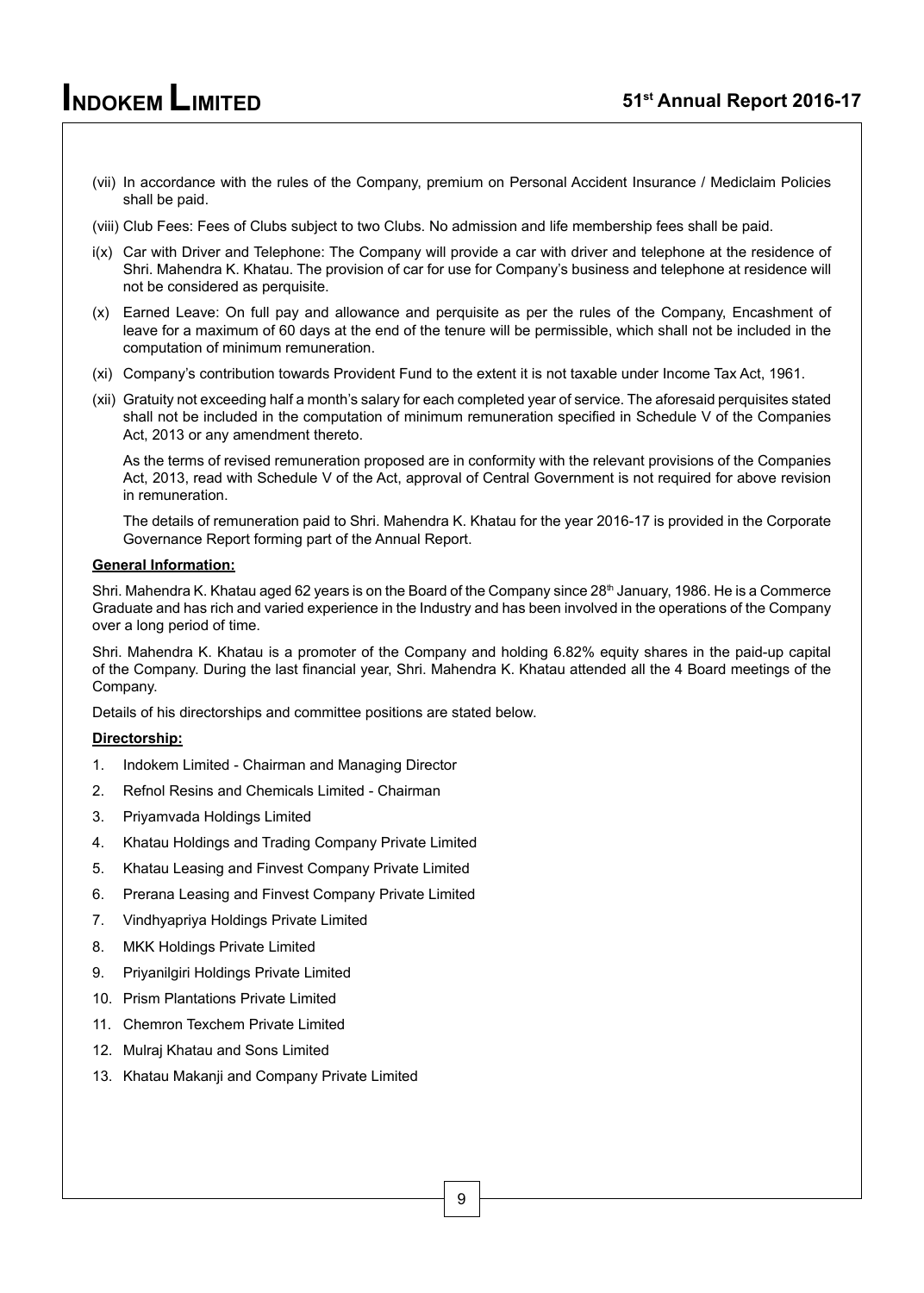### **INDOKEM LIMITED 1999 12016-17**

- (vii) In accordance with the rules of the Company, premium on Personal Accident Insurance / Mediclaim Policies shall be paid.
- (viii) Club Fees: Fees of Clubs subject to two Clubs. No admission and life membership fees shall be paid.
- i(x) Car with Driver and Telephone: The Company will provide a car with driver and telephone at the residence of Shri. Mahendra K. Khatau. The provision of car for use for Company's business and telephone at residence will not be considered as perquisite.
- (x) Earned Leave: On full pay and allowance and perquisite as per the rules of the Company, Encashment of leave for a maximum of 60 days at the end of the tenure will be permissible, which shall not be included in the computation of minimum remuneration.
- (xi) Company's contribution towards Provident Fund to the extent it is not taxable under Income Tax Act, 1961.
- (xii) Gratuity not exceeding half a month's salary for each completed year of service. The aforesaid perquisites stated shall not be included in the computation of minimum remuneration specified in Schedule V of the Companies Act, 2013 or any amendment thereto.

As the terms of revised remuneration proposed are in conformity with the relevant provisions of the Companies Act, 2013, read with Schedule V of the Act, approval of Central Government is not required for above revision in remuneration.

The details of remuneration paid to Shri. Mahendra K. Khatau for the year 2016-17 is provided in the Corporate Governance Report forming part of the Annual Report.

#### **General Information:**

Shri. Mahendra K. Khatau aged 62 years is on the Board of the Company since 28<sup>th</sup> January, 1986. He is a Commerce Graduate and has rich and varied experience in the Industry and has been involved in the operations of the Company over a long period of time.

Shri. Mahendra K. Khatau is a promoter of the Company and holding 6.82% equity shares in the paid-up capital of the Company. During the last financial year, Shri. Mahendra K. Khatau attended all the 4 Board meetings of the Company.

Details of his directorships and committee positions are stated below.

#### **Directorship:**

- 1. Indokem Limited Chairman and Managing Director
- 2. Refnol Resins and Chemicals Limited Chairman
- 3. Priyamvada Holdings Limited
- 4. Khatau Holdings and Trading Company Private Limited
- 5. Khatau Leasing and Finvest Company Private Limited
- 6. Prerana Leasing and Finvest Company Private Limited
- 7. Vindhyapriya Holdings Private Limited
- 8. MKK Holdings Private Limited
- 9. Priyanilgiri Holdings Private Limited
- 10. Prism Plantations Private Limited
- 11. Chemron Texchem Private Limited
- 12. Mulraj Khatau and Sons Limited
- 13. Khatau Makanji and Company Private Limited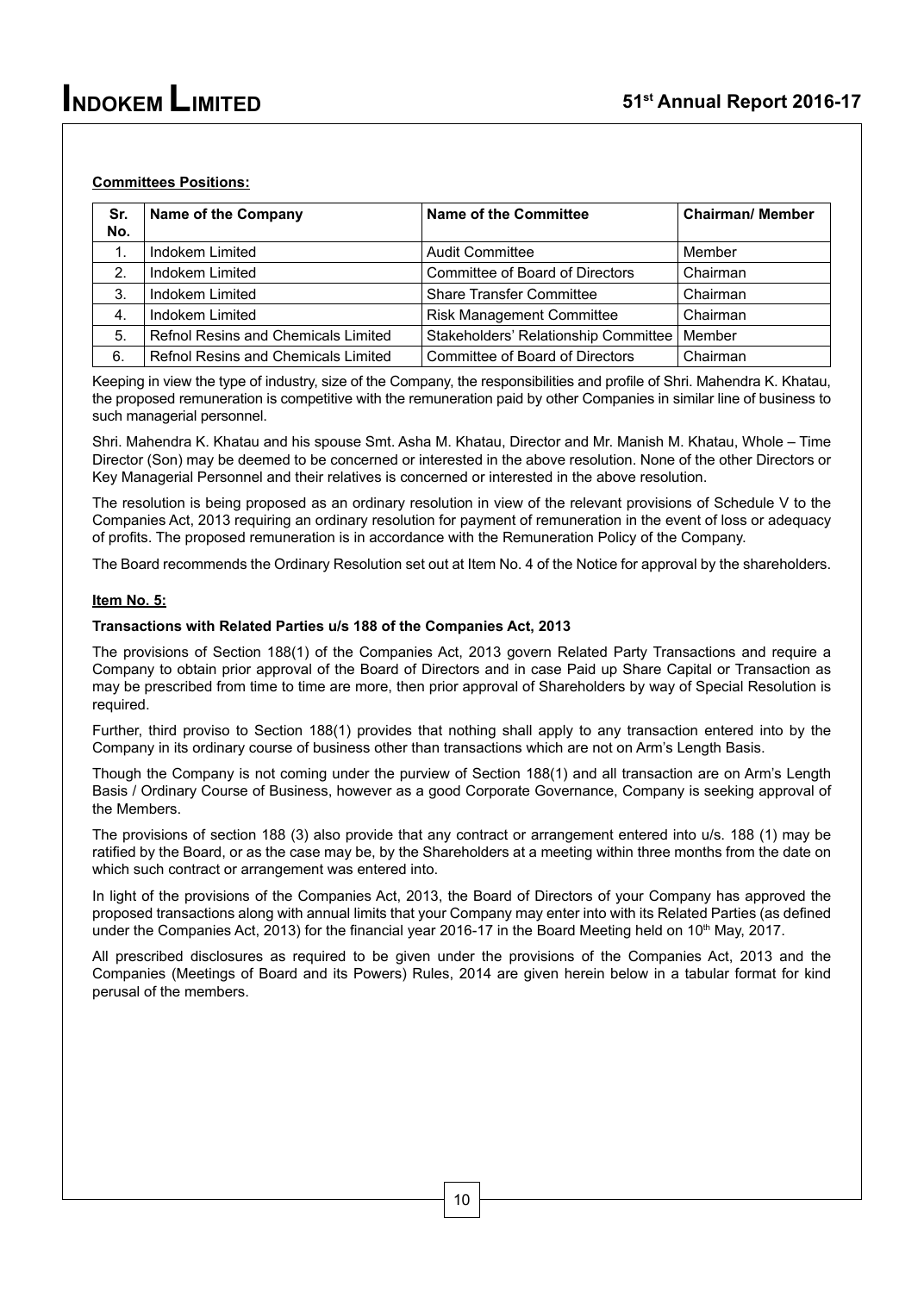#### **Committees Positions:**

| Sr.<br>No. | Name of the Company                 | Name of the Committee                | <b>Chairman/ Member</b> |
|------------|-------------------------------------|--------------------------------------|-------------------------|
|            | Indokem Limited                     | <b>Audit Committee</b>               | Member                  |
| 2.         | Indokem Limited                     | Committee of Board of Directors      | Chairman                |
| 3.         | Indokem Limited                     | <b>Share Transfer Committee</b>      | Chairman                |
| 4.         | Indokem Limited                     | <b>Risk Management Committee</b>     | Chairman                |
| 5.         | Refnol Resins and Chemicals Limited | Stakeholders' Relationship Committee | Member                  |
| 6.         | Refnol Resins and Chemicals Limited | Committee of Board of Directors      | Chairman                |

Keeping in view the type of industry, size of the Company, the responsibilities and profile of Shri. Mahendra K. Khatau, the proposed remuneration is competitive with the remuneration paid by other Companies in similar line of business to such managerial personnel.

Shri. Mahendra K. Khatau and his spouse Smt. Asha M. Khatau, Director and Mr. Manish M. Khatau, Whole – Time Director (Son) may be deemed to be concerned or interested in the above resolution. None of the other Directors or Key Managerial Personnel and their relatives is concerned or interested in the above resolution.

The resolution is being proposed as an ordinary resolution in view of the relevant provisions of Schedule V to the Companies Act, 2013 requiring an ordinary resolution for payment of remuneration in the event of loss or adequacy of profits. The proposed remuneration is in accordance with the Remuneration Policy of the Company.

The Board recommends the Ordinary Resolution set out at Item No. 4 of the Notice for approval by the shareholders.

#### **Item No. 5:**

#### **Transactions with Related Parties u/s 188 of the Companies Act, 2013**

The provisions of Section 188(1) of the Companies Act, 2013 govern Related Party Transactions and require a Company to obtain prior approval of the Board of Directors and in case Paid up Share Capital or Transaction as may be prescribed from time to time are more, then prior approval of Shareholders by way of Special Resolution is required.

Further, third proviso to Section 188(1) provides that nothing shall apply to any transaction entered into by the Company in its ordinary course of business other than transactions which are not on Arm's Length Basis.

Though the Company is not coming under the purview of Section 188(1) and all transaction are on Arm's Length Basis / Ordinary Course of Business, however as a good Corporate Governance, Company is seeking approval of the Members.

The provisions of section 188 (3) also provide that any contract or arrangement entered into u/s. 188 (1) may be ratified by the Board, or as the case may be, by the Shareholders at a meeting within three months from the date on which such contract or arrangement was entered into.

In light of the provisions of the Companies Act, 2013, the Board of Directors of your Company has approved the proposed transactions along with annual limits that your Company may enter into with its Related Parties (as defined under the Companies Act, 2013) for the financial year 2016-17 in the Board Meeting held on 10<sup>th</sup> May, 2017.

All prescribed disclosures as required to be given under the provisions of the Companies Act, 2013 and the Companies (Meetings of Board and its Powers) Rules, 2014 are given herein below in a tabular format for kind perusal of the members.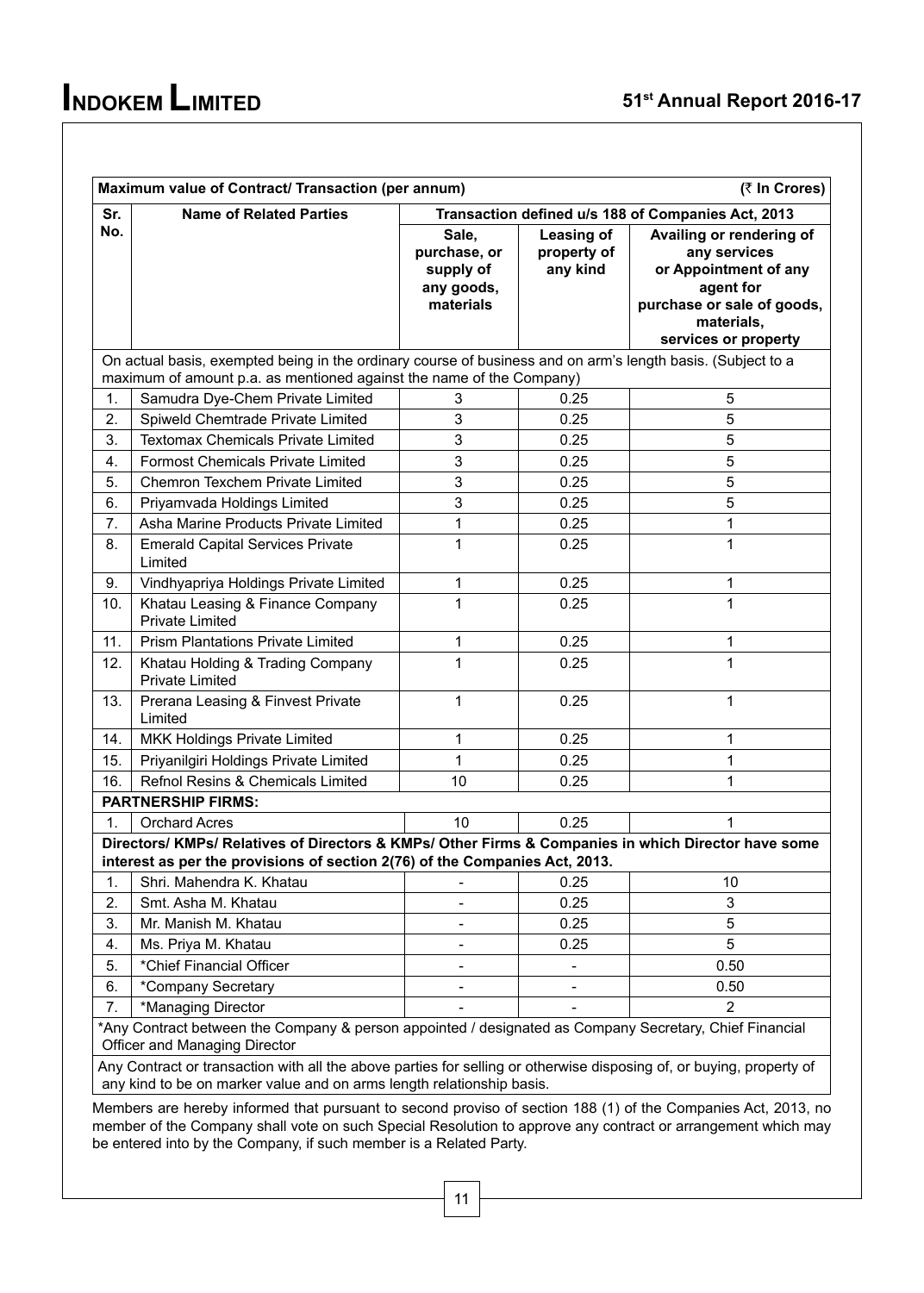| Sr.            | <b>Name of Related Parties</b>                                                                                                                                                                | Transaction defined u/s 188 of Companies Act, 2013            |                                       |                                                                                                                                                    |
|----------------|-----------------------------------------------------------------------------------------------------------------------------------------------------------------------------------------------|---------------------------------------------------------------|---------------------------------------|----------------------------------------------------------------------------------------------------------------------------------------------------|
| No.            |                                                                                                                                                                                               | Sale,<br>purchase, or<br>supply of<br>any goods,<br>materials | Leasing of<br>property of<br>any kind | Availing or rendering of<br>any services<br>or Appointment of any<br>agent for<br>purchase or sale of goods,<br>materials,<br>services or property |
|                | On actual basis, exempted being in the ordinary course of business and on arm's length basis. (Subject to a                                                                                   |                                                               |                                       |                                                                                                                                                    |
|                | maximum of amount p.a. as mentioned against the name of the Company)                                                                                                                          |                                                               |                                       |                                                                                                                                                    |
| 1.             | Samudra Dye-Chem Private Limited                                                                                                                                                              | 3                                                             | 0.25                                  | 5                                                                                                                                                  |
| 2.             | Spiweld Chemtrade Private Limited                                                                                                                                                             | 3                                                             | 0.25                                  | 5                                                                                                                                                  |
| 3.             | Textomax Chemicals Private Limited                                                                                                                                                            | 3                                                             | 0.25                                  | 5                                                                                                                                                  |
| 4.             | <b>Formost Chemicals Private Limited</b>                                                                                                                                                      | 3                                                             | 0.25                                  | 5                                                                                                                                                  |
| 5.             | Chemron Texchem Private Limited                                                                                                                                                               | 3                                                             | 0.25                                  | 5                                                                                                                                                  |
| 6.             | Priyamvada Holdings Limited                                                                                                                                                                   | 3                                                             | 0.25                                  | 5                                                                                                                                                  |
| 7 <sub>1</sub> | Asha Marine Products Private Limited                                                                                                                                                          | 1                                                             | 0.25                                  | $\mathbf{1}$                                                                                                                                       |
| 8.             | <b>Emerald Capital Services Private</b><br>Limited                                                                                                                                            | 1                                                             | 0.25                                  | 1                                                                                                                                                  |
| 9.             | Vindhyapriya Holdings Private Limited                                                                                                                                                         | 1                                                             | 0.25                                  | 1                                                                                                                                                  |
| 10.            | Khatau Leasing & Finance Company<br><b>Private Limited</b>                                                                                                                                    | 1                                                             | 0.25                                  | 1                                                                                                                                                  |
| 11.            | <b>Prism Plantations Private Limited</b>                                                                                                                                                      | 1                                                             | 0.25                                  | 1                                                                                                                                                  |
| 12.            | Khatau Holding & Trading Company<br><b>Private Limited</b>                                                                                                                                    | 1                                                             | 0.25                                  | 1                                                                                                                                                  |
| 13.            | Prerana Leasing & Finvest Private<br>Limited                                                                                                                                                  | 1                                                             | 0.25                                  | 1                                                                                                                                                  |
| 14.            | MKK Holdings Private Limited                                                                                                                                                                  | 1                                                             | 0.25                                  | 1                                                                                                                                                  |
| 15.            | Priyanilgiri Holdings Private Limited                                                                                                                                                         | 1                                                             | 0.25                                  | 1                                                                                                                                                  |
| 16.            | Refnol Resins & Chemicals Limited                                                                                                                                                             | 10                                                            | 0.25                                  | 1                                                                                                                                                  |
|                | <b>PARTNERSHIP FIRMS:</b>                                                                                                                                                                     |                                                               |                                       |                                                                                                                                                    |
| 1.             | <b>Orchard Acres</b>                                                                                                                                                                          | 10                                                            | 0.25                                  | 1                                                                                                                                                  |
|                | Directors/ KMPs/ Relatives of Directors & KMPs/ Other Firms & Companies in which Director have some<br>interest as per the provisions of section 2(76) of the Companies Act, 2013.            |                                                               |                                       |                                                                                                                                                    |
| 1.             | Shri, Mahendra K. Khatau                                                                                                                                                                      |                                                               | 0.25                                  | 10                                                                                                                                                 |
| 2.             | Smt. Asha M. Khatau                                                                                                                                                                           |                                                               | 0.25                                  | 3                                                                                                                                                  |
| 3.             | Mr. Manish M. Khatau                                                                                                                                                                          |                                                               | 0.25                                  | 5                                                                                                                                                  |
| 4.             | Ms. Priya M. Khatau                                                                                                                                                                           | $\blacksquare$                                                | 0.25                                  | 5                                                                                                                                                  |
| 5.             | *Chief Financial Officer                                                                                                                                                                      |                                                               |                                       | 0.50                                                                                                                                               |
| 6.             | *Company Secretary                                                                                                                                                                            | $\overline{a}$                                                |                                       | 0.50                                                                                                                                               |
| 7.             | *Managing Director                                                                                                                                                                            |                                                               |                                       | 2                                                                                                                                                  |
|                | *Any Contract between the Company & person appointed / designated as Company Secretary, Chief Financial<br>Officer and Managing Director                                                      |                                                               |                                       |                                                                                                                                                    |
|                | Any Contract or transaction with all the above parties for selling or otherwise disposing of, or buying, property of<br>any kind to be on marker value and on arms length relationship basis. |                                                               |                                       |                                                                                                                                                    |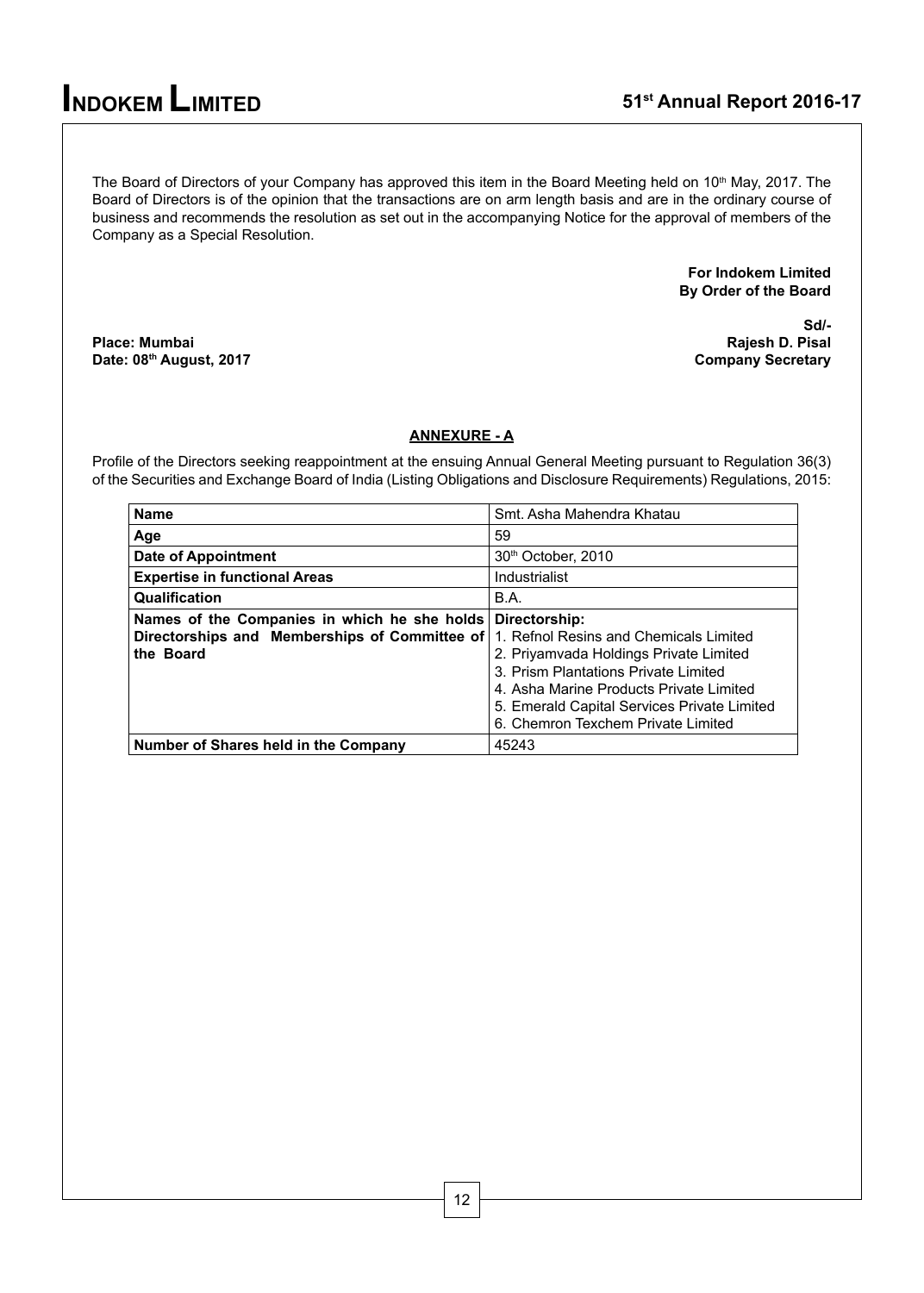The Board of Directors of your Company has approved this item in the Board Meeting held on 10<sup>th</sup> May, 2017. The Board of Directors is of the opinion that the transactions are on arm length basis and are in the ordinary course of business and recommends the resolution as set out in the accompanying Notice for the approval of members of the Company as a Special Resolution.

> **For Indokem Limited By Order of the Board**

Place: Mumbai Rajesh D. Pisal<br>Date: 08<sup>th</sup> August, 2017 **Rajesh D. Pisal Date: 08<sup>th</sup> August, 2017** 

**Sd/-** 

#### **ANNEXURE - A**

Profile of the Directors seeking reappointment at the ensuing Annual General Meeting pursuant to Regulation 36(3) of the Securities and Exchange Board of India (Listing Obligations and Disclosure Requirements) Regulations, 2015:

| Name                                          | Smt. Asha Mahendra Khatau                   |
|-----------------------------------------------|---------------------------------------------|
| Age                                           | 59                                          |
| Date of Appointment                           | 30 <sup>th</sup> October, 2010              |
| <b>Expertise in functional Areas</b>          | Industrialist                               |
| Qualification                                 | B.A.                                        |
| Names of the Companies in which he she holds  | Directorship:                               |
| Directorships and Memberships of Committee of | 1. Refnol Resins and Chemicals Limited      |
| the Board                                     | 2. Priyamvada Holdings Private Limited      |
|                                               | 3. Prism Plantations Private Limited        |
|                                               | 4. Asha Marine Products Private Limited     |
|                                               | 5. Emerald Capital Services Private Limited |
|                                               | 6. Chemron Texchem Private Limited          |
| Number of Shares held in the Company          | 45243                                       |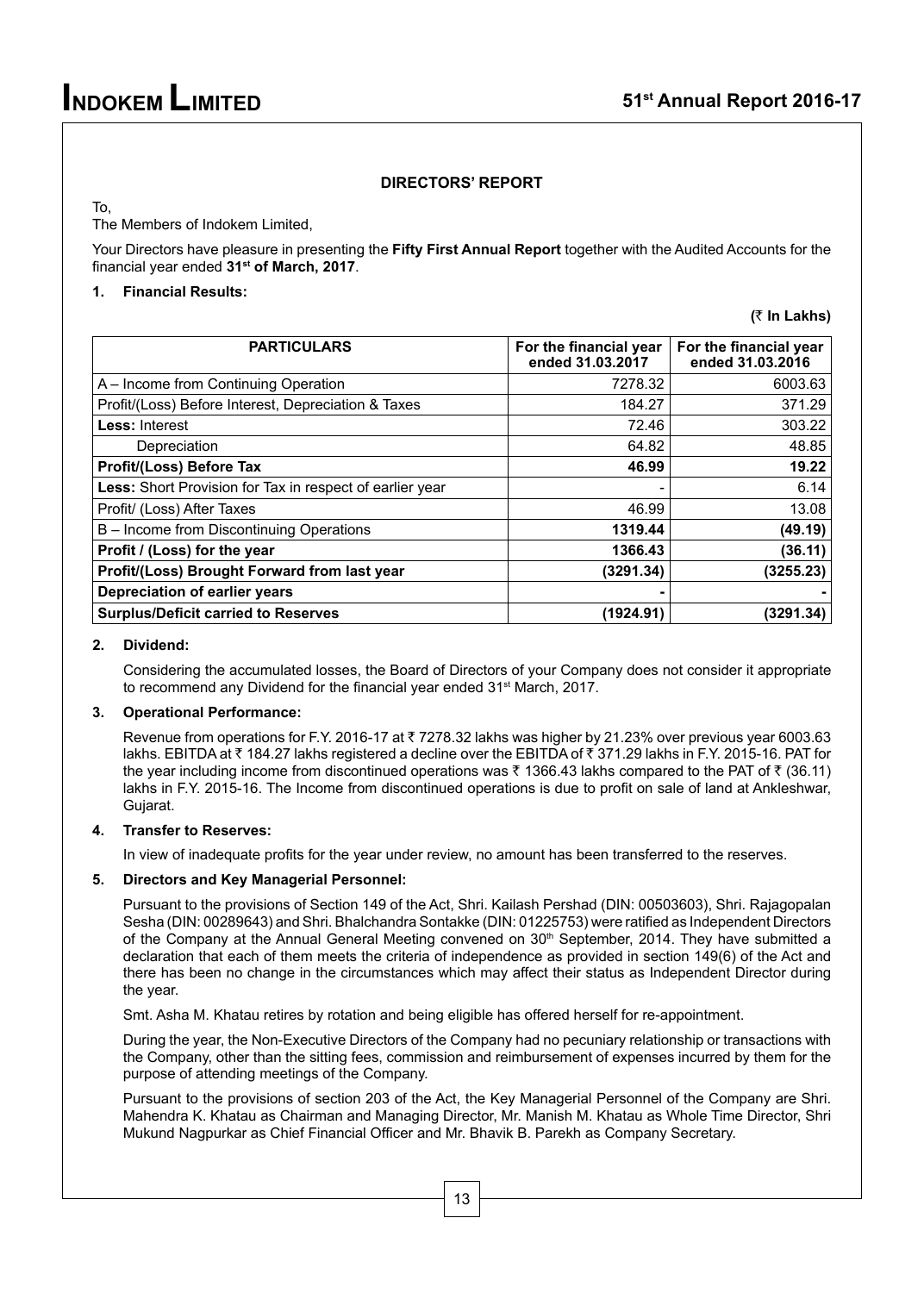#### **DIRECTORS' REPORT**

To,

The Members of Indokem Limited,

Your Directors have pleasure in presenting the **Fifty First Annual Report** together with the Audited Accounts for the financial year ended **31st of March, 2017**.

#### **1. Financial Results:**

**(**` **In Lakhs)**

| <b>PARTICULARS</b>                                       | For the financial year<br>ended 31.03.2017 | For the financial year<br>ended 31.03.2016 |
|----------------------------------------------------------|--------------------------------------------|--------------------------------------------|
| A – Income from Continuing Operation                     | 7278.32                                    | 6003.63                                    |
| Profit/(Loss) Before Interest, Depreciation & Taxes      | 184.27                                     | 371.29                                     |
| <b>Less: Interest</b>                                    | 72.46                                      | 303.22                                     |
| Depreciation                                             | 64.82                                      | 48.85                                      |
| Profit/(Loss) Before Tax                                 | 46.99                                      | 19.22                                      |
| Less: Short Provision for Tax in respect of earlier year |                                            | 6.14                                       |
| Profit/ (Loss) After Taxes                               | 46.99                                      | 13.08                                      |
| B – Income from Discontinuing Operations                 | 1319.44                                    | (49.19)                                    |
| Profit / (Loss) for the year                             | 1366.43                                    | (36.11)                                    |
| Profit/(Loss) Brought Forward from last year             | (3291.34)                                  | (3255.23)                                  |
| Depreciation of earlier years                            |                                            |                                            |
| <b>Surplus/Deficit carried to Reserves</b>               | (1924.91)                                  | (3291.34)                                  |

#### **2. Dividend:**

Considering the accumulated losses, the Board of Directors of your Company does not consider it appropriate to recommend any Dividend for the financial year ended 31<sup>st</sup> March, 2017.

#### **3. Operational Performance:**

Revenue from operations for F.Y. 2016-17 at  $\bar{\tau}$  7278.32 lakhs was higher by 21.23% over previous year 6003.63 lakhs. EBITDA at ₹ 184.27 lakhs registered a decline over the EBITDA of ₹ 371.29 lakhs in F.Y. 2015-16. PAT for the year including income from discontinued operations was  $\bar{\tau}$  1366.43 lakhs compared to the PAT of  $\bar{\tau}$  (36.11) lakhs in F.Y. 2015-16. The Income from discontinued operations is due to profit on sale of land at Ankleshwar, Gujarat.

#### **4. Transfer to Reserves:**

In view of inadequate profits for the year under review, no amount has been transferred to the reserves.

#### **5. Directors and Key Managerial Personnel:**

Pursuant to the provisions of Section 149 of the Act, Shri. Kailash Pershad (DIN: 00503603), Shri. Rajagopalan Sesha (DIN: 00289643) and Shri. Bhalchandra Sontakke (DIN: 01225753) were ratified as Independent Directors of the Company at the Annual General Meeting convened on 30<sup>th</sup> September, 2014. They have submitted a declaration that each of them meets the criteria of independence as provided in section 149(6) of the Act and there has been no change in the circumstances which may affect their status as Independent Director during the year.

Smt. Asha M. Khatau retires by rotation and being eligible has offered herself for re-appointment.

During the year, the Non-Executive Directors of the Company had no pecuniary relationship or transactions with the Company, other than the sitting fees, commission and reimbursement of expenses incurred by them for the purpose of attending meetings of the Company.

Pursuant to the provisions of section 203 of the Act, the Key Managerial Personnel of the Company are Shri. Mahendra K. Khatau as Chairman and Managing Director, Mr. Manish M. Khatau as Whole Time Director, Shri Mukund Nagpurkar as Chief Financial Officer and Mr. Bhavik B. Parekh as Company Secretary.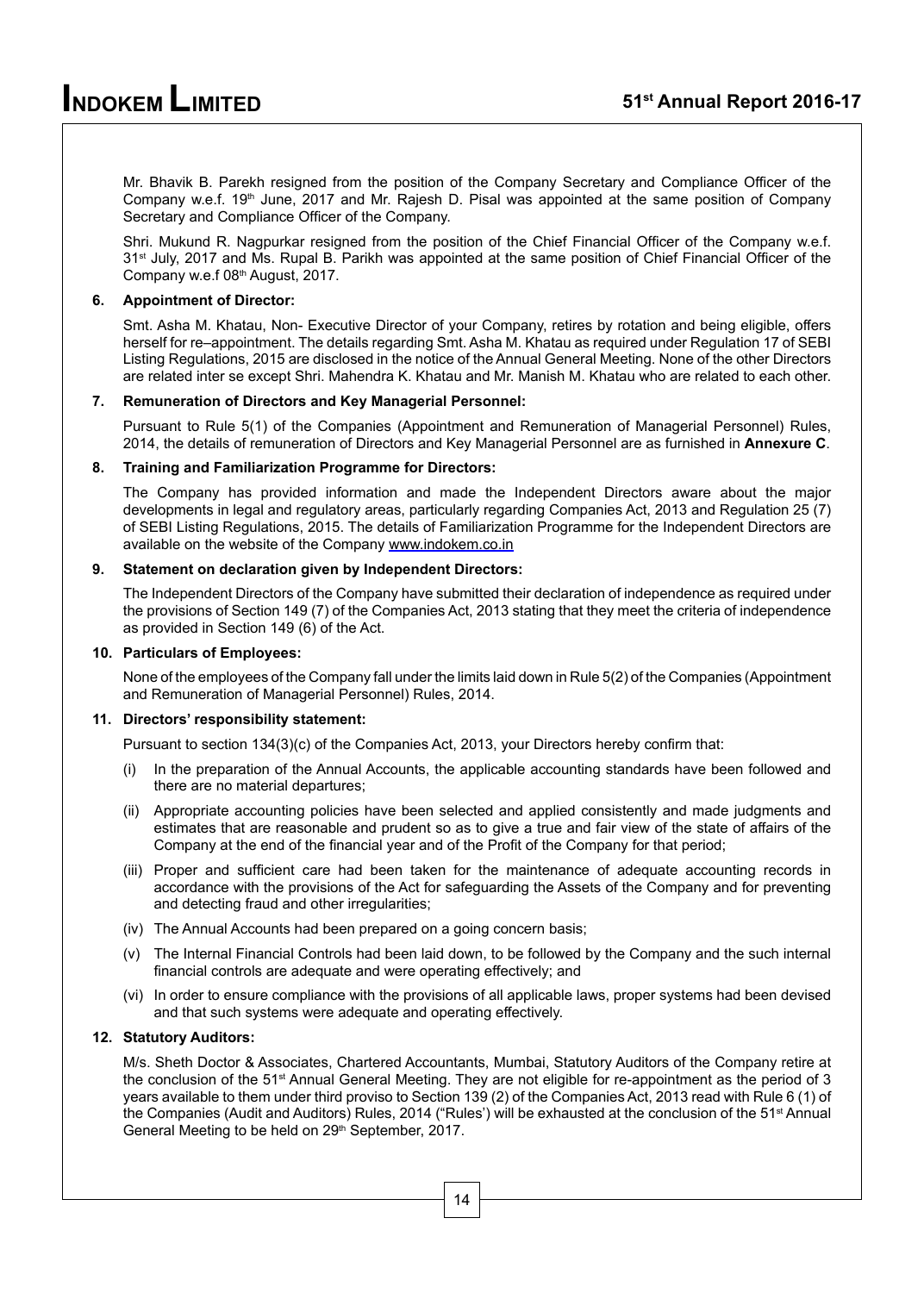Mr. Bhavik B. Parekh resigned from the position of the Company Secretary and Compliance Officer of the Company w.e.f. 19<sup>th</sup> June, 2017 and Mr. Rajesh D. Pisal was appointed at the same position of Company Secretary and Compliance Officer of the Company.

Shri. Mukund R. Nagpurkar resigned from the position of the Chief Financial Officer of the Company w.e.f. 31<sup>st</sup> July, 2017 and Ms. Rupal B. Parikh was appointed at the same position of Chief Financial Officer of the Company w.e.f 08<sup>th</sup> August, 2017.

#### **6. Appointment of Director:**

Smt. Asha M. Khatau, Non- Executive Director of your Company, retires by rotation and being eligible, offers herself for re–appointment. The details regarding Smt. Asha M. Khatau as required under Regulation 17 of SEBI Listing Regulations, 2015 are disclosed in the notice of the Annual General Meeting. None of the other Directors are related inter se except Shri. Mahendra K. Khatau and Mr. Manish M. Khatau who are related to each other.

#### **7. Remuneration of Directors and Key Managerial Personnel:**

Pursuant to Rule 5(1) of the Companies (Appointment and Remuneration of Managerial Personnel) Rules, 2014, the details of remuneration of Directors and Key Managerial Personnel are as furnished in **Annexure C**.

#### **8. Training and Familiarization Programme for Directors:**

The Company has provided information and made the Independent Directors aware about the major developments in legal and regulatory areas, particularly regarding Companies Act, 2013 and Regulation 25 (7) of SEBI Listing Regulations, 2015. The details of Familiarization Programme for the Independent Directors are available on the website of the Company www.indokem.co.in

#### **9. Statement on declaration given by Independent Directors:**

The Independent Directors of the Company have submitted their declaration of independence as required under the provisions of Section 149 (7) of the Companies Act, 2013 stating that they meet the criteria of independence as provided in Section 149 (6) of the Act.

#### **10. Particulars of Employees:**

None of the employees of the Company fall under the limits laid down in Rule 5(2) of the Companies (Appointment and Remuneration of Managerial Personnel) Rules, 2014.

#### **11. Directors' responsibility statement:**

Pursuant to section 134(3)(c) of the Companies Act, 2013, your Directors hereby confirm that:

- (i) In the preparation of the Annual Accounts, the applicable accounting standards have been followed and there are no material departures;
- (ii) Appropriate accounting policies have been selected and applied consistently and made judgments and estimates that are reasonable and prudent so as to give a true and fair view of the state of affairs of the Company at the end of the financial year and of the Profit of the Company for that period;
- (iii) Proper and sufficient care had been taken for the maintenance of adequate accounting records in accordance with the provisions of the Act for safeguarding the Assets of the Company and for preventing and detecting fraud and other irregularities;
- (iv) The Annual Accounts had been prepared on a going concern basis;
- (v) The Internal Financial Controls had been laid down, to be followed by the Company and the such internal financial controls are adequate and were operating effectively; and
- (vi) In order to ensure compliance with the provisions of all applicable laws, proper systems had been devised and that such systems were adequate and operating effectively.

#### **12. Statutory Auditors:**

M/s. Sheth Doctor & Associates, Chartered Accountants, Mumbai, Statutory Auditors of the Company retire at the conclusion of the 51<sup>st</sup> Annual General Meeting. They are not eligible for re-appointment as the period of 3 years available to them under third proviso to Section 139 (2) of the Companies Act, 2013 read with Rule 6 (1) of the Companies (Audit and Auditors) Rules, 2014 ("Rules') will be exhausted at the conclusion of the 51<sup>st</sup> Annual General Meeting to be held on 29<sup>th</sup> September, 2017.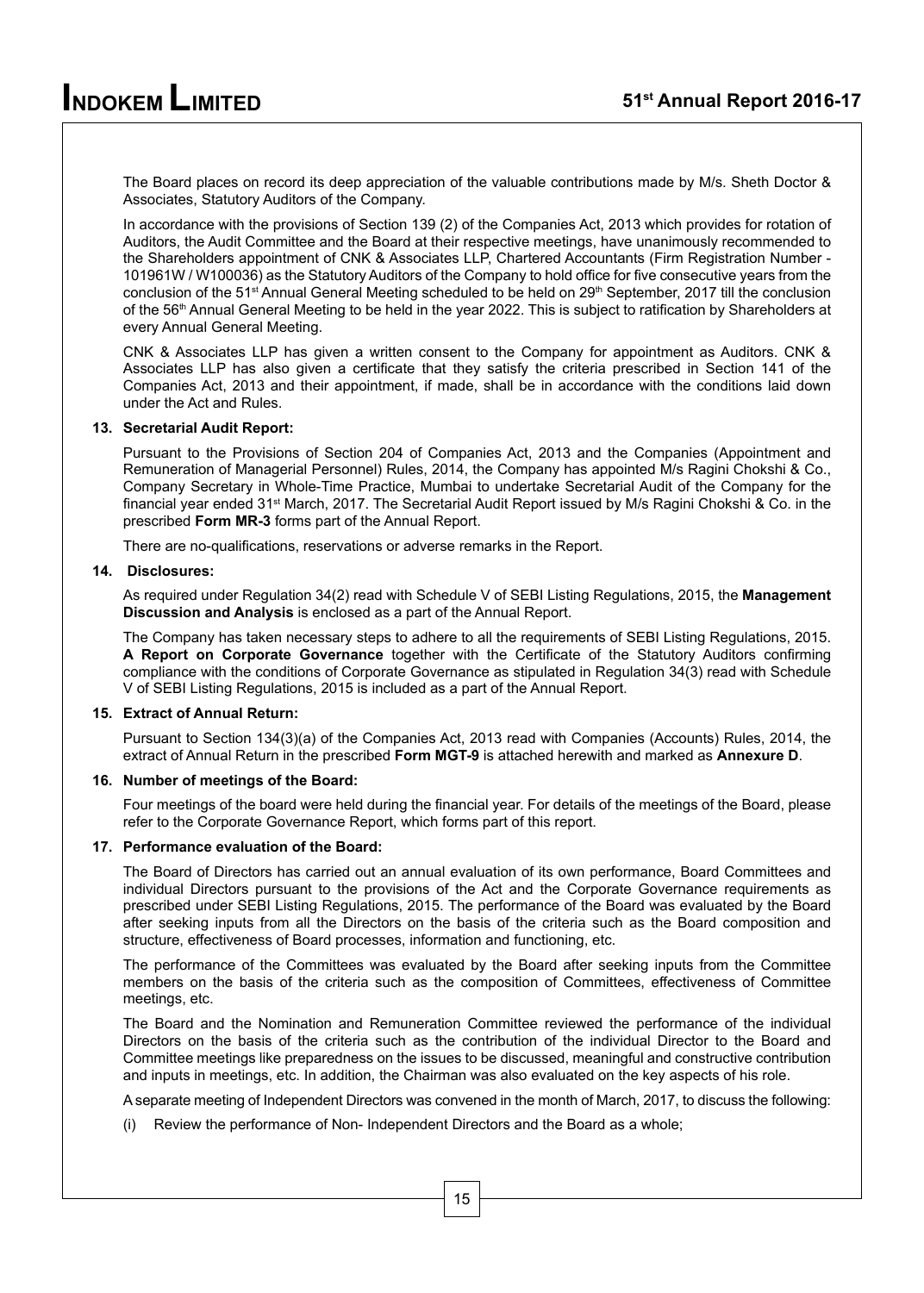The Board places on record its deep appreciation of the valuable contributions made by M/s. Sheth Doctor & Associates, Statutory Auditors of the Company.

In accordance with the provisions of Section 139 (2) of the Companies Act, 2013 which provides for rotation of Auditors, the Audit Committee and the Board at their respective meetings, have unanimously recommended to the Shareholders appointment of CNK & Associates LLP, Chartered Accountants (Firm Registration Number - 101961W / W100036) as the Statutory Auditors of the Company to hold office for five consecutive years from the conclusion of the 51<sup>st</sup> Annual General Meeting scheduled to be held on 29<sup>th</sup> September, 2017 till the conclusion of the 56<sup>th</sup> Annual General Meeting to be held in the year 2022. This is subject to ratification by Shareholders at every Annual General Meeting.

CNK & Associates LLP has given a written consent to the Company for appointment as Auditors. CNK & Associates LLP has also given a certificate that they satisfy the criteria prescribed in Section 141 of the Companies Act, 2013 and their appointment, if made, shall be in accordance with the conditions laid down under the Act and Rules.

#### **13. Secretarial Audit Report:**

Pursuant to the Provisions of Section 204 of Companies Act, 2013 and the Companies (Appointment and Remuneration of Managerial Personnel) Rules, 2014, the Company has appointed M/s Ragini Chokshi & Co., Company Secretary in Whole-Time Practice, Mumbai to undertake Secretarial Audit of the Company for the financial year ended 31<sup>st</sup> March, 2017. The Secretarial Audit Report issued by M/s Ragini Chokshi & Co. in the prescribed **Form MR-3** forms part of the Annual Report.

There are no-qualifications, reservations or adverse remarks in the Report.

#### **14. Disclosures:**

As required under Regulation 34(2) read with Schedule V of SEBI Listing Regulations, 2015, the **Management Discussion and Analysis** is enclosed as a part of the Annual Report.

The Company has taken necessary steps to adhere to all the requirements of SEBI Listing Regulations, 2015. **A Report on Corporate Governance** together with the Certificate of the Statutory Auditors confirming compliance with the conditions of Corporate Governance as stipulated in Regulation 34(3) read with Schedule V of SEBI Listing Regulations, 2015 is included as a part of the Annual Report.

#### **15. Extract of Annual Return:**

Pursuant to Section 134(3)(a) of the Companies Act, 2013 read with Companies (Accounts) Rules, 2014, the extract of Annual Return in the prescribed **Form MGT-9** is attached herewith and marked as **Annexure D**.

#### **16. Number of meetings of the Board:**

Four meetings of the board were held during the financial year. For details of the meetings of the Board, please refer to the Corporate Governance Report, which forms part of this report.

#### **17. Performance evaluation of the Board:**

The Board of Directors has carried out an annual evaluation of its own performance, Board Committees and individual Directors pursuant to the provisions of the Act and the Corporate Governance requirements as prescribed under SEBI Listing Regulations, 2015. The performance of the Board was evaluated by the Board after seeking inputs from all the Directors on the basis of the criteria such as the Board composition and structure, effectiveness of Board processes, information and functioning, etc.

The performance of the Committees was evaluated by the Board after seeking inputs from the Committee members on the basis of the criteria such as the composition of Committees, effectiveness of Committee meetings, etc.

The Board and the Nomination and Remuneration Committee reviewed the performance of the individual Directors on the basis of the criteria such as the contribution of the individual Director to the Board and Committee meetings like preparedness on the issues to be discussed, meaningful and constructive contribution and inputs in meetings, etc. In addition, the Chairman was also evaluated on the key aspects of his role.

A separate meeting of Independent Directors was convened in the month of March, 2017, to discuss the following:

(i) Review the performance of Non- Independent Directors and the Board as a whole;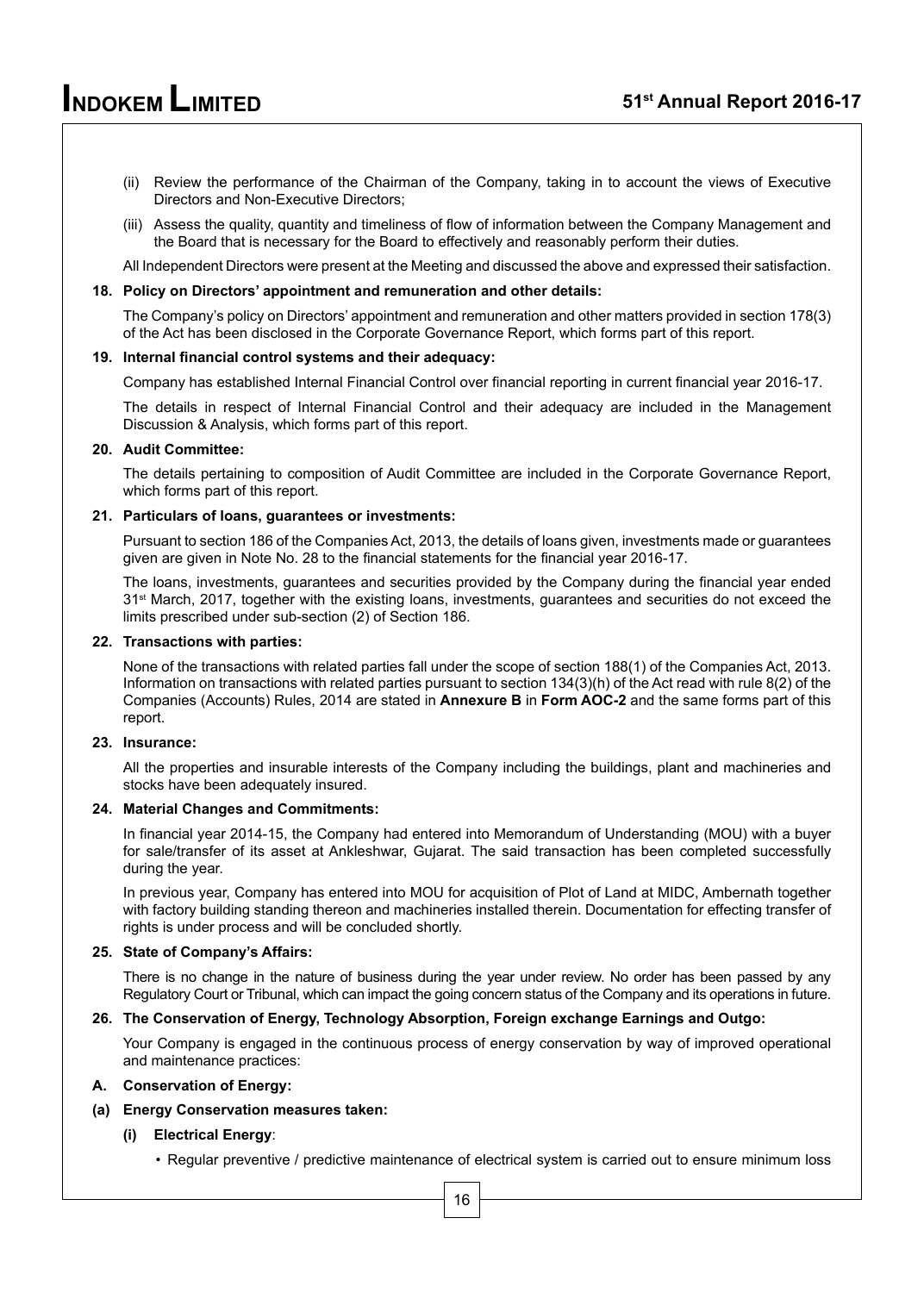- (ii) Review the performance of the Chairman of the Company, taking in to account the views of Executive Directors and Non-Executive Directors;
- (iii) Assess the quality, quantity and timeliness of flow of information between the Company Management and the Board that is necessary for the Board to effectively and reasonably perform their duties.

All Independent Directors were present at the Meeting and discussed the above and expressed their satisfaction.

#### **18. Policy on Directors' appointment and remuneration and other details:**

The Company's policy on Directors' appointment and remuneration and other matters provided in section 178(3) of the Act has been disclosed in the Corporate Governance Report, which forms part of this report.

#### **19. Internal financial control systems and their adequacy:**

Company has established Internal Financial Control over financial reporting in current financial year 2016-17.

The details in respect of Internal Financial Control and their adequacy are included in the Management Discussion & Analysis, which forms part of this report.

#### **20. Audit Committee:**

The details pertaining to composition of Audit Committee are included in the Corporate Governance Report, which forms part of this report.

#### **21. Particulars of loans, guarantees or investments:**

Pursuant to section 186 of the Companies Act, 2013, the details of loans given, investments made or guarantees given are given in Note No. 28 to the financial statements for the financial year 2016-17.

The loans, investments, guarantees and securities provided by the Company during the financial year ended 31<sup>st</sup> March, 2017, together with the existing loans, investments, guarantees and securities do not exceed the limits prescribed under sub-section (2) of Section 186.

#### **22. Transactions with parties:**

None of the transactions with related parties fall under the scope of section 188(1) of the Companies Act, 2013. Information on transactions with related parties pursuant to section 134(3)(h) of the Act read with rule 8(2) of the Companies (Accounts) Rules, 2014 are stated in **Annexure B** in **Form AOC-2** and the same forms part of this report.

#### **23. Insurance:**

All the properties and insurable interests of the Company including the buildings, plant and machineries and stocks have been adequately insured.

#### **24. Material Changes and Commitments:**

In financial year 2014-15, the Company had entered into Memorandum of Understanding (MOU) with a buyer for sale/transfer of its asset at Ankleshwar, Gujarat. The said transaction has been completed successfully during the year.

In previous year, Company has entered into MOU for acquisition of Plot of Land at MIDC, Ambernath together with factory building standing thereon and machineries installed therein. Documentation for effecting transfer of rights is under process and will be concluded shortly.

#### **25. State of Company's Affairs:**

There is no change in the nature of business during the year under review. No order has been passed by any Regulatory Court or Tribunal, which can impact the going concern status of the Company and its operations in future.

#### **26. The Conservation of Energy, Technology Absorption, Foreign exchange Earnings and Outgo:**

Your Company is engaged in the continuous process of energy conservation by way of improved operational and maintenance practices:

#### **A. Conservation of Energy:**

#### **(a) Energy Conservation measures taken:**

#### **(i) Electrical Energy**:

• Regular preventive / predictive maintenance of electrical system is carried out to ensure minimum loss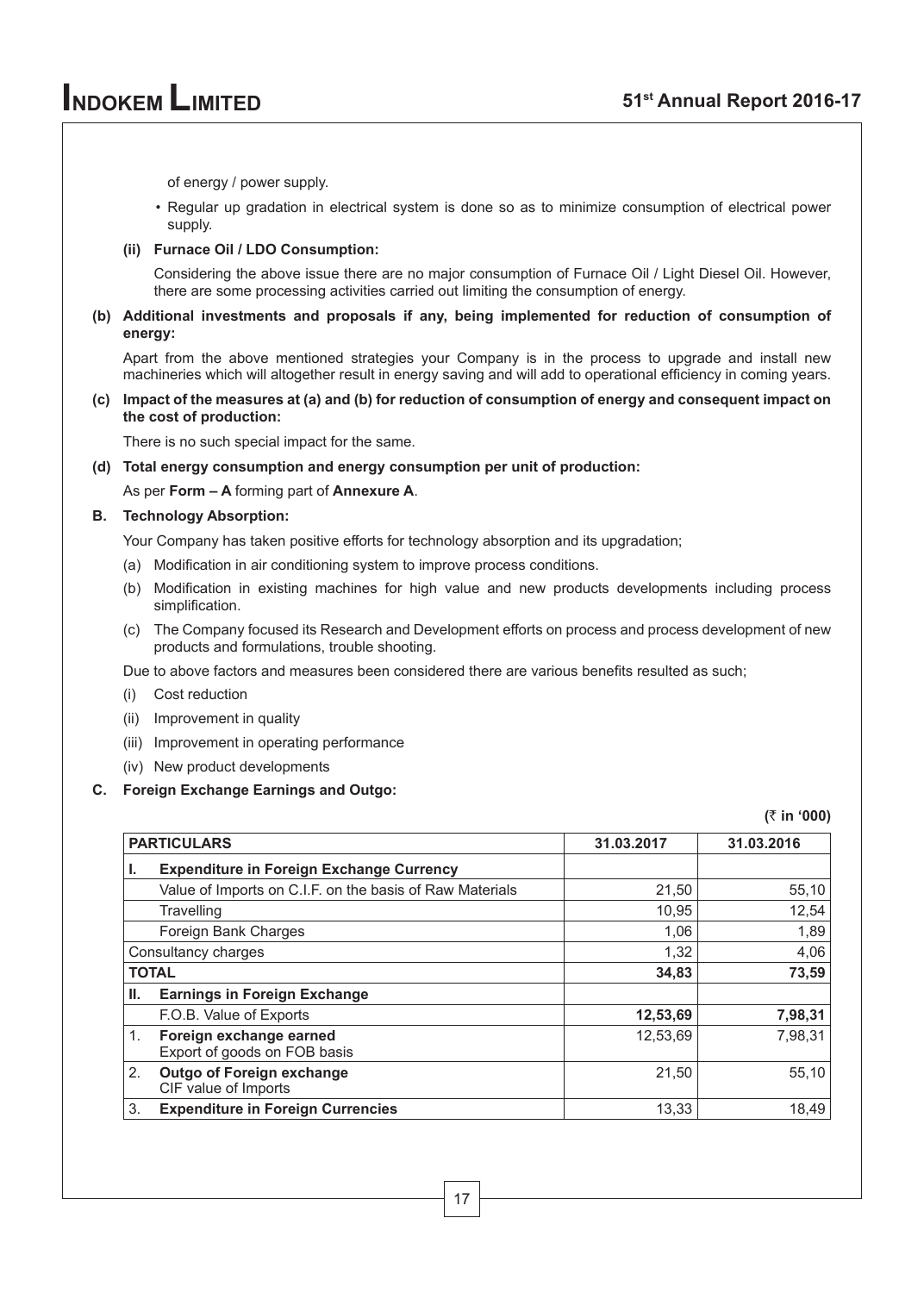of energy / power supply.

• Regular up gradation in electrical system is done so as to minimize consumption of electrical power supply.

#### **(ii) Furnace Oil / LDO Consumption:**

 Considering the above issue there are no major consumption of Furnace Oil / Light Diesel Oil. However, there are some processing activities carried out limiting the consumption of energy.

**(b) Additional investments and proposals if any, being implemented for reduction of consumption of energy:**

 Apart from the above mentioned strategies your Company is in the process to upgrade and install new machineries which will altogether result in energy saving and will add to operational efficiency in coming years.

**(c) Impact of the measures at (a) and (b) for reduction of consumption of energy and consequent impact on the cost of production:**

 There is no such special impact for the same.

#### **(d) Total energy consumption and energy consumption per unit of production:**

As per **Form – A** forming part of **Annexure A**.

#### **B. Technology Absorption:**

 Your Company has taken positive efforts for technology absorption and its upgradation;

- (a) Modification in air conditioning system to improve process conditions.
- (b) Modification in existing machines for high value and new products developments including process simplification.
- (c) The Company focused its Research and Development efforts on process and process development of new products and formulations, trouble shooting.

Due to above factors and measures been considered there are various benefits resulted as such;

- (i) Cost reduction
- (ii) Improvement in quality
- (iii) Improvement in operating performance
- (iv) New product developments
- **C. Foreign Exchange Earnings and Outgo:**

 **(**` **in '000)**

|                | <b>PARTICULARS</b>                                       | 31.03.2017 | 31.03.2016 |
|----------------|----------------------------------------------------------|------------|------------|
| ۱.             | <b>Expenditure in Foreign Exchange Currency</b>          |            |            |
|                | Value of Imports on C.I.F. on the basis of Raw Materials | 21,50      | 55,10      |
|                | Travelling                                               | 10,95      | 12,54      |
|                | Foreign Bank Charges                                     | 1,06       | 1,89       |
|                | Consultancy charges                                      | 1,32       | 4,06       |
|                | <b>TOTAL</b>                                             | 34,83      | 73,59      |
| Ш.             | <b>Earnings in Foreign Exchange</b>                      |            |            |
|                | F.O.B. Value of Exports                                  | 12,53,69   | 7,98,31    |
| 1.             | Foreign exchange earned<br>Export of goods on FOB basis  | 12,53,69   | 7.98.31    |
| 2 <sub>1</sub> | Outgo of Foreign exchange<br>CIF value of Imports        | 21,50      | 55,10      |
| 3.             | <b>Expenditure in Foreign Currencies</b>                 | 13,33      | 18,49      |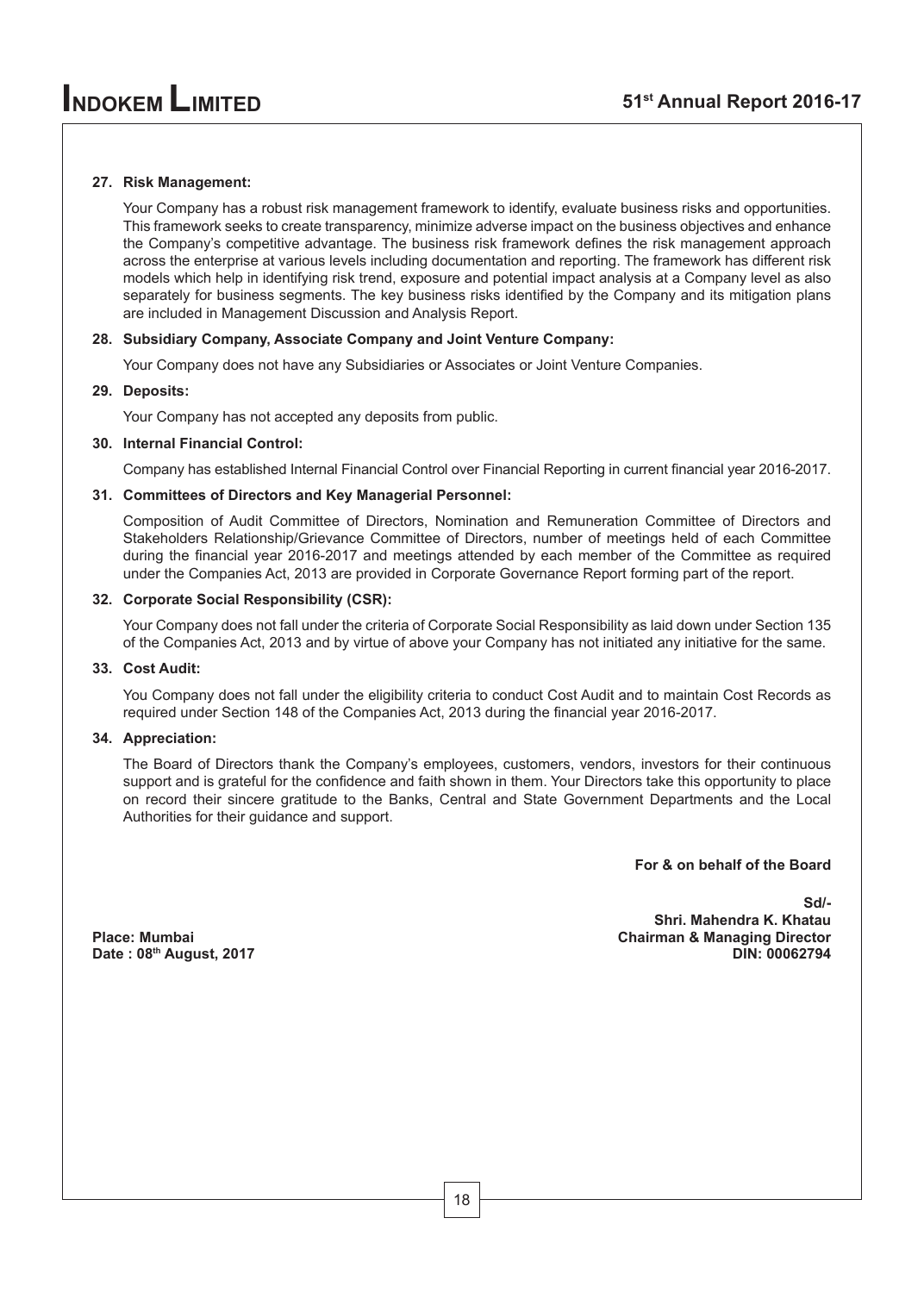#### **27. Risk Management:**

 Your Company has a robust risk management framework to identify, evaluate business risks and opportunities. This framework seeks to create transparency, minimize adverse impact on the business objectives and enhance the Company's competitive advantage. The business risk framework defines the risk management approach across the enterprise at various levels including documentation and reporting. The framework has different risk models which help in identifying risk trend, exposure and potential impact analysis at a Company level as also separately for business segments. The key business risks identified by the Company and its mitigation plans are included in Management Discussion and Analysis Report.

#### **28. Subsidiary Company, Associate Company and Joint Venture Company:**

 Your Company does not have any Subsidiaries or Associates or Joint Venture Companies.

#### **29. Deposits:**

 Your Company has not accepted any deposits from public.

#### **30. Internal Financial Control:**

Company has established Internal Financial Control over Financial Reporting in current financial year 2016-2017.

#### **31. Committees of Directors and Key Managerial Personnel:**

 Composition of Audit Committee of Directors, Nomination and Remuneration Committee of Directors and Stakeholders Relationship/Grievance Committee of Directors, number of meetings held of each Committee during the financial year 2016-2017 and meetings attended by each member of the Committee as required under the Companies Act, 2013 are provided in Corporate Governance Report forming part of the report.

#### **32. Corporate Social Responsibility (CSR):**

Your Company does not fall under the criteria of Corporate Social Responsibility as laid down under Section 135 of the Companies Act, 2013 and by virtue of above your Company has not initiated any initiative for the same.

#### **33. Cost Audit:**

You Company does not fall under the eligibility criteria to conduct Cost Audit and to maintain Cost Records as required under Section 148 of the Companies Act, 2013 during the financial year 2016-2017.

#### **34. Appreciation:**

 The Board of Directors thank the Company's employees, customers, vendors, investors for their continuous support and is grateful for the confidence and faith shown in them. Your Directors take this opportunity to place on record their sincere gratitude to the Banks, Central and State Government Departments and the Local Authorities for their guidance and support.

**For & on behalf of the Board**

**Date: 08th August, 2017** 

**Sd/- Shri. Mahendra K. Khatau Place: Mumbai Chairman & Managing Director**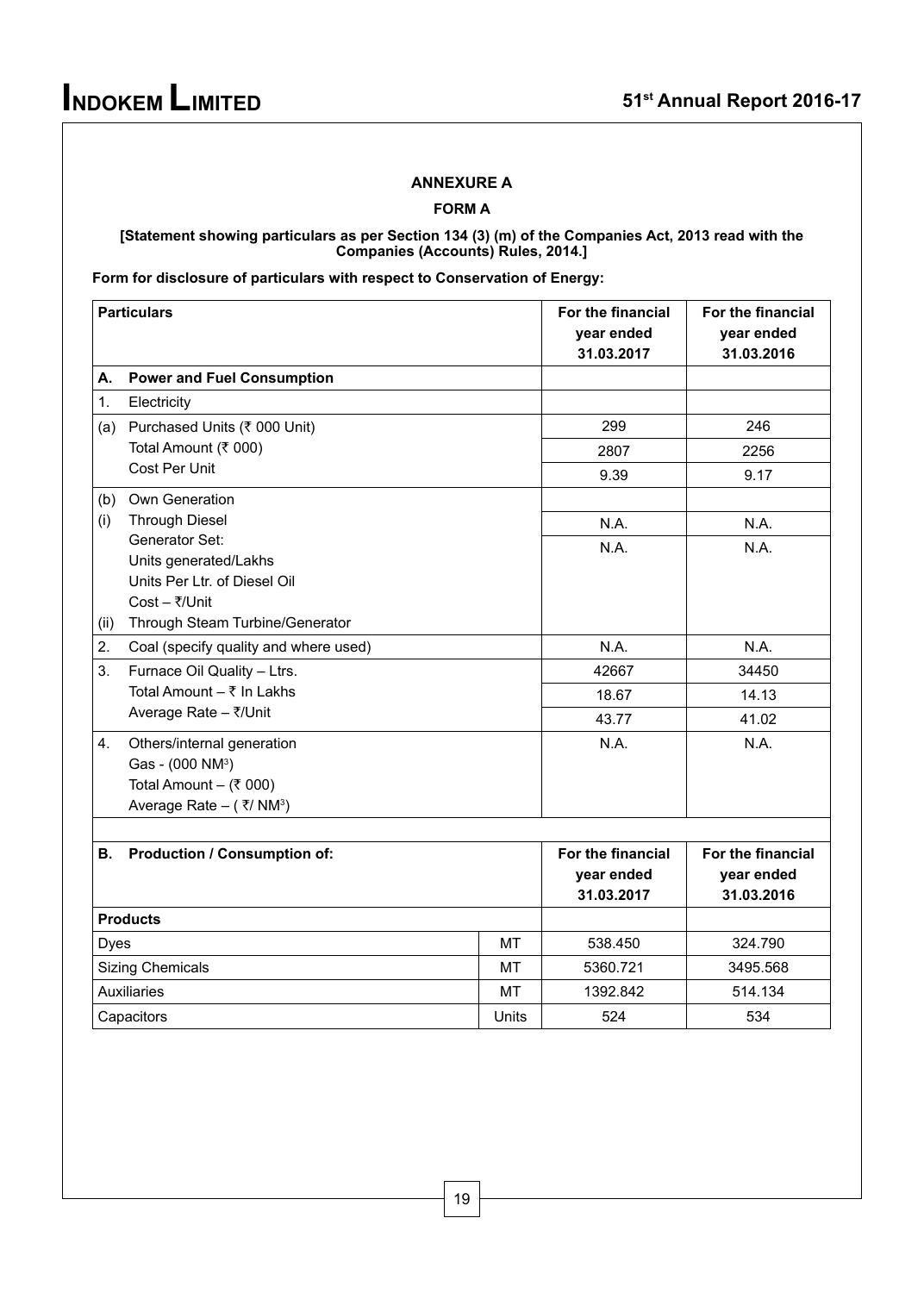### **ANNEXURE A**

#### **FORM A**

#### **[Statement showing particulars as per Section 134 (3) (m) of the Companies Act, 2013 read with the Companies (Accounts) Rules, 2014.]**

**Form for disclosure of particulars with respect to Conservation of Energy:**

|      | <b>Particulars</b>                    |       | For the financial<br>year ended<br>31.03.2017 | For the financial<br>year ended<br>31.03.2016 |
|------|---------------------------------------|-------|-----------------------------------------------|-----------------------------------------------|
| А.   | <b>Power and Fuel Consumption</b>     |       |                                               |                                               |
| 1.   | Electricity                           |       |                                               |                                               |
| (a)  | Purchased Units (₹ 000 Unit)          |       | 299                                           | 246                                           |
|      | Total Amount (₹ 000)                  |       | 2807                                          | 2256                                          |
|      | Cost Per Unit                         |       | 9.39                                          | 9.17                                          |
| (b)  | Own Generation                        |       |                                               |                                               |
| (i)  | <b>Through Diesel</b>                 |       | N.A.                                          | N.A.                                          |
|      | Generator Set:                        |       | N.A.                                          | N.A.                                          |
|      | Units generated/Lakhs                 |       |                                               |                                               |
|      | Units Per Ltr. of Diesel Oil          |       |                                               |                                               |
|      | Cost - ₹/Unit                         |       |                                               |                                               |
| (ii) | Through Steam Turbine/Generator       |       |                                               |                                               |
| 2.   | Coal (specify quality and where used) |       | N.A.                                          | N.A.                                          |
| 3.   | Furnace Oil Quality - Ltrs.           |       | 42667                                         | 34450                                         |
|      | Total Amount - ₹ In Lakhs             |       | 18.67                                         | 14.13                                         |
|      | Average Rate - ₹/Unit                 |       | 43.77                                         | 41.02                                         |
| 4.   | Others/internal generation            |       | N.A.                                          | N.A.                                          |
|      | Gas - (000 NM <sup>3</sup> )          |       |                                               |                                               |
|      | Total Amount - $(3, 000)$             |       |                                               |                                               |
|      | Average Rate - (₹/ NM <sup>3</sup> )  |       |                                               |                                               |
|      |                                       |       |                                               |                                               |
| В.   | Production / Consumption of:          |       | For the financial                             | For the financial                             |
|      |                                       |       | year ended                                    | vear ended                                    |
|      |                                       |       | 31.03.2017                                    | 31.03.2016                                    |
|      | <b>Products</b>                       |       |                                               |                                               |
| Dyes |                                       | МT    | 538.450                                       | 324.790                                       |
|      | <b>Sizing Chemicals</b>               | МT    | 5360.721                                      | 3495.568                                      |
|      | Auxiliaries                           | MT    | 1392.842                                      | 514.134                                       |
|      | Capacitors                            | Units | 524                                           | 534                                           |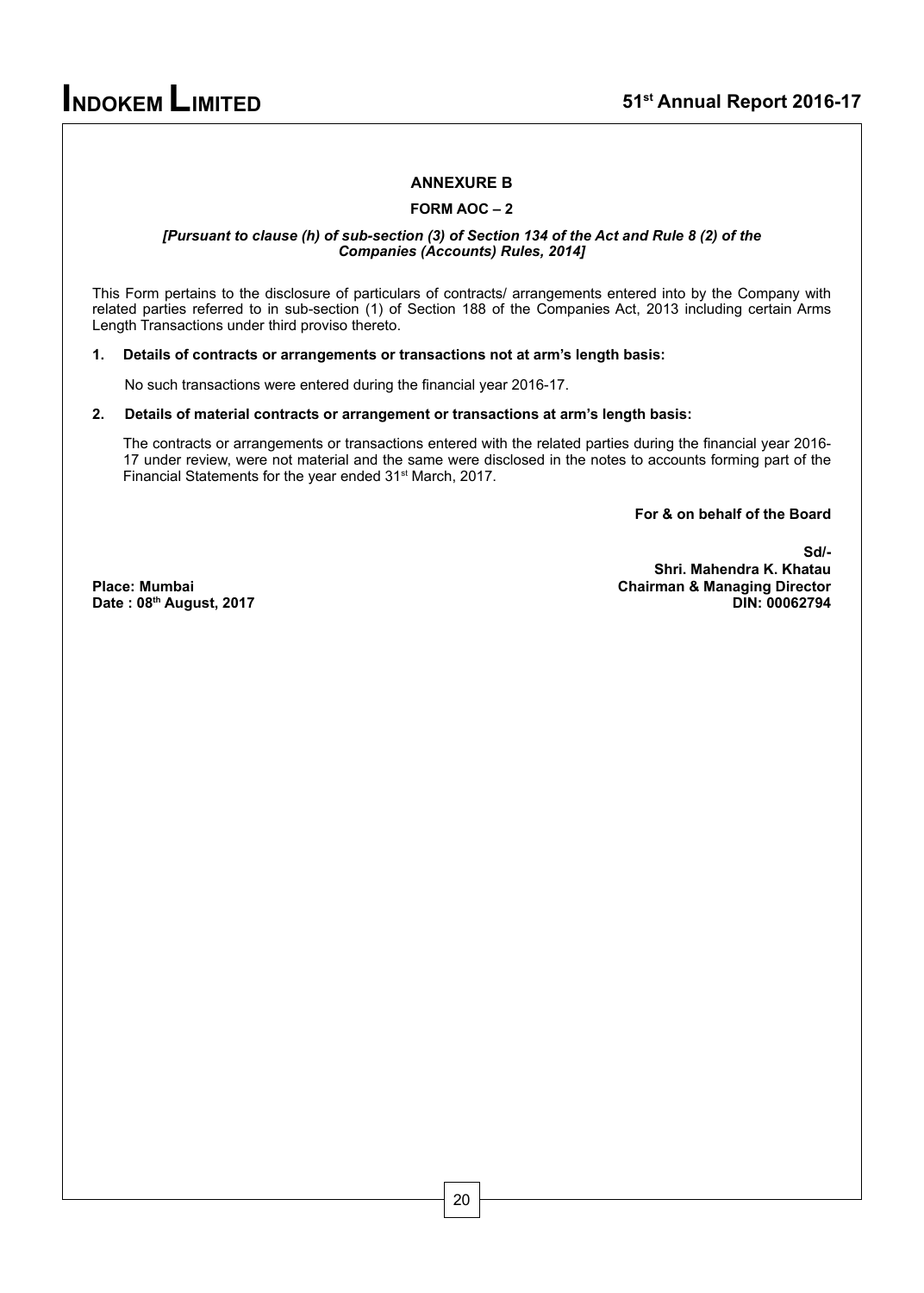### **ANNEXURE B**

**FORM AOC – 2**

#### *[Pursuant to clause (h) of sub-section (3) of Section 134 of the Act and Rule 8 (2) of the Companies (Accounts) Rules, 2014]*

This Form pertains to the disclosure of particulars of contracts/ arrangements entered into by the Company with related parties referred to in sub-section (1) of Section 188 of the Companies Act, 2013 including certain Arms Length Transactions under third proviso thereto.

#### **1. Details of contracts or arrangements or transactions not at arm's length basis:**

No such transactions were entered during the financial year 2016-17.

#### **2. Details of material contracts or arrangement or transactions at arm's length basis:**

The contracts or arrangements or transactions entered with the related parties during the financial year 2016- 17 under review, were not material and the same were disclosed in the notes to accounts forming part of the Financial Statements for the year ended 31<sup>st</sup> March, 2017.

**For & on behalf of the Board**

 $Data: 08<sup>th</sup> August, 2017$ 

**Sd/- Shri. Mahendra K. Khatau Place: Mumbai Chairman & Managing Director**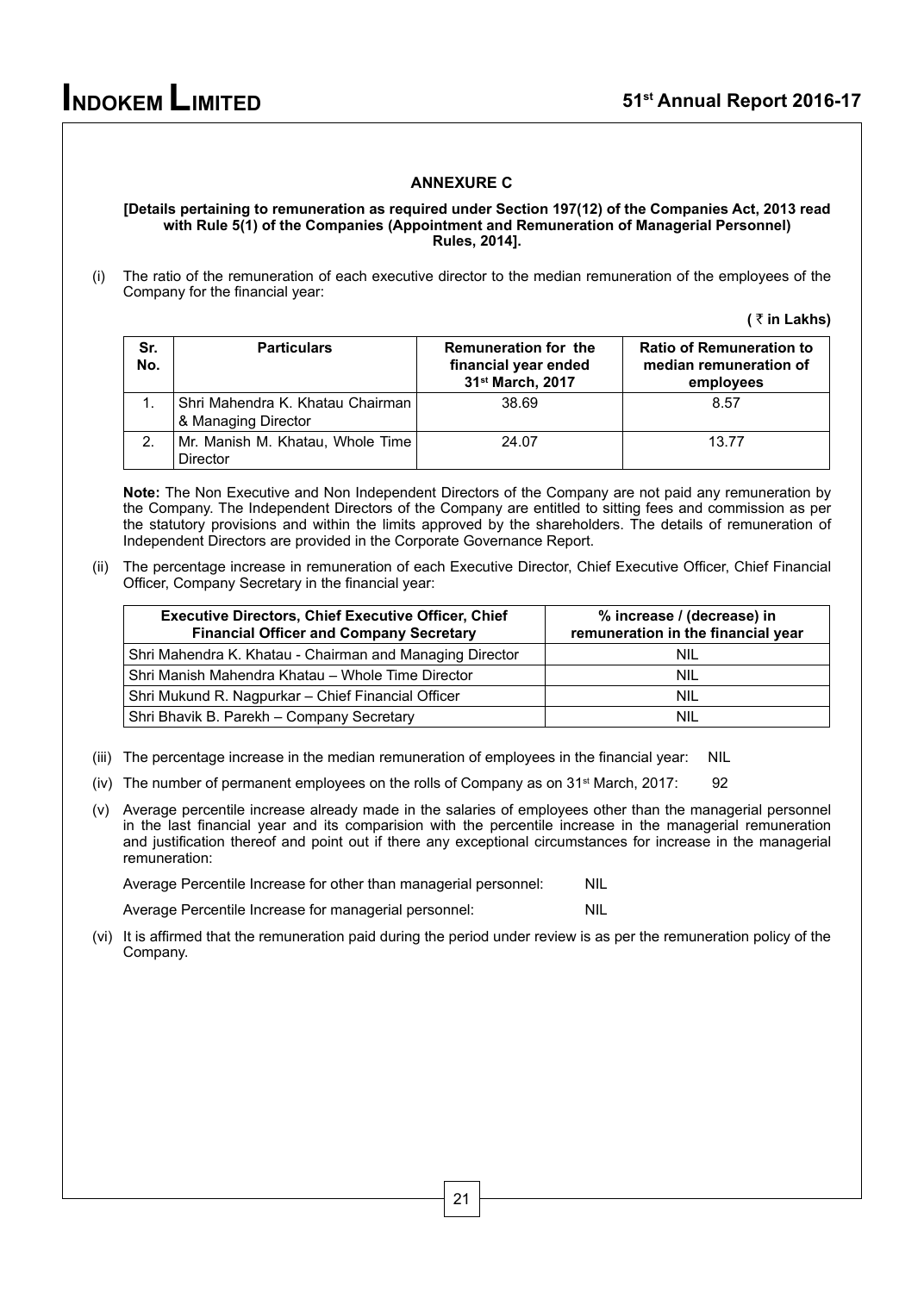### **INDOKEM LIMITED 1999 12016-17**

### **ANNEXURE C**

**[Details pertaining to remuneration as required under Section 197(12) of the Companies Act, 2013 read with Rule 5(1) of the Companies (Appointment and Remuneration of Managerial Personnel) Rules, 2014].**

(i) The ratio of the remuneration of each executive director to the median remuneration of the employees of the Company for the financial year:

**(** ` **in Lakhs)**

| Sr.<br>No. | <b>Particulars</b>                                      | <b>Remuneration for the</b><br>financial year ended<br>31 <sup>st</sup> March, 2017 | <b>Ratio of Remuneration to</b><br>median remuneration of<br>employees |
|------------|---------------------------------------------------------|-------------------------------------------------------------------------------------|------------------------------------------------------------------------|
|            | Shri Mahendra K. Khatau Chairman<br>& Managing Director | 38.69                                                                               | 8.57                                                                   |
| 2.         | Mr. Manish M. Khatau, Whole Time<br><b>Director</b>     | 24.07                                                                               | 13.77                                                                  |

**Note:** The Non Executive and Non Independent Directors of the Company are not paid any remuneration by the Company. The Independent Directors of the Company are entitled to sitting fees and commission as per the statutory provisions and within the limits approved by the shareholders. The details of remuneration of Independent Directors are provided in the Corporate Governance Report.

(ii) The percentage increase in remuneration of each Executive Director, Chief Executive Officer, Chief Financial Officer, Company Secretary in the financial year:

| <b>Executive Directors, Chief Executive Officer, Chief</b><br><b>Financial Officer and Company Secretary</b> | % increase / (decrease) in<br>remuneration in the financial year |
|--------------------------------------------------------------------------------------------------------------|------------------------------------------------------------------|
| Shri Mahendra K. Khatau - Chairman and Managing Director                                                     | NIL                                                              |
| Shri Manish Mahendra Khatau - Whole Time Director                                                            | <b>NIL</b>                                                       |
| Shri Mukund R. Nagpurkar – Chief Financial Officer                                                           | NIL                                                              |
| Shri Bhavik B. Parekh – Company Secretary                                                                    | NIL                                                              |

- (iii) The percentage increase in the median remuneration of employees in the financial year: NIL
- (iv) The number of permanent employees on the rolls of Company as on  $31<sup>st</sup>$  March, 2017: 92
- (v) Average percentile increase already made in the salaries of employees other than the managerial personnel in the last financial year and its comparision with the percentile increase in the managerial remuneration and justification thereof and point out if there any exceptional circumstances for increase in the managerial remuneration:

Average Percentile Increase for other than managerial personnel: NIL

Average Percentile Increase for managerial personnel: NIL

(vi) It is affirmed that the remuneration paid during the period under review is as per the remuneration policy of the Company.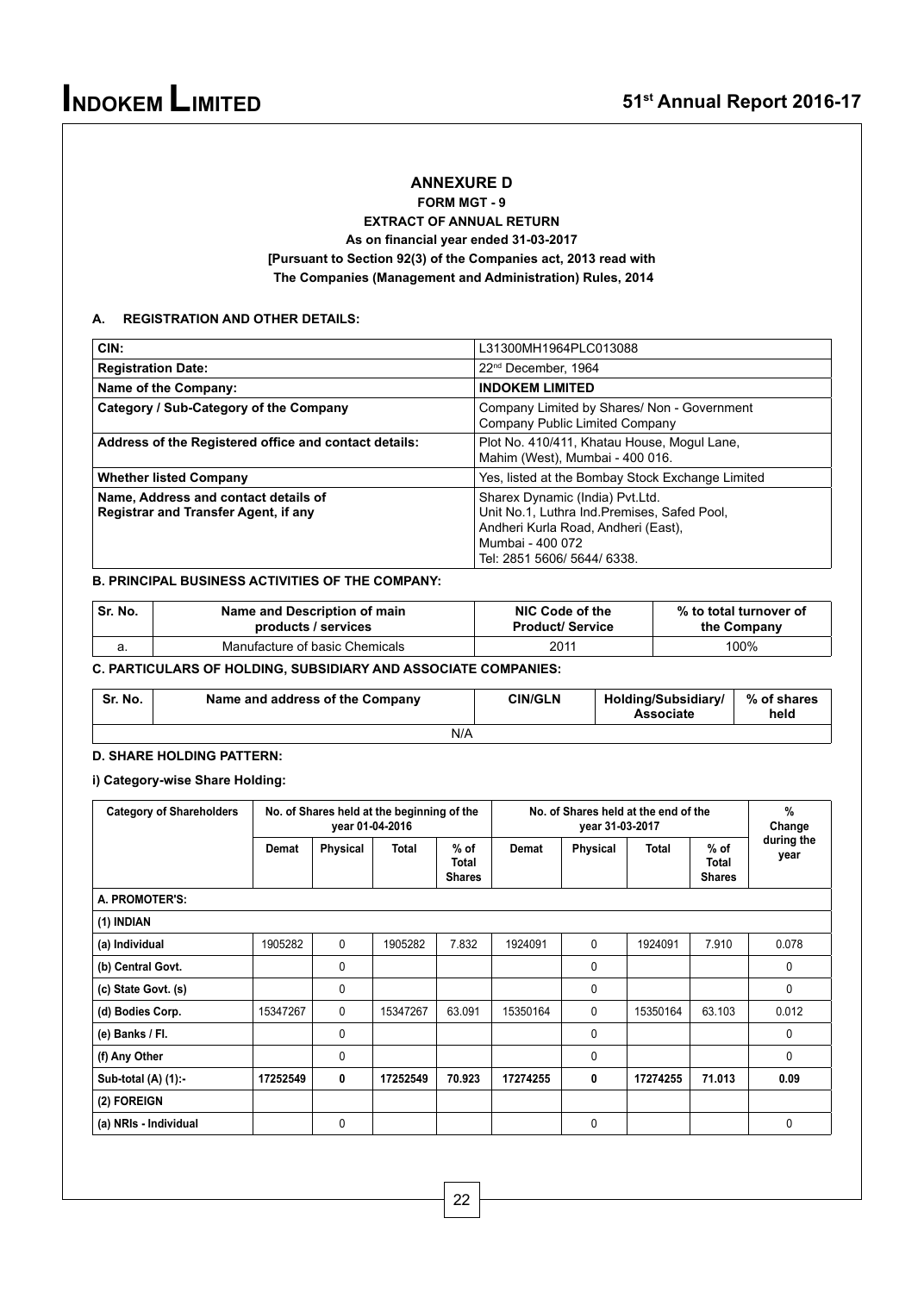### **ANNEXURE D**

#### **FORM MGT - 9**

#### **EXTRACT OF ANNUAL RETURN As on financial year ended 31-03-2017 [Pursuant to Section 92(3) of the Companies act, 2013 read with The Companies (Management and Administration) Rules, 2014**

#### **A. REGISTRATION AND OTHER DETAILS:**

| CIN:                                                                         | L31300MH1964PLC013088                                                                                                                                                    |
|------------------------------------------------------------------------------|--------------------------------------------------------------------------------------------------------------------------------------------------------------------------|
| <b>Registration Date:</b>                                                    | 22 <sup>nd</sup> December, 1964                                                                                                                                          |
| Name of the Company:                                                         | <b>INDOKEM LIMITED</b>                                                                                                                                                   |
| Category / Sub-Category of the Company                                       | Company Limited by Shares/ Non - Government<br>Company Public Limited Company                                                                                            |
| Address of the Registered office and contact details:                        | Plot No. 410/411, Khatau House, Mogul Lane,<br>Mahim (West), Mumbai - 400 016.                                                                                           |
| <b>Whether listed Company</b>                                                | Yes, listed at the Bombay Stock Exchange Limited                                                                                                                         |
| Name, Address and contact details of<br>Registrar and Transfer Agent, if any | Sharex Dynamic (India) Pvt.Ltd.<br>Unit No.1, Luthra Ind.Premises, Safed Pool,<br>Andheri Kurla Road, Andheri (East),<br>Mumbai - 400 072<br>Tel: 2851 5606/ 5644/ 6338. |

#### **B. PRINCIPAL BUSINESS ACTIVITIES OF THE COMPANY:**

| <sup>⊥</sup> Sr. No. | Name and Description of main   | NIC Code of the        | % to total turnover of |  |
|----------------------|--------------------------------|------------------------|------------------------|--|
|                      | products / services            | <b>Product/Service</b> | the Company            |  |
| a.                   | Manufacture of basic Chemicals | 2011                   | 100%                   |  |

#### **C. PARTICULARS OF HOLDING, SUBSIDIARY AND ASSOCIATE COMPANIES:**

| Sr. No. | Name and address of the Company | <b>CIN/GLN</b> | Holding/Subsidiary/<br>Associate | % of shares<br>held |  |  |  |  |  |  |
|---------|---------------------------------|----------------|----------------------------------|---------------------|--|--|--|--|--|--|
|         | N/A                             |                |                                  |                     |  |  |  |  |  |  |

#### **D. SHARE HOLDING PATTERN:**

**i) Category-wise Share Holding:**

| <b>Category of Shareholders</b> |          | No. of Shares held at the beginning of the<br>year 01-04-2016 |              | No. of Shares held at the end of the<br>year 31-03-2017 |          |              |              | $\frac{9}{6}$<br>Change          |                    |
|---------------------------------|----------|---------------------------------------------------------------|--------------|---------------------------------------------------------|----------|--------------|--------------|----------------------------------|--------------------|
|                                 | Demat    | Physical                                                      | <b>Total</b> | $%$ of<br>Total<br><b>Shares</b>                        | Demat    | Physical     | <b>Total</b> | $%$ of<br>Total<br><b>Shares</b> | during the<br>year |
| A. PROMOTER'S:                  |          |                                                               |              |                                                         |          |              |              |                                  |                    |
| (1) INDIAN                      |          |                                                               |              |                                                         |          |              |              |                                  |                    |
| (a) Individual                  | 1905282  | $\Omega$                                                      | 1905282      | 7.832                                                   | 1924091  | $\mathbf{0}$ | 1924091      | 7.910                            | 0.078              |
| (b) Central Govt.               |          | 0                                                             |              |                                                         |          | $\mathbf{0}$ |              |                                  | $\mathbf{0}$       |
| (c) State Govt. (s)             |          | 0                                                             |              |                                                         |          | 0            |              |                                  | 0                  |
| (d) Bodies Corp.                | 15347267 | 0                                                             | 15347267     | 63.091                                                  | 15350164 | $\mathbf{0}$ | 15350164     | 63.103                           | 0.012              |
| (e) Banks / Fl.                 |          | 0                                                             |              |                                                         |          | 0            |              |                                  | 0                  |
| (f) Any Other                   |          | 0                                                             |              |                                                         |          | $\Omega$     |              |                                  | $\mathbf{0}$       |
| Sub-total (A) (1):-             | 17252549 | 0                                                             | 17252549     | 70.923                                                  | 17274255 | 0            | 17274255     | 71.013                           | 0.09               |
| (2) FOREIGN                     |          |                                                               |              |                                                         |          |              |              |                                  |                    |
| (a) NRIs - Individual           |          | 0                                                             |              |                                                         |          | 0            |              |                                  | 0                  |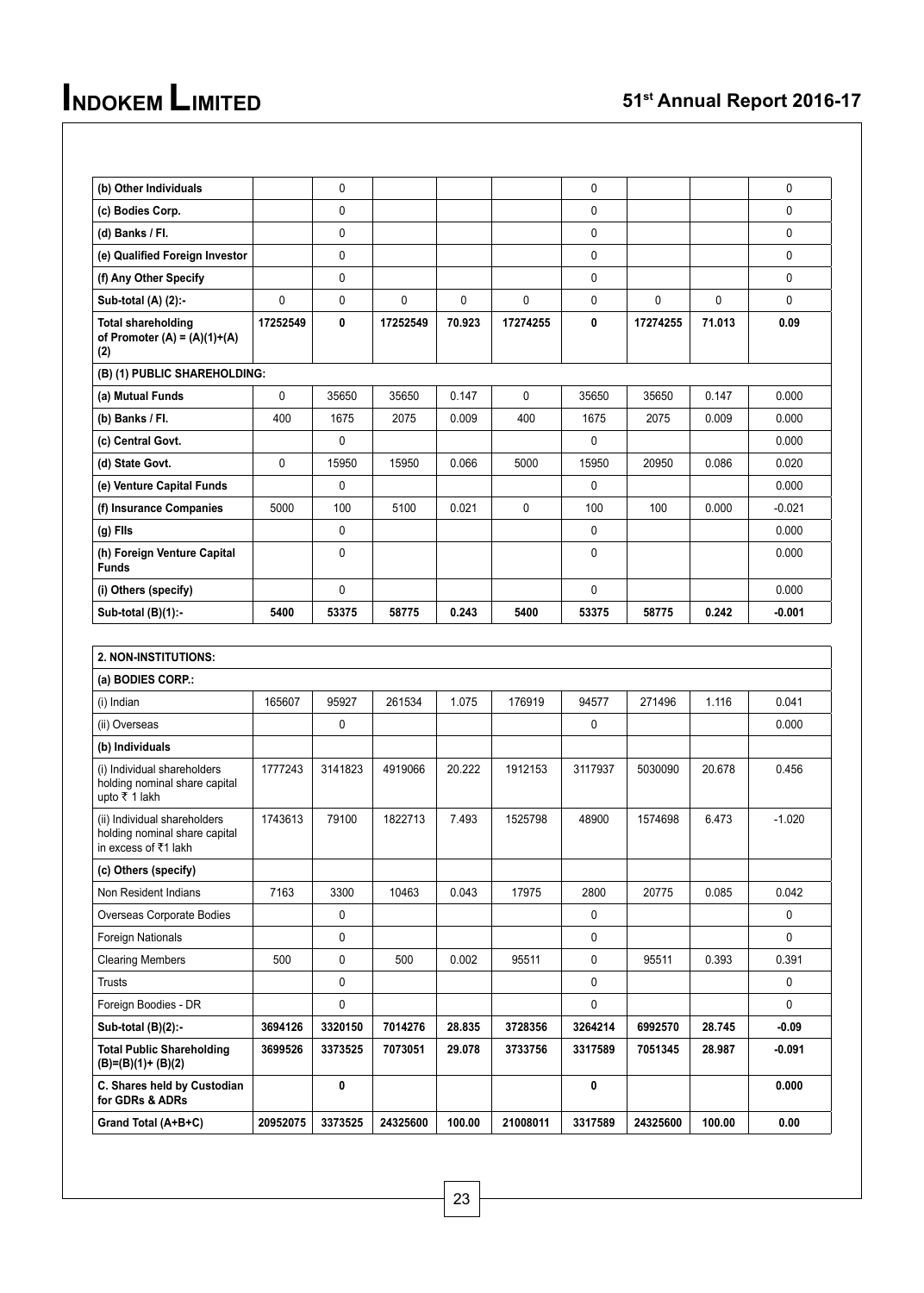| <b>Total shareholding</b><br>of Promoter (A) = $(A)(1)+(A)$                           | 17252549 | 0       | 17252549 | 70.923 | 17274255 | 0           | 17274255 | 71.013 | 0.09     |
|---------------------------------------------------------------------------------------|----------|---------|----------|--------|----------|-------------|----------|--------|----------|
| (2)                                                                                   |          |         |          |        |          |             |          |        |          |
| (B) (1) PUBLIC SHAREHOLDING:                                                          |          |         |          |        |          |             |          |        |          |
| (a) Mutual Funds                                                                      | 0        | 35650   | 35650    | 0.147  | 0        | 35650       | 35650    | 0.147  | 0.000    |
| (b) Banks / Fl.                                                                       | 400      | 1675    | 2075     | 0.009  | 400      | 1675        | 2075     | 0.009  | 0.000    |
| (c) Central Govt.                                                                     |          | 0       |          |        |          | $\mathbf 0$ |          |        | 0.000    |
| (d) State Govt.                                                                       | 0        | 15950   | 15950    | 0.066  | 5000     | 15950       | 20950    | 0.086  | 0.020    |
| (e) Venture Capital Funds                                                             |          | 0       |          |        |          | 0           |          |        | 0.000    |
| (f) Insurance Companies                                                               | 5000     | 100     | 5100     | 0.021  | 0        | 100         | 100      | 0.000  | $-0.021$ |
| $(g)$ Fils                                                                            |          | 0       |          |        |          | 0           |          |        | 0.000    |
| (h) Foreign Venture Capital<br><b>Funds</b>                                           |          | 0       |          |        |          | 0           |          |        | 0.000    |
| (i) Others (specify)                                                                  |          | 0       |          |        |          | $\mathbf 0$ |          |        | 0.000    |
| Sub-total (B)(1):-                                                                    | 5400     | 53375   | 58775    | 0.243  | 5400     | 53375       | 58775    | 0.242  | $-0.001$ |
| (a) BODIES CORP.:<br>(i) Indian                                                       | 165607   | 95927   | 261534   | 1.075  | 176919   | 94577       | 271496   | 1.116  | 0.041    |
|                                                                                       |          | 0       |          |        |          | 0           |          |        | 0.000    |
| (ii) Overseas<br>(b) Individuals                                                      |          |         |          |        |          |             |          |        |          |
| (i) Individual shareholders<br>holding nominal share capital<br>upto ₹ 1 lakh         | 1777243  | 3141823 | 4919066  | 20.222 | 1912153  | 3117937     | 5030090  | 20.678 | 0.456    |
| (ii) Individual shareholders<br>holding nominal share capital<br>in excess of ₹1 lakh | 1743613  | 79100   | 1822713  | 7.493  | 1525798  | 48900       | 1574698  | 6.473  | $-1.020$ |
| (c) Others (specify)                                                                  |          |         |          |        |          |             |          |        |          |
| Non Resident Indians                                                                  | 7163     | 3300    | 10463    | 0.043  | 17975    | 2800        | 20775    | 0.085  | 0.042    |
| Overseas Corporate Bodies                                                             |          | 0       |          |        |          | $\mathbf 0$ |          |        | 0        |
| Foreign Nationals                                                                     |          | 0       |          |        |          | 0           |          |        | 0        |
| <b>Clearing Members</b>                                                               | 500      | 0       | 500      | 0.002  | 95511    | 0           | 95511    | 0.393  | 0.391    |
| Trusts                                                                                |          | 0       |          |        |          | 0           |          |        | 0        |
| Foreign Boodies - DR                                                                  |          | 0       |          |        |          | 0           |          |        | 0        |
|                                                                                       |          | 3320150 | 7014276  | 28.835 | 3728356  | 3264214     | 6992570  | 28.745 | -0.09    |
| Sub-total (B)(2):-                                                                    | 3694126  |         |          |        |          |             |          |        |          |
| <b>Total Public Shareholding</b>                                                      | 3699526  | 3373525 | 7073051  | 29.078 | 3733756  | 3317589     | 7051345  | 28.987 | -0.091   |
| $(B)=(B)(1)+(B)(2)$<br>C. Shares held by Custodian<br>for GDRs & ADRs                 |          | 0       |          |        |          | 0           |          |        | 0.000    |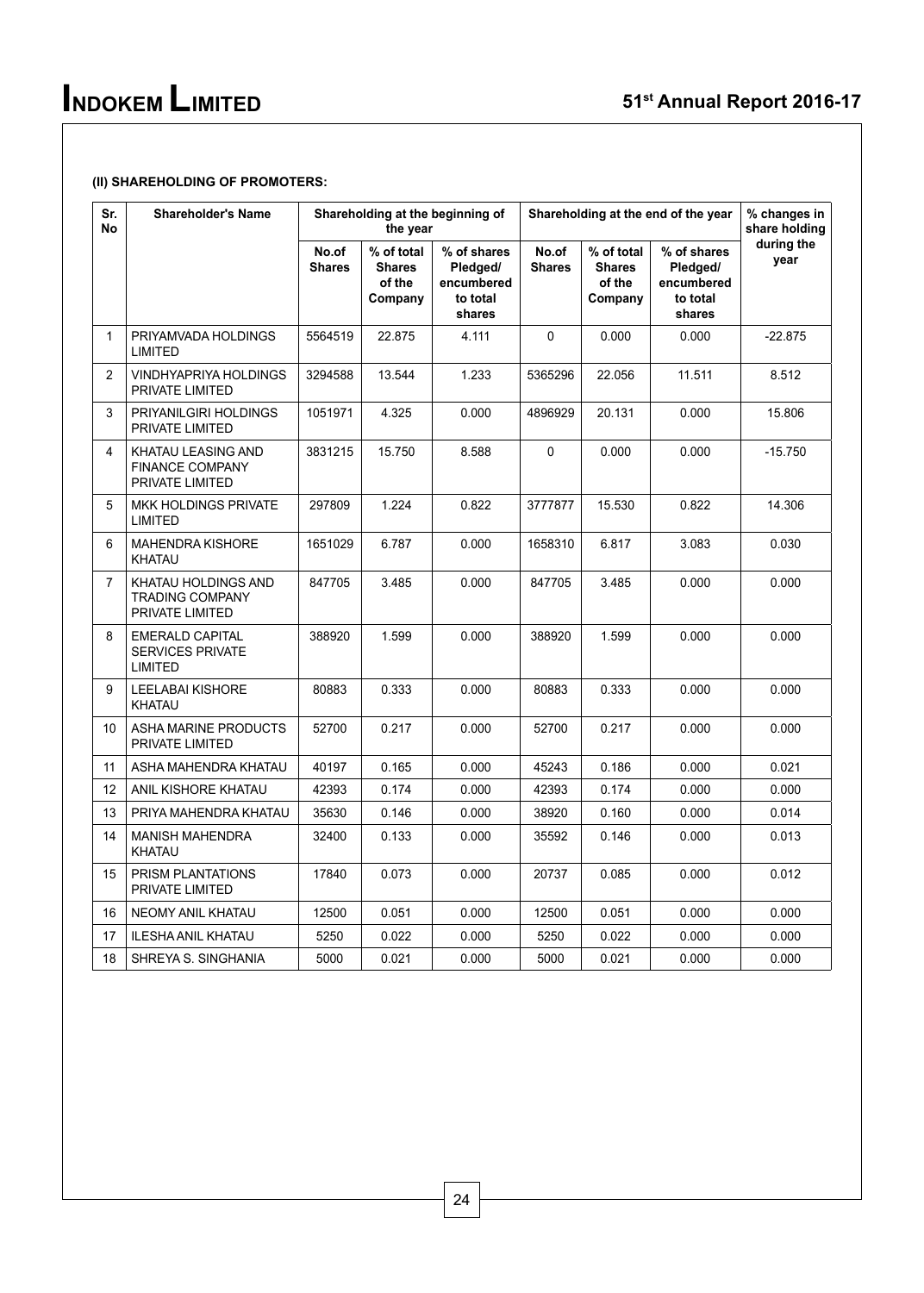#### **(ii) Shareholding of Promoters:**

| Sr.<br>No      | <b>Shareholder's Name</b>                                           | Shareholding at the beginning of<br>the year |                                                  |                                                             |                        |                                                  | Shareholding at the end of the year                         | % changes in<br>share holding |
|----------------|---------------------------------------------------------------------|----------------------------------------------|--------------------------------------------------|-------------------------------------------------------------|------------------------|--------------------------------------------------|-------------------------------------------------------------|-------------------------------|
|                |                                                                     | No.of<br><b>Shares</b>                       | % of total<br><b>Shares</b><br>of the<br>Company | % of shares<br>Pledged/<br>encumbered<br>to total<br>shares | No.of<br><b>Shares</b> | % of total<br><b>Shares</b><br>of the<br>Company | % of shares<br>Pledged/<br>encumbered<br>to total<br>shares | during the<br>year            |
| 1              | PRIYAMVADA HOLDINGS<br><b>LIMITED</b>                               | 5564519                                      | 22.875                                           | 4.111                                                       | 0                      | 0.000                                            | 0.000                                                       | $-22.875$                     |
| $\overline{2}$ | <b>VINDHYAPRIYA HOLDINGS</b><br>PRIVATE LIMITED                     | 3294588                                      | 13.544                                           | 1.233                                                       | 5365296                | 22.056                                           | 11.511                                                      | 8.512                         |
| 3              | PRIYANILGIRI HOLDINGS<br>PRIVATE LIMITED                            | 1051971                                      | 4.325                                            | 0.000                                                       | 4896929                | 20.131                                           | 0.000                                                       | 15.806                        |
| 4              | KHATAU LEASING AND<br><b>FINANCE COMPANY</b><br>PRIVATE LIMITED     | 3831215                                      | 15.750                                           | 8.588                                                       | 0                      | 0.000                                            | 0.000                                                       | $-15.750$                     |
| 5              | MKK HOLDINGS PRIVATE<br><b>LIMITED</b>                              | 297809                                       | 1.224                                            | 0.822                                                       | 3777877                | 15.530                                           | 0.822                                                       | 14.306                        |
| 6              | MAHENDRA KISHORE<br><b>KHATAU</b>                                   | 1651029                                      | 6.787                                            | 0.000                                                       | 1658310                | 6.817                                            | 3.083                                                       | 0.030                         |
| $\overline{7}$ | KHATAU HOLDINGS AND<br><b>TRADING COMPANY</b><br>PRIVATE LIMITED    | 847705                                       | 3.485                                            | 0.000                                                       | 847705                 | 3.485                                            | 0.000                                                       | 0.000                         |
| 8              | <b>EMERALD CAPITAL</b><br><b>SERVICES PRIVATE</b><br><b>LIMITED</b> | 388920                                       | 1.599                                            | 0.000                                                       | 388920                 | 1.599                                            | 0.000                                                       | 0.000                         |
| 9              | <b>LEELABAI KISHORE</b><br><b>KHATAU</b>                            | 80883                                        | 0.333                                            | 0.000                                                       | 80883                  | 0.333                                            | 0.000                                                       | 0.000                         |
| 10             | ASHA MARINE PRODUCTS<br>PRIVATE LIMITED                             | 52700                                        | 0.217                                            | 0.000                                                       | 52700                  | 0.217                                            | 0.000                                                       | 0.000                         |
| 11             | ASHA MAHENDRA KHATAU                                                | 40197                                        | 0.165                                            | 0.000                                                       | 45243                  | 0.186                                            | 0.000                                                       | 0.021                         |
| 12             | ANIL KISHORE KHATAU                                                 | 42393                                        | 0.174                                            | 0.000                                                       | 42393                  | 0.174                                            | 0.000                                                       | 0.000                         |
| 13             | PRIYA MAHENDRA KHATAU                                               | 35630                                        | 0.146                                            | 0.000                                                       | 38920                  | 0.160                                            | 0.000                                                       | 0.014                         |
| 14             | <b>MANISH MAHENDRA</b><br><b>KHATAU</b>                             | 32400                                        | 0.133                                            | 0.000                                                       | 35592                  | 0.146                                            | 0.000                                                       | 0.013                         |
| 15             | PRISM PLANTATIONS<br>PRIVATE LIMITED                                | 17840                                        | 0.073                                            | 0.000                                                       | 20737                  | 0.085                                            | 0.000                                                       | 0.012                         |
| 16             | NEOMY ANIL KHATAU                                                   | 12500                                        | 0.051                                            | 0.000                                                       | 12500                  | 0.051                                            | 0.000                                                       | 0.000                         |
| 17             | <b>ILESHA ANIL KHATAU</b>                                           | 5250                                         | 0.022                                            | 0.000                                                       | 5250                   | 0.022                                            | 0.000                                                       | 0.000                         |
| 18             | SHREYA S. SINGHANIA                                                 | 5000                                         | 0.021                                            | 0.000                                                       | 5000                   | 0.021                                            | 0.000                                                       | 0.000                         |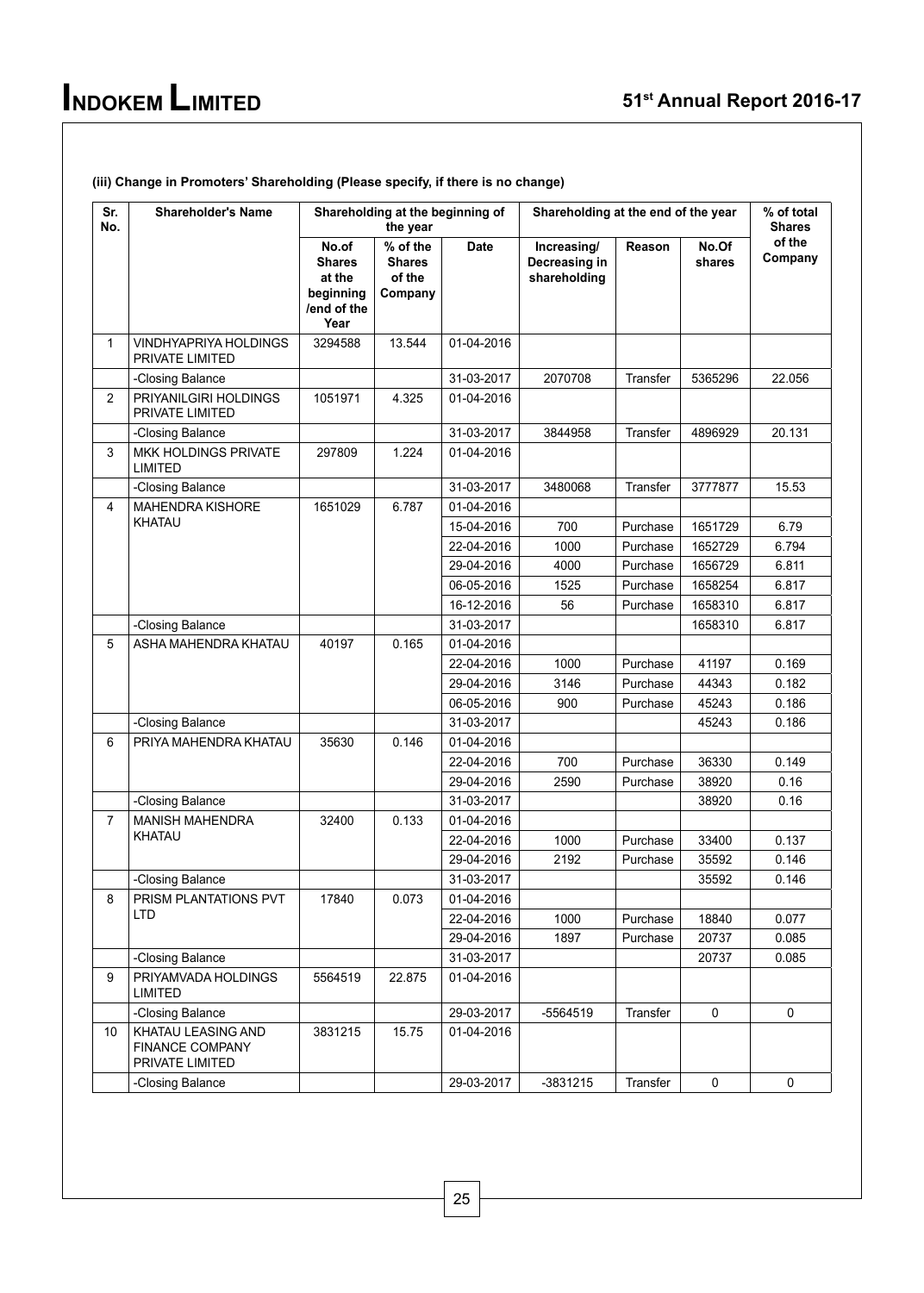**(iii) Change in Promoters' Shareholding (Please specify, if there is no change)**

| Sr.<br>No.     | <b>Shareholder's Name</b>                                       |                                                                      | the year                                       | Shareholding at the beginning of | Shareholding at the end of the year          |          |                 | % of total<br><b>Shares</b><br>of the<br>Company |
|----------------|-----------------------------------------------------------------|----------------------------------------------------------------------|------------------------------------------------|----------------------------------|----------------------------------------------|----------|-----------------|--------------------------------------------------|
|                |                                                                 | No.of<br><b>Shares</b><br>at the<br>beginning<br>/end of the<br>Year | % of the<br><b>Shares</b><br>of the<br>Company | <b>Date</b>                      | Increasing/<br>Decreasing in<br>shareholding | Reason   | No.Of<br>shares |                                                  |
| $\mathbf{1}$   | <b>VINDHYAPRIYA HOLDINGS</b><br>PRIVATE LIMITED                 | 3294588                                                              | 13.544                                         | 01-04-2016                       |                                              |          |                 |                                                  |
|                | -Closing Balance                                                |                                                                      |                                                | 31-03-2017                       | 2070708                                      | Transfer | 5365296         | 22.056                                           |
| $\overline{2}$ | PRIYANILGIRI HOLDINGS<br>PRIVATE LIMITED                        | 1051971                                                              | 4.325                                          | 01-04-2016                       |                                              |          |                 |                                                  |
|                | -Closing Balance                                                |                                                                      |                                                | 31-03-2017                       | 3844958                                      | Transfer | 4896929         | 20.131                                           |
| 3              | <b>MKK HOLDINGS PRIVATE</b><br>LIMITED                          | 297809                                                               | 1.224                                          | 01-04-2016                       |                                              |          |                 |                                                  |
|                | -Closing Balance                                                |                                                                      |                                                | 31-03-2017                       | 3480068                                      | Transfer | 3777877         | 15.53                                            |
| 4              | <b>MAHENDRA KISHORE</b>                                         | 1651029                                                              | 6.787                                          | 01-04-2016                       |                                              |          |                 |                                                  |
|                | <b>KHATAU</b>                                                   |                                                                      |                                                | 15-04-2016                       | 700                                          | Purchase | 1651729         | 6.79                                             |
|                |                                                                 |                                                                      |                                                | 22-04-2016                       | 1000                                         | Purchase | 1652729         | 6.794                                            |
|                |                                                                 |                                                                      |                                                | 29-04-2016                       | 4000                                         | Purchase | 1656729         | 6.811                                            |
|                |                                                                 |                                                                      |                                                | 06-05-2016                       | 1525                                         | Purchase | 1658254         | 6.817                                            |
|                |                                                                 |                                                                      |                                                | 16-12-2016                       | 56                                           | Purchase | 1658310         | 6.817                                            |
|                | -Closing Balance                                                |                                                                      |                                                | 31-03-2017                       |                                              |          | 1658310         | 6.817                                            |
| 5              | ASHA MAHENDRA KHATAU                                            | 40197                                                                | 0.165                                          | 01-04-2016                       |                                              |          |                 |                                                  |
|                |                                                                 |                                                                      |                                                | 22-04-2016                       | 1000                                         | Purchase | 41197           | 0.169                                            |
|                |                                                                 |                                                                      |                                                | 29-04-2016                       | 3146                                         | Purchase | 44343           | 0.182                                            |
|                |                                                                 |                                                                      |                                                | 06-05-2016                       | 900                                          | Purchase | 45243           | 0.186                                            |
|                | -Closing Balance                                                |                                                                      |                                                | 31-03-2017                       |                                              |          | 45243           | 0.186                                            |
| 6              | PRIYA MAHENDRA KHATAU                                           | 35630                                                                | 0.146                                          | 01-04-2016                       |                                              |          |                 |                                                  |
|                |                                                                 |                                                                      |                                                | 22-04-2016                       | 700                                          | Purchase | 36330           | 0.149                                            |
|                |                                                                 |                                                                      |                                                | 29-04-2016                       | 2590                                         | Purchase | 38920           | 0.16                                             |
|                | -Closing Balance                                                |                                                                      |                                                | 31-03-2017                       |                                              |          | 38920           | 0.16                                             |
| $\overline{7}$ | <b>MANISH MAHENDRA</b>                                          | 32400                                                                | 0.133                                          | 01-04-2016                       |                                              |          |                 |                                                  |
|                | <b>KHATAU</b>                                                   |                                                                      |                                                | 22-04-2016                       | 1000                                         | Purchase | 33400           | 0.137                                            |
|                |                                                                 |                                                                      |                                                | 29-04-2016                       | 2192                                         | Purchase | 35592           | 0.146                                            |
|                | -Closing Balance                                                |                                                                      |                                                | 31-03-2017                       |                                              |          | 35592           | 0.146                                            |
| 8              | PRISM PLANTATIONS PVT                                           | 17840                                                                | 0.073                                          | 01-04-2016                       |                                              |          |                 |                                                  |
|                | <b>LTD</b>                                                      |                                                                      |                                                | 22-04-2016                       | 1000                                         | Purchase | 18840           | 0.077                                            |
|                |                                                                 |                                                                      |                                                | 29-04-2016                       | 1897                                         | Purchase | 20737           | 0.085                                            |
|                | -Closing Balance                                                |                                                                      |                                                | 31-03-2017                       |                                              |          | 20737           | 0.085                                            |
| 9              | PRIYAMVADA HOLDINGS<br><b>LIMITED</b>                           | 5564519                                                              | 22.875                                         | 01-04-2016                       |                                              |          |                 |                                                  |
|                | -Closing Balance                                                |                                                                      |                                                | 29-03-2017                       | -5564519                                     | Transfer | 0               | 0                                                |
| 10             | KHATAU LEASING AND<br><b>FINANCE COMPANY</b><br>PRIVATE LIMITED | 3831215                                                              | 15.75                                          | 01-04-2016                       |                                              |          |                 |                                                  |
|                | -Closing Balance                                                |                                                                      |                                                | 29-03-2017                       | -3831215                                     | Transfer | 0               | 0                                                |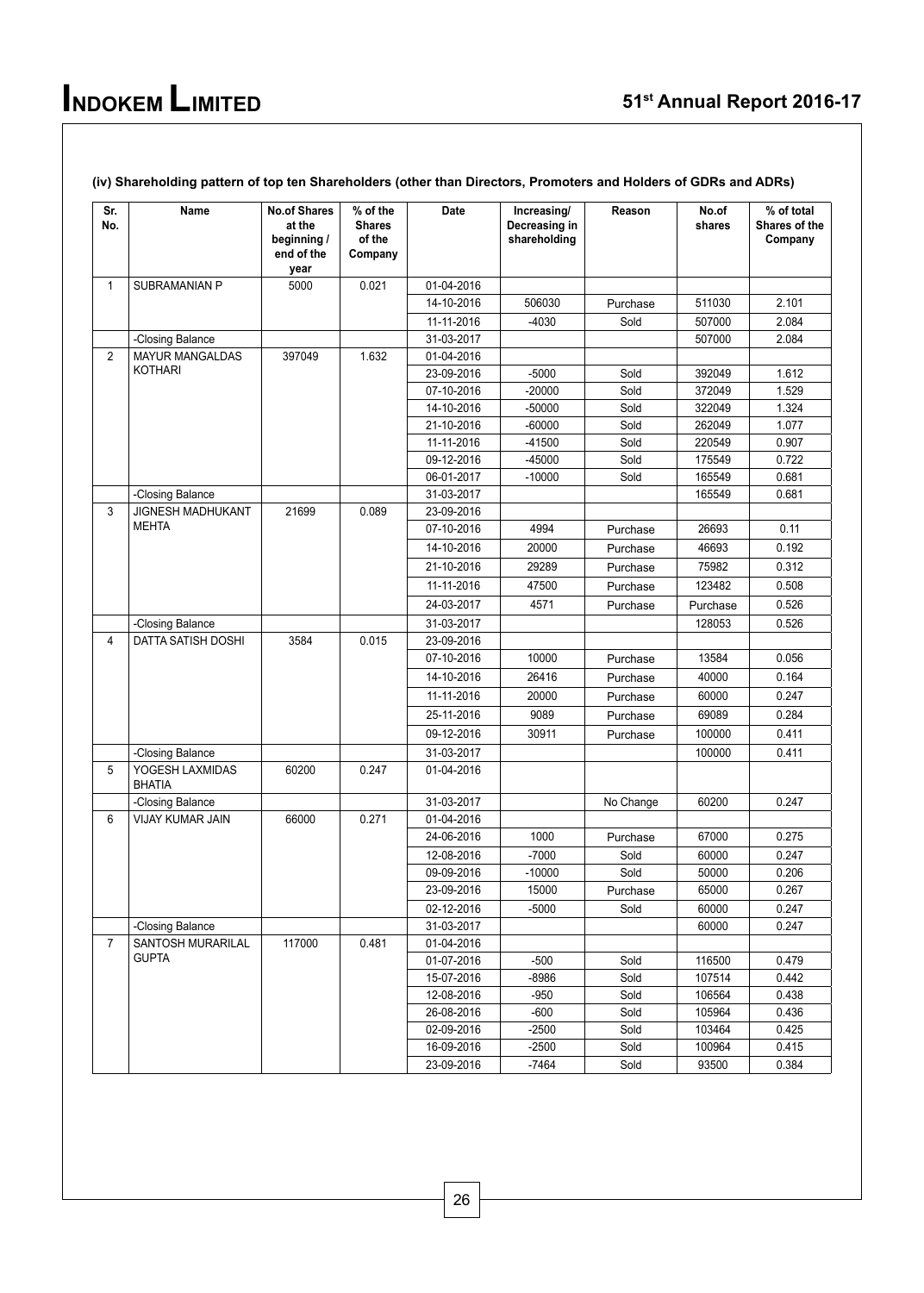| (iv) Shareholding pattern of top ten Shareholders (other than Directors, Promoters and Holders of GDRs and ADRs) |  |
|------------------------------------------------------------------------------------------------------------------|--|
|------------------------------------------------------------------------------------------------------------------|--|

| Sr.<br>No.     | Name                      | <b>No.of Shares</b><br>at the<br>beginning /<br>end of the<br>year | % of the<br><b>Shares</b><br>of the<br>Company | Date       | Increasing/<br>Decreasing in<br>shareholding | Reason    | No.of<br>shares | % of total<br>Shares of the<br>Company |
|----------------|---------------------------|--------------------------------------------------------------------|------------------------------------------------|------------|----------------------------------------------|-----------|-----------------|----------------------------------------|
| $\mathbf{1}$   | SUBRAMANIAN P             | 5000                                                               | 0.021                                          | 01-04-2016 |                                              |           |                 |                                        |
|                |                           |                                                                    |                                                | 14-10-2016 | 506030                                       | Purchase  | 511030          | 2.101                                  |
|                |                           |                                                                    |                                                | 11-11-2016 | $-4030$                                      | Sold      | 507000          | 2.084                                  |
|                | -Closing Balance          |                                                                    |                                                | 31-03-2017 |                                              |           | 507000          | 2.084                                  |
| $\overline{2}$ | <b>MAYUR MANGALDAS</b>    | 397049                                                             | 1.632                                          | 01-04-2016 |                                              |           |                 |                                        |
|                | <b>KOTHARI</b>            |                                                                    |                                                | 23-09-2016 | $-5000$                                      | Sold      | 392049          | 1.612                                  |
|                |                           |                                                                    |                                                | 07-10-2016 | $-20000$                                     | Sold      | 372049          | 1.529                                  |
|                |                           |                                                                    |                                                | 14-10-2016 | $-50000$                                     | Sold      | 322049          | 1.324                                  |
|                |                           |                                                                    |                                                | 21-10-2016 | $-60000$                                     | Sold      | 262049          | 1.077                                  |
|                |                           |                                                                    |                                                | 11-11-2016 | $-41500$                                     | Sold      | 220549          | 0.907                                  |
|                |                           |                                                                    |                                                | 09-12-2016 | $-45000$                                     | Sold      | 175549          | 0.722                                  |
|                |                           |                                                                    |                                                | 06-01-2017 | $-10000$                                     | Sold      | 165549          | 0.681                                  |
|                | -Closing Balance          |                                                                    |                                                | 31-03-2017 |                                              |           | 165549          | 0.681                                  |
| 3              | JIGNESH MADHUKANT         | 21699                                                              | 0.089                                          | 23-09-2016 |                                              |           |                 |                                        |
|                | <b>MEHTA</b>              |                                                                    |                                                | 07-10-2016 | 4994                                         | Purchase  | 26693           | 0.11                                   |
|                |                           |                                                                    |                                                | 14-10-2016 | 20000                                        | Purchase  | 46693           | 0.192                                  |
|                |                           |                                                                    |                                                | 21-10-2016 | 29289                                        | Purchase  | 75982           | 0.312                                  |
|                |                           |                                                                    |                                                | 11-11-2016 | 47500                                        | Purchase  | 123482          | 0.508                                  |
|                |                           |                                                                    |                                                | 24-03-2017 | 4571                                         | Purchase  | Purchase        | 0.526                                  |
|                | -Closing Balance          |                                                                    |                                                | 31-03-2017 |                                              |           | 128053          | 0.526                                  |
| 4              | <b>DATTA SATISH DOSHI</b> | 3584                                                               | 0.015                                          | 23-09-2016 |                                              |           |                 |                                        |
|                |                           |                                                                    |                                                | 07-10-2016 | 10000                                        | Purchase  | 13584           | 0.056                                  |
|                |                           |                                                                    |                                                | 14-10-2016 | 26416                                        | Purchase  | 40000           | 0.164                                  |
|                |                           |                                                                    |                                                | 11-11-2016 | 20000                                        | Purchase  | 60000           | 0.247                                  |
|                |                           |                                                                    |                                                | 25-11-2016 | 9089                                         | Purchase  | 69089           | 0.284                                  |
|                |                           |                                                                    |                                                | 09-12-2016 | 30911                                        | Purchase  | 100000          | 0.411                                  |
|                | -Closing Balance          |                                                                    |                                                | 31-03-2017 |                                              |           | 100000          | 0.411                                  |
| 5              | YOGESH LAXMIDAS           | 60200                                                              | 0.247                                          | 01-04-2016 |                                              |           |                 |                                        |
|                | <b>BHATIA</b>             |                                                                    |                                                |            |                                              |           |                 |                                        |
|                | -Closing Balance          |                                                                    |                                                | 31-03-2017 |                                              | No Change | 60200           | 0.247                                  |
| 6              | <b>VIJAY KUMAR JAIN</b>   | 66000                                                              | 0.271                                          | 01-04-2016 |                                              |           |                 |                                        |
|                |                           |                                                                    |                                                | 24-06-2016 | 1000                                         | Purchase  | 67000           | 0.275                                  |
|                |                           |                                                                    |                                                | 12-08-2016 | $-7000$                                      | Sold      | 60000           | 0.247                                  |
|                |                           |                                                                    |                                                | 09-09-2016 | $-10000$                                     | Sold      | 50000           | 0.206                                  |
|                |                           |                                                                    |                                                | 23-09-2016 | 15000                                        | Purchase  | 65000           | 0.267                                  |
|                |                           |                                                                    |                                                | 02-12-2016 | $-5000$                                      | Sold      | 60000           | 0.247                                  |
|                | -Closing Balance          |                                                                    |                                                | 31-03-2017 |                                              |           | 60000           | 0.247                                  |
| $\overline{7}$ | SANTOSH MURARILAL         | 117000                                                             | 0.481                                          | 01-04-2016 |                                              |           |                 |                                        |
|                | <b>GUPTA</b>              |                                                                    |                                                | 01-07-2016 | $-500$                                       | Sold      | 116500          | 0.479                                  |
|                |                           |                                                                    |                                                | 15-07-2016 | $-8986$                                      | Sold      | 107514          | 0.442                                  |
|                |                           |                                                                    |                                                | 12-08-2016 | $-950$                                       | Sold      | 106564          | 0.438                                  |
|                |                           |                                                                    |                                                | 26-08-2016 | $-600$                                       | Sold      | 105964          | 0.436                                  |
|                |                           |                                                                    |                                                | 02-09-2016 | $-2500$                                      | Sold      | 103464          | 0.425                                  |
|                |                           |                                                                    |                                                | 16-09-2016 | $-2500$                                      | Sold      | 100964          | 0.415                                  |
|                |                           |                                                                    |                                                | 23-09-2016 | $-7464$                                      | Sold      | 93500           | 0.384                                  |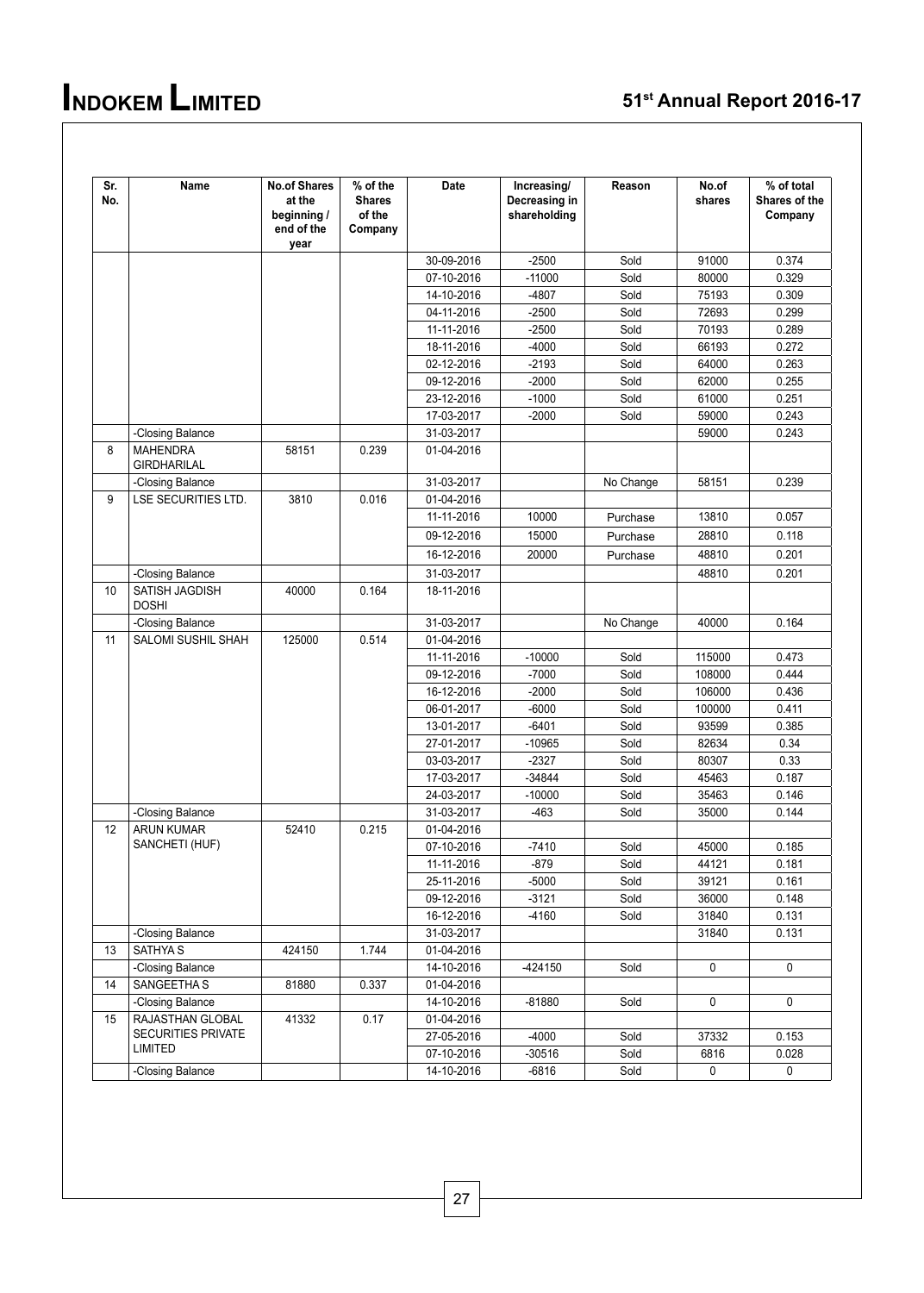| Sr.<br>No. | Name                                  | <b>No.of Shares</b><br>at the<br>beginning /<br>end of the<br>year | % of the<br><b>Shares</b><br>of the<br>Company | Date       | Increasing/<br>Decreasing in<br>shareholding | Reason    | No.of<br>shares | % of total<br>Shares of the<br>Company |
|------------|---------------------------------------|--------------------------------------------------------------------|------------------------------------------------|------------|----------------------------------------------|-----------|-----------------|----------------------------------------|
|            |                                       |                                                                    |                                                | 30-09-2016 | $-2500$                                      | Sold      | 91000           | 0.374                                  |
|            |                                       |                                                                    |                                                | 07-10-2016 | $-11000$                                     | Sold      | 80000           | 0.329                                  |
|            |                                       |                                                                    |                                                | 14-10-2016 | $-4807$                                      | Sold      | 75193           | 0.309                                  |
|            |                                       |                                                                    |                                                | 04-11-2016 | $-2500$                                      | Sold      | 72693           | 0.299                                  |
|            |                                       |                                                                    |                                                | 11-11-2016 | $-2500$                                      | Sold      | 70193           | 0.289                                  |
|            |                                       |                                                                    |                                                | 18-11-2016 | $-4000$                                      | Sold      | 66193           | 0.272                                  |
|            |                                       |                                                                    |                                                | 02-12-2016 | $-2193$                                      | Sold      | 64000           | 0.263                                  |
|            |                                       |                                                                    |                                                | 09-12-2016 | $-2000$                                      | Sold      | 62000           | 0.255                                  |
|            |                                       |                                                                    |                                                | 23-12-2016 | $-1000$                                      | Sold      | 61000           | 0.251                                  |
|            |                                       |                                                                    |                                                | 17-03-2017 | $-2000$                                      | Sold      | 59000           | 0.243                                  |
|            | -Closing Balance                      |                                                                    |                                                | 31-03-2017 |                                              |           | 59000           | 0.243                                  |
| 8          | <b>MAHENDRA</b><br><b>GIRDHARILAL</b> | 58151                                                              | 0.239                                          | 01-04-2016 |                                              |           |                 |                                        |
|            | -Closing Balance                      |                                                                    |                                                | 31-03-2017 |                                              | No Change | 58151           | 0.239                                  |
| 9          | LSE SECURITIES LTD.                   | 3810                                                               | 0.016                                          | 01-04-2016 |                                              |           |                 |                                        |
|            |                                       |                                                                    |                                                | 11-11-2016 | 10000                                        | Purchase  | 13810           | 0.057                                  |
|            |                                       |                                                                    |                                                | 09-12-2016 | 15000                                        | Purchase  | 28810           | 0.118                                  |
|            |                                       |                                                                    |                                                | 16-12-2016 | 20000                                        | Purchase  | 48810           | 0.201                                  |
|            | -Closing Balance                      |                                                                    |                                                | 31-03-2017 |                                              |           | 48810           | 0.201                                  |
| 10         | SATISH JAGDISH<br><b>DOSHI</b>        | 40000                                                              | 0.164                                          | 18-11-2016 |                                              |           |                 |                                        |
|            | -Closing Balance                      |                                                                    |                                                | 31-03-2017 |                                              | No Change | 40000           | 0.164                                  |
| 11         | SALOMI SUSHIL SHAH                    | 125000                                                             | 0.514                                          | 01-04-2016 |                                              |           |                 |                                        |
|            |                                       |                                                                    |                                                | 11-11-2016 | $-10000$                                     | Sold      | 115000          | 0.473                                  |
|            |                                       |                                                                    |                                                | 09-12-2016 | $-7000$                                      | Sold      | 108000          | 0.444                                  |
|            |                                       |                                                                    |                                                | 16-12-2016 | $-2000$                                      | Sold      | 106000          | 0.436                                  |
|            |                                       |                                                                    |                                                | 06-01-2017 | $-6000$                                      | Sold      | 100000          | 0.411                                  |
|            |                                       |                                                                    |                                                | 13-01-2017 | $-6401$                                      | Sold      | 93599           | 0.385                                  |
|            |                                       |                                                                    |                                                | 27-01-2017 | $-10965$                                     | Sold      | 82634           | 0.34                                   |
|            |                                       |                                                                    |                                                | 03-03-2017 | $-2327$                                      | Sold      | 80307           | 0.33                                   |
|            |                                       |                                                                    |                                                | 17-03-2017 | $-34844$                                     | Sold      | 45463           | 0.187                                  |
|            |                                       |                                                                    |                                                | 24-03-2017 | $-10000$                                     | Sold      | 35463           | 0.146                                  |
|            | -Closing Balance                      |                                                                    |                                                | 31-03-2017 | $-463$                                       | Sold      | 35000           | 0.144                                  |
| 12         | <b>ARUN KUMAR</b>                     | 52410                                                              | 0.215                                          | 01-04-2016 |                                              |           |                 |                                        |
|            | SANCHETI (HUF)                        |                                                                    |                                                | 07-10-2016 | $-7410$                                      | Sold      | 45000           | 0.185                                  |
|            |                                       |                                                                    |                                                | 11-11-2016 | $-879$                                       | Sold      | 44121           | 0.181                                  |
|            |                                       |                                                                    |                                                | 25-11-2016 | $-5000$                                      | Sold      | 39121           | 0.161                                  |
|            |                                       |                                                                    |                                                | 09-12-2016 | $-3121$                                      | Sold      | 36000           | 0.148                                  |
|            |                                       |                                                                    |                                                | 16-12-2016 | $-4160$                                      | Sold      | 31840           | 0.131                                  |
|            | -Closing Balance                      |                                                                    |                                                | 31-03-2017 |                                              |           | 31840           | 0.131                                  |
| 13         | SATHYA S                              | 424150                                                             | 1.744                                          | 01-04-2016 |                                              |           |                 |                                        |
|            | -Closing Balance                      |                                                                    |                                                | 14-10-2016 | $-424150$                                    | Sold      | 0               | 0                                      |
| 14         | SANGEETHA S                           | 81880                                                              | 0.337                                          | 01-04-2016 |                                              |           |                 |                                        |
|            | -Closing Balance                      |                                                                    |                                                | 14-10-2016 | $-81880$                                     | Sold      | 0               | 0                                      |
| 15         | RAJASTHAN GLOBAL                      | 41332                                                              | 0.17                                           | 01-04-2016 |                                              |           |                 |                                        |
|            | <b>SECURITIES PRIVATE</b>             |                                                                    |                                                | 27-05-2016 | $-4000$                                      | Sold      | 37332           | 0.153                                  |
|            | LIMITED                               |                                                                    |                                                | 07-10-2016 | $-30516$                                     | Sold      | 6816            | 0.028                                  |
|            | -Closing Balance                      |                                                                    |                                                | 14-10-2016 | $-6816$                                      | Sold      | 0               | 0                                      |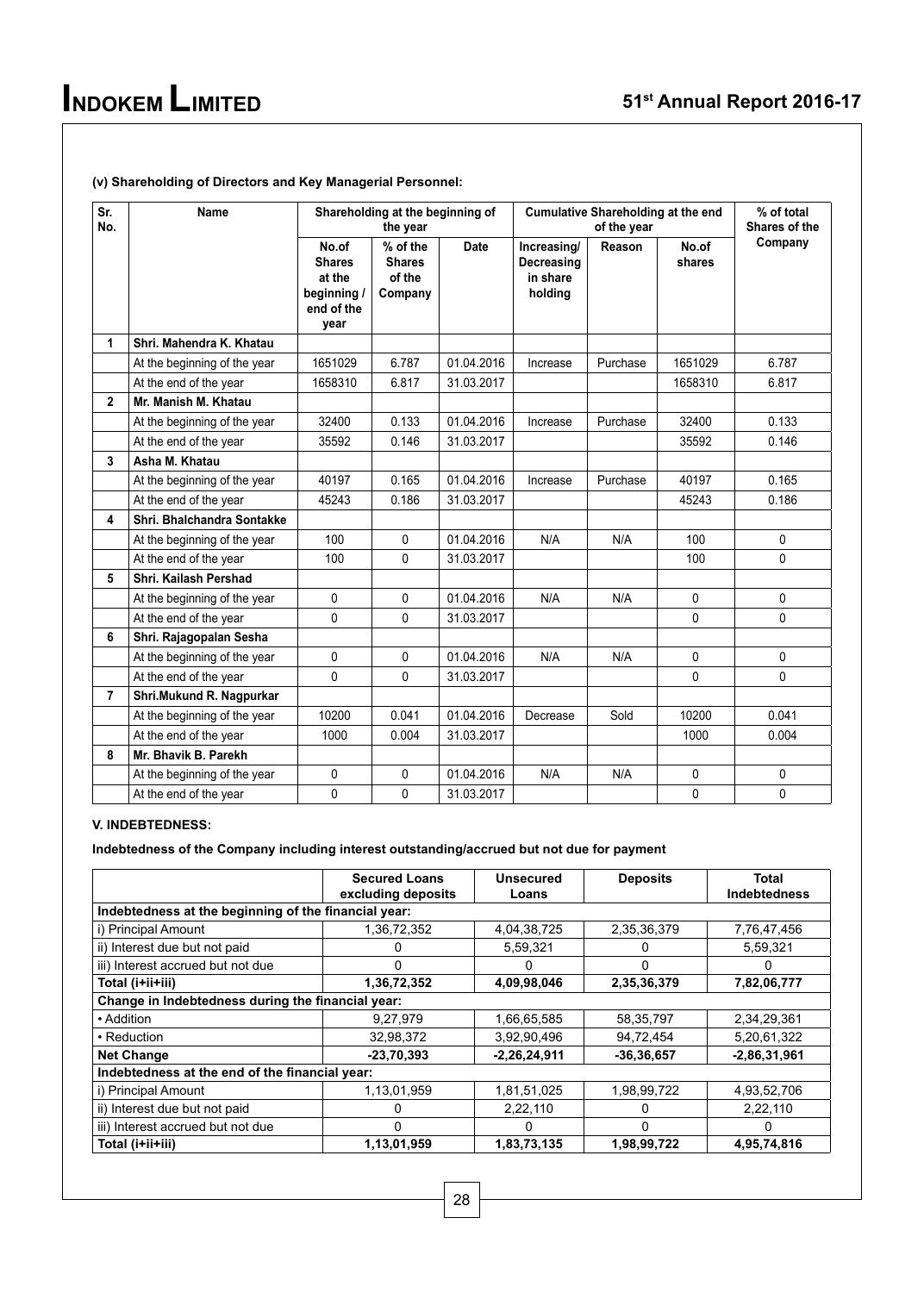**(v) Shareholding of Directors and Key Managerial Personnel:**

| Sr.<br>No.     | Name                         |                                                                       | Shareholding at the beginning of<br>the year   |             |                                                  | <b>Cumulative Shareholding at the end</b><br>of the year |                 | % of total<br>Shares of the |  |
|----------------|------------------------------|-----------------------------------------------------------------------|------------------------------------------------|-------------|--------------------------------------------------|----------------------------------------------------------|-----------------|-----------------------------|--|
|                |                              | No.of<br><b>Shares</b><br>at the<br>beginning /<br>end of the<br>year | % of the<br><b>Shares</b><br>of the<br>Company | <b>Date</b> | Increasing/<br>Decreasing<br>in share<br>holding | Reason                                                   | No.of<br>shares | Company                     |  |
| 1              | Shri, Mahendra K. Khatau     |                                                                       |                                                |             |                                                  |                                                          |                 |                             |  |
|                | At the beginning of the year | 1651029                                                               | 6.787                                          | 01.04.2016  | Increase                                         | Purchase                                                 | 1651029         | 6.787                       |  |
|                | At the end of the year       | 1658310                                                               | 6.817                                          | 31.03.2017  |                                                  |                                                          | 1658310         | 6.817                       |  |
| $\mathbf{2}$   | Mr. Manish M. Khatau         |                                                                       |                                                |             |                                                  |                                                          |                 |                             |  |
|                | At the beginning of the year | 32400                                                                 | 0.133                                          | 01.04.2016  | Increase                                         | Purchase                                                 | 32400           | 0.133                       |  |
|                | At the end of the year       | 35592                                                                 | 0.146                                          | 31.03.2017  |                                                  |                                                          | 35592           | 0.146                       |  |
| 3              | Asha M. Khatau               |                                                                       |                                                |             |                                                  |                                                          |                 |                             |  |
|                | At the beginning of the year | 40197                                                                 | 0.165                                          | 01.04.2016  | Increase                                         | Purchase                                                 | 40197           | 0.165                       |  |
|                | At the end of the year       | 45243                                                                 | 0.186                                          | 31.03.2017  |                                                  |                                                          | 45243           | 0.186                       |  |
| 4              | Shri. Bhalchandra Sontakke   |                                                                       |                                                |             |                                                  |                                                          |                 |                             |  |
|                | At the beginning of the year | 100                                                                   | $\mathbf{0}$                                   | 01.04.2016  | N/A                                              | N/A                                                      | 100             | $\mathbf{0}$                |  |
|                | At the end of the year       | 100                                                                   | $\mathbf{0}$                                   | 31.03.2017  |                                                  |                                                          | 100             | $\Omega$                    |  |
| 5              | Shri. Kailash Pershad        |                                                                       |                                                |             |                                                  |                                                          |                 |                             |  |
|                | At the beginning of the year | $\mathbf{0}$                                                          | 0                                              | 01.04.2016  | N/A                                              | N/A                                                      | $\mathbf{0}$    | $\mathbf{0}$                |  |
|                | At the end of the year       | $\mathbf{0}$                                                          | 0                                              | 31.03.2017  |                                                  |                                                          | $\Omega$        | $\Omega$                    |  |
| 6              | Shri. Rajagopalan Sesha      |                                                                       |                                                |             |                                                  |                                                          |                 |                             |  |
|                | At the beginning of the year | $\Omega$                                                              | $\mathbf{0}$                                   | 01.04.2016  | N/A                                              | N/A                                                      | $\Omega$        | $\Omega$                    |  |
|                | At the end of the year       | 0                                                                     | 0                                              | 31.03.2017  |                                                  |                                                          | $\mathbf{0}$    | $\Omega$                    |  |
| $\overline{7}$ | Shri.Mukund R. Nagpurkar     |                                                                       |                                                |             |                                                  |                                                          |                 |                             |  |
|                | At the beginning of the year | 10200                                                                 | 0.041                                          | 01.04.2016  | Decrease                                         | Sold                                                     | 10200           | 0.041                       |  |
|                | At the end of the year       | 1000                                                                  | 0.004                                          | 31.03.2017  |                                                  |                                                          | 1000            | 0.004                       |  |
| 8              | Mr. Bhavik B. Parekh         |                                                                       |                                                |             |                                                  |                                                          |                 |                             |  |
|                | At the beginning of the year | 0                                                                     | $\mathbf{0}$                                   | 01.04.2016  | N/A                                              | N/A                                                      | $\mathbf{0}$    | $\mathbf 0$                 |  |
|                | At the end of the year       | $\mathbf{0}$                                                          | $\mathbf{0}$                                   | 31.03.2017  |                                                  |                                                          | $\Omega$        | $\mathbf{0}$                |  |

#### **V. INDEBTEDNESS:**

#### **Indebtedness of the Company including interest outstanding/accrued but not due for payment**

|                                                      | <b>Secured Loans</b><br>excluding deposits | <b>Unsecured</b><br>Loans | <b>Deposits</b> | Total<br><b>Indebtedness</b> |  |  |  |  |  |  |
|------------------------------------------------------|--------------------------------------------|---------------------------|-----------------|------------------------------|--|--|--|--|--|--|
| Indebtedness at the beginning of the financial year: |                                            |                           |                 |                              |  |  |  |  |  |  |
| i) Principal Amount                                  | 1,36,72,352                                | 4,04,38,725               | 2,35,36,379     | 7,76,47,456                  |  |  |  |  |  |  |
| ii) Interest due but not paid                        |                                            | 5,59,321                  | 0               | 5,59,321                     |  |  |  |  |  |  |
| iii) Interest accrued but not due                    | ი                                          | O                         | 0               | O                            |  |  |  |  |  |  |
| Total (i+ii+iii)                                     | 1,36,72,352                                | 4,09,98,046               | 2,35,36,379     | 7,82,06,777                  |  |  |  |  |  |  |
| Change in Indebtedness during the financial year:    |                                            |                           |                 |                              |  |  |  |  |  |  |
| • Addition                                           | 9,27,979                                   | 1,66,65,585               | 58,35,797       | 2,34,29,361                  |  |  |  |  |  |  |
| • Reduction                                          | 32,98,372                                  | 3,92,90,496               | 94,72,454       | 5,20,61,322                  |  |  |  |  |  |  |
| <b>Net Change</b>                                    | $-23.70.393$                               | $-2,26,24,911$            | $-36,36,657$    | $-2,86,31,961$               |  |  |  |  |  |  |
| Indebtedness at the end of the financial year:       |                                            |                           |                 |                              |  |  |  |  |  |  |
| i) Principal Amount                                  | 1,13,01,959                                | 1,81,51,025               | 1,98,99,722     | 4,93,52,706                  |  |  |  |  |  |  |
| ii) Interest due but not paid                        |                                            | 2,22,110                  | O               | 2,22,110                     |  |  |  |  |  |  |
| iii) Interest accrued but not due                    | U                                          | $\Omega$                  | 0               | $\Omega$                     |  |  |  |  |  |  |
| Total (i+ii+iii)                                     | 1,13,01,959                                | 1,83,73,135               | 1,98,99,722     | 4,95,74,816                  |  |  |  |  |  |  |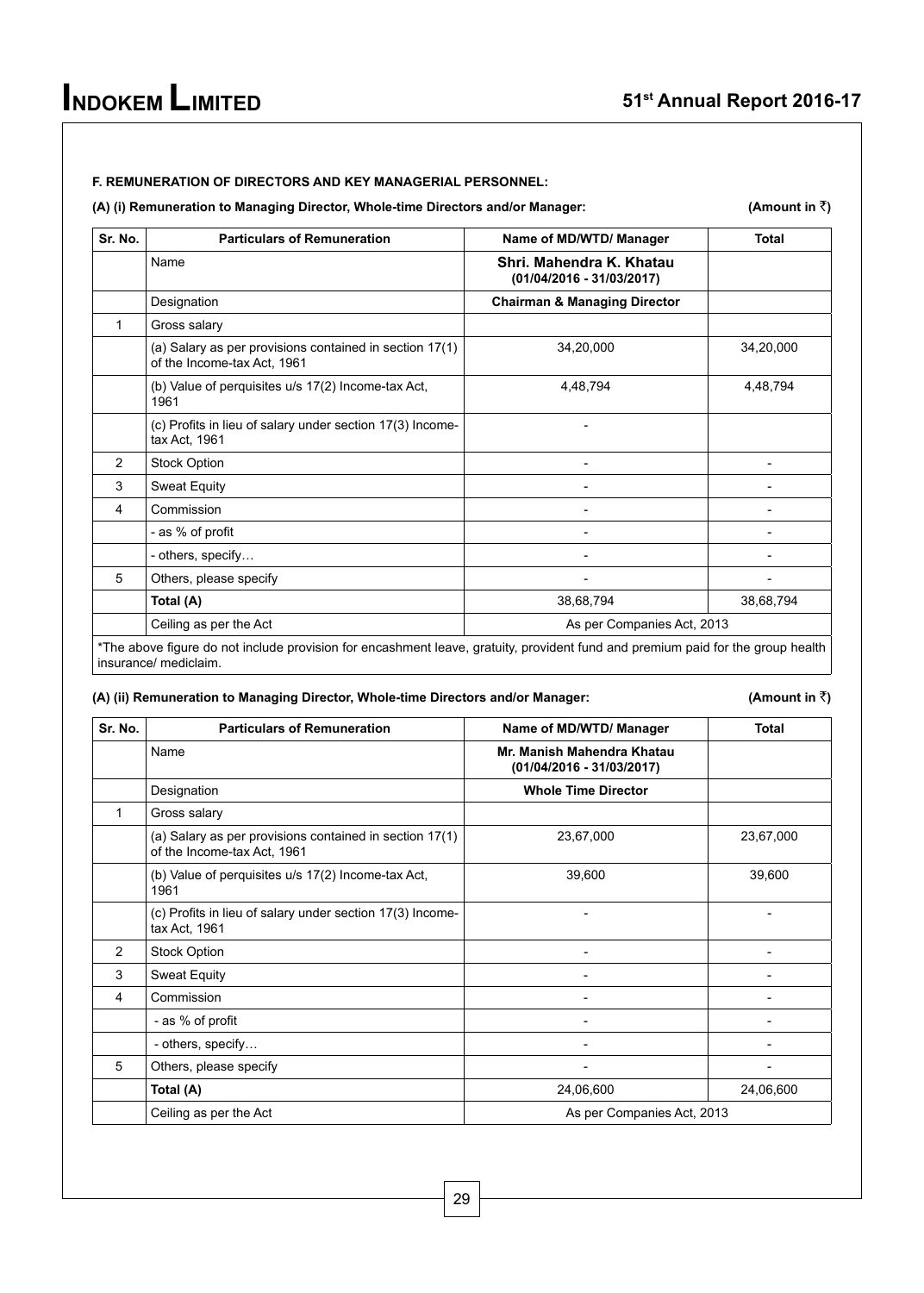#### **F. REMUNERATION OF DIRECTORS AND KEY MANAGERIAL PERSONNEL:**

**(A) (i) Remuneration to Managing Director, Whole-time Directors and/or Manager: (Amount in** `**)**

| Sr. No. | <b>Particulars of Remuneration</b>                                                     | Name of MD/WTD/ Manager                               | <b>Total</b> |  |  |
|---------|----------------------------------------------------------------------------------------|-------------------------------------------------------|--------------|--|--|
|         | Name                                                                                   | Shri. Mahendra K. Khatau<br>(01/04/2016 - 31/03/2017) |              |  |  |
|         | Designation                                                                            | <b>Chairman &amp; Managing Director</b>               |              |  |  |
| 1       | Gross salary                                                                           |                                                       |              |  |  |
|         | (a) Salary as per provisions contained in section 17(1)<br>of the Income-tax Act, 1961 | 34,20,000                                             | 34,20,000    |  |  |
|         | (b) Value of perquisites u/s 17(2) Income-tax Act,<br>1961                             | 4,48,794                                              | 4,48,794     |  |  |
|         | (c) Profits in lieu of salary under section 17(3) Income-<br>tax Act, 1961             |                                                       |              |  |  |
| 2       | <b>Stock Option</b>                                                                    |                                                       |              |  |  |
| 3       | <b>Sweat Equity</b>                                                                    |                                                       |              |  |  |
| 4       | Commission                                                                             |                                                       |              |  |  |
|         | - as % of profit                                                                       |                                                       |              |  |  |
|         | - others, specify                                                                      |                                                       |              |  |  |
| 5       | Others, please specify                                                                 |                                                       |              |  |  |
|         | Total (A)                                                                              | 38,68,794                                             | 38,68,794    |  |  |
|         | Ceiling as per the Act                                                                 | As per Companies Act, 2013                            |              |  |  |

\*The above figure do not include provision for encashment leave, gratuity, provident fund and premium paid for the group health insurance/ mediclaim.

#### **(A) (ii) Remuneration to Managing Director, Whole-time Directors and/or Manager: (Amount in** `**)**

| Sr. No. | <b>Particulars of Remuneration</b>                                                     | Name of MD/WTD/ Manager                                 | Total     |
|---------|----------------------------------------------------------------------------------------|---------------------------------------------------------|-----------|
|         | Name                                                                                   | Mr. Manish Mahendra Khatau<br>(01/04/2016 - 31/03/2017) |           |
|         | Designation                                                                            | <b>Whole Time Director</b>                              |           |
| 1       | Gross salary                                                                           |                                                         |           |
|         | (a) Salary as per provisions contained in section 17(1)<br>of the Income-tax Act, 1961 | 23,67,000                                               | 23,67,000 |
|         | (b) Value of perquisites u/s 17(2) Income-tax Act,<br>1961                             | 39,600                                                  | 39,600    |
|         | (c) Profits in lieu of salary under section 17(3) Income-<br>tax Act, 1961             |                                                         |           |
| 2       | <b>Stock Option</b>                                                                    |                                                         |           |
| 3       | <b>Sweat Equity</b>                                                                    |                                                         |           |
| 4       | Commission                                                                             |                                                         |           |
|         | - as % of profit                                                                       |                                                         |           |
|         | - others, specify                                                                      |                                                         |           |
| 5       | Others, please specify                                                                 |                                                         |           |
|         | Total (A)                                                                              | 24,06,600                                               | 24,06,600 |
|         | Ceiling as per the Act                                                                 | As per Companies Act, 2013                              |           |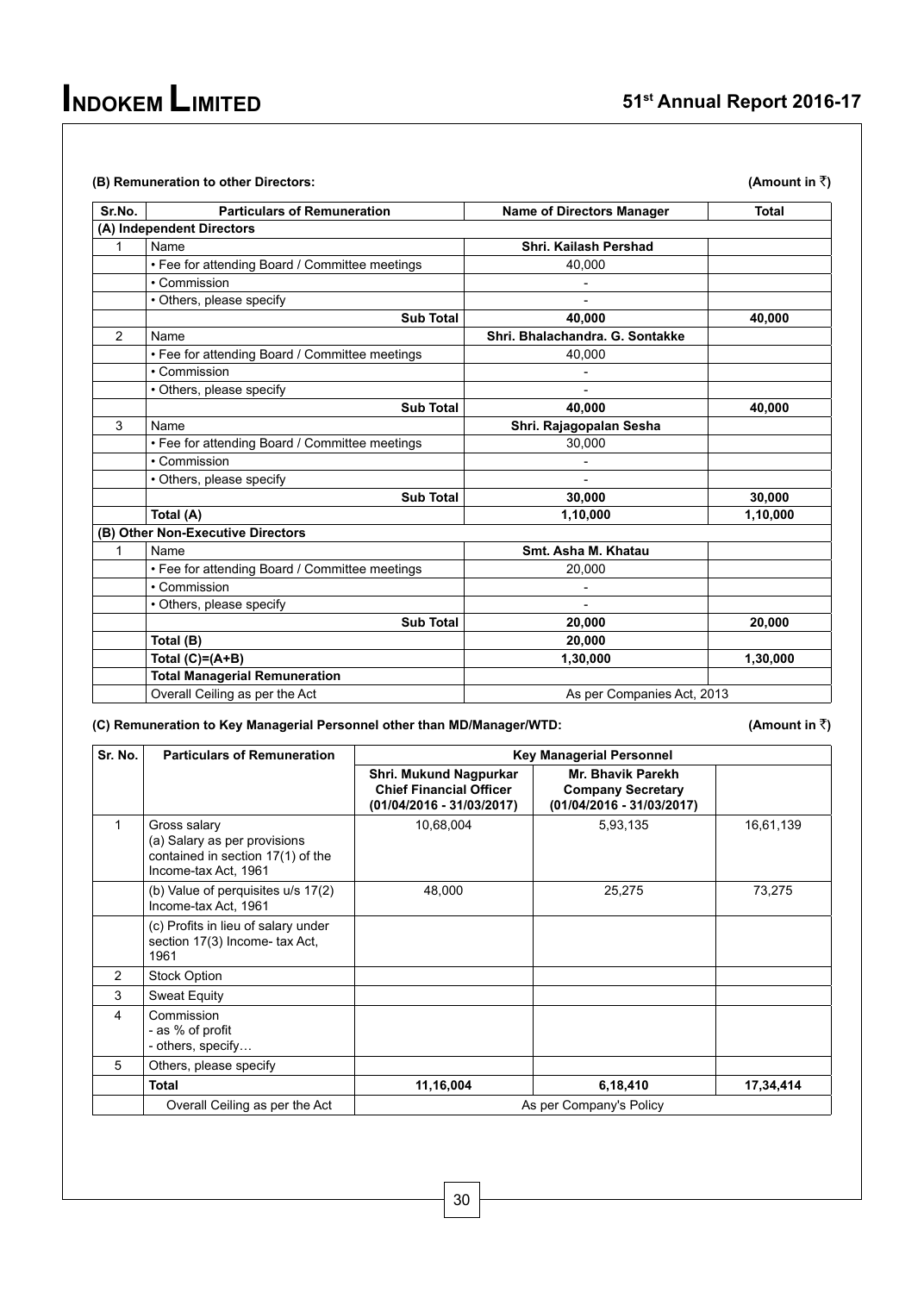#### **(B) Remuneration to other Directors: (Amount in** `**)**

| Sr.No.        | <b>Particulars of Remuneration</b>             | <b>Name of Directors Manager</b> | <b>Total</b> |
|---------------|------------------------------------------------|----------------------------------|--------------|
|               | (A) Independent Directors                      |                                  |              |
| 1             | Name                                           | Shri. Kailash Pershad            |              |
|               | • Fee for attending Board / Committee meetings | 40,000                           |              |
|               | • Commission                                   |                                  |              |
|               | • Others, please specify                       |                                  |              |
|               | <b>Sub Total</b>                               | 40.000                           | 40,000       |
| $\mathcal{P}$ | Name                                           | Shri, Bhalachandra, G. Sontakke  |              |
|               | • Fee for attending Board / Committee meetings | 40.000                           |              |
|               | • Commission                                   |                                  |              |
|               | • Others, please specify                       |                                  |              |
|               | <b>Sub Total</b>                               | 40,000                           | 40,000       |
| 3             | Name                                           | Shri. Rajagopalan Sesha          |              |
|               | • Fee for attending Board / Committee meetings | 30,000                           |              |
|               | • Commission                                   |                                  |              |
|               | • Others, please specify                       |                                  |              |
|               | <b>Sub Total</b>                               | 30,000                           | 30,000       |
|               | Total (A)                                      | 1,10,000                         | 1,10,000     |
|               | (B) Other Non-Executive Directors              |                                  |              |
| 1             | Name                                           | Smt. Asha M. Khatau              |              |
|               | • Fee for attending Board / Committee meetings | 20,000                           |              |
|               | • Commission                                   |                                  |              |
|               | • Others, please specify                       |                                  |              |
|               | <b>Sub Total</b>                               | 20,000                           | 20,000       |
|               | Total (B)                                      | 20,000                           |              |
|               | Total $(C)=(A+B)$                              | 1,30,000                         | 1,30,000     |
|               | <b>Total Managerial Remuneration</b>           |                                  |              |
|               | Overall Ceiling as per the Act                 | As per Companies Act, 2013       |              |

**(C) Remuneration to Key Managerial Personnel other than MD/Manager/WTD: (Amount in** `**)**

| Sr. No.      | <b>Particulars of Remuneration</b>                                                                        | <b>Key Managerial Personnel</b>                                                       |                                                                            |           |
|--------------|-----------------------------------------------------------------------------------------------------------|---------------------------------------------------------------------------------------|----------------------------------------------------------------------------|-----------|
|              |                                                                                                           | Shri. Mukund Nagpurkar<br><b>Chief Financial Officer</b><br>(01/04/2016 - 31/03/2017) | Mr. Bhavik Parekh<br><b>Company Secretary</b><br>(01/04/2016 - 31/03/2017) |           |
| $\mathbf{1}$ | Gross salary<br>(a) Salary as per provisions<br>contained in section 17(1) of the<br>Income-tax Act, 1961 | 10,68,004                                                                             | 5,93,135                                                                   | 16,61,139 |
|              | (b) Value of perquisites u/s 17(2)<br>Income-tax Act, 1961                                                | 48,000                                                                                | 25,275                                                                     | 73,275    |
|              | (c) Profits in lieu of salary under<br>section 17(3) Income- tax Act.<br>1961                             |                                                                                       |                                                                            |           |
| 2            | <b>Stock Option</b>                                                                                       |                                                                                       |                                                                            |           |
| 3            | <b>Sweat Equity</b>                                                                                       |                                                                                       |                                                                            |           |
| 4            | Commission<br>- as % of profit<br>- others, specify                                                       |                                                                                       |                                                                            |           |
| 5            | Others, please specify                                                                                    |                                                                                       |                                                                            |           |
|              | <b>Total</b>                                                                                              | 11,16,004                                                                             | 6,18,410                                                                   | 17,34,414 |
|              | Overall Ceiling as per the Act                                                                            | As per Company's Policy                                                               |                                                                            |           |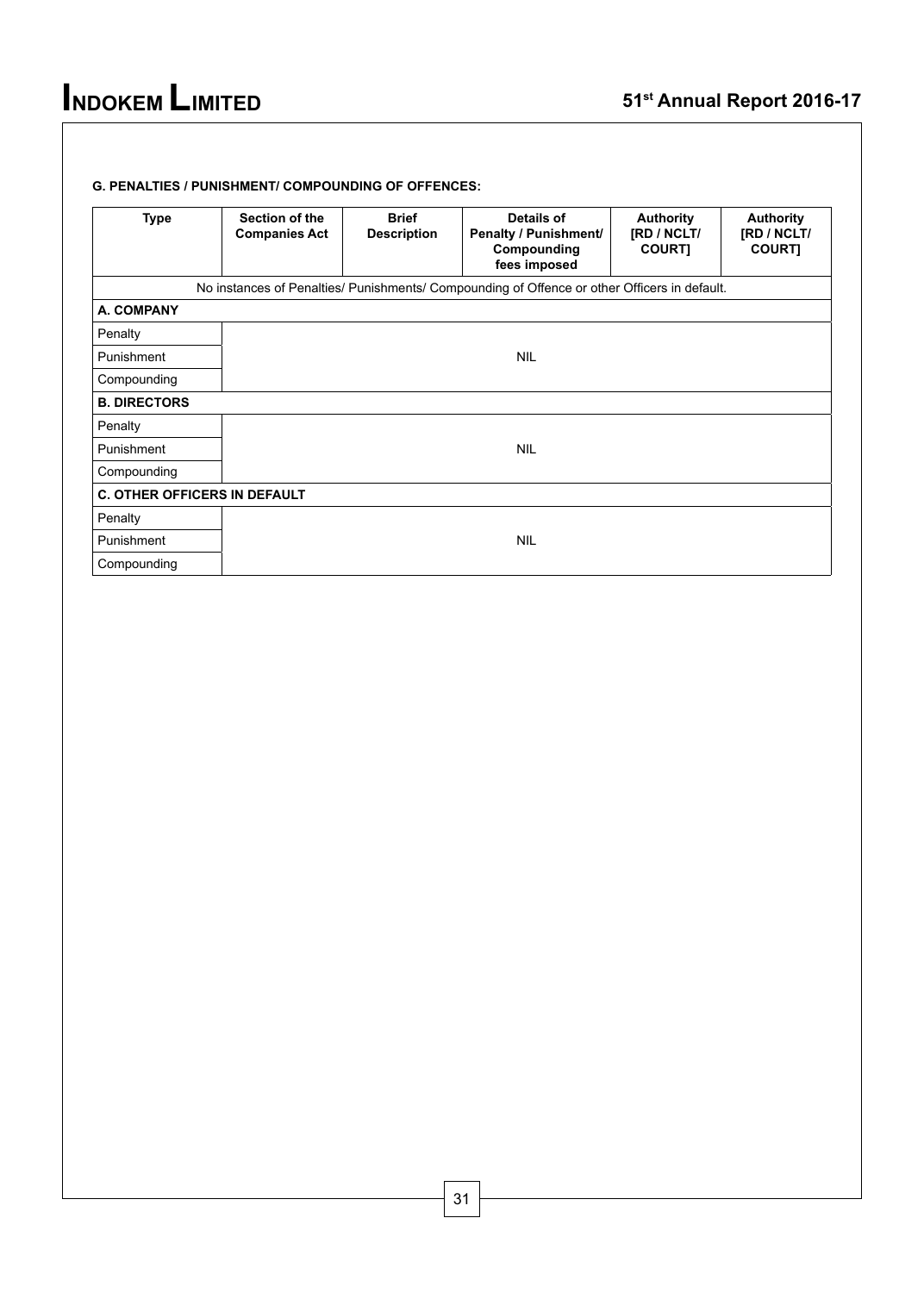|                                     | Section of the<br><b>Companies Act</b> | <b>Brief</b><br><b>Description</b> | Details of<br>Penalty / Punishment/<br>Compounding<br>fees imposed                           | <b>Authority</b><br>[RD / NCLT/<br>COURT] | <b>Authority</b><br><b>IRD / NCLT/</b><br>COURT] |
|-------------------------------------|----------------------------------------|------------------------------------|----------------------------------------------------------------------------------------------|-------------------------------------------|--------------------------------------------------|
|                                     |                                        |                                    | No instances of Penalties/ Punishments/ Compounding of Offence or other Officers in default. |                                           |                                                  |
| A. COMPANY                          |                                        |                                    |                                                                                              |                                           |                                                  |
| Penalty                             | <b>NIL</b>                             |                                    |                                                                                              |                                           |                                                  |
| Punishment                          |                                        |                                    |                                                                                              |                                           |                                                  |
| Compounding                         |                                        |                                    |                                                                                              |                                           |                                                  |
| <b>B. DIRECTORS</b>                 |                                        |                                    |                                                                                              |                                           |                                                  |
| Penalty                             |                                        |                                    |                                                                                              |                                           |                                                  |
| Punishment                          | <b>NIL</b>                             |                                    |                                                                                              |                                           |                                                  |
| Compounding                         |                                        |                                    |                                                                                              |                                           |                                                  |
| <b>C. OTHER OFFICERS IN DEFAULT</b> |                                        |                                    |                                                                                              |                                           |                                                  |
| Penalty                             |                                        |                                    |                                                                                              |                                           |                                                  |
| Punishment                          | <b>NIL</b>                             |                                    |                                                                                              |                                           |                                                  |
| Compounding                         |                                        |                                    |                                                                                              |                                           |                                                  |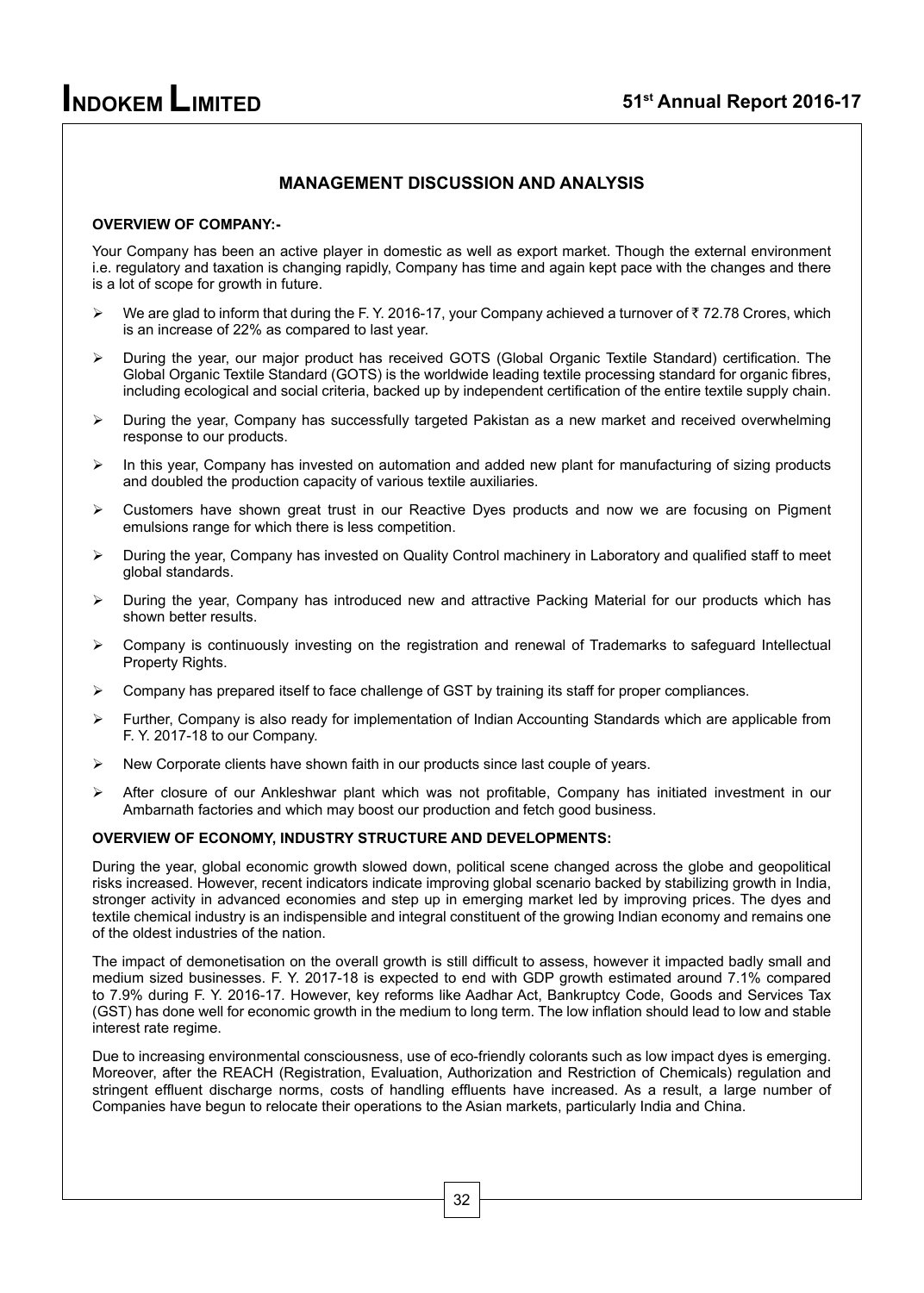### **MANAGEMENT DISCUSSION AND ANALYSIS**

#### **OVERVIEW OF COMPANY:-**

Your Company has been an active player in domestic as well as export market. Though the external environment i.e. regulatory and taxation is changing rapidly, Company has time and again kept pace with the changes and there is a lot of scope for growth in future.

- $▶$  We are glad to inform that during the F. Y. 2016-17, your Company achieved a turnover of ₹72.78 Crores, which is an increase of 22% as compared to last year.
- During the year, our major product has received GOTS (Global Organic Textile Standard) certification. The Global Organic Textile Standard (GOTS) is the worldwide leading textile processing standard for organic fibres, including ecological and social criteria, backed up by independent certification of the entire textile supply chain.
- During the year, Company has successfully targeted Pakistan as a new market and received overwhelming response to our products.
- $\triangleright$  In this year, Company has invested on automation and added new plant for manufacturing of sizing products and doubled the production capacity of various textile auxiliaries.
- Customers have shown great trust in our Reactive Dyes products and now we are focusing on Pigment emulsions range for which there is less competition.
- $\triangleright$  During the year, Company has invested on Quality Control machinery in Laboratory and qualified staff to meet global standards.
- $\triangleright$  During the year, Company has introduced new and attractive Packing Material for our products which has shown better results.
- $\triangleright$  Company is continuously investing on the registration and renewal of Trademarks to safeguard Intellectual Property Rights.
- $\triangleright$  Company has prepared itself to face challenge of GST by training its staff for proper compliances.
- $\triangleright$  Further, Company is also ready for implementation of Indian Accounting Standards which are applicable from F. Y. 2017-18 to our Company.
- $\triangleright$  New Corporate clients have shown faith in our products since last couple of years.
- $\triangleright$  After closure of our Ankleshwar plant which was not profitable, Company has initiated investment in our Ambarnath factories and which may boost our production and fetch good business.

#### **OVERVIEW OF ECONOMY, INDUSTRY STRUCTURE AND DEVELOPMENTS:**

During the year, global economic growth slowed down, political scene changed across the globe and geopolitical risks increased. However, recent indicators indicate improving global scenario backed by stabilizing growth in India, stronger activity in advanced economies and step up in emerging market led by improving prices. The dyes and textile chemical industry is an indispensible and integral constituent of the growing Indian economy and remains one of the oldest industries of the nation.

The impact of demonetisation on the overall growth is still difficult to assess, however it impacted badly small and medium sized businesses. F. Y. 2017-18 is expected to end with GDP growth estimated around 7.1% compared to 7.9% during F. Y. 2016-17. However, key reforms like Aadhar Act, Bankruptcy Code, Goods and Services Tax (GST) has done well for economic growth in the medium to long term. The low inflation should lead to low and stable interest rate regime.

Due to increasing environmental consciousness, use of eco-friendly colorants such as low impact dyes is emerging. Moreover, after the REACH (Registration, Evaluation, Authorization and Restriction of Chemicals) regulation and stringent effluent discharge norms, costs of handling effluents have increased. As a result, a large number of Companies have begun to relocate their operations to the Asian markets, particularly India and China.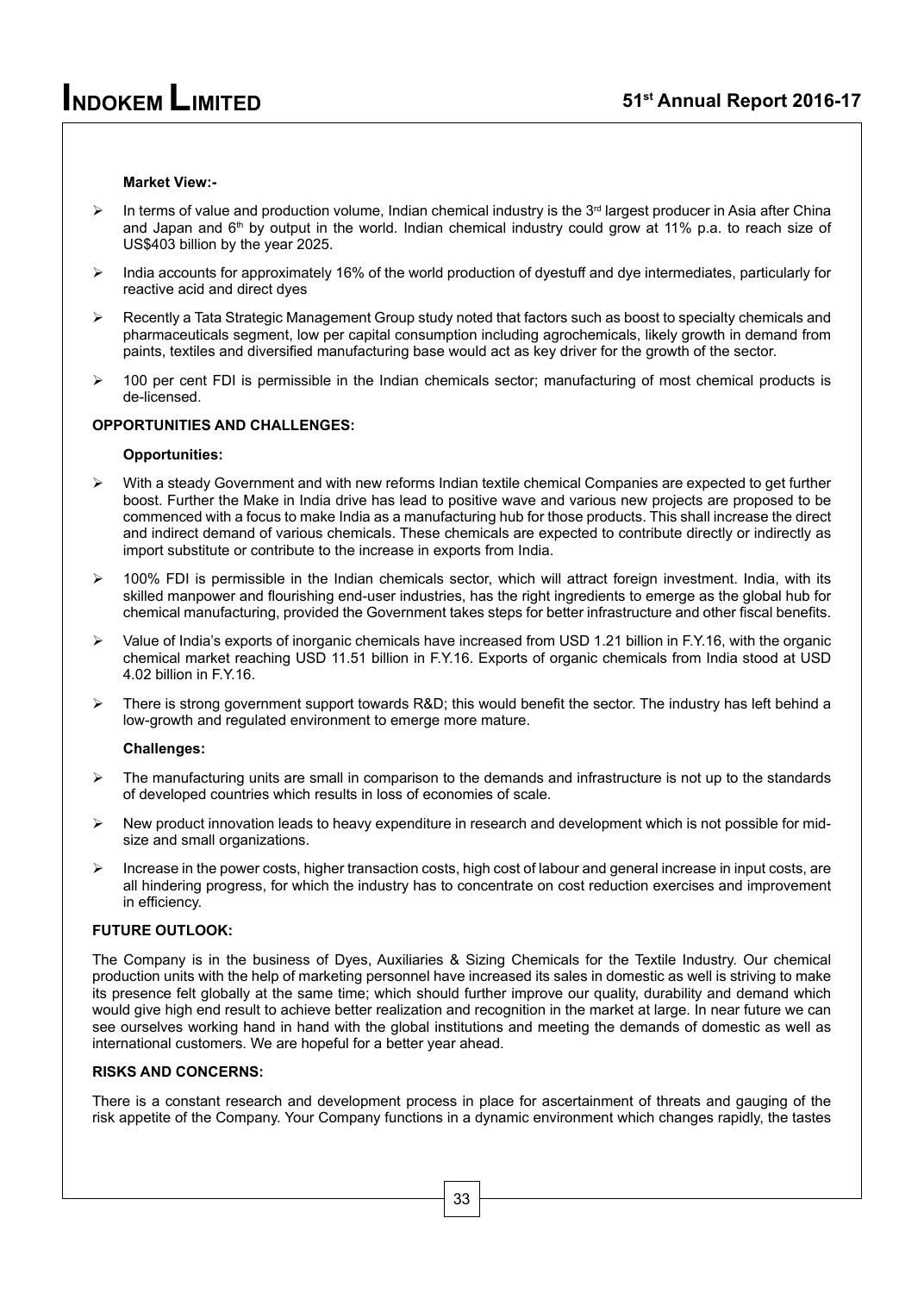#### **Market View:-**

- In terms of value and production volume, Indian chemical industry is the 3<sup>rd</sup> largest producer in Asia after China and Japan and  $6<sup>th</sup>$  by output in the world. Indian chemical industry could grow at 11% p.a. to reach size of US\$403 billion by the year 2025.
- $\triangleright$  India accounts for approximately 16% of the world production of dyestuff and dye intermediates, particularly for reactive acid and direct dyes
- $\triangleright$  Recently a Tata Strategic Management Group study noted that factors such as boost to specialty chemicals and pharmaceuticals segment, low per capital consumption including agrochemicals, likely growth in demand from paints, textiles and diversified manufacturing base would act as key driver for the growth of the sector.
- $\triangleright$  100 per cent FDI is permissible in the Indian chemicals sector; manufacturing of most chemical products is de-licensed.

#### **OPPORTUNITIES AND CHALLENGES:**

#### **Opportunities:**

- $\triangleright$  With a steady Government and with new reforms Indian textile chemical Companies are expected to get further boost. Further the Make in India drive has lead to positive wave and various new projects are proposed to be commenced with a focus to make India as a manufacturing hub for those products. This shall increase the direct and indirect demand of various chemicals. These chemicals are expected to contribute directly or indirectly as import substitute or contribute to the increase in exports from India.
- $\triangleright$  100% FDI is permissible in the Indian chemicals sector, which will attract foreign investment. India, with its skilled manpower and flourishing end-user industries, has the right ingredients to emerge as the global hub for chemical manufacturing, provided the Government takes steps for better infrastructure and other fiscal benefits.
- $\triangleright$  Value of India's exports of inorganic chemicals have increased from USD 1.21 billion in F.Y.16, with the organic chemical market reaching USD 11.51 billion in F.Y.16. Exports of organic chemicals from India stood at USD 4.02 billion in F.Y.16.
- $\triangleright$  There is strong government support towards R&D; this would benefit the sector. The industry has left behind a low-growth and regulated environment to emerge more mature.

#### **Challenges:**

- $\triangleright$  The manufacturing units are small in comparison to the demands and infrastructure is not up to the standards of developed countries which results in loss of economies of scale.
- $\triangleright$  New product innovation leads to heavy expenditure in research and development which is not possible for midsize and small organizations.
- $\triangleright$  Increase in the power costs, higher transaction costs, high cost of labour and general increase in input costs, are all hindering progress, for which the industry has to concentrate on cost reduction exercises and improvement in efficiency.

#### **FUTURE OUTLOOK:**

The Company is in the business of Dyes, Auxiliaries & Sizing Chemicals for the Textile Industry. Our chemical production units with the help of marketing personnel have increased its sales in domestic as well is striving to make its presence felt globally at the same time; which should further improve our quality, durability and demand which would give high end result to achieve better realization and recognition in the market at large. In near future we can see ourselves working hand in hand with the global institutions and meeting the demands of domestic as well as international customers. We are hopeful for a better year ahead.

#### **RISKS AND CONCERNS:**

There is a constant research and development process in place for ascertainment of threats and gauging of the risk appetite of the Company. Your Company functions in a dynamic environment which changes rapidly, the tastes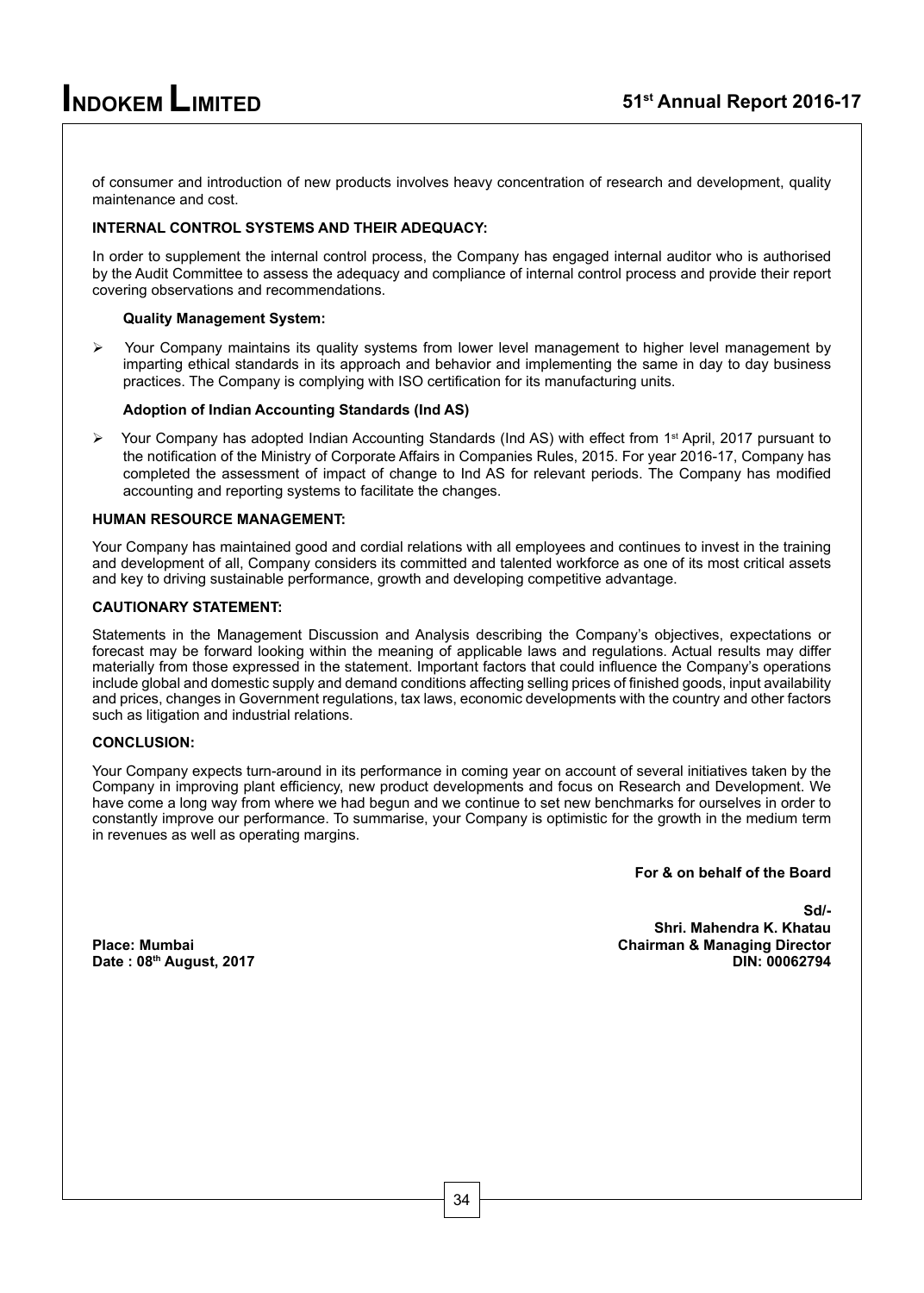of consumer and introduction of new products involves heavy concentration of research and development, quality maintenance and cost.

#### **INTERNAL CONTROL SYSTEMS AND THEIR ADEQUACY:**

In order to supplement the internal control process, the Company has engaged internal auditor who is authorised by the Audit Committee to assess the adequacy and compliance of internal control process and provide their report covering observations and recommendations.

#### **Quality Management System:**

 Your Company maintains its quality systems from lower level management to higher level management by imparting ethical standards in its approach and behavior and implementing the same in day to day business practices. The Company is complying with ISO certification for its manufacturing units.

#### **Adoption of Indian Accounting Standards (Ind AS)**

 $\triangleright$  Your Company has adopted Indian Accounting Standards (Ind AS) with effect from 1<sup>st</sup> April, 2017 pursuant to the notification of the Ministry of Corporate Affairs in Companies Rules, 2015. For year 2016-17, Company has completed the assessment of impact of change to Ind AS for relevant periods. The Company has modified accounting and reporting systems to facilitate the changes.

#### **HUMAN RESOURCE MANAGEMENT:**

Your Company has maintained good and cordial relations with all employees and continues to invest in the training and development of all, Company considers its committed and talented workforce as one of its most critical assets and key to driving sustainable performance, growth and developing competitive advantage.

#### **CAUTIONARY STATEMENT:**

Statements in the Management Discussion and Analysis describing the Company's objectives, expectations or forecast may be forward looking within the meaning of applicable laws and regulations. Actual results may differ materially from those expressed in the statement. Important factors that could influence the Company's operations include global and domestic supply and demand conditions affecting selling prices of finished goods, input availability and prices, changes in Government regulations, tax laws, economic developments with the country and other factors such as litigation and industrial relations.

#### **CONCLUSION:**

Your Company expects turn-around in its performance in coming year on account of several initiatives taken by the Company in improving plant efficiency, new product developments and focus on Research and Development. We have come a long way from where we had begun and we continue to set new benchmarks for ourselves in order to constantly improve our performance. To summarise, your Company is optimistic for the growth in the medium term in revenues as well as operating margins.

**For & on behalf of the Board**

 $Data: 08<sup>th</sup>$  August, 2017

**Sd/- Shri. Mahendra K. Khatau Place: Mumbai Chairman & Managing Director**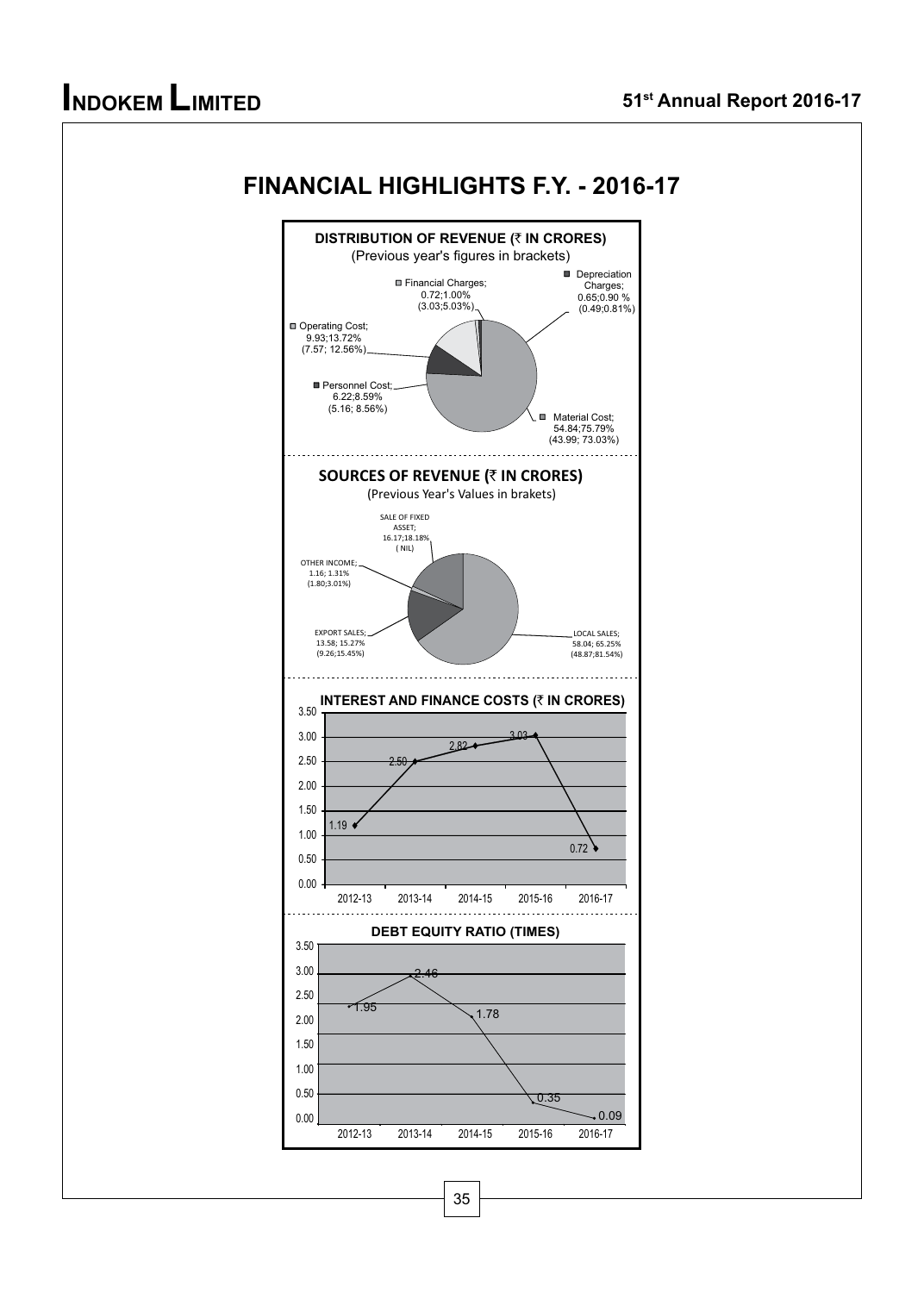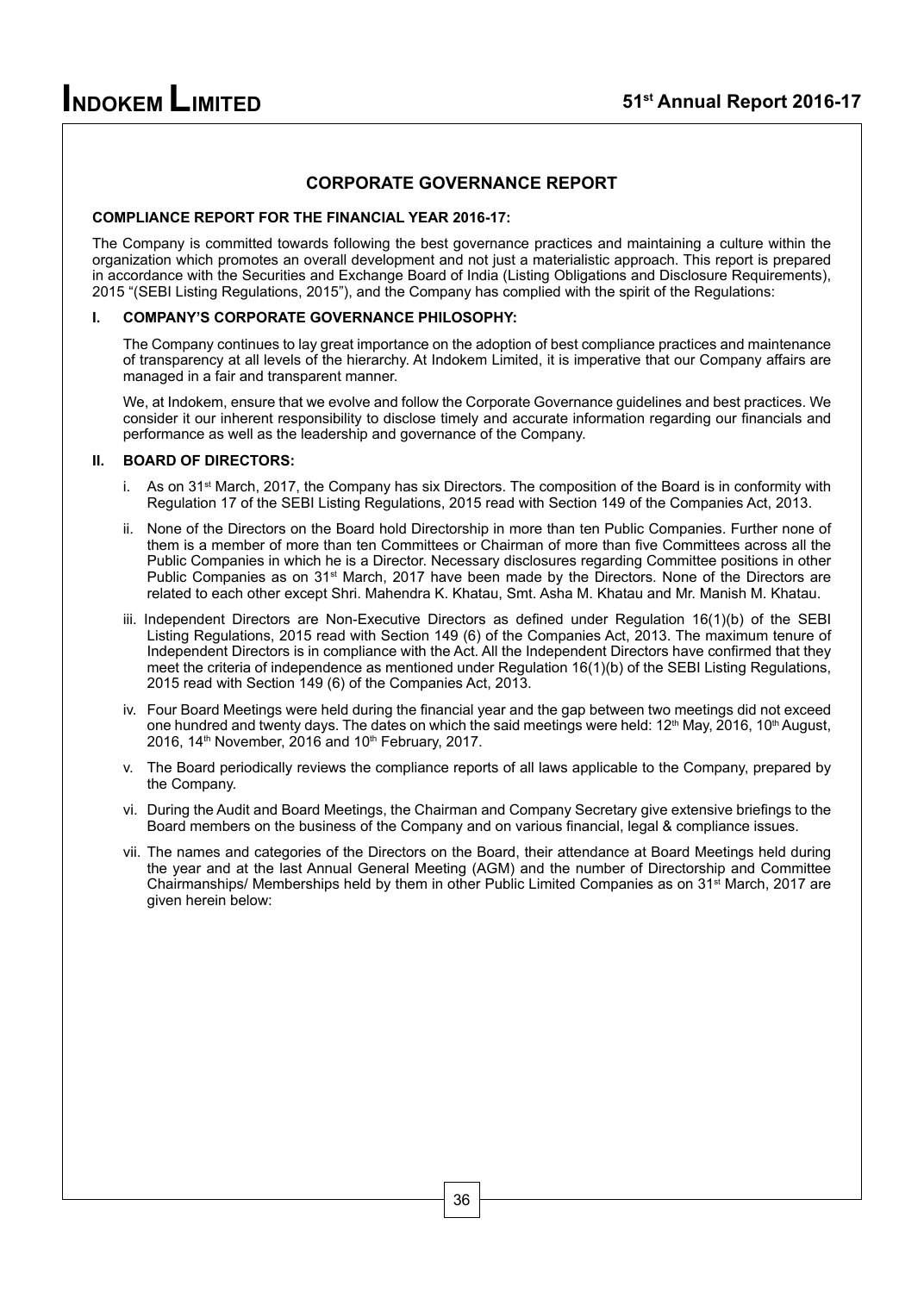# **CORPORATE GOVERNANCE REPORT**

## **COMPLIANCE REPORT FOR THE FINANCIAL YEAR 2016-17:**

The Company is committed towards following the best governance practices and maintaining a culture within the organization which promotes an overall development and not just a materialistic approach. This report is prepared in accordance with the Securities and Exchange Board of India (Listing Obligations and Disclosure Requirements), 2015 "(SEBI Listing Regulations, 2015"), and the Company has complied with the spirit of the Regulations:

#### **I. COMPANY'S CORPORATE GOVERNANCE PHILOSOPHY:**

The Company continues to lay great importance on the adoption of best compliance practices and maintenance of transparency at all levels of the hierarchy. At Indokem Limited, it is imperative that our Company affairs are managed in a fair and transparent manner.

We, at Indokem, ensure that we evolve and follow the Corporate Governance guidelines and best practices. We consider it our inherent responsibility to disclose timely and accurate information regarding our financials and performance as well as the leadership and governance of the Company.

#### **II. BOARD OF DIRECTORS:**

- i. As on  $31^{st}$  March, 2017, the Company has six Directors. The composition of the Board is in conformity with Regulation 17 of the SEBI Listing Regulations, 2015 read with Section 149 of the Companies Act, 2013.
- None of the Directors on the Board hold Directorship in more than ten Public Companies. Further none of them is a member of more than ten Committees or Chairman of more than five Committees across all the Public Companies in which he is a Director. Necessary disclosures regarding Committee positions in other Public Companies as on 31<sup>st</sup> March, 2017 have been made by the Directors. None of the Directors are related to each other except Shri. Mahendra K. Khatau, Smt. Asha M. Khatau and Mr. Manish M. Khatau.
- iii. Independent Directors are Non-Executive Directors as defined under Regulation 16(1)(b) of the SEBI Listing Regulations, 2015 read with Section 149 (6) of the Companies Act, 2013. The maximum tenure of Independent Directors is in compliance with the Act. All the Independent Directors have confirmed that they meet the criteria of independence as mentioned under Regulation 16(1)(b) of the SEBI Listing Regulations, 2015 read with Section 149 (6) of the Companies Act, 2013.
- iv. Four Board Meetings were held during the financial year and the gap between two meetings did not exceed one hundred and twenty days. The dates on which the said meetings were held: 12<sup>th</sup> May, 2016, 10<sup>th</sup> August, 2016, 14<sup>th</sup> November, 2016 and 10<sup>th</sup> February, 2017.
- v. The Board periodically reviews the compliance reports of all laws applicable to the Company, prepared by the Company.
- vi. During the Audit and Board Meetings, the Chairman and Company Secretary give extensive briefings to the Board members on the business of the Company and on various financial, legal & compliance issues.
- vii. The names and categories of the Directors on the Board, their attendance at Board Meetings held during the year and at the last Annual General Meeting (AGM) and the number of Directorship and Committee Chairmanships/ Memberships held by them in other Public Limited Companies as on 31<sup>st</sup> March, 2017 are given herein below: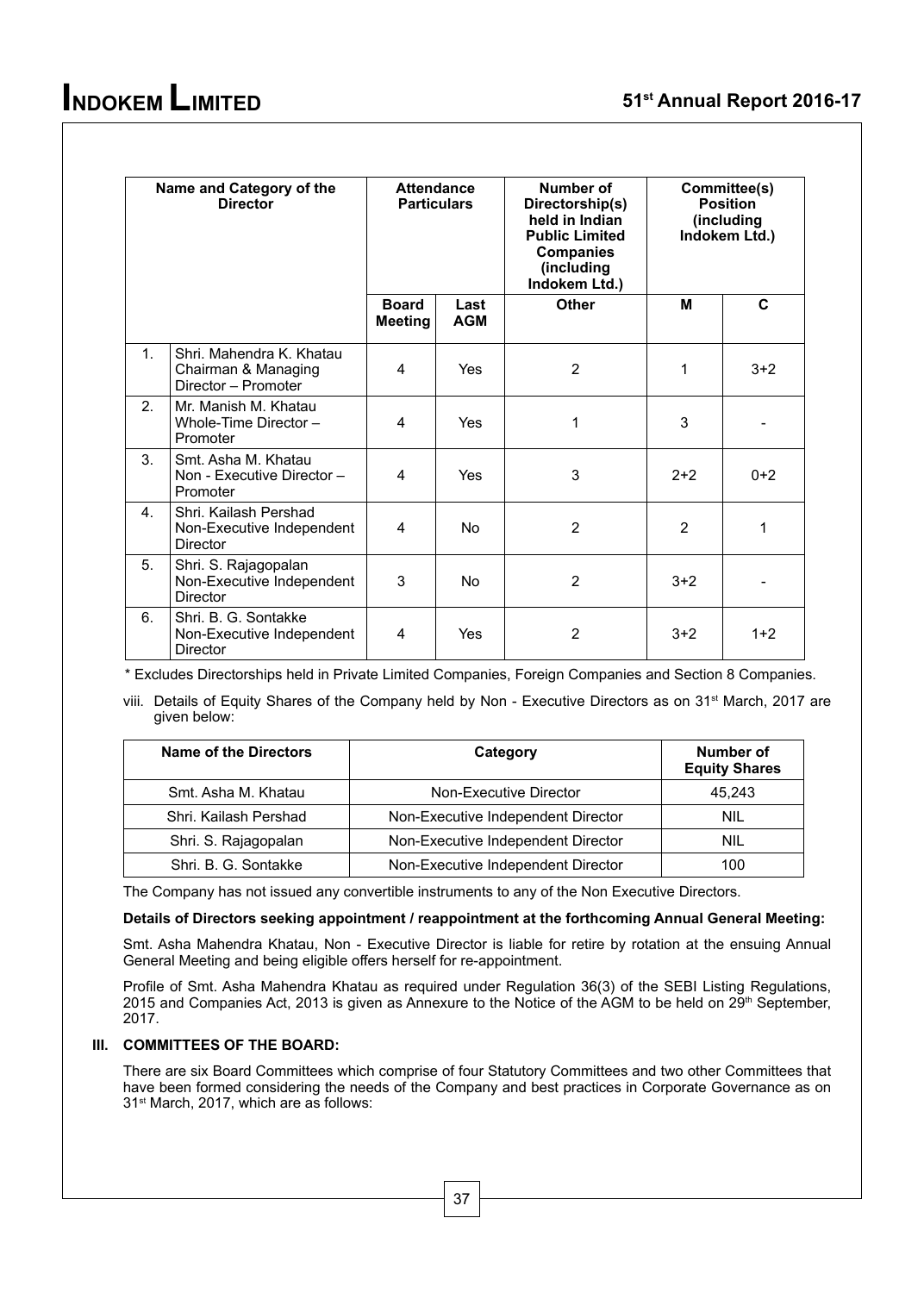# **INDOKEM LIMITED 1999 51st** Annual Report 2016-17

| Name and Category of the<br><b>Director</b> |                                                                        | <b>Attendance</b><br><b>Particulars</b> |                    | Number of<br>Directorship(s)<br>held in Indian<br><b>Public Limited</b><br><b>Companies</b><br>(including<br>Indokem Ltd.) |              | Committee(s)<br><b>Position</b><br>(including<br>Indokem Ltd.) |
|---------------------------------------------|------------------------------------------------------------------------|-----------------------------------------|--------------------|----------------------------------------------------------------------------------------------------------------------------|--------------|----------------------------------------------------------------|
|                                             |                                                                        | <b>Board</b><br>Meeting                 | Last<br><b>AGM</b> | Other                                                                                                                      | М            | C                                                              |
| 1 <sub>1</sub>                              | Shri, Mahendra K. Khatau<br>Chairman & Managing<br>Director - Promoter | 4                                       | Yes                | $\overline{2}$                                                                                                             | 1            | $3+2$                                                          |
| 2.                                          | Mr. Manish M. Khatau<br>Whole-Time Director -<br>Promoter              | 4                                       | Yes                | 1                                                                                                                          | 3            |                                                                |
| 3.                                          | Smt. Asha M. Khatau<br>Non - Executive Director -<br>Promoter          | 4                                       | Yes                | 3                                                                                                                          | $2+2$        | $0+2$                                                          |
| $\overline{4}$                              | Shri, Kailash Pershad<br>Non-Executive Independent<br><b>Director</b>  | 4                                       | <b>No</b>          | $\mathbf{2}$                                                                                                               | $\mathbf{2}$ | 1                                                              |
| 5.                                          | Shri. S. Rajagopalan<br>Non-Executive Independent<br><b>Director</b>   | 3                                       | No                 | $\mathbf{2}$                                                                                                               | $3+2$        |                                                                |
| 6.                                          | Shri, B. G. Sontakke<br>Non-Executive Independent<br><b>Director</b>   | 4                                       | Yes                | 2                                                                                                                          | $3+2$        | $1+2$                                                          |

\* Excludes Directorships held in Private Limited Companies, Foreign Companies and Section 8 Companies.

viii. Details of Equity Shares of the Company held by Non - Executive Directors as on 31<sup>st</sup> March, 2017 are given below:

| Name of the Directors<br>Category |                                    | Number of<br><b>Equity Shares</b> |
|-----------------------------------|------------------------------------|-----------------------------------|
| Smt. Asha M. Khatau               | Non-Executive Director             | 45.243                            |
| Shri, Kailash Pershad             | Non-Executive Independent Director | <b>NIL</b>                        |
| Shri. S. Rajagopalan              | Non-Executive Independent Director | <b>NIL</b>                        |
| Shri, B. G. Sontakke              | Non-Executive Independent Director | 100                               |

The Company has not issued any convertible instruments to any of the Non Executive Directors.

#### **Details of Directors seeking appointment / reappointment at the forthcoming Annual General Meeting:**

Smt. Asha Mahendra Khatau, Non - Executive Director is liable for retire by rotation at the ensuing Annual General Meeting and being eligible offers herself for re-appointment.

Profile of Smt. Asha Mahendra Khatau as required under Regulation 36(3) of the SEBI Listing Regulations, 2015 and Companies Act, 2013 is given as Annexure to the Notice of the AGM to be held on  $29<sup>th</sup>$  September, 2017.

# **III. COMMITTEES OF THE BOARD:**

There are six Board Committees which comprise of four Statutory Committees and two other Committees that have been formed considering the needs of the Company and best practices in Corporate Governance as on 31st March, 2017, which are as follows: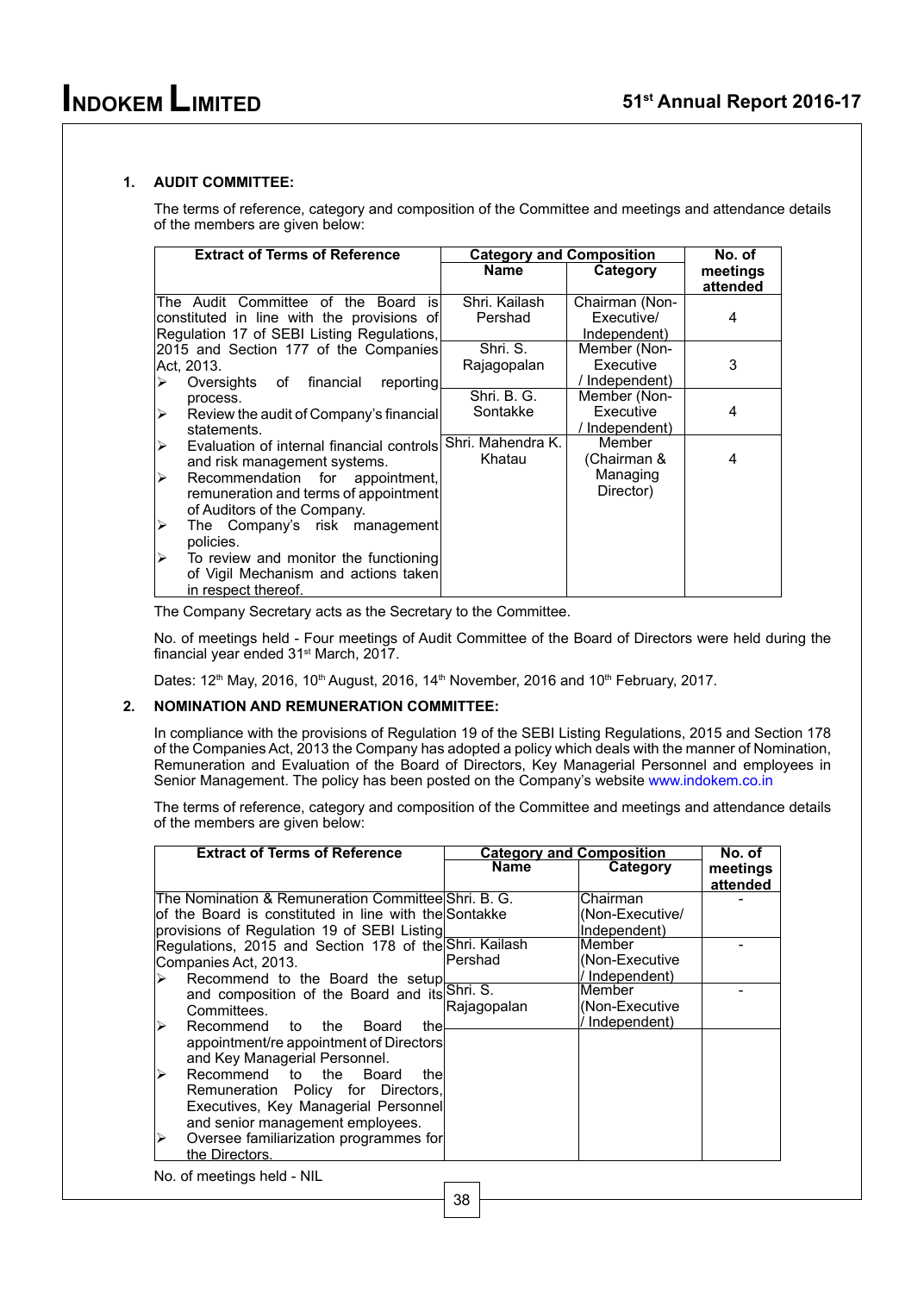# **1. AUDIT COMMITTEE:**

The terms of reference, category and composition of the Committee and meetings and attendance details of the members are given below:

| <b>Extract of Terms of Reference</b>           | <b>Category and Composition</b> |                | No. of   |
|------------------------------------------------|---------------------------------|----------------|----------|
|                                                | <b>Name</b>                     | Category       | meetings |
|                                                |                                 |                | attended |
| The Audit Committee of the Board<br>İS         | Shri, Kailash                   | Chairman (Non- |          |
| constituted in line with the provisions of     | Pershad                         | Executive/     | 4        |
| Regulation 17 of SEBI Listing Regulations,     |                                 | Independent)   |          |
| 2015 and Section 177 of the Companies          | Shri, S.                        | Member (Non-   |          |
| Act. 2013.                                     | Rajagopalan                     | Executive      | 3        |
| Oversights<br>of<br>financial<br>reporting     |                                 | / Independent) |          |
| process.                                       | Shri, B. G.                     | Member (Non-   |          |
| Review the audit of Company's financial<br>⋗   | Sontakke                        | Executive      | 4        |
| statements.                                    |                                 | / Independent) |          |
| Evaluation of internal financial controls<br>⇂ | Shri, Mahendra K.               | Member         |          |
| and risk management systems.                   | Khatau                          | (Chairman &    | 4        |
| Recommendation for appointment,<br>∣≻          |                                 | Managing       |          |
| remuneration and terms of appointment          |                                 | Director)      |          |
| of Auditors of the Company.                    |                                 |                |          |
|                                                |                                 |                |          |
| The Company's risk management<br>▶             |                                 |                |          |
| policies.                                      |                                 |                |          |
| To review and monitor the functioning<br>↘     |                                 |                |          |
| of Vigil Mechanism and actions taken           |                                 |                |          |
| in respect thereof.                            |                                 |                |          |

The Company Secretary acts as the Secretary to the Committee.

No. of meetings held - Four meetings of Audit Committee of the Board of Directors were held during the financial year ended 31<sup>st</sup> March, 2017.

Dates:  $12<sup>th</sup>$  May, 2016, 10<sup>th</sup> August, 2016, 14<sup>th</sup> November, 2016 and 10<sup>th</sup> February, 2017.

#### **2. NOMINATION AND REMUNERATION COMMITTEE:**

In compliance with the provisions of Regulation 19 of the SEBI Listing Regulations, 2015 and Section 178 of the Companies Act, 2013 the Company has adopted a policy which deals with the manner of Nomination, Remuneration and Evaluation of the Board of Directors, Key Managerial Personnel and employees in Senior Management. The policy has been posted on the Company's website www.indokem.co.in

The terms of reference, category and composition of the Committee and meetings and attendance details of the members are given below:

| <b>Extract of Terms of Reference</b>                   | <b>Category and Composition</b> |                 | No. of               |
|--------------------------------------------------------|---------------------------------|-----------------|----------------------|
|                                                        | Name                            | Category        | meetings<br>attended |
| The Nomination & Remuneration CommitteelShri. B. G.    |                                 | Chairman        |                      |
| lof the Board is constituted in line with thelSontakke |                                 | /Non-Executive/ |                      |
| provisions of Regulation 19 of SEBI Listing            |                                 | Independent)    |                      |
| Regulations, 2015 and Section 178 of the Shri. Kailash |                                 | Member          |                      |
| Companies Act, 2013.                                   | Pershad                         | (Non-Executive  |                      |
| Recommend to the Board the setup.<br>⋗                 |                                 | / Independent)  |                      |
| and composition of the Board and its Shri. S.          |                                 | Member          |                      |
| Committees.                                            | Rajagopalan                     | (Non-Executive  |                      |
| Board<br>Recommend to<br>the<br>the                    |                                 | Independent)    |                      |
| appointment/re appointment of Directors                |                                 |                 |                      |
| and Key Managerial Personnel.                          |                                 |                 |                      |
| Recommend to the Board<br>⋗<br>the                     |                                 |                 |                      |
| Remuneration Policy for Directors,                     |                                 |                 |                      |
| Executives, Key Managerial Personnel                   |                                 |                 |                      |
| and senior management employees.                       |                                 |                 |                      |
| Oversee familiarization programmes for<br>⋗            |                                 |                 |                      |
| the Directors.                                         |                                 |                 |                      |

No. of meetings held - NIL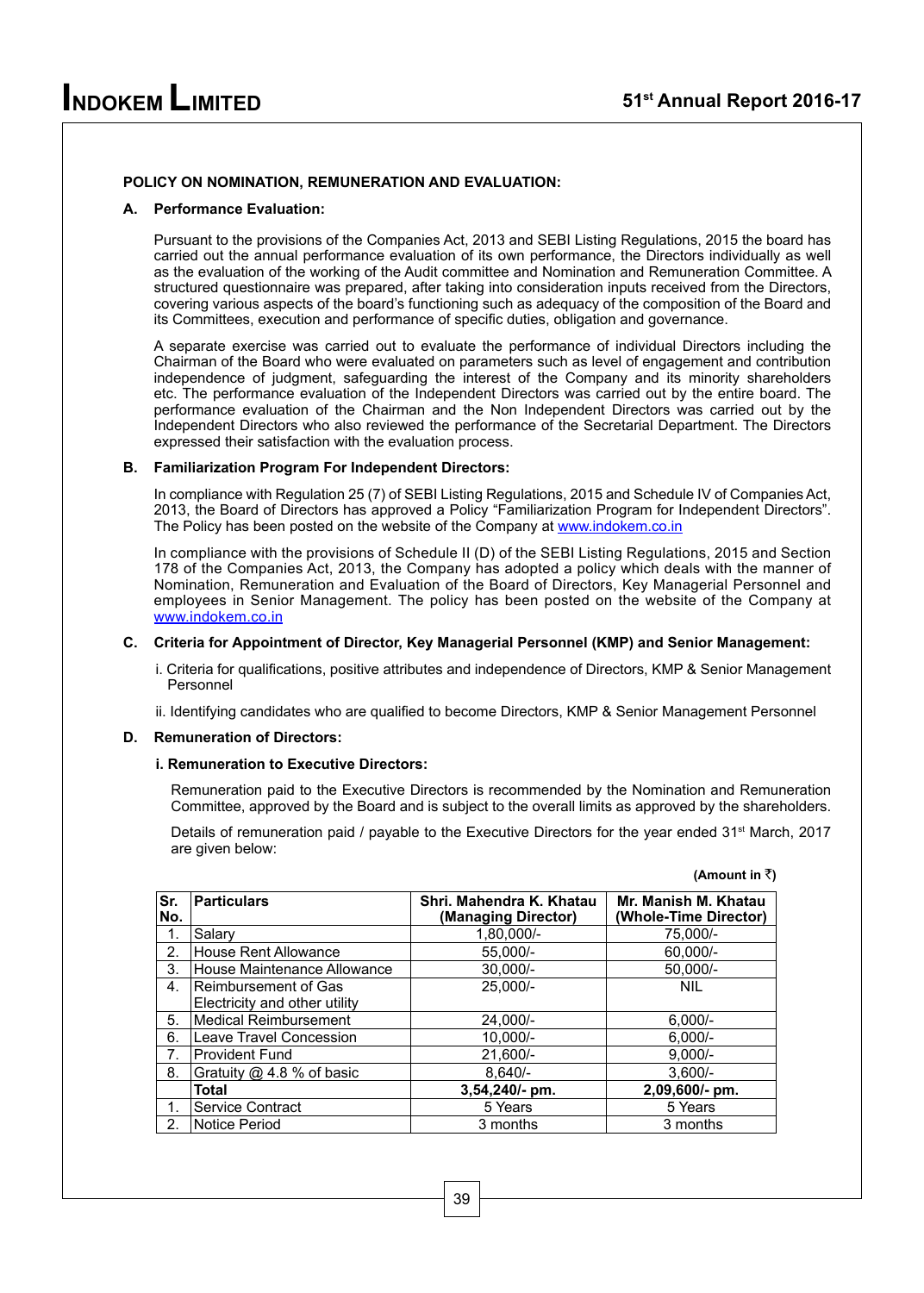$($ Amount in  $\overline{f}$ )

#### **POLICY ON NOMINATION, REMUNERATION AND EVALUATION:**

#### **A. Performance Evaluation:**

Pursuant to the provisions of the Companies Act, 2013 and SEBI Listing Regulations, 2015 the board has carried out the annual performance evaluation of its own performance, the Directors individually as well as the evaluation of the working of the Audit committee and Nomination and Remuneration Committee. A structured questionnaire was prepared, after taking into consideration inputs received from the Directors, covering various aspects of the board's functioning such as adequacy of the composition of the Board and its Committees, execution and performance of specific duties, obligation and governance.

A separate exercise was carried out to evaluate the performance of individual Directors including the Chairman of the Board who were evaluated on parameters such as level of engagement and contribution independence of judgment, safeguarding the interest of the Company and its minority shareholders etc. The performance evaluation of the Independent Directors was carried out by the entire board. The performance evaluation of the Chairman and the Non Independent Directors was carried out by the Independent Directors who also reviewed the performance of the Secretarial Department. The Directors expressed their satisfaction with the evaluation process.

#### **B. Familiarization Program For Independent Directors:**

In compliance with Regulation 25 (7) of SEBI Listing Regulations, 2015 and Schedule IV of Companies Act, 2013, the Board of Directors has approved a Policy "Familiarization Program for Independent Directors". The Policy has been posted on the website of the Company at www.indokem.co.in

In compliance with the provisions of Schedule II (D) of the SEBI Listing Regulations, 2015 and Section 178 of the Companies Act, 2013, the Company has adopted a policy which deals with the manner of Nomination, Remuneration and Evaluation of the Board of Directors, Key Managerial Personnel and employees in Senior Management. The policy has been posted on the website of the Company at www.indokem.co.in

#### **C. Criteria for Appointment of Director, Key Managerial Personnel (KMP) and Senior Management:**

i. Criteria for qualifications, positive attributes and independence of Directors, KMP & Senior Management Personnel

ii. Identifying candidates who are qualified to become Directors, KMP & Senior Management Personnel

#### **D. Remuneration of Directors:**

#### **i. Remuneration to Executive Directors:**

Remuneration paid to the Executive Directors is recommended by the Nomination and Remuneration Committee, approved by the Board and is subject to the overall limits as approved by the shareholders.

Details of remuneration paid / payable to the Executive Directors for the year ended 31<sup>st</sup> March, 2017 are given below:

|            |                                                       |                                                 | $($ Allivulli, III $\setminus$                |
|------------|-------------------------------------------------------|-------------------------------------------------|-----------------------------------------------|
| Sr.<br>No. | Particulars                                           | Shri, Mahendra K. Khatau<br>(Managing Director) | Mr. Manish M. Khatau<br>(Whole-Time Director) |
| 1.         | Salary                                                | 1,80,000/-                                      | 75.000/-                                      |
| 2.         | House Rent Allowance                                  | 55.000/-                                        | 60.000/-                                      |
| 3.         | House Maintenance Allowance                           | $30.000/-$                                      | 50.000/-                                      |
| 4.         | Reimbursement of Gas<br>Electricity and other utility | 25.000/-                                        | <b>NIL</b>                                    |
| 5.         | Medical Reimbursement                                 | 24.000/-                                        | $6.000/-$                                     |
| 6.         | Leave Travel Concession                               | $10.000/-$                                      | $6.000/-$                                     |
| 7.         | Provident Fund                                        | 21,600/-                                        | $9.000/-$                                     |
| 8.         | Gratuity $@$ 4.8 % of basic                           | $8.640/-$                                       | $3.600/-$                                     |
|            | Total                                                 | 3,54,240/- pm.                                  | 2,09,600/- pm.                                |
| 1.         | Service Contract                                      | 5 Years                                         | 5 Years                                       |
| 2.         | Notice Period                                         | 3 months                                        | 3 months                                      |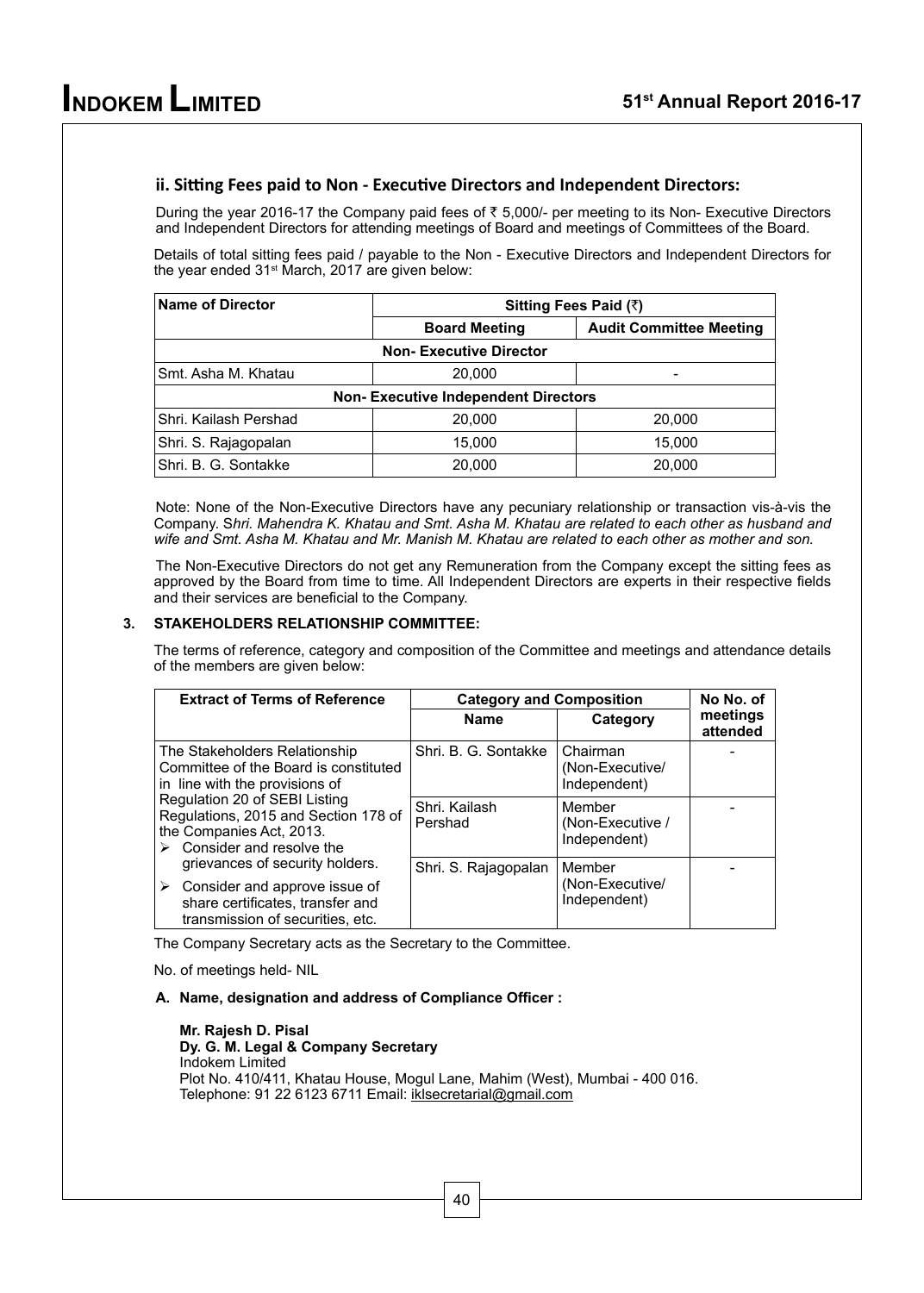# **ii. Sitting Fees paid to Non - Executive Directors and Independent Directors:**

During the year 2016-17 the Company paid fees of  $\bar{\tau}$  5,000/- per meeting to its Non- Executive Directors and Independent Directors for attending meetings of Board and meetings of Committees of the Board.

Details of total sitting fees paid / payable to the Non - Executive Directors and Independent Directors for the year ended 31<sup>st</sup> March, 2017 are given below:

| <b>Name of Director</b> | Sitting Fees Paid (₹)                      |                                |  |  |  |
|-------------------------|--------------------------------------------|--------------------------------|--|--|--|
|                         | <b>Board Meeting</b>                       | <b>Audit Committee Meeting</b> |  |  |  |
|                         | <b>Non-Executive Director</b>              |                                |  |  |  |
| Smt. Asha M. Khatau     | 20,000                                     |                                |  |  |  |
|                         | <b>Non-Executive Independent Directors</b> |                                |  |  |  |
| Shri, Kailash Pershad   | 20,000                                     | 20,000                         |  |  |  |
| Shri. S. Rajagopalan    | 15,000                                     | 15.000                         |  |  |  |
| Shri, B. G. Sontakke    | 20.000                                     | 20.000                         |  |  |  |

Note: None of the Non-Executive Directors have any pecuniary relationship or transaction vis-à-vis the Company. S*hri. Mahendra K. Khatau and Smt. Asha M. Khatau are related to each other as husband and wife and Smt. Asha M. Khatau and Mr. Manish M. Khatau are related to each other as mother and son.*

The Non-Executive Directors do not get any Remuneration from the Company except the sitting fees as approved by the Board from time to time. All Independent Directors are experts in their respective fields and their services are beneficial to the Company.

#### **3. STAKEHOLDERS RELATIONSHIP COMMITTEE:**

The terms of reference, category and composition of the Committee and meetings and attendance details of the members are given below:

| <b>Extract of Terms of Reference</b>                                                                                                           | <b>Category and Composition</b> |                                             | No No. of            |
|------------------------------------------------------------------------------------------------------------------------------------------------|---------------------------------|---------------------------------------------|----------------------|
|                                                                                                                                                | <b>Name</b>                     | Category                                    | meetings<br>attended |
| The Stakeholders Relationship<br>Committee of the Board is constituted<br>in line with the provisions of                                       | Shri, B. G. Sontakke            | Chairman<br>(Non-Executive/<br>Independent) |                      |
| Regulation 20 of SEBI Listing<br>Regulations, 2015 and Section 178 of<br>the Companies Act, 2013.<br>$\triangleright$ Consider and resolve the | Shri, Kailash<br>Pershad        | Member<br>(Non-Executive /<br>Independent)  |                      |
| grievances of security holders.<br>Consider and approve issue of<br>⋗<br>share certificates, transfer and<br>transmission of securities, etc.  | Shri. S. Rajagopalan            | Member<br>(Non-Executive/<br>Independent)   |                      |

The Company Secretary acts as the Secretary to the Committee.

No. of meetings held- NIL

#### **A. Name, designation and address of Compliance Officer :**

**Mr. Rajesh D. Pisal Dy. G. M. Legal & Company Secretary** Indokem Limited Plot No. 410/411, Khatau House, Mogul Lane, Mahim (West), Mumbai - 400 016. Telephone: 91 22 6123 6711 Email: iklsecretarial@gmail.com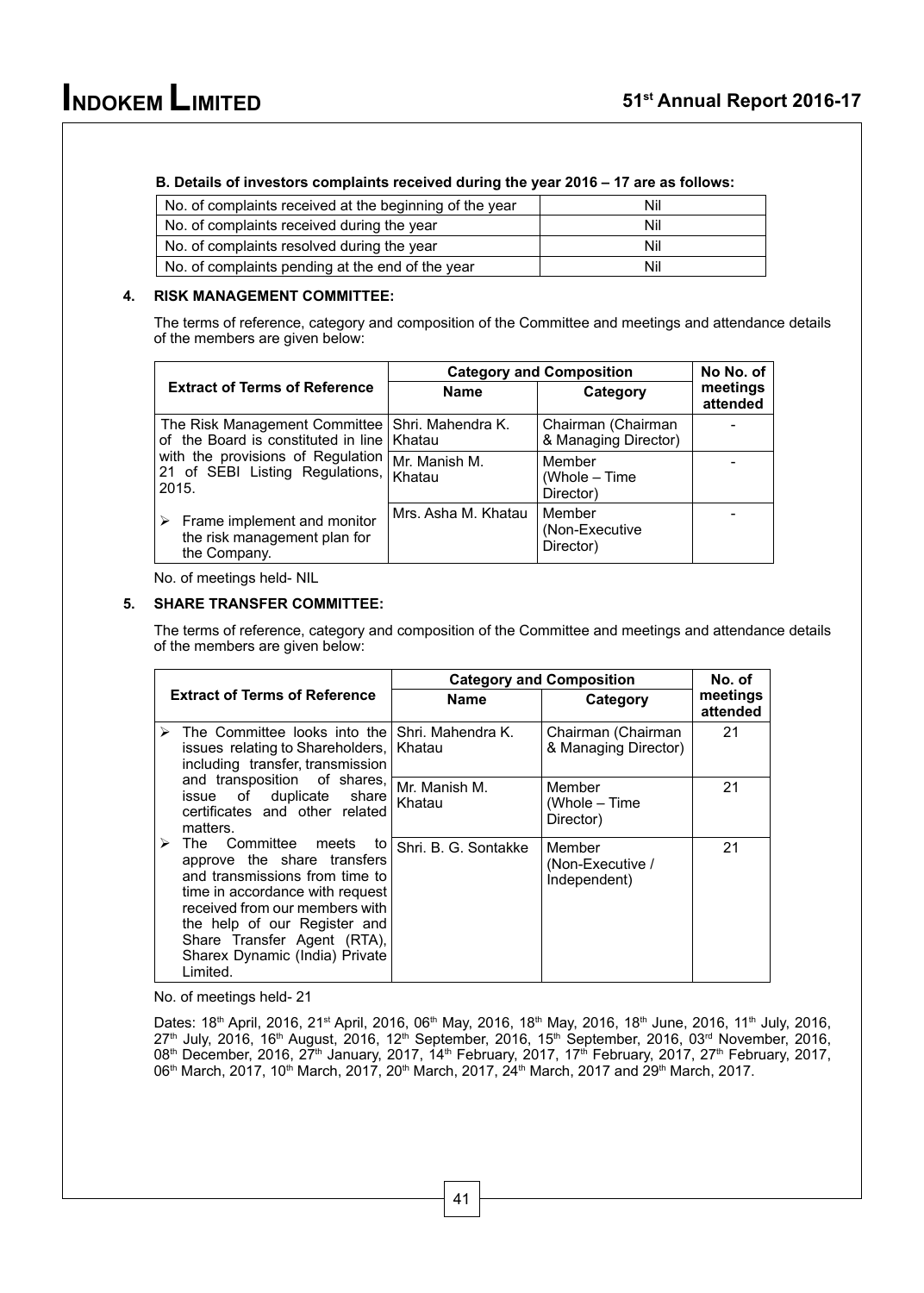# **B. Details of investors complaints received during the year 2016 – 17 are as follows:**

| No. of complaints received at the beginning of the year | Nil |
|---------------------------------------------------------|-----|
| No. of complaints received during the year              | Nil |
| No. of complaints resolved during the year              | Nil |
| No. of complaints pending at the end of the year        | Nil |

# **4. RISK MANAGEMENT COMMITTEE:**

The terms of reference, category and composition of the Committee and meetings and attendance details of the members are given below:

|                                                                               | <b>Category and Composition</b> | No No. of                                  |                      |
|-------------------------------------------------------------------------------|---------------------------------|--------------------------------------------|----------------------|
| <b>Extract of Terms of Reference</b>                                          | <b>Name</b>                     | Category                                   | meetings<br>attended |
| The Risk Management Committee<br>of the Board is constituted in line          | Shri, Mahendra K.<br>Khatau     | Chairman (Chairman<br>& Managing Director) |                      |
| with the provisions of Regulation<br>21 of SEBI Listing Regulations,<br>2015. | Mr. Manish M.<br>Khatau         | Member<br>(Whole – Time<br>Director)       |                      |
| Frame implement and monitor<br>the risk management plan for<br>the Company.   | Mrs. Asha M. Khatau             | Member<br>(Non-Executive<br>Director)      |                      |

No. of meetings held- NIL

#### **5. SHARE TRANSFER COMMITTEE:**

The terms of reference, category and composition of the Committee and meetings and attendance details of the members are given below:

| <b>Extract of Terms of Reference</b> |                                                                                                                                                                                                                                                                                | <b>Category and Composition</b> | No. of                                     |                      |
|--------------------------------------|--------------------------------------------------------------------------------------------------------------------------------------------------------------------------------------------------------------------------------------------------------------------------------|---------------------------------|--------------------------------------------|----------------------|
|                                      |                                                                                                                                                                                                                                                                                | <b>Name</b>                     | Category                                   | meetings<br>attended |
| $\triangleright$                     | The Committee looks into the Shri. Mahendra K.<br>issues relating to Shareholders, I<br>including transfer, transmission                                                                                                                                                       | Khatau                          | Chairman (Chairman<br>& Managing Director) | 21                   |
|                                      | and transposition of shares,<br>issue of duplicate share<br>certificates and other related<br>matters.                                                                                                                                                                         | Mr. Manish M.<br>Khatau         | Member<br>(Whole – Time<br>Director)       | 21                   |
| ➤                                    | The Committee meets<br>to l<br>approve the share transfers<br>and transmissions from time to<br>time in accordance with request<br>received from our members with<br>the help of our Register and<br>Share Transfer Agent (RTA),<br>Sharex Dynamic (India) Private<br>Limited. | Shri, B. G. Sontakke            | Member<br>(Non-Executive /<br>Independent) | 21                   |

No. of meetings held- 21

Dates: 18<sup>th</sup> April, 2016, 21<sup>st</sup> April, 2016, 06<sup>th</sup> May, 2016, 18<sup>th</sup> May, 2016, 18<sup>th</sup> June, 2016, 11<sup>th</sup> July, 2016, 27<sup>th</sup> July, 2016, 16<sup>th</sup> August, 2016, 12<sup>th</sup> September, 2016, 15<sup>th</sup> September, 2016, 03<sup>rd</sup> November, 2016, 08<sup>th</sup> December, 2016, 27<sup>th</sup> January, 2017, 14<sup>th</sup> February, 2017, 17<sup>th</sup> February, 2017, 27<sup>th</sup> February, 2017, 06<sup>th</sup> March, 2017, 10<sup>th</sup> March, 2017, 20<sup>th</sup> March, 2017, 24<sup>th</sup> March, 2017 and 29<sup>th</sup> March, 2017.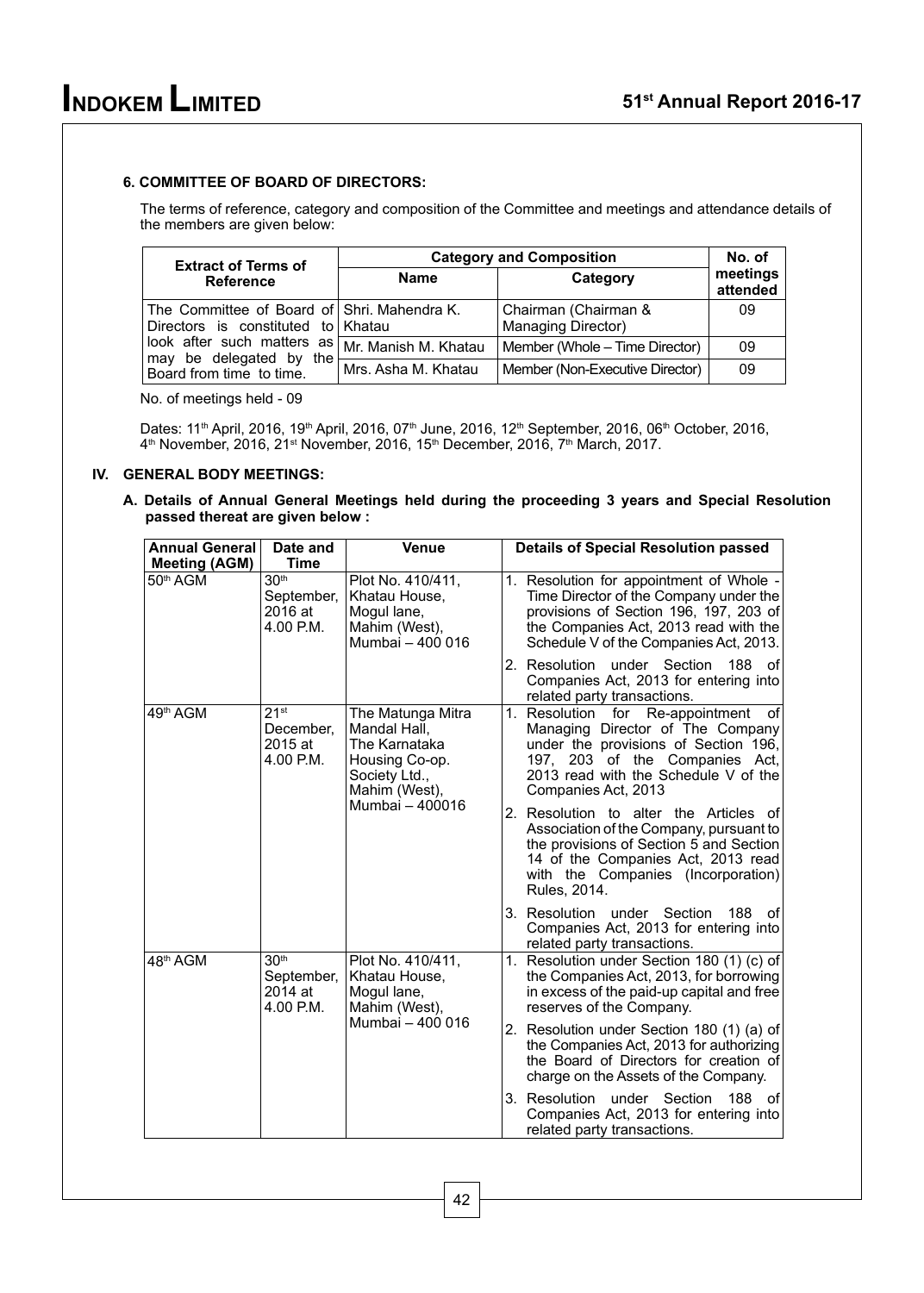#### **6. COMMITTEE OF BOARD OF DIRECTORS:**

The terms of reference, category and composition of the Committee and meetings and attendance details of the members are given below:

| <b>Extract of Terms of</b>                                                                      | <b>Category and Composition</b> | No. of                                     |                      |
|-------------------------------------------------------------------------------------------------|---------------------------------|--------------------------------------------|----------------------|
| Reference                                                                                       | <b>Name</b>                     | Category                                   | meetings<br>attended |
| The Committee of Board of Shri. Mahendra K.<br>Directors is constituted to Khatau               |                                 | Chairman (Chairman &<br>Managing Director) | 09                   |
| look after such matters as $\sqrt{\phantom{a}}$ Mr. Manish M. Khatau<br>may be delegated by the |                                 | Member (Whole – Time Director)             | 09                   |
| Board from time to time.                                                                        | Mrs. Asha M. Khatau             | Member (Non-Executive Director)            | 09                   |

No. of meetings held - 09

Dates: 11<sup>th</sup> April, 2016, 19<sup>th</sup> April, 2016, 07<sup>th</sup> June, 2016, 12<sup>th</sup> September, 2016, 06<sup>th</sup> October, 2016, 4<sup>th</sup> November, 2016, 21<sup>st</sup> November, 2016, 15<sup>th</sup> December, 2016, 7<sup>th</sup> March, 2017.

#### **IV. GENERAL BODY MEETINGS:**

**A. Details of Annual General Meetings held during the proceeding 3 years and Special Resolution passed thereat are given below :**

| <b>Annual General</b><br><b>Meeting (AGM)</b> | Date and<br><b>Time</b>                                                                                                                                                 | <b>Venue</b>                                                                                                                                                  | <b>Details of Special Resolution passed</b>                                                                                                                                                                               |
|-----------------------------------------------|-------------------------------------------------------------------------------------------------------------------------------------------------------------------------|---------------------------------------------------------------------------------------------------------------------------------------------------------------|---------------------------------------------------------------------------------------------------------------------------------------------------------------------------------------------------------------------------|
| 50 <sup>th</sup> AGM                          | 30 <sup>th</sup><br>September,<br>2016 at<br>4.00 P.M.                                                                                                                  | Plot No. 410/411.<br>Khatau House.<br>Mogul lane,<br>Mahim (West),<br>Mumbai - 400 016                                                                        | 1. Resolution for appointment of Whole -<br>Time Director of the Company under the<br>provisions of Section 196, 197, 203 of<br>the Companies Act, 2013 read with the<br>Schedule V of the Companies Act, 2013.           |
|                                               |                                                                                                                                                                         |                                                                                                                                                               | 2. Resolution under Section<br>188<br>οf<br>Companies Act, 2013 for entering into<br>related party transactions.                                                                                                          |
| 49th AGM                                      | 21 <sup>st</sup><br>December.<br>2015 at<br>4.00 P.M.                                                                                                                   | The Matunga Mitra<br>Mandal Hall.<br>The Karnataka<br>Housing Co-op.<br>Society Ltd.,<br>Mahim (West),                                                        | 1. Resolution<br>for<br>Re-appointment<br>οf<br>Managing Director of The Company<br>under the provisions of Section 196,<br>197, 203 of the Companies Act,<br>2013 read with the Schedule V of the<br>Companies Act, 2013 |
|                                               |                                                                                                                                                                         | Mumbai - 400016                                                                                                                                               | 2. Resolution to alter the Articles of<br>Association of the Company, pursuant to<br>the provisions of Section 5 and Section<br>14 of the Companies Act, 2013 read<br>with the Companies (Incorporation)<br>Rules, 2014.  |
|                                               |                                                                                                                                                                         |                                                                                                                                                               | 3. Resolution<br>under Section<br>188<br>οf<br>Companies Act, 2013 for entering into<br>related party transactions.                                                                                                       |
| 48 <sup>th</sup> AGM                          | 30 <sup>th</sup><br>Plot No. 410/411,<br>September,<br>Khatau House,<br>2014 at<br>Mogul lane,<br>4.00 P.M.<br>Mahim (West),                                            | 1. Resolution under Section 180 (1) (c) of<br>the Companies Act, 2013, for borrowing<br>in excess of the paid-up capital and free<br>reserves of the Company. |                                                                                                                                                                                                                           |
| Mumbai - 400 016                              | 2. Resolution under Section 180 (1) (a) of<br>the Companies Act, 2013 for authorizing<br>the Board of Directors for creation of<br>charge on the Assets of the Company. |                                                                                                                                                               |                                                                                                                                                                                                                           |
|                                               |                                                                                                                                                                         |                                                                                                                                                               | under Section<br>3. Resolution<br>188<br>ofl<br>Companies Act, 2013 for entering into<br>related party transactions.                                                                                                      |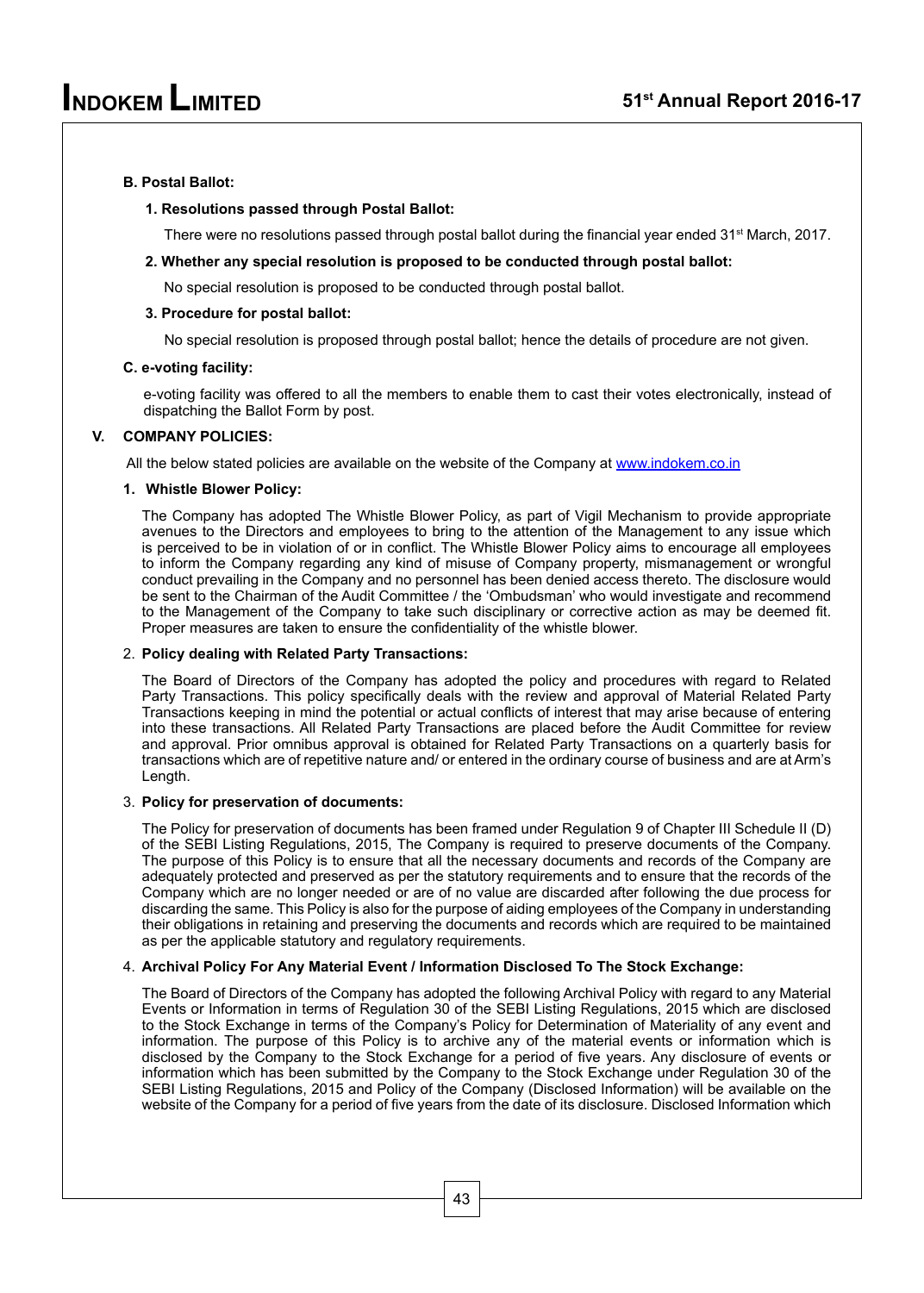# **B. Postal Ballot:**

### **1. Resolutions passed through Postal Ballot:**

There were no resolutions passed through postal ballot during the financial year ended 31<sup>st</sup> March, 2017.

### **2. Whether any special resolution is proposed to be conducted through postal ballot:**

No special resolution is proposed to be conducted through postal ballot.

### **3. Procedure for postal ballot:**

No special resolution is proposed through postal ballot; hence the details of procedure are not given.

# **C. e-voting facility:**

e-voting facility was offered to all the members to enable them to cast their votes electronically, instead of dispatching the Ballot Form by post.

# **V. COMPANY POLICIES:**

All the below stated policies are available on the website of the Company at www.indokem.co.in

# **1. Whistle Blower Policy:**

The Company has adopted The Whistle Blower Policy, as part of Vigil Mechanism to provide appropriate avenues to the Directors and employees to bring to the attention of the Management to any issue which is perceived to be in violation of or in conflict. The Whistle Blower Policy aims to encourage all employees to inform the Company regarding any kind of misuse of Company property, mismanagement or wrongful conduct prevailing in the Company and no personnel has been denied access thereto. The disclosure would be sent to the Chairman of the Audit Committee / the 'Ombudsman' who would investigate and recommend to the Management of the Company to take such disciplinary or corrective action as may be deemed fit. Proper measures are taken to ensure the confidentiality of the whistle blower.

#### 2. **Policy dealing with Related Party Transactions:**

The Board of Directors of the Company has adopted the policy and procedures with regard to Related Party Transactions. This policy specifically deals with the review and approval of Material Related Party Transactions keeping in mind the potential or actual conflicts of interest that may arise because of entering into these transactions. All Related Party Transactions are placed before the Audit Committee for review and approval. Prior omnibus approval is obtained for Related Party Transactions on a quarterly basis for transactions which are of repetitive nature and/ or entered in the ordinary course of business and are at Arm's Length.

### 3. **Policy for preservation of documents:**

The Policy for preservation of documents has been framed under Regulation 9 of Chapter III Schedule II (D) of the SEBI Listing Regulations, 2015, The Company is required to preserve documents of the Company. The purpose of this Policy is to ensure that all the necessary documents and records of the Company are adequately protected and preserved as per the statutory requirements and to ensure that the records of the Company which are no longer needed or are of no value are discarded after following the due process for discarding the same. This Policy is also for the purpose of aiding employees of the Company in understanding their obligations in retaining and preserving the documents and records which are required to be maintained as per the applicable statutory and regulatory requirements.

#### 4. **Archival Policy For Any Material Event / Information Disclosed To The Stock Exchange:**

The Board of Directors of the Company has adopted the following Archival Policy with regard to any Material Events or Information in terms of Regulation 30 of the SEBI Listing Regulations, 2015 which are disclosed to the Stock Exchange in terms of the Company's Policy for Determination of Materiality of any event and information. The purpose of this Policy is to archive any of the material events or information which is disclosed by the Company to the Stock Exchange for a period of five years. Any disclosure of events or information which has been submitted by the Company to the Stock Exchange under Regulation 30 of the SEBI Listing Regulations, 2015 and Policy of the Company (Disclosed Information) will be available on the website of the Company for a period of five years from the date of its disclosure. Disclosed Information which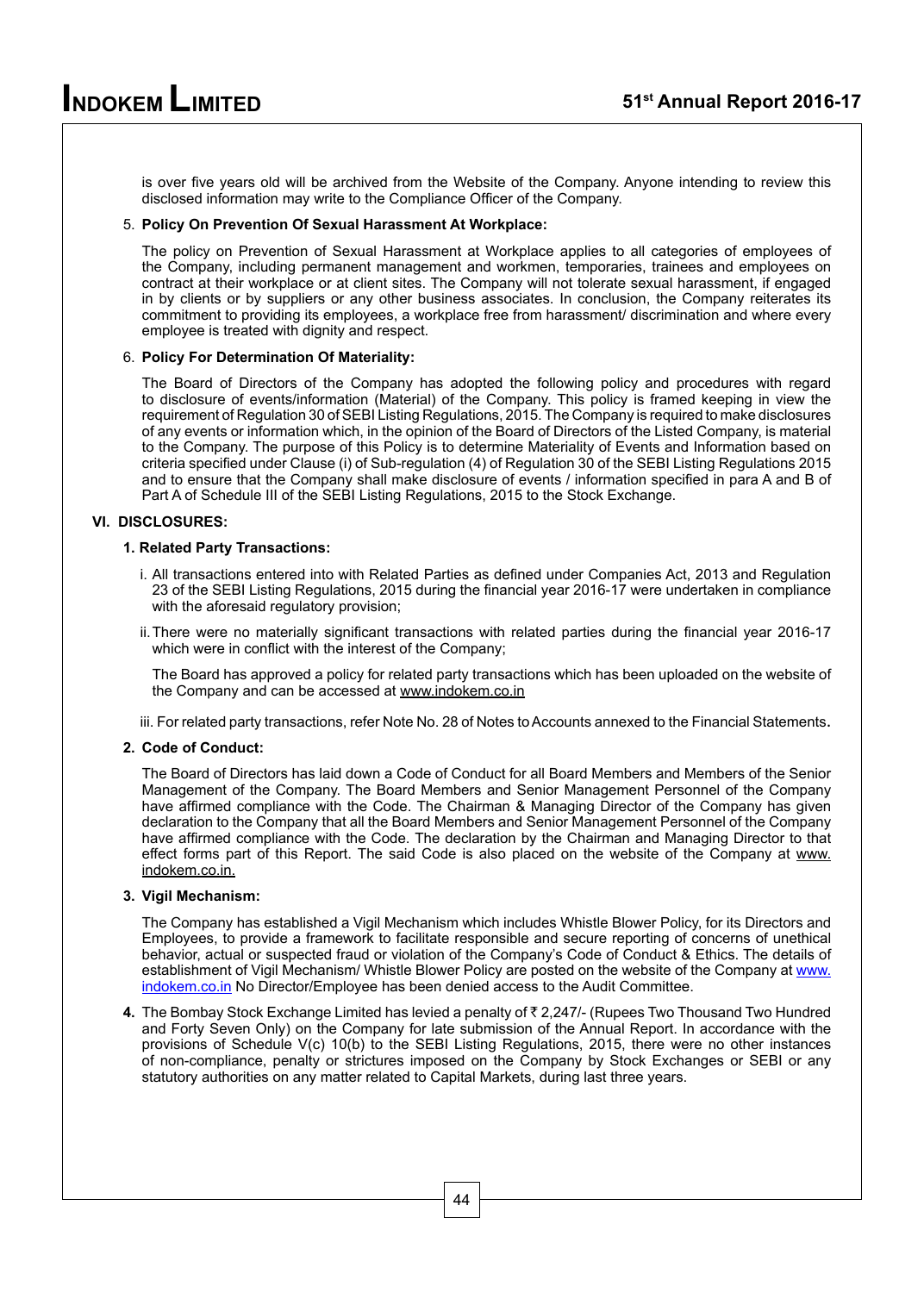is over five years old will be archived from the Website of the Company. Anyone intending to review this disclosed information may write to the Compliance Officer of the Company.

#### 5. **Policy On Prevention Of Sexual Harassment At Workplace:**

The policy on Prevention of Sexual Harassment at Workplace applies to all categories of employees of the Company, including permanent management and workmen, temporaries, trainees and employees on contract at their workplace or at client sites. The Company will not tolerate sexual harassment, if engaged in by clients or by suppliers or any other business associates. In conclusion, the Company reiterates its commitment to providing its employees, a workplace free from harassment/ discrimination and where every employee is treated with dignity and respect.

#### 6. **Policy For Determination Of Materiality:**

The Board of Directors of the Company has adopted the following policy and procedures with regard to disclosure of events/information (Material) of the Company. This policy is framed keeping in view the requirement of Regulation 30 of SEBI Listing Regulations, 2015. The Company is required to make disclosures of any events or information which, in the opinion of the Board of Directors of the Listed Company, is material to the Company. The purpose of this Policy is to determine Materiality of Events and Information based on criteria specified under Clause (i) of Sub-regulation (4) of Regulation 30 of the SEBI Listing Regulations 2015 and to ensure that the Company shall make disclosure of events / information specified in para A and B of Part A of Schedule III of the SEBI Listing Regulations, 2015 to the Stock Exchange.

#### **VI. DISCLOSURES:**

### **1. Related Party Transactions:**

- i. All transactions entered into with Related Parties as defined under Companies Act, 2013 and Regulation 23 of the SEBI Listing Regulations, 2015 during the financial year 2016-17 were undertaken in compliance with the aforesaid regulatory provision;
- ii.There were no materially significant transactions with related parties during the financial year 2016-17 which were in conflict with the interest of the Company;

The Board has approved a policy for related party transactions which has been uploaded on the website of the Company and can be accessed at www.indokem.co.in

iii. For related party transactions, refer Note No. 28 of Notes to Accounts annexed to the Financial Statements.

#### **2. Code of Conduct:**

The Board of Directors has laid down a Code of Conduct for all Board Members and Members of the Senior Management of the Company. The Board Members and Senior Management Personnel of the Company have affirmed compliance with the Code. The Chairman & Managing Director of the Company has given declaration to the Company that all the Board Members and Senior Management Personnel of the Company have affirmed compliance with the Code. The declaration by the Chairman and Managing Director to that effect forms part of this Report. The said Code is also placed on the website of the Company at www. indokem.co.in.

# **3. Vigil Mechanism:**

The Company has established a Vigil Mechanism which includes Whistle Blower Policy, for its Directors and Employees, to provide a framework to facilitate responsible and secure reporting of concerns of unethical behavior, actual or suspected fraud or violation of the Company's Code of Conduct & Ethics. The details of establishment of Vigil Mechanism/ Whistle Blower Policy are posted on the website of the Company at www. indokem.co.in No Director/Employee has been denied access to the Audit Committee.

**4.** The Bombay Stock Exchange Limited has levied a penalty of ₹ 2,247/- (Rupees Two Thousand Two Hundred and Forty Seven Only) on the Company for late submission of the Annual Report. In accordance with the provisions of Schedule V(c) 10(b) to the SEBI Listing Regulations, 2015, there were no other instances of non-compliance, penalty or strictures imposed on the Company by Stock Exchanges or SEBI or any statutory authorities on any matter related to Capital Markets, during last three years.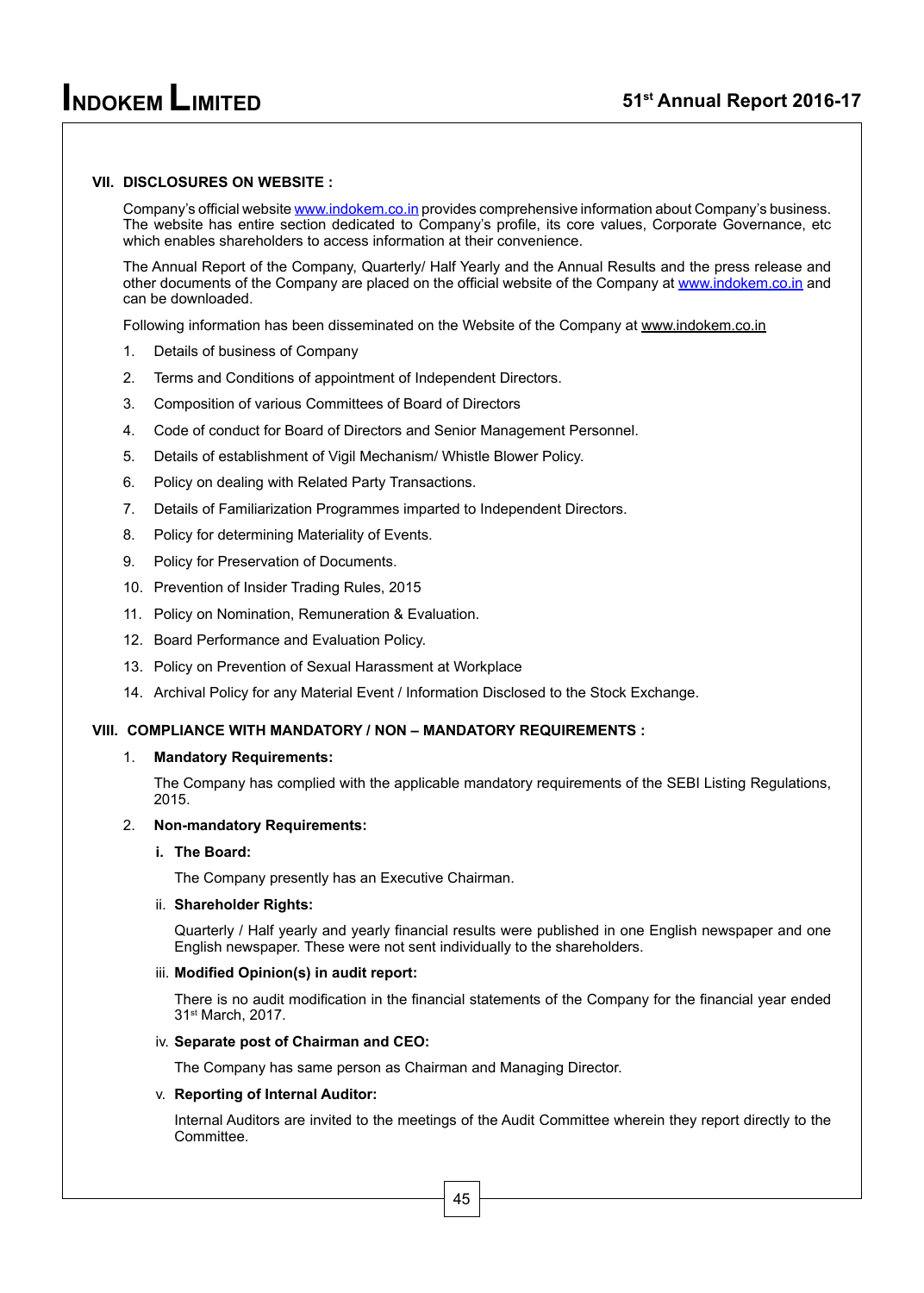#### **VII. DISCLOSURES ON WEBSITE :**

Company's official website www.indokem.co.in provides comprehensive information about Company's business. The website has entire section dedicated to Company's profile, its core values, Corporate Governance, etc which enables shareholders to access information at their convenience.

The Annual Report of the Company, Quarterly/ Half Yearly and the Annual Results and the press release and other documents of the Company are placed on the official website of the Company at www.indokem.co.in and can be downloaded.

Following information has been disseminated on the Website of the Company at www.indokem.co.in

- 1. Details of business of Company
- 2. Terms and Conditions of appointment of Independent Directors.
- 3. Composition of various Committees of Board of Directors
- 4. Code of conduct for Board of Directors and Senior Management Personnel.
- 5. Details of establishment of Vigil Mechanism/ Whistle Blower Policy.
- 6. Policy on dealing with Related Party Transactions.
- 7. Details of Familiarization Programmes imparted to Independent Directors.
- 8. Policy for determining Materiality of Events.
- 9. Policy for Preservation of Documents.
- 10. Prevention of Insider Trading Rules, 2015
- 11. Policy on Nomination, Remuneration & Evaluation.
- 12. Board Performance and Evaluation Policy.
- 13. Policy on Prevention of Sexual Harassment at Workplace
- 14. Archival Policy for any Material Event / Information Disclosed to the Stock Exchange.

#### **VIII. COMPLIANCE WITH MANDATORY / NON – MANDATORY REQUIREMENTS :**

#### 1. **Mandatory Requirements:**

The Company has complied with the applicable mandatory requirements of the SEBI Listing Regulations, 2015.

#### 2. **Non-mandatory Requirements:**

#### **i. The Board:**

The Company presently has an Executive Chairman.

#### ii. **Shareholder Rights:**

Quarterly / Half yearly and yearly financial results were published in one English newspaper and one English newspaper. These were not sent individually to the shareholders.

#### iii. **Modified Opinion(s) in audit report:**

There is no audit modification in the financial statements of the Company for the financial year ended 31st March, 2017.

#### iv. **Separate post of Chairman and CEO:**

The Company has same person as Chairman and Managing Director.

#### v. **Reporting of Internal Auditor:**

Internal Auditors are invited to the meetings of the Audit Committee wherein they report directly to the Committee.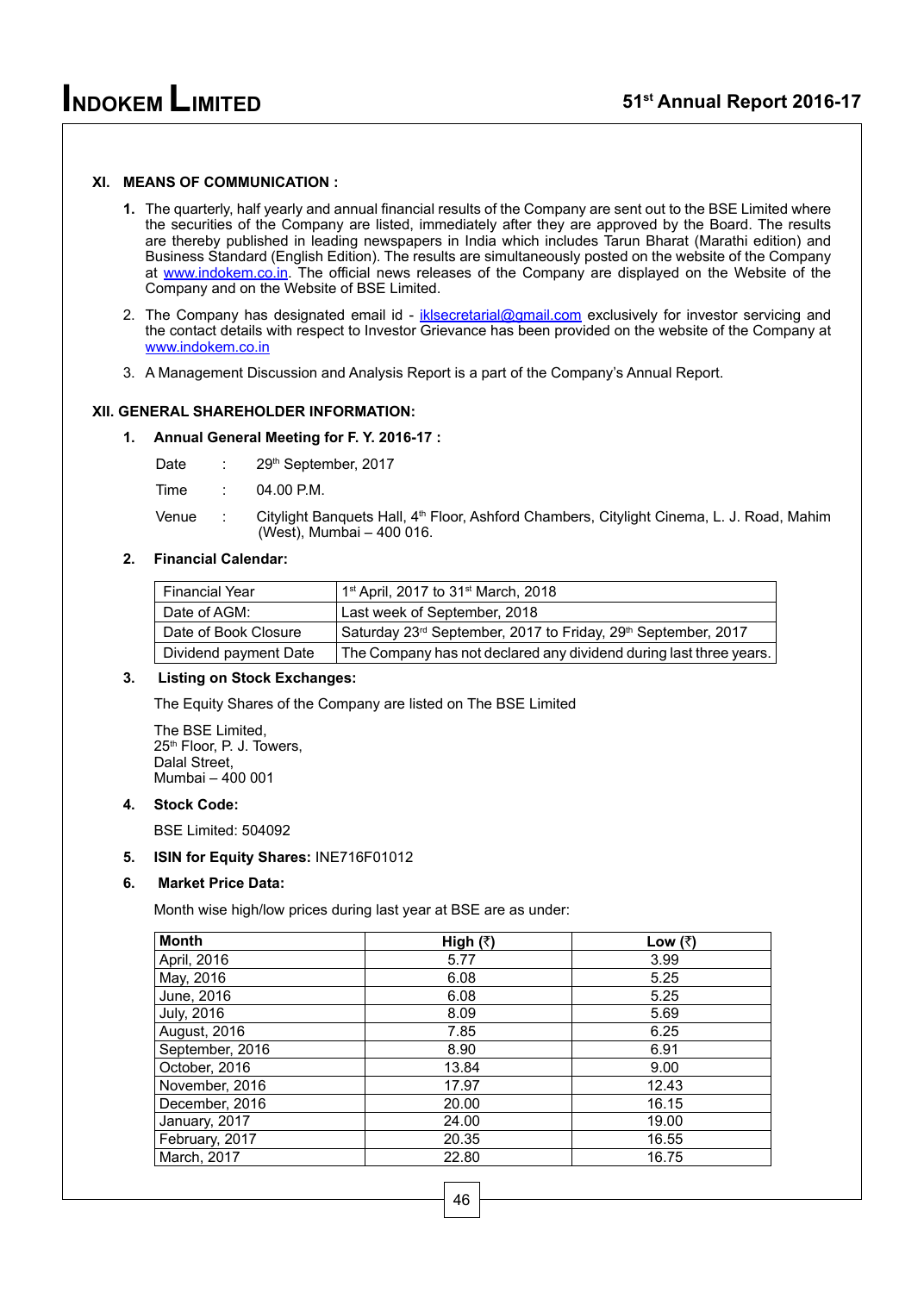#### **XI. MEANS OF COMMUNICATION :**

- **1.** The quarterly, half yearly and annual financial results of the Company are sent out to the BSE Limited where the securities of the Company are listed, immediately after they are approved by the Board. The results are thereby published in leading newspapers in India which includes Tarun Bharat (Marathi edition) and Business Standard (English Edition). The results are simultaneously posted on the website of the Company at www.indokem.co.in. The official news releases of the Company are displayed on the Website of the Company and on the Website of BSE Limited.
- 2. The Company has designated email id *iklsecretarial@gmail.com exclusively for investor servicing and* the contact details with respect to Investor Grievance has been provided on the website of the Company at www.indokem.co.in
- 3. A Management Discussion and Analysis Report is a part of the Company's Annual Report.

#### **XII. GENERAL SHAREHOLDER INFORMATION:**

#### **1. Annual General Meeting for F. Y. 2016-17 :**

Date : 29th September, 2017

Time : 04.00 P.M.

Venue : Citylight Banquets Hall, 4th Floor, Ashford Chambers, Citylight Cinema, L. J. Road, Mahim (West), Mumbai – 400 016.

#### **2. Financial Calendar:**

| <b>Financial Year</b> | 1 <sup>st</sup> April, 2017 to 31 <sup>st</sup> March, 2018                           |
|-----------------------|---------------------------------------------------------------------------------------|
| Date of AGM:          | Last week of September, 2018                                                          |
| Date of Book Closure  | Saturday 23 <sup>rd</sup> September, 2017 to Friday, 29 <sup>th</sup> September, 2017 |
| Dividend payment Date | The Company has not declared any dividend during last three years.                    |

#### **3. Listing on Stock Exchanges:**

The Equity Shares of the Company are listed on The BSE Limited

The BSE Limited, 25<sup>th</sup> Floor, P. J. Towers, Dalal Street, Mumbai – 400 001

### **4. Stock Code:**

BSE Limited: 504092

#### **5. ISIN for Equity Shares:** INE716F01012

#### **6. Market Price Data:**

Month wise high/low prices during last year at BSE are as under:

| Month           | High $(3)$ | Low (₹) |
|-----------------|------------|---------|
| April, 2016     | 5.77       | 3.99    |
| May, 2016       | 6.08       | 5.25    |
| June, 2016      | 6.08       | 5.25    |
| July, 2016      | 8.09       | 5.69    |
| August, 2016    | 7.85       | 6.25    |
| September, 2016 | 8.90       | 6.91    |
| October, 2016   | 13.84      | 9.00    |
| November, 2016  | 17.97      | 12.43   |
| December, 2016  | 20.00      | 16.15   |
| January, 2017   | 24.00      | 19.00   |
| February, 2017  | 20.35      | 16.55   |
| March, 2017     | 22.80      | 16.75   |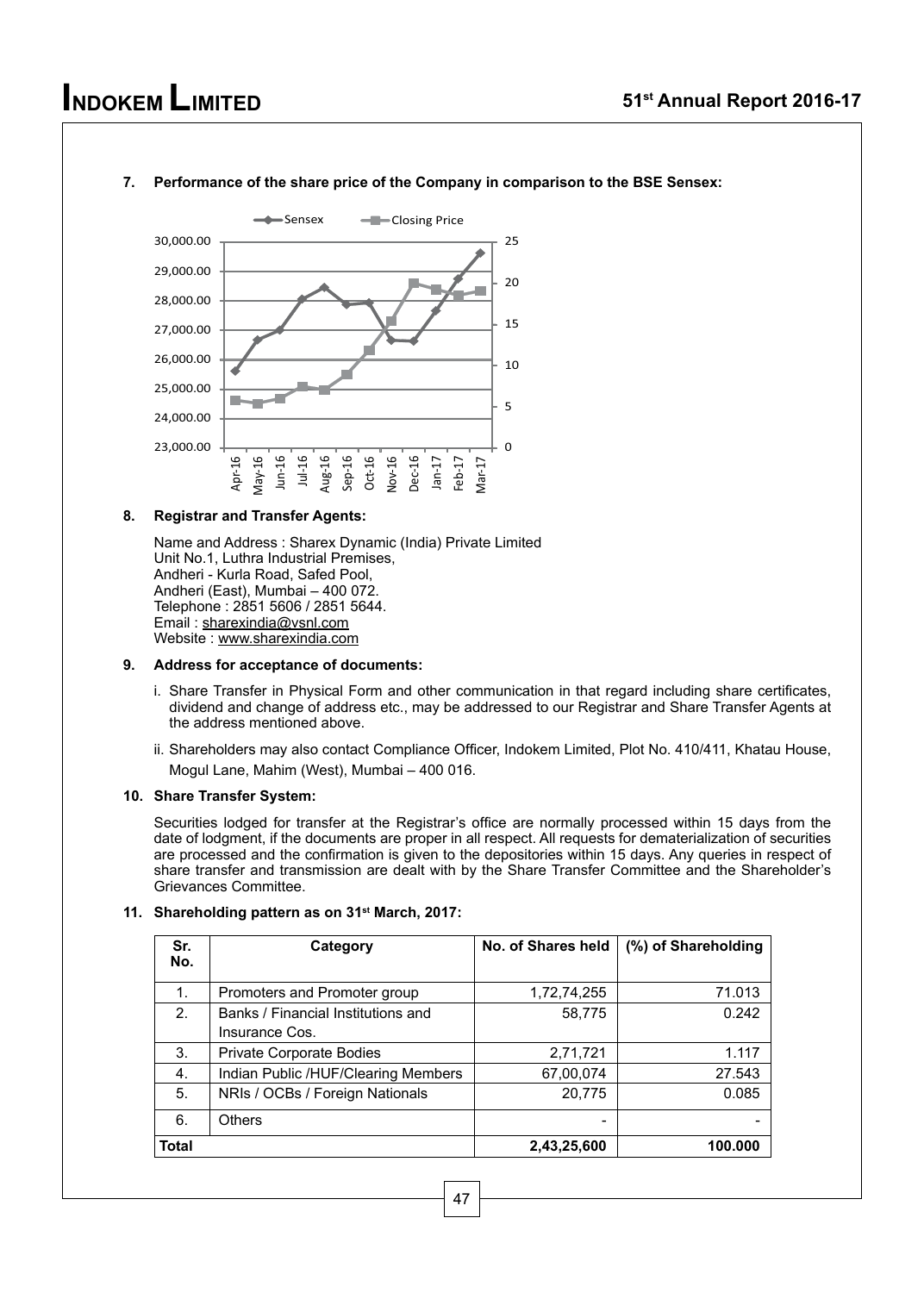# **INDOKEM LIMITED 1999 12016-17**



# **7. Performance of the share price of the Company in comparison to the BSE Sensex:**

#### **8. Registrar and Transfer Agents:**

Name and Address : Sharex Dynamic (India) Private Limited Unit No.1, Luthra Industrial Premises, Andheri - Kurla Road, Safed Pool, Andheri (East), Mumbai – 400 072. Telephone : 2851 5606 / 2851 5644. Email : sharexindia@vsnl.com Website : www.sharexindia.com

## **9. Address for acceptance of documents:**

- i. Share Transfer in Physical Form and other communication in that regard including share certificates, dividend and change of address etc., may be addressed to our Registrar and Share Transfer Agents at the address mentioned above.
- ii. Shareholders may also contact Compliance Officer, Indokem Limited, Plot No. 410/411, Khatau House, Mogul Lane, Mahim (West), Mumbai – 400 016.

#### **10. Share Transfer System:**

Securities lodged for transfer at the Registrar's office are normally processed within 15 days from the date of lodgment, if the documents are proper in all respect. All requests for dematerialization of securities are processed and the confirmation is given to the depositories within 15 days. Any queries in respect of share transfer and transmission are dealt with by the Share Transfer Committee and the Shareholder's Grievances Committee.

#### **11. Shareholding pattern as on 31st March, 2017:**

| Sr.<br>No.   | Category                                             | No. of Shares held | (%) of Shareholding |
|--------------|------------------------------------------------------|--------------------|---------------------|
| 1.           | Promoters and Promoter group                         | 1,72,74,255        | 71.013              |
| 2.           | Banks / Financial Institutions and<br>Insurance Cos. | 58,775             | 0.242               |
| 3.           | Private Corporate Bodies                             | 2,71,721           | 1.117               |
| 4.           | Indian Public /HUF/Clearing Members                  | 67,00,074          | 27.543              |
| 5.           | NRIs / OCBs / Foreign Nationals                      | 20.775             | 0.085               |
| 6.           | Others                                               |                    |                     |
| <b>Total</b> |                                                      | 2,43,25,600        | 100.000             |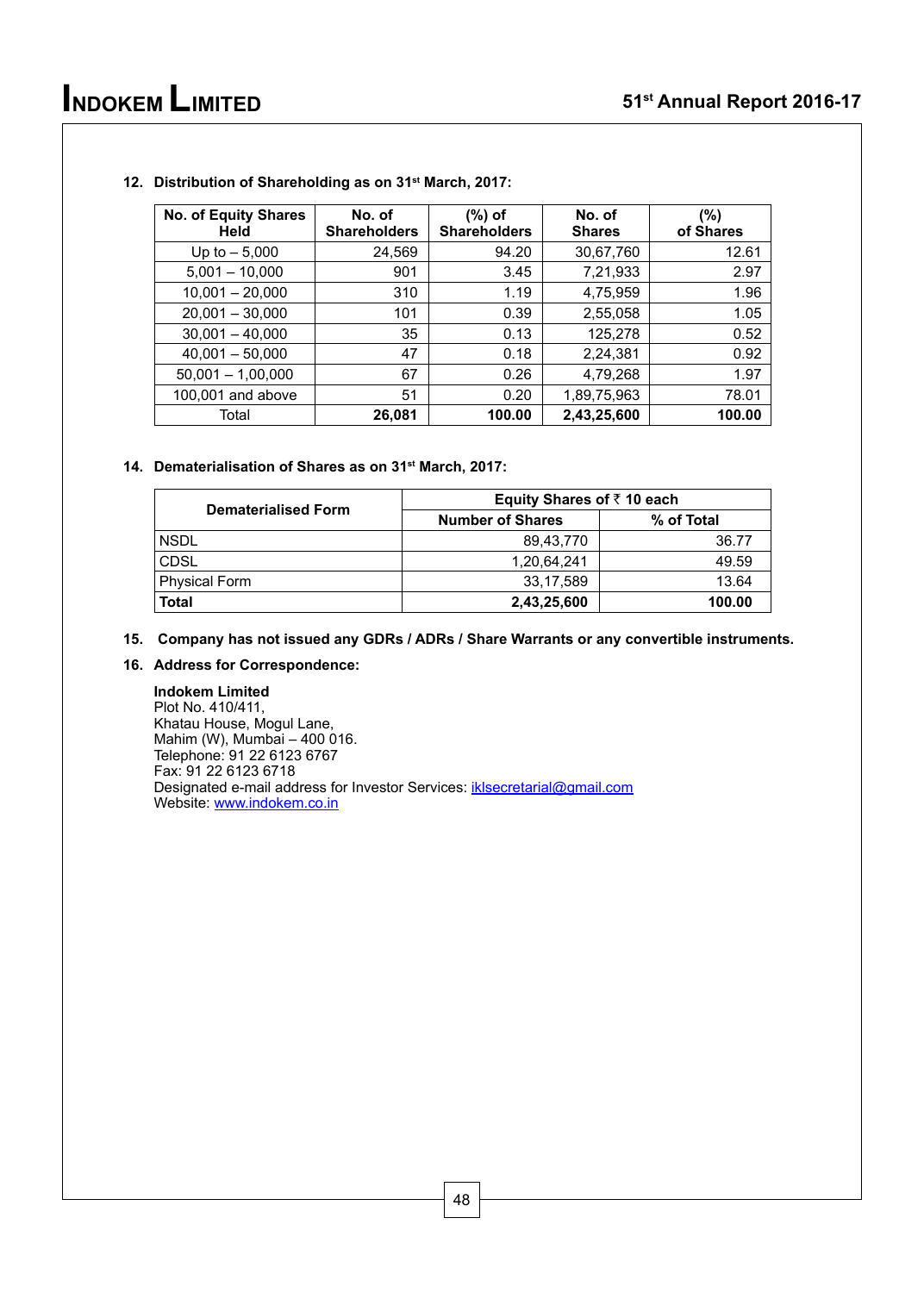# **INDOKEM LIMITED** 51st Annual Report 2016-17

| <b>No. of Equity Shares</b><br>Held | No. of<br><b>Shareholders</b> | (%) of<br><b>Shareholders</b> | No. of<br><b>Shares</b> | (%)<br>of Shares |
|-------------------------------------|-------------------------------|-------------------------------|-------------------------|------------------|
| Up to $-5,000$                      | 24,569                        | 94.20                         | 30,67,760               | 12.61            |
| $5,001 - 10,000$                    | 901                           | 3.45                          | 7,21,933                | 2.97             |
| $10,001 - 20,000$                   | 310                           | 1.19                          | 4,75,959                | 1.96             |
| $20,001 - 30,000$                   | 101                           | 0.39                          | 2,55,058                | 1.05             |
| $30,001 - 40,000$                   | 35                            | 0.13                          | 125,278                 | 0.52             |
| $40,001 - 50,000$                   | 47                            | 0.18                          | 2,24,381                | 0.92             |
| $50,001 - 1,00,000$                 | 67                            | 0.26                          | 4,79,268                | 1.97             |
| 100,001 and above                   | 51                            | 0.20                          | 1,89,75,963             | 78.01            |
| Total                               | 26,081                        | 100.00                        | 2,43,25,600             | 100.00           |

# **12. Distribution of Shareholding as on 31st March, 2017:**

# **14. Dematerialisation of Shares as on 31st March, 2017:**

| <b>Dematerialised Form</b> | Equity Shares of $\bar{\tau}$ 10 each |            |  |  |
|----------------------------|---------------------------------------|------------|--|--|
|                            | <b>Number of Shares</b>               | % of Total |  |  |
| <b>NSDL</b>                | 89.43.770                             | 36.77      |  |  |
| <b>CDSL</b>                | 1.20.64.241                           | 49.59      |  |  |
| <b>Physical Form</b>       | 33.17.589                             | 13.64      |  |  |
| Total                      | 2,43,25,600                           | 100.00     |  |  |

#### **15. Company has not issued any GDRs / ADRs / Share Warrants or any convertible instruments.**

#### **16. Address for Correspondence:**

# **Indokem Limited**

Plot No. 410/411, Khatau House, Mogul Lane, Mahim (W), Mumbai – 400 016. Telephone: 91 22 6123 6767 Fax: 91 22 6123 6718 Designated e-mail address for Investor Services: iklsecretarial@gmail.com Website: www.indokem.co.in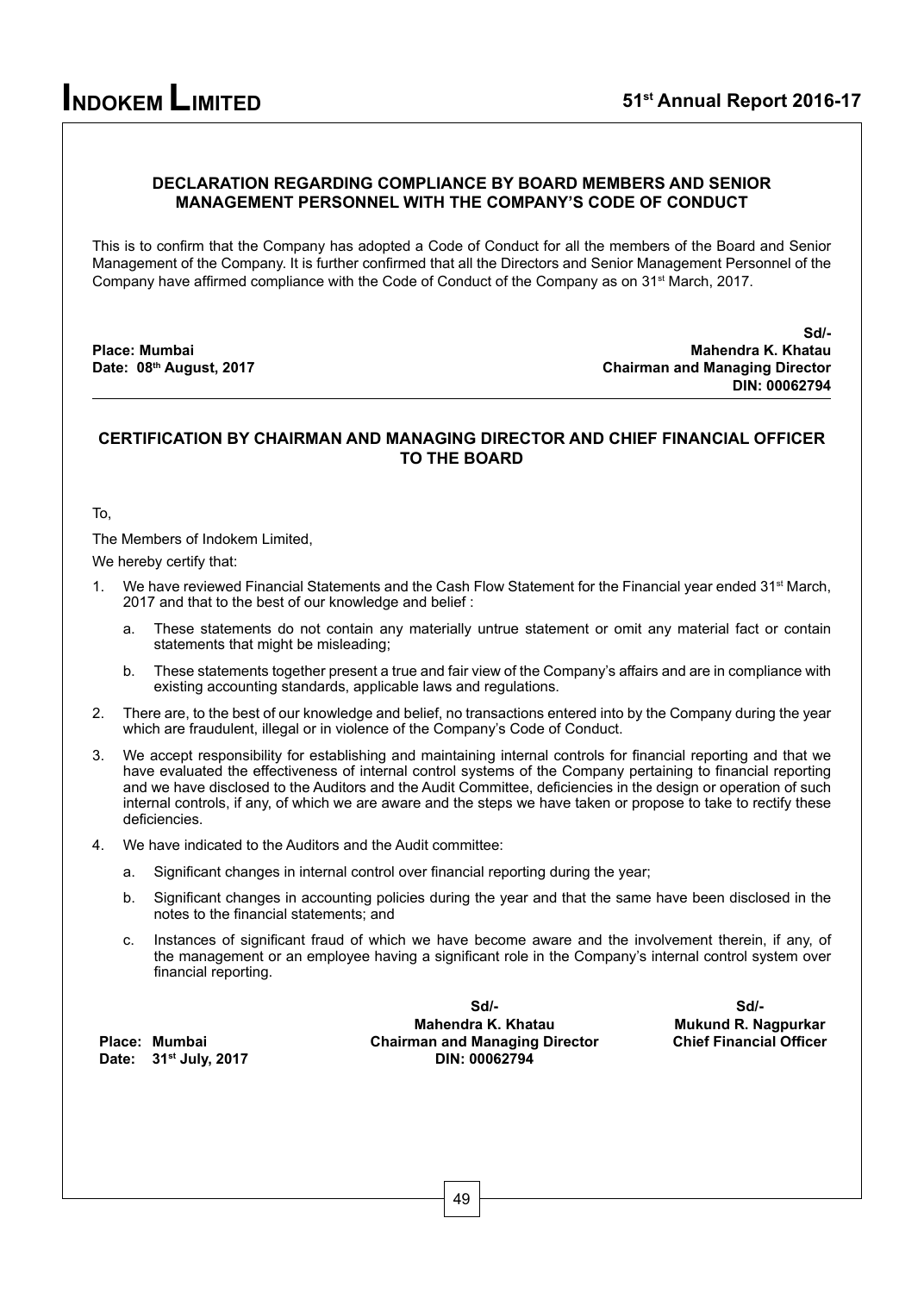# **DECLARATION REGARDING COMPLIANCE BY BOARD MEMBERS AND SENIOR MANAGEMENT PERSONNEL WITH THE COMPANY'S CODE OF CONDUCT**

This is to confirm that the Company has adopted a Code of Conduct for all the members of the Board and Senior Management of the Company. It is further confirmed that all the Directors and Senior Management Personnel of the Company have affirmed compliance with the Code of Conduct of the Company as on 31<sup>st</sup> March, 2017.

 **Sd/-** Place: Mumbai **Mahendra K. Khatau (1998)**<br>Date: 08<sup>th</sup> August, 2017 **Mahendra K. Khatau (1998) Date: 08th August, 2017 Chairman and Managing Director DIN: 00062794**

# **CERTIFICATION BY CHAIRMAN AND MANAGING DIRECTOR AND CHIEF FINANCIAL OFFICER TO THE BOARD**

To,

The Members of Indokem Limited,

We hereby certify that:

- 1. We have reviewed Financial Statements and the Cash Flow Statement for the Financial year ended 31<sup>st</sup> March, 2017 and that to the best of our knowledge and belief :
	- a. These statements do not contain any materially untrue statement or omit any material fact or contain statements that might be misleading;
	- b. These statements together present a true and fair view of the Company's affairs and are in compliance with existing accounting standards, applicable laws and regulations.
- 2. There are, to the best of our knowledge and belief, no transactions entered into by the Company during the year which are fraudulent, illegal or in violence of the Company's Code of Conduct.
- 3. We accept responsibility for establishing and maintaining internal controls for financial reporting and that we have evaluated the effectiveness of internal control systems of the Company pertaining to financial reporting and we have disclosed to the Auditors and the Audit Committee, deficiencies in the design or operation of such internal controls, if any, of which we are aware and the steps we have taken or propose to take to rectify these deficiencies.
- 4. We have indicated to the Auditors and the Audit committee:
	- a. Significant changes in internal control over financial reporting during the year;
	- b. Significant changes in accounting policies during the year and that the same have been disclosed in the notes to the financial statements; and
	- c. Instances of significant fraud of which we have become aware and the involvement therein, if any, of the management or an employee having a significant role in the Company's internal control system over financial reporting.

**Place: Mumbai Date: 31st July, 2017**

**Sd/- Mahendra K. Khatau Chairman and Managing Director DIN: 00062794**

**Sd/- Mukund R. Nagpurkar Chief Financial Officer**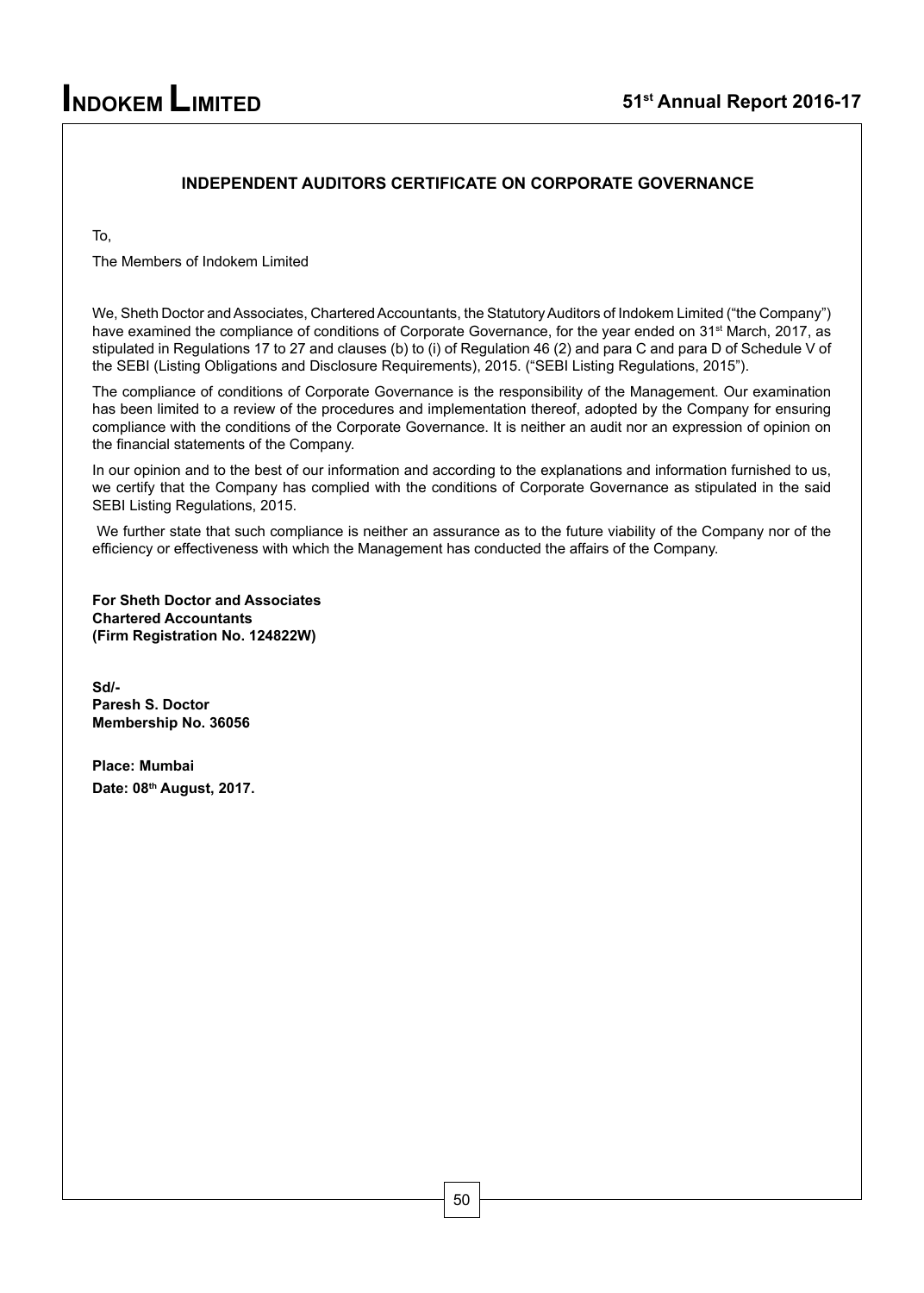# **INDOKEM LIMITED** 51st Annual Report 2016-17

# **INDEPENDENT AUDITORS CERTIFICATE ON CORPORATE GOVERNANCE**

To,

The Members of Indokem Limited

We, Sheth Doctor and Associates, Chartered Accountants, the Statutory Auditors of Indokem Limited ("the Company") have examined the compliance of conditions of Corporate Governance, for the year ended on 31<sup>st</sup> March, 2017, as stipulated in Regulations 17 to 27 and clauses (b) to (i) of Regulation 46 (2) and para C and para D of Schedule V of the SEBI (Listing Obligations and Disclosure Requirements), 2015. ("SEBI Listing Regulations, 2015").

The compliance of conditions of Corporate Governance is the responsibility of the Management. Our examination has been limited to a review of the procedures and implementation thereof, adopted by the Company for ensuring compliance with the conditions of the Corporate Governance. It is neither an audit nor an expression of opinion on the financial statements of the Company.

In our opinion and to the best of our information and according to the explanations and information furnished to us, we certify that the Company has complied with the conditions of Corporate Governance as stipulated in the said SEBI Listing Regulations, 2015.

 We further state that such compliance is neither an assurance as to the future viability of the Company nor of the efficiency or effectiveness with which the Management has conducted the affairs of the Company.

**For Sheth Doctor and Associates Chartered Accountants (Firm Registration No. 124822W)**

**Sd/- Paresh S. Doctor Membership No. 36056**

**Place: Mumbai Date: 08th August, 2017.**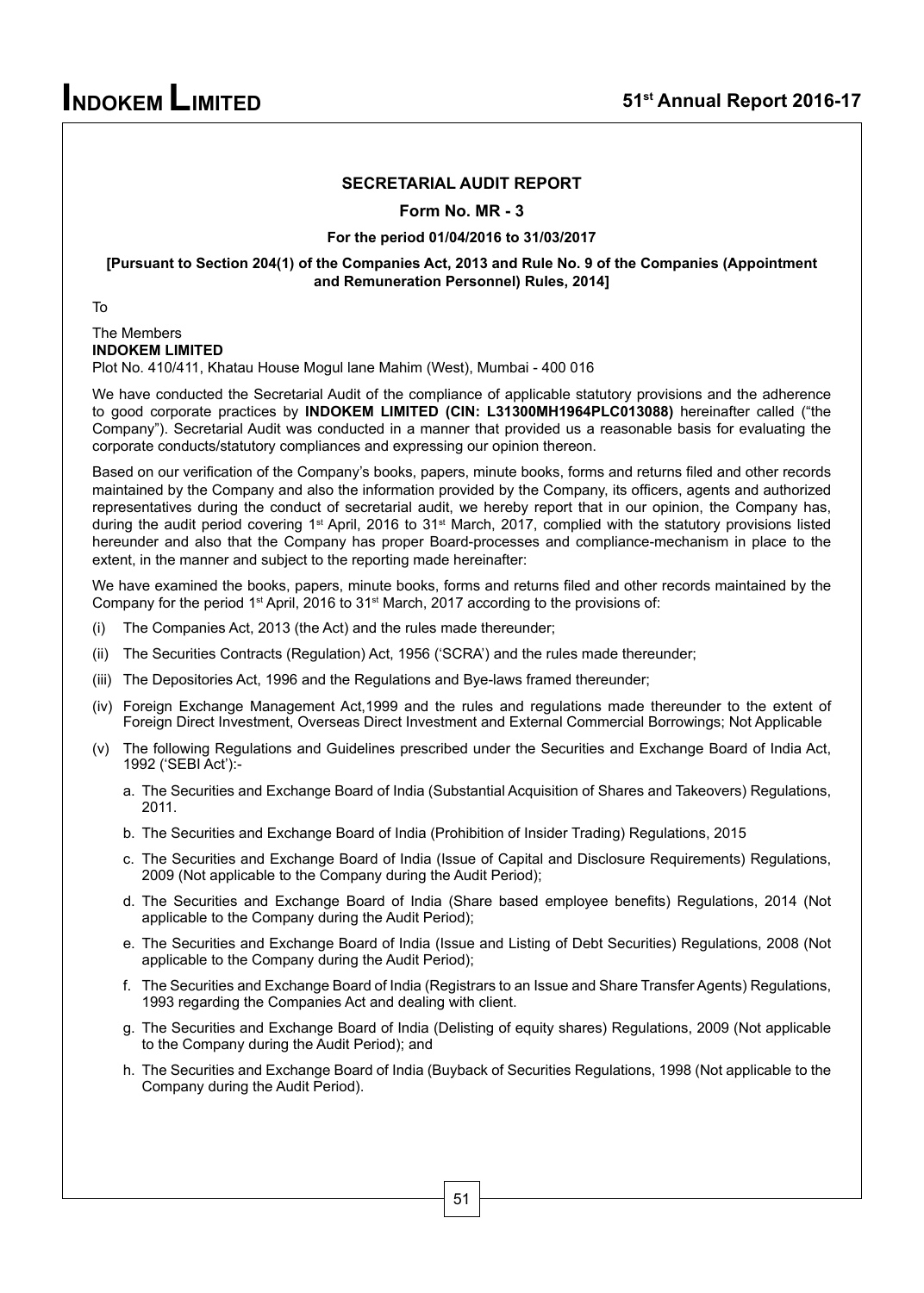# **SECRETARIAL AUDIT REPORT**

**Form No. MR - 3**

#### **For the period 01/04/2016 to 31/03/2017**

#### **[Pursuant to Section 204(1) of the Companies Act, 2013 and Rule No. 9 of the Companies (Appointment and Remuneration Personnel) Rules, 2014]**

To

The Members **INDOKEM LIMITED**

Plot No. 410/411, Khatau House Mogul lane Mahim (West), Mumbai - 400 016

We have conducted the Secretarial Audit of the compliance of applicable statutory provisions and the adherence to good corporate practices by **INDOKEM LIMITED (CIN: L31300MH1964PLC013088)** hereinafter called ("the Company"). Secretarial Audit was conducted in a manner that provided us a reasonable basis for evaluating the corporate conducts/statutory compliances and expressing our opinion thereon.

Based on our verification of the Company's books, papers, minute books, forms and returns filed and other records maintained by the Company and also the information provided by the Company, its officers, agents and authorized representatives during the conduct of secretarial audit, we hereby report that in our opinion, the Company has, during the audit period covering 1<sup>st</sup> April, 2016 to 31<sup>st</sup> March, 2017, complied with the statutory provisions listed hereunder and also that the Company has proper Board-processes and compliance-mechanism in place to the extent, in the manner and subject to the reporting made hereinafter:

We have examined the books, papers, minute books, forms and returns filed and other records maintained by the Company for the period  $1^{st}$  April, 2016 to  $31^{st}$  March, 2017 according to the provisions of:

- (i) The Companies Act, 2013 (the Act) and the rules made thereunder;
- (ii) The Securities Contracts (Regulation) Act, 1956 ('SCRA') and the rules made thereunder;
- (iii) The Depositories Act, 1996 and the Regulations and Bye-laws framed thereunder;
- (iv) Foreign Exchange Management Act,1999 and the rules and regulations made thereunder to the extent of Foreign Direct Investment, Overseas Direct Investment and External Commercial Borrowings; Not Applicable
- (v) The following Regulations and Guidelines prescribed under the Securities and Exchange Board of India Act, 1992 ('SEBI Act'):
	- a. The Securities and Exchange Board of India (Substantial Acquisition of Shares and Takeovers) Regulations, 2011.
	- b. The Securities and Exchange Board of India (Prohibition of Insider Trading) Regulations, 2015
	- c. The Securities and Exchange Board of India (Issue of Capital and Disclosure Requirements) Regulations, 2009 (Not applicable to the Company during the Audit Period);
	- d. The Securities and Exchange Board of India (Share based employee benefits) Regulations, 2014 (Not applicable to the Company during the Audit Period);
	- e. The Securities and Exchange Board of India (Issue and Listing of Debt Securities) Regulations, 2008 (Not applicable to the Company during the Audit Period);
	- f. The Securities and Exchange Board of India (Registrars to an Issue and Share Transfer Agents) Regulations, 1993 regarding the Companies Act and dealing with client.
	- g. The Securities and Exchange Board of India (Delisting of equity shares) Regulations, 2009 (Not applicable to the Company during the Audit Period); and
	- h. The Securities and Exchange Board of India (Buyback of Securities Regulations, 1998 (Not applicable to the Company during the Audit Period).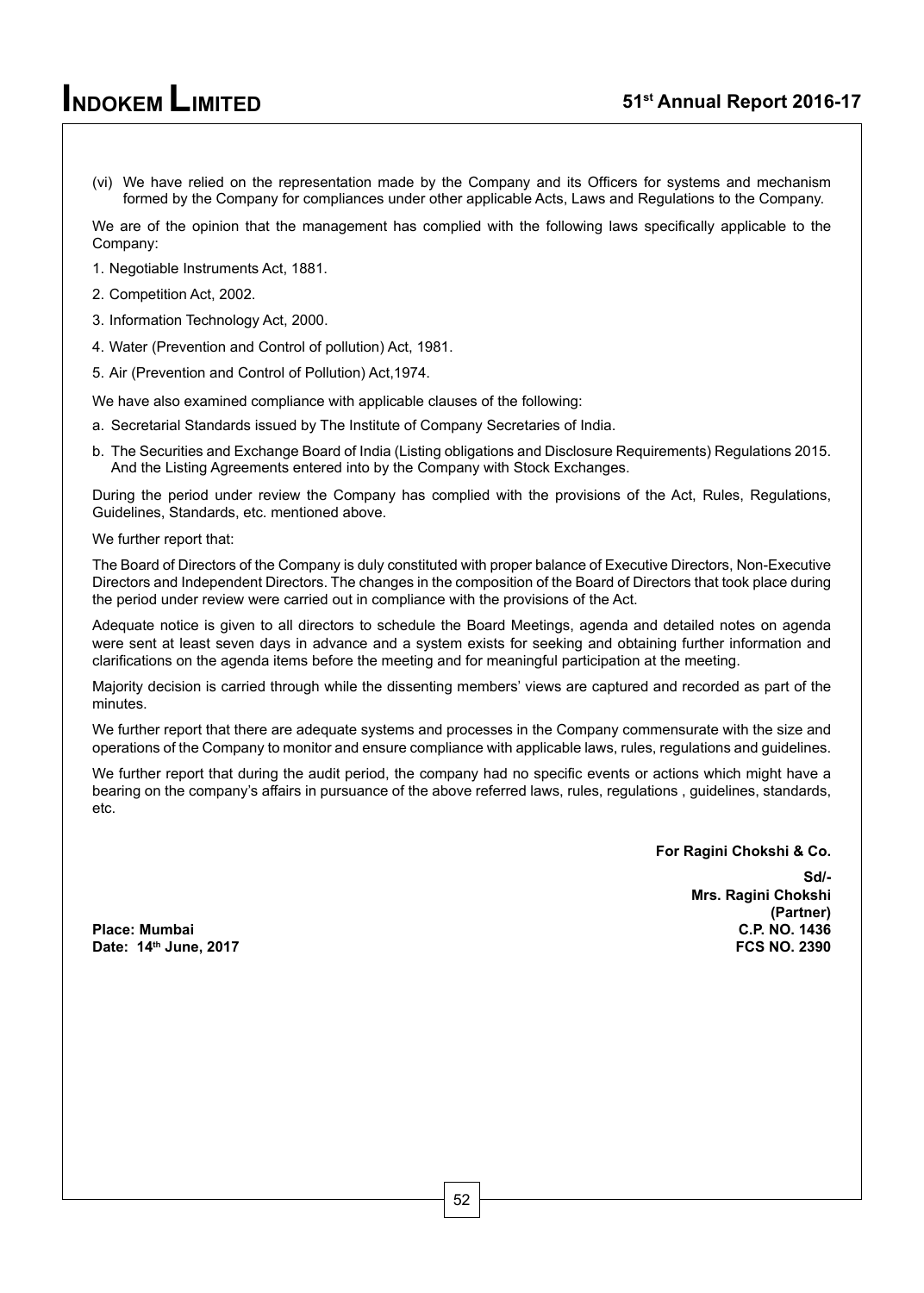# **INDOKEM LIMITED** 51st Annual Report 2016-17

(vi) We have relied on the representation made by the Company and its Officers for systems and mechanism formed by the Company for compliances under other applicable Acts, Laws and Regulations to the Company.

We are of the opinion that the management has complied with the following laws specifically applicable to the Company:

- 1. Negotiable Instruments Act, 1881.
- 2. Competition Act, 2002.
- 3. Information Technology Act, 2000.
- 4. Water (Prevention and Control of pollution) Act, 1981.
- 5. Air (Prevention and Control of Pollution) Act,1974.

We have also examined compliance with applicable clauses of the following:

- a. Secretarial Standards issued by The Institute of Company Secretaries of India.
- b. The Securities and Exchange Board of India (Listing obligations and Disclosure Requirements) Regulations 2015. And the Listing Agreements entered into by the Company with Stock Exchanges.

During the period under review the Company has complied with the provisions of the Act, Rules, Regulations, Guidelines, Standards, etc. mentioned above.

We further report that:

The Board of Directors of the Company is duly constituted with proper balance of Executive Directors, Non-Executive Directors and Independent Directors. The changes in the composition of the Board of Directors that took place during the period under review were carried out in compliance with the provisions of the Act.

Adequate notice is given to all directors to schedule the Board Meetings, agenda and detailed notes on agenda were sent at least seven days in advance and a system exists for seeking and obtaining further information and clarifications on the agenda items before the meeting and for meaningful participation at the meeting.

Majority decision is carried through while the dissenting members' views are captured and recorded as part of the minutes.

We further report that there are adequate systems and processes in the Company commensurate with the size and operations of the Company to monitor and ensure compliance with applicable laws, rules, regulations and guidelines.

We further report that during the audit period, the company had no specific events or actions which might have a bearing on the company's affairs in pursuance of the above referred laws, rules, regulations , guidelines, standards, etc.

**For Ragini Chokshi & Co.**

**Sd/- Mrs. Ragini Chokshi** (Partner)<br>C.P. NO. 1436

**Place: Mumbai C.P. NO. 1436 Date: 14th June, 2017 FCS NO. 2390**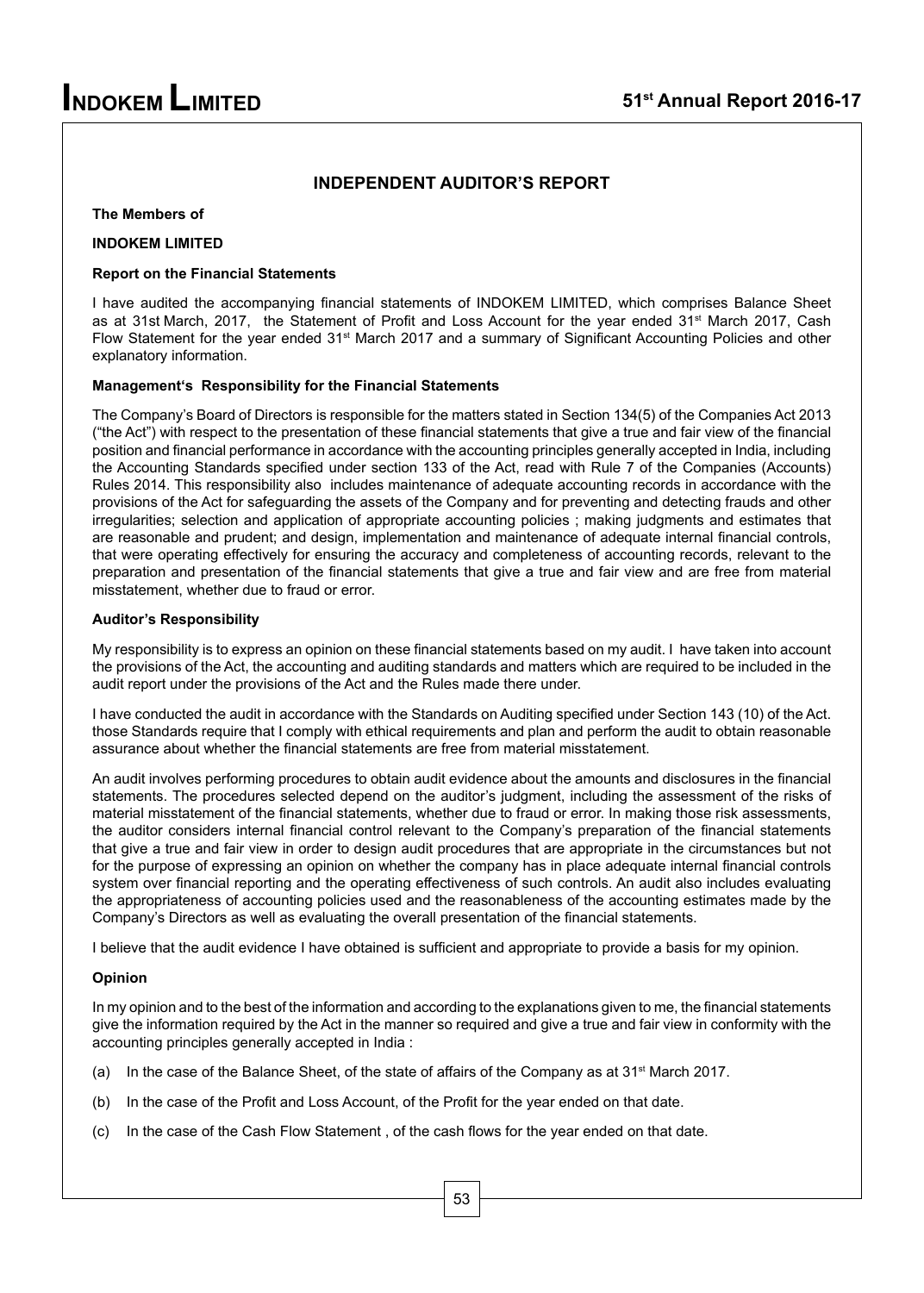# **INDEPENDENT AUDITOR'S REPORT**

#### **The Members of**

# **INDOKEM LIMITED**

#### **Report on the Financial Statements**

I have audited the accompanying financial statements of INDOKEM LIMITED, which comprises Balance Sheet as at 31st March, 2017, the Statement of Profit and Loss Account for the year ended 31<sup>st</sup> March 2017, Cash Flow Statement for the year ended 31st March 2017 and a summary of Significant Accounting Policies and other explanatory information.

#### **Management's Responsibility for the Financial Statements**

The Company's Board of Directors is responsible for the matters stated in Section 134(5) of the Companies Act 2013 ("the Act") with respect to the presentation of these financial statements that give a true and fair view of the financial position and financial performance in accordance with the accounting principles generally accepted in India, including the Accounting Standards specified under section 133 of the Act, read with Rule 7 of the Companies (Accounts) Rules 2014. This responsibility also includes maintenance of adequate accounting records in accordance with the provisions of the Act for safeguarding the assets of the Company and for preventing and detecting frauds and other irregularities; selection and application of appropriate accounting policies ; making judgments and estimates that are reasonable and prudent; and design, implementation and maintenance of adequate internal financial controls, that were operating effectively for ensuring the accuracy and completeness of accounting records, relevant to the preparation and presentation of the financial statements that give a true and fair view and are free from material misstatement, whether due to fraud or error.

#### **Auditor's Responsibility**

My responsibility is to express an opinion on these financial statements based on my audit. I have taken into account the provisions of the Act, the accounting and auditing standards and matters which are required to be included in the audit report under the provisions of the Act and the Rules made there under.

I have conducted the audit in accordance with the Standards on Auditing specified under Section 143 (10) of the Act. those Standards require that I comply with ethical requirements and plan and perform the audit to obtain reasonable assurance about whether the financial statements are free from material misstatement.

An audit involves performing procedures to obtain audit evidence about the amounts and disclosures in the financial statements. The procedures selected depend on the auditor's judgment, including the assessment of the risks of material misstatement of the financial statements, whether due to fraud or error. In making those risk assessments, the auditor considers internal financial control relevant to the Company's preparation of the financial statements that give a true and fair view in order to design audit procedures that are appropriate in the circumstances but not for the purpose of expressing an opinion on whether the company has in place adequate internal financial controls system over financial reporting and the operating effectiveness of such controls. An audit also includes evaluating the appropriateness of accounting policies used and the reasonableness of the accounting estimates made by the Company's Directors as well as evaluating the overall presentation of the financial statements.

I believe that the audit evidence I have obtained is sufficient and appropriate to provide a basis for my opinion.

#### **Opinion**

In my opinion and to the best of the information and according to the explanations given to me, the financial statements give the information required by the Act in the manner so required and give a true and fair view in conformity with the accounting principles generally accepted in India :

- (a) In the case of the Balance Sheet, of the state of affairs of the Company as at  $31st$  March 2017.
- (b) In the case of the Profit and Loss Account, of the Profit for the year ended on that date.
- (c) In the case of the Cash Flow Statement , of the cash flows for the year ended on that date.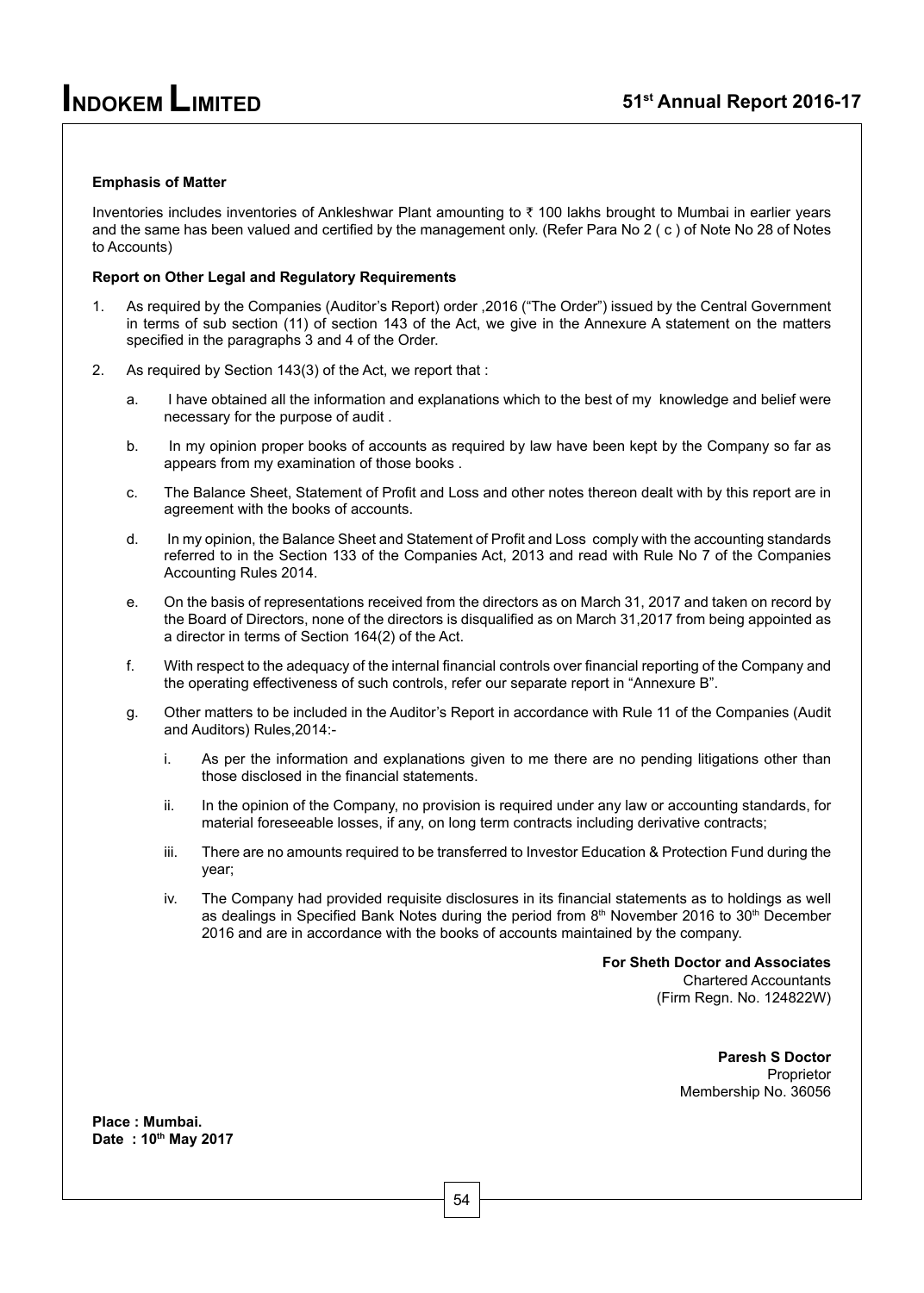#### **Emphasis of Matter**

Inventories includes inventories of Ankleshwar Plant amounting to ₹ 100 lakhs brought to Mumbai in earlier years and the same has been valued and certified by the management only. (Refer Para No 2 ( c ) of Note No 28 of Notes to Accounts)

## **Report on Other Legal and Regulatory Requirements**

- 1. As required by the Companies (Auditor's Report) order ,2016 ("The Order") issued by the Central Government in terms of sub section (11) of section 143 of the Act, we give in the Annexure A statement on the matters specified in the paragraphs 3 and 4 of the Order.
- 2. As required by Section 143(3) of the Act, we report that :
	- a. I have obtained all the information and explanations which to the best of my knowledge and belief were necessary for the purpose of audit .
	- b. In my opinion proper books of accounts as required by law have been kept by the Company so far as appears from my examination of those books .
	- c. The Balance Sheet, Statement of Profit and Loss and other notes thereon dealt with by this report are in agreement with the books of accounts.
	- d. In my opinion, the Balance Sheet and Statement of Profit and Loss comply with the accounting standards referred to in the Section 133 of the Companies Act, 2013 and read with Rule No 7 of the Companies Accounting Rules 2014.
	- e. On the basis of representations received from the directors as on March 31, 2017 and taken on record by the Board of Directors, none of the directors is disqualified as on March 31,2017 from being appointed as a director in terms of Section 164(2) of the Act.
	- f. With respect to the adequacy of the internal financial controls over financial reporting of the Company and the operating effectiveness of such controls, refer our separate report in "Annexure B".
	- g. Other matters to be included in the Auditor's Report in accordance with Rule 11 of the Companies (Audit and Auditors) Rules,2014:
		- i. As per the information and explanations given to me there are no pending litigations other than those disclosed in the financial statements.
		- ii. In the opinion of the Company, no provision is required under any law or accounting standards, for material foreseeable losses, if any, on long term contracts including derivative contracts;
		- iii. There are no amounts required to be transferred to Investor Education & Protection Fund during the year;
		- iv. The Company had provided requisite disclosures in its financial statements as to holdings as well as dealings in Specified Bank Notes during the period from 8<sup>th</sup> November 2016 to 30<sup>th</sup> December 2016 and are in accordance with the books of accounts maintained by the company.

**For Sheth Doctor and Associates** Chartered Accountants (Firm Regn. No. 124822W)

> **Paresh S Doctor** Proprietor Membership No. 36056

**Place : Mumbai. Date : 10th May 2017**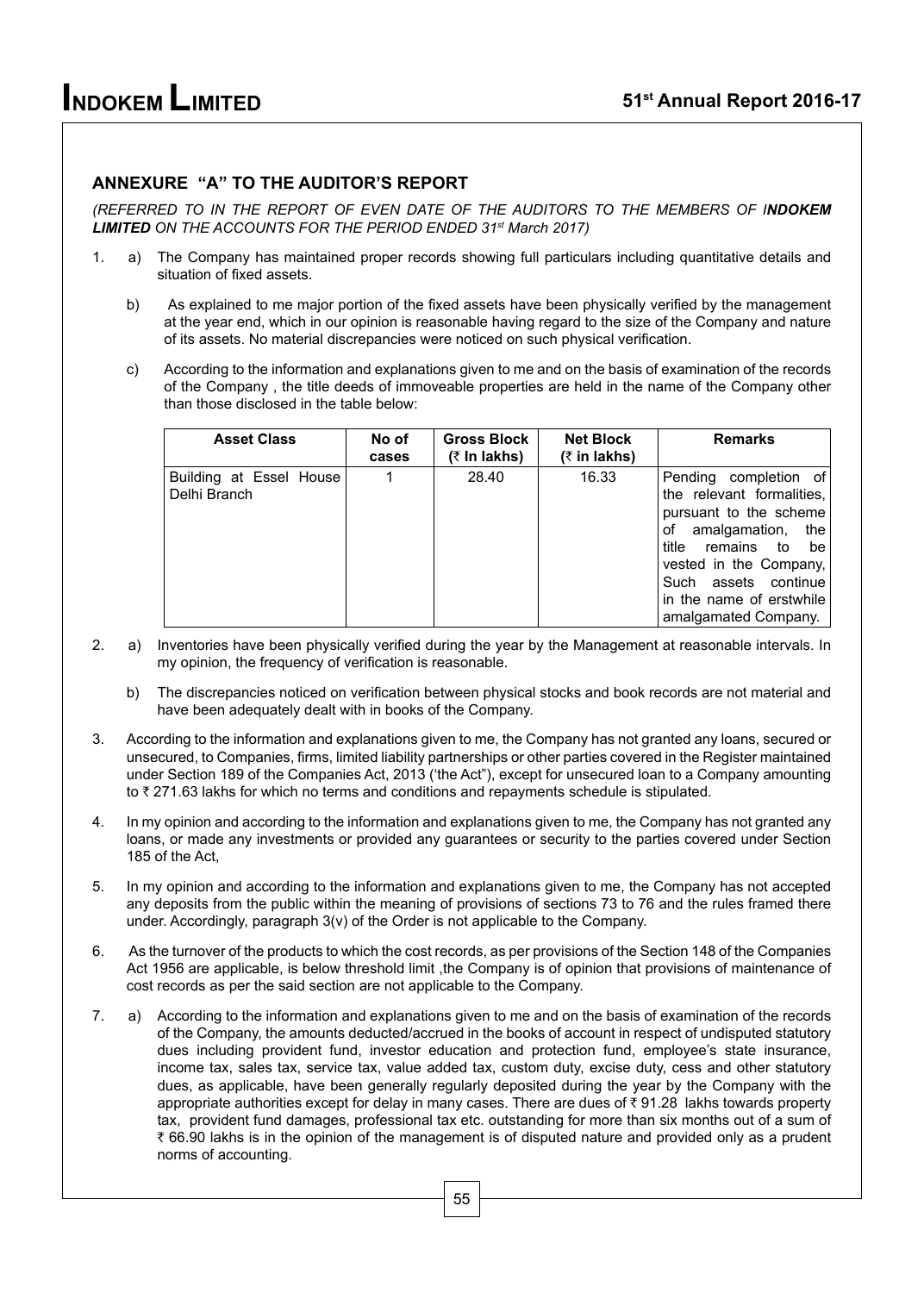# **ANNEXURE "A" TO THE AUDITOR'S REPORT**

*(REFERRED TO IN THE REPORT OF EVEN DATE OF THE AUDITORS TO THE MEMBERS OF INDOKEM LIMITED ON THE ACCOUNTS FOR THE PERIOD ENDED 31st March 2017)*

- 1. a) The Company has maintained proper records showing full particulars including quantitative details and situation of fixed assets.
	- b) As explained to me major portion of the fixed assets have been physically verified by the management at the year end, which in our opinion is reasonable having regard to the size of the Company and nature of its assets. No material discrepancies were noticed on such physical verification.
	- c) According to the information and explanations given to me and on the basis of examination of the records of the Company , the title deeds of immoveable properties are held in the name of the Company other than those disclosed in the table below:

| <b>Asset Class</b>                      | No of<br>cases | <b>Gross Block</b><br>$(7 \text{ In lakhs})$ | <b>Net Block</b><br>$(7$ in lakhs) | <b>Remarks</b>                                                                                                                                                                                                                               |
|-----------------------------------------|----------------|----------------------------------------------|------------------------------------|----------------------------------------------------------------------------------------------------------------------------------------------------------------------------------------------------------------------------------------------|
| Building at Essel House<br>Delhi Branch |                | 28.40                                        | 16.33                              | Pending completion of<br>the relevant formalities.<br>pursuant to the scheme<br>of amalgamation, the<br>title<br>remains<br>to<br>be l<br>vested in the Company.<br>Such assets continue<br>in the name of erstwhile<br>amalgamated Company. |

- 2. a) Inventories have been physically verified during the year by the Management at reasonable intervals. In my opinion, the frequency of verification is reasonable.
	- b) The discrepancies noticed on verification between physical stocks and book records are not material and have been adequately dealt with in books of the Company.
- 3. According to the information and explanations given to me, the Company has not granted any loans, secured or unsecured, to Companies, firms, limited liability partnerships or other parties covered in the Register maintained under Section 189 of the Companies Act, 2013 ('the Act"), except for unsecured loan to a Company amounting to  $\bar{\tau}$  271.63 lakhs for which no terms and conditions and repayments schedule is stipulated.
- 4. In my opinion and according to the information and explanations given to me, the Company has not granted any loans, or made any investments or provided any guarantees or security to the parties covered under Section 185 of the Act,
- 5. In my opinion and according to the information and explanations given to me, the Company has not accepted any deposits from the public within the meaning of provisions of sections 73 to 76 and the rules framed there under. Accordingly, paragraph 3(v) of the Order is not applicable to the Company.
- 6. As the turnover of the products to which the cost records, as per provisions of the Section 148 of the Companies Act 1956 are applicable, is below threshold limit, the Company is of opinion that provisions of maintenance of cost records as per the said section are not applicable to the Company.
- 7. a) According to the information and explanations given to me and on the basis of examination of the records of the Company, the amounts deducted/accrued in the books of account in respect of undisputed statutory dues including provident fund, investor education and protection fund, employee's state insurance, income tax, sales tax, service tax, value added tax, custom duty, excise duty, cess and other statutory dues, as applicable, have been generally regularly deposited during the year by the Company with the appropriate authorities except for delay in many cases. There are dues of  $\bar{\tau}$  91.28 lakhs towards property tax, provident fund damages, professional tax etc. outstanding for more than six months out of a sum of ` 66.90 lakhs is in the opinion of the management is of disputed nature and provided only as a prudent norms of accounting.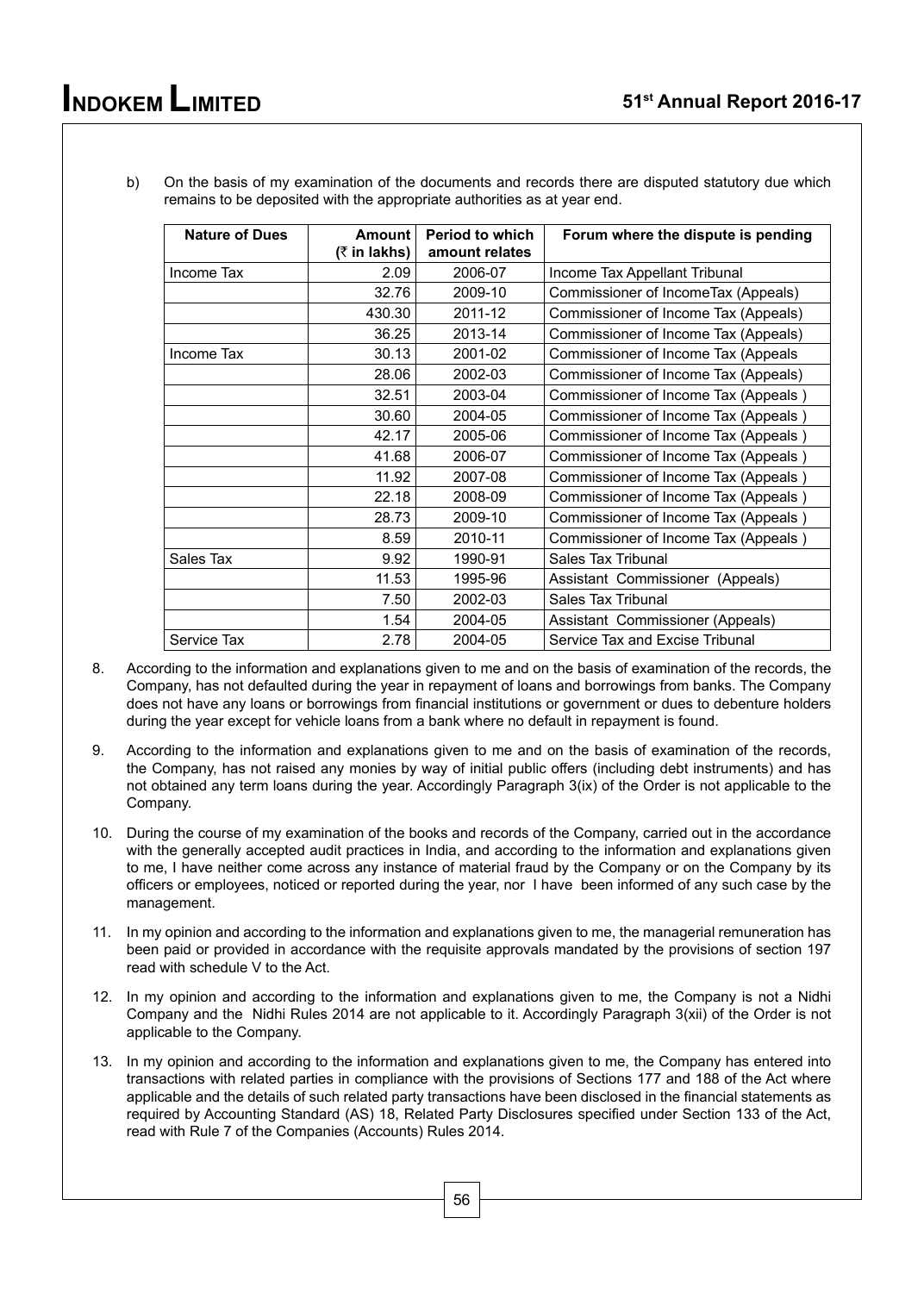# **INDOKEM LIMITED** 51st Annual Report 2016-17

| b) On the basis of my examination of the documents and records there are disputed statutory due which |
|-------------------------------------------------------------------------------------------------------|
| remains to be deposited with the appropriate authorities as at year end.                              |

| <b>Nature of Dues</b> | Amount<br>(₹ in lakhs) | <b>Period to which</b><br>amount relates | Forum where the dispute is pending   |
|-----------------------|------------------------|------------------------------------------|--------------------------------------|
| Income Tax            | 2.09                   | 2006-07                                  | Income Tax Appellant Tribunal        |
|                       | 32.76                  | 2009-10                                  | Commissioner of IncomeTax (Appeals)  |
|                       | 430.30                 | 2011-12                                  | Commissioner of Income Tax (Appeals) |
|                       | 36.25                  | 2013-14                                  | Commissioner of Income Tax (Appeals) |
| Income Tax            | 30.13                  | 2001-02                                  | Commissioner of Income Tax (Appeals  |
|                       | 28.06                  | 2002-03                                  | Commissioner of Income Tax (Appeals) |
|                       | 32.51                  | 2003-04                                  | Commissioner of Income Tax (Appeals) |
|                       | 30.60                  | 2004-05                                  | Commissioner of Income Tax (Appeals) |
|                       | 42.17                  | 2005-06                                  | Commissioner of Income Tax (Appeals) |
|                       | 41.68                  | 2006-07                                  | Commissioner of Income Tax (Appeals) |
|                       | 11.92                  | 2007-08                                  | Commissioner of Income Tax (Appeals) |
|                       | 22.18                  | 2008-09                                  | Commissioner of Income Tax (Appeals) |
|                       | 28.73                  | 2009-10                                  | Commissioner of Income Tax (Appeals) |
|                       | 8.59                   | 2010-11                                  | Commissioner of Income Tax (Appeals) |
| Sales Tax             | 9.92                   | 1990-91                                  | Sales Tax Tribunal                   |
|                       | 11.53                  | 1995-96                                  | Assistant Commissioner (Appeals)     |
|                       | 7.50                   | 2002-03                                  | Sales Tax Tribunal                   |
|                       | 1.54                   | 2004-05                                  | Assistant Commissioner (Appeals)     |
| Service Tax           | 2.78                   | 2004-05                                  | Service Tax and Excise Tribunal      |

- 8. According to the information and explanations given to me and on the basis of examination of the records, the Company, has not defaulted during the year in repayment of loans and borrowings from banks. The Company does not have any loans or borrowings from financial institutions or government or dues to debenture holders during the year except for vehicle loans from a bank where no default in repayment is found.
- 9. According to the information and explanations given to me and on the basis of examination of the records, the Company, has not raised any monies by way of initial public offers (including debt instruments) and has not obtained any term loans during the year. Accordingly Paragraph 3(ix) of the Order is not applicable to the Company.
- 10. During the course of my examination of the books and records of the Company, carried out in the accordance with the generally accepted audit practices in India, and according to the information and explanations given to me, I have neither come across any instance of material fraud by the Company or on the Company by its officers or employees, noticed or reported during the year, nor I have been informed of any such case by the management.
- 11. In my opinion and according to the information and explanations given to me, the managerial remuneration has been paid or provided in accordance with the requisite approvals mandated by the provisions of section 197 read with schedule V to the Act.
- 12. In my opinion and according to the information and explanations given to me, the Company is not a Nidhi Company and the Nidhi Rules 2014 are not applicable to it. Accordingly Paragraph 3(xii) of the Order is not applicable to the Company.
- 13. In my opinion and according to the information and explanations given to me, the Company has entered into transactions with related parties in compliance with the provisions of Sections 177 and 188 of the Act where applicable and the details of such related party transactions have been disclosed in the financial statements as required by Accounting Standard (AS) 18, Related Party Disclosures specified under Section 133 of the Act, read with Rule 7 of the Companies (Accounts) Rules 2014.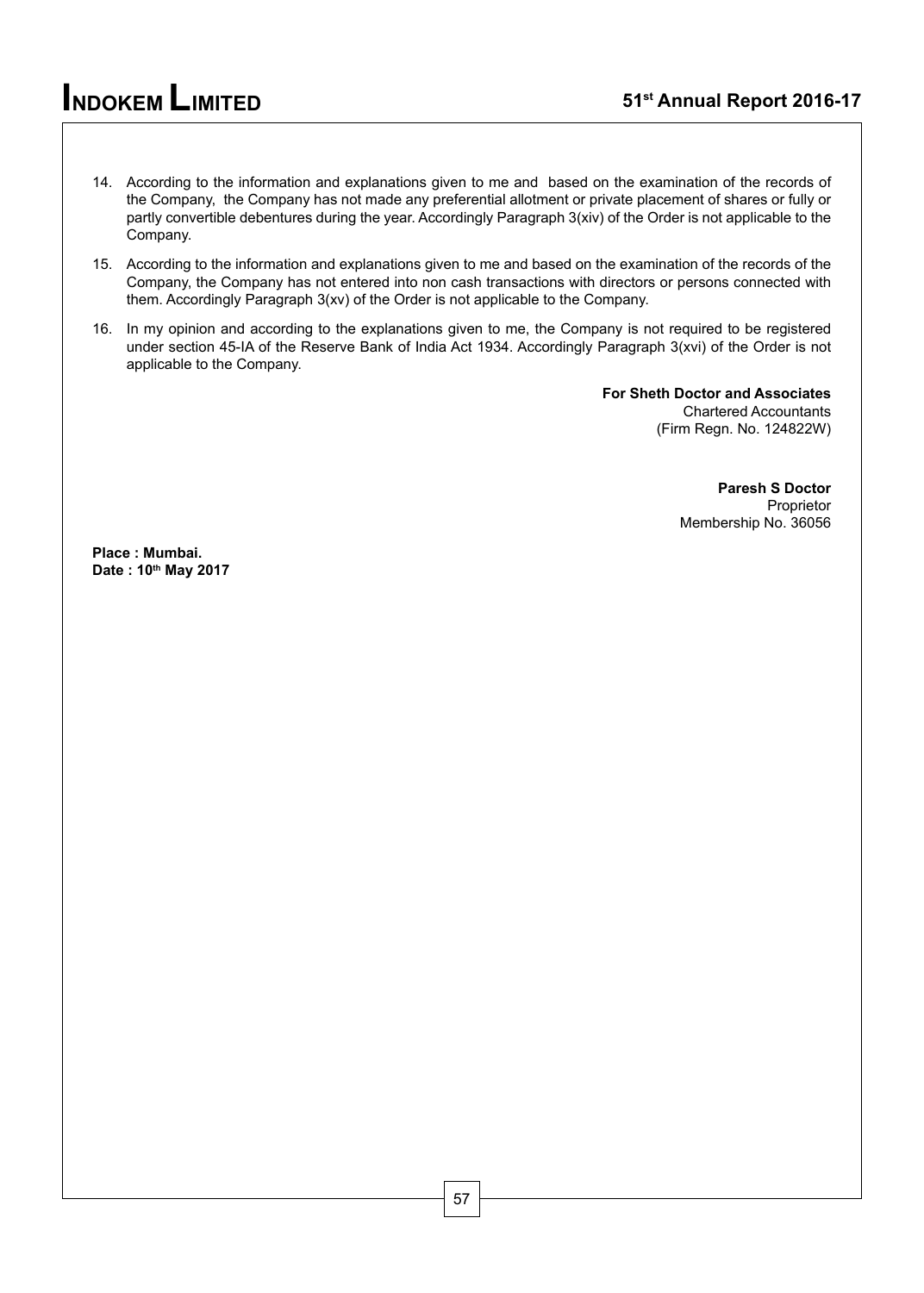# **INDOKEM LIMITED** 51<sup>st</sup> Annual Report 2016-17

- 14. According to the information and explanations given to me and based on the examination of the records of the Company, the Company has not made any preferential allotment or private placement of shares or fully or partly convertible debentures during the year. Accordingly Paragraph 3(xiv) of the Order is not applicable to the Company.
- 15. According to the information and explanations given to me and based on the examination of the records of the Company, the Company has not entered into non cash transactions with directors or persons connected with them. Accordingly Paragraph 3(xv) of the Order is not applicable to the Company.
- 16. In my opinion and according to the explanations given to me, the Company is not required to be registered under section 45-IA of the Reserve Bank of India Act 1934. Accordingly Paragraph 3(xvi) of the Order is not applicable to the Company.

**For Sheth Doctor and Associates** Chartered Accountants (Firm Regn. No. 124822W)

> **Paresh S Doctor** Proprietor Membership No. 36056

**Place : Mumbai. Date : 10th May 2017**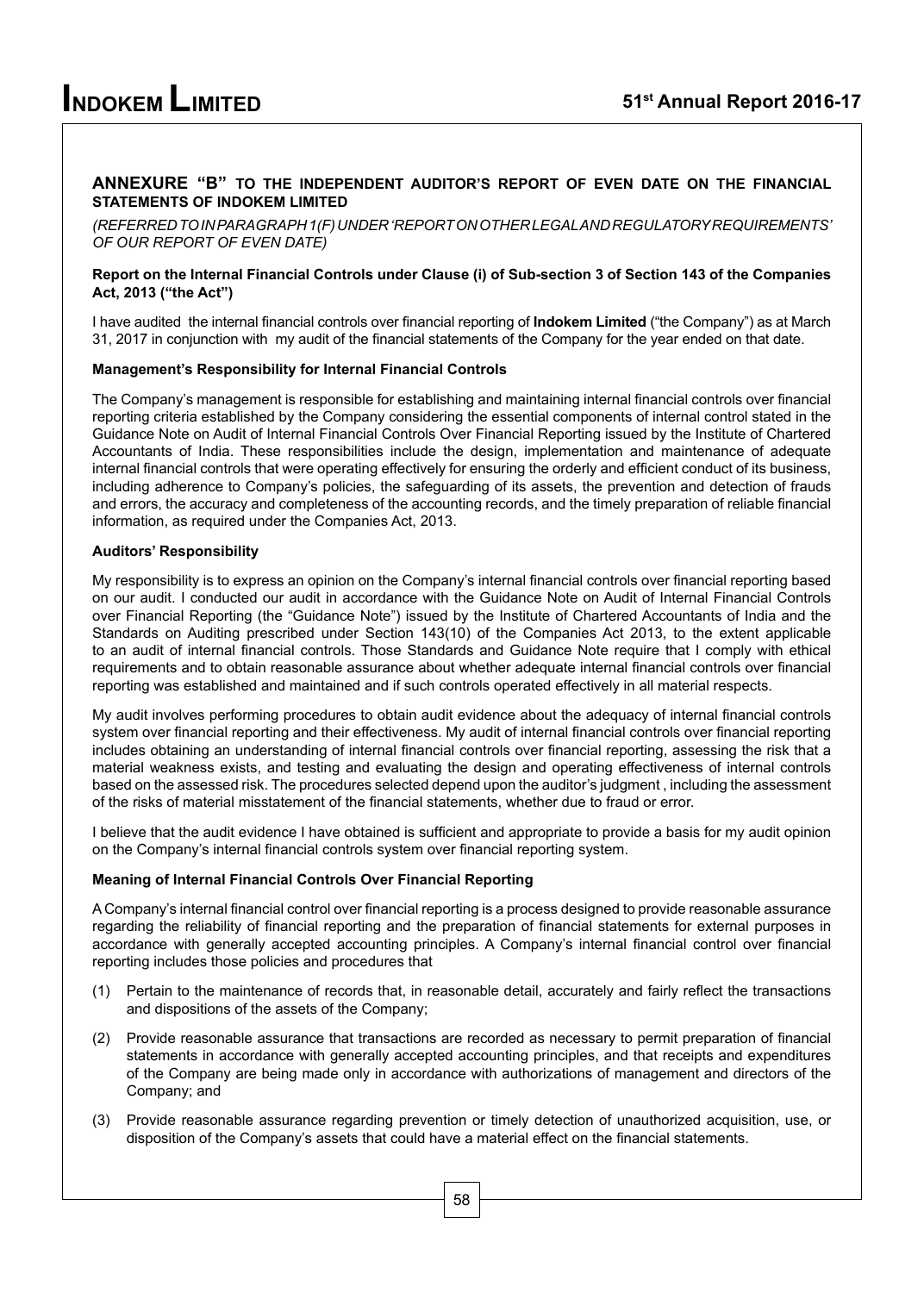# **ANNEXURE "B" TO THE INDEPENDENT AUDITOR'S REPORT OF EVEN DATE ON THE FINANCIAL STATEMENTS OF INDOKEM LIMITED**

*(Referredtoinparagraph 1(f) under 'Reporton Other Legaland Regulatory Requirements' of our report of even date)*

#### **Report on the Internal Financial Controls under Clause (i) of Sub-section 3 of Section 143 of the Companies Act, 2013 ("the Act")**

I have audited the internal financial controls over financial reporting of **Indokem Limited** ("the Company") as at March 31, 2017 in conjunction with my audit of the financial statements of the Company for the year ended on that date.

#### **Management's Responsibility for Internal Financial Controls**

The Company's management is responsible for establishing and maintaining internal financial controls over financial reporting criteria established by the Company considering the essential components of internal control stated in the Guidance Note on Audit of Internal Financial Controls Over Financial Reporting issued by the Institute of Chartered Accountants of India. These responsibilities include the design, implementation and maintenance of adequate internal financial controls that were operating effectively for ensuring the orderly and efficient conduct of its business, including adherence to Company's policies, the safeguarding of its assets, the prevention and detection of frauds and errors, the accuracy and completeness of the accounting records, and the timely preparation of reliable financial information, as required under the Companies Act, 2013.

#### **Auditors' Responsibility**

My responsibility is to express an opinion on the Company's internal financial controls over financial reporting based on our audit. I conducted our audit in accordance with the Guidance Note on Audit of Internal Financial Controls over Financial Reporting (the "Guidance Note") issued by the Institute of Chartered Accountants of India and the Standards on Auditing prescribed under Section 143(10) of the Companies Act 2013, to the extent applicable to an audit of internal financial controls. Those Standards and Guidance Note require that I comply with ethical requirements and to obtain reasonable assurance about whether adequate internal financial controls over financial reporting was established and maintained and if such controls operated effectively in all material respects.

My audit involves performing procedures to obtain audit evidence about the adequacy of internal financial controls system over financial reporting and their effectiveness. My audit of internal financial controls over financial reporting includes obtaining an understanding of internal financial controls over financial reporting, assessing the risk that a material weakness exists, and testing and evaluating the design and operating effectiveness of internal controls based on the assessed risk. The procedures selected depend upon the auditor's judgment , including the assessment of the risks of material misstatement of the financial statements, whether due to fraud or error.

I believe that the audit evidence I have obtained is sufficient and appropriate to provide a basis for my audit opinion on the Company's internal financial controls system over financial reporting system.

#### **Meaning of Internal Financial Controls Over Financial Reporting**

A Company's internal financial control over financial reporting is a process designed to provide reasonable assurance regarding the reliability of financial reporting and the preparation of financial statements for external purposes in accordance with generally accepted accounting principles. A Company's internal financial control over financial reporting includes those policies and procedures that

- (1) Pertain to the maintenance of records that, in reasonable detail, accurately and fairly reflect the transactions and dispositions of the assets of the Company;
- (2) Provide reasonable assurance that transactions are recorded as necessary to permit preparation of financial statements in accordance with generally accepted accounting principles, and that receipts and expenditures of the Company are being made only in accordance with authorizations of management and directors of the Company; and
- (3) Provide reasonable assurance regarding prevention or timely detection of unauthorized acquisition, use, or disposition of the Company's assets that could have a material effect on the financial statements.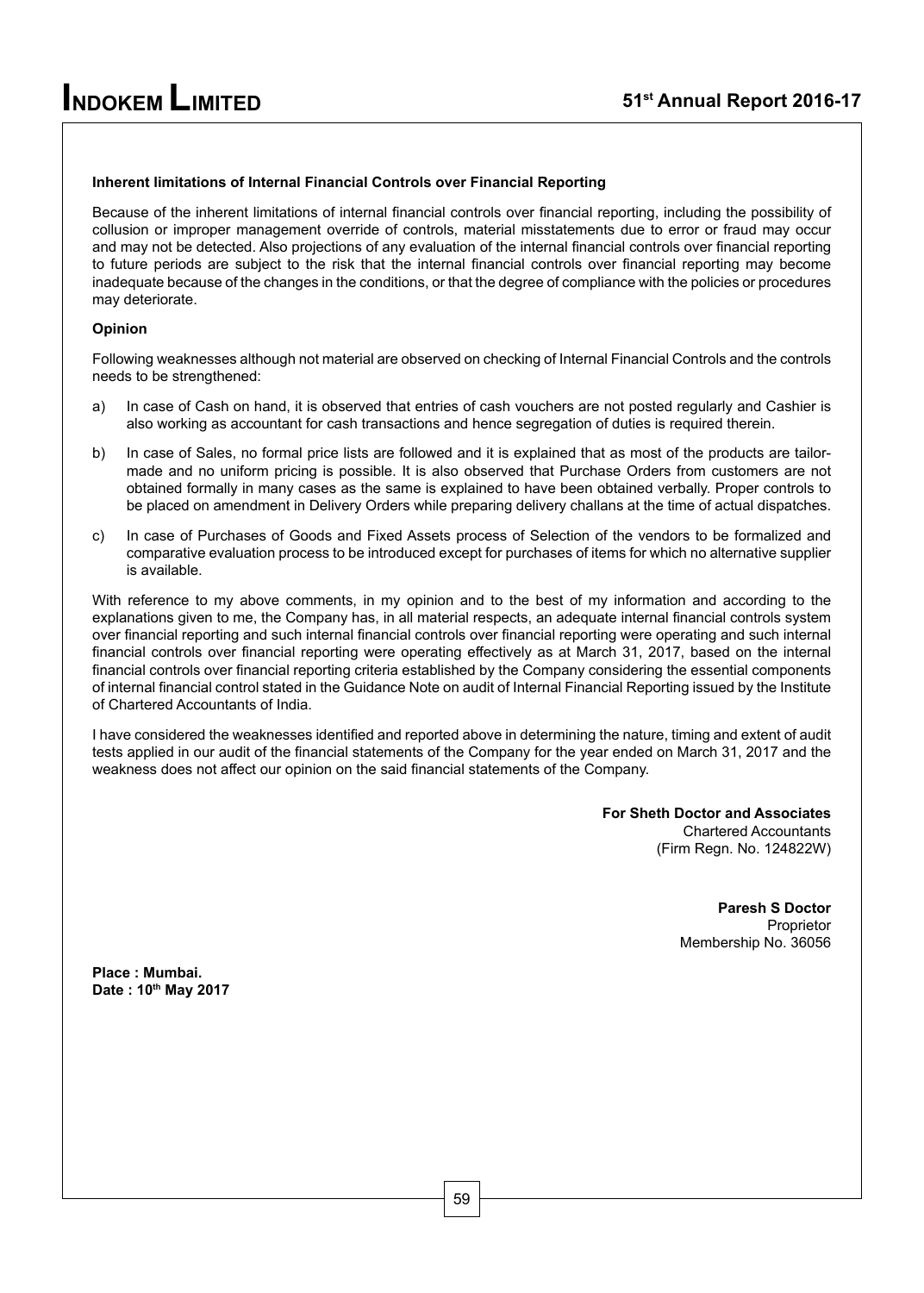#### **Inherent limitations of Internal Financial Controls over Financial Reporting**

Because of the inherent limitations of internal financial controls over financial reporting, including the possibility of collusion or improper management override of controls, material misstatements due to error or fraud may occur and may not be detected. Also projections of any evaluation of the internal financial controls over financial reporting to future periods are subject to the risk that the internal financial controls over financial reporting may become inadequate because of the changes in the conditions, or that the degree of compliance with the policies or procedures may deteriorate.

#### **Opinion**

Following weaknesses although not material are observed on checking of Internal Financial Controls and the controls needs to be strengthened:

- a) In case of Cash on hand, it is observed that entries of cash vouchers are not posted regularly and Cashier is also working as accountant for cash transactions and hence segregation of duties is required therein.
- b) In case of Sales, no formal price lists are followed and it is explained that as most of the products are tailormade and no uniform pricing is possible. It is also observed that Purchase Orders from customers are not obtained formally in many cases as the same is explained to have been obtained verbally. Proper controls to be placed on amendment in Delivery Orders while preparing delivery challans at the time of actual dispatches.
- c) In case of Purchases of Goods and Fixed Assets process of Selection of the vendors to be formalized and comparative evaluation process to be introduced except for purchases of items for which no alternative supplier is available.

With reference to my above comments, in my opinion and to the best of my information and according to the explanations given to me, the Company has, in all material respects, an adequate internal financial controls system over financial reporting and such internal financial controls over financial reporting were operating and such internal financial controls over financial reporting were operating effectively as at March 31, 2017, based on the internal financial controls over financial reporting criteria established by the Company considering the essential components of internal financial control stated in the Guidance Note on audit of Internal Financial Reporting issued by the Institute of Chartered Accountants of India.

I have considered the weaknesses identified and reported above in determining the nature, timing and extent of audit tests applied in our audit of the financial statements of the Company for the year ended on March 31, 2017 and the weakness does not affect our opinion on the said financial statements of the Company.

> **For Sheth Doctor and Associates** Chartered Accountants (Firm Regn. No. 124822W)

> > **Paresh S Doctor** Proprietor Membership No. 36056

**Place : Mumbai. Date : 10th May 2017**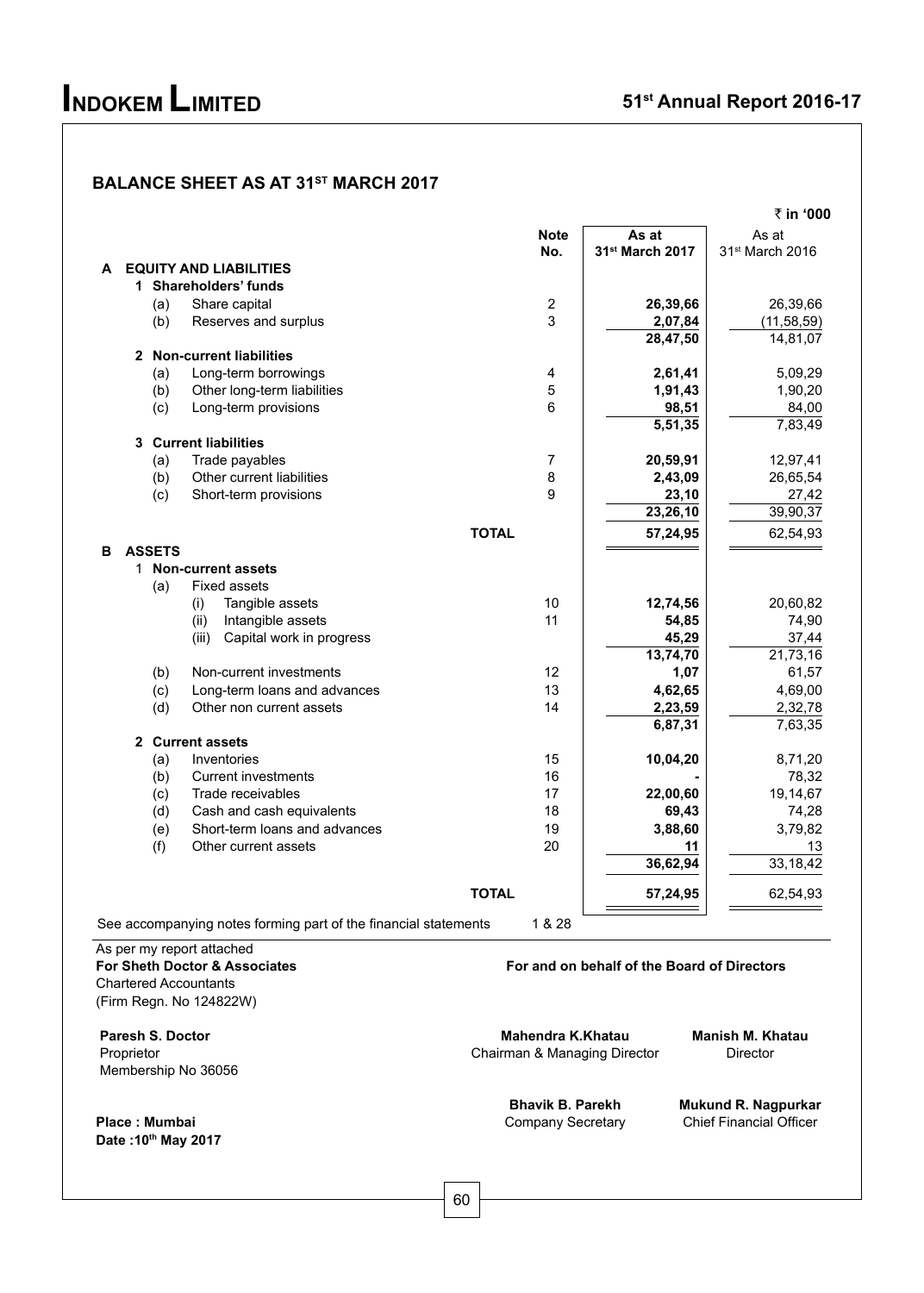# **Balance Sheet as at 31st March 2017**

|   |               |                                                                 |                    |                                      | ₹ in '000                            |
|---|---------------|-----------------------------------------------------------------|--------------------|--------------------------------------|--------------------------------------|
|   |               |                                                                 | <b>Note</b><br>No. | As at<br>31 <sup>st</sup> March 2017 | As at<br>31 <sup>st</sup> March 2016 |
| A |               | <b>EQUITY AND LIABILITIES</b>                                   |                    |                                      |                                      |
|   |               | 1 Shareholders' funds                                           |                    |                                      |                                      |
|   | (a)           | Share capital                                                   | $\overline{c}$     | 26,39,66                             | 26,39,66                             |
|   | (b)           | Reserves and surplus                                            | 3                  | 2,07,84                              | (11, 58, 59)                         |
|   |               |                                                                 |                    | 28,47,50                             | 14,81,07                             |
|   |               | 2 Non-current liabilities                                       |                    |                                      |                                      |
|   | (a)           | Long-term borrowings                                            | 4                  | 2,61,41                              | 5,09,29                              |
|   | (b)           | Other long-term liabilities                                     | 5                  | 1,91,43                              | 1,90,20                              |
|   | (c)           | Long-term provisions                                            | 6                  | 98,51                                | 84,00                                |
|   |               |                                                                 |                    | 5,51,35                              | 7,83,49                              |
|   |               | 3 Current liabilities                                           |                    |                                      |                                      |
|   | (a)           | Trade payables                                                  | 7                  | 20,59,91                             | 12,97,41                             |
|   | (b)           | Other current liabilities                                       | 8                  | 2,43,09                              | 26,65,54                             |
|   | (c)           | Short-term provisions                                           | 9                  | 23,10                                | 27,42                                |
|   |               |                                                                 |                    | 23,26,10                             | 39,90,37                             |
|   |               |                                                                 | <b>TOTAL</b>       | 57,24,95                             | 62,54,93                             |
| в | <b>ASSETS</b> |                                                                 |                    |                                      |                                      |
|   |               | 1 Non-current assets                                            |                    |                                      |                                      |
|   | (a)           | <b>Fixed assets</b>                                             |                    |                                      |                                      |
|   |               | Tangible assets<br>(i)                                          | 10                 | 12,74,56                             | 20,60,82                             |
|   |               | (ii)<br>Intangible assets                                       | 11                 | 54,85                                | 74,90                                |
|   |               | Capital work in progress<br>(iii)                               |                    | 45,29                                | 37,44                                |
|   |               | Non-current investments                                         | 12                 | 13,74,70                             | 21,73,16                             |
|   | (b)           | Long-term loans and advances                                    | 13                 | 1,07<br>4,62,65                      | 61,57<br>4,69,00                     |
|   | (c)<br>(d)    | Other non current assets                                        | 14                 | 2,23,59                              | 2,32,78                              |
|   |               |                                                                 |                    | 6,87,31                              | 7,63,35                              |
|   |               | 2 Current assets                                                |                    |                                      |                                      |
|   | (a)           | Inventories                                                     | 15                 | 10,04,20                             | 8,71,20                              |
|   | (b)           | <b>Current investments</b>                                      | 16                 |                                      | 78,32                                |
|   | (c)           | Trade receivables                                               | 17                 | 22,00,60                             | 19,14,67                             |
|   | (d)           | Cash and cash equivalents                                       | 18                 | 69,43                                | 74,28                                |
|   | (e)           | Short-term loans and advances                                   | 19                 | 3,88,60                              | 3,79,82                              |
|   | (f)           | Other current assets                                            | 20                 | 11                                   | 13                                   |
|   |               |                                                                 |                    | 36,62,94                             | 33,18,42                             |
|   |               |                                                                 |                    |                                      |                                      |
|   |               |                                                                 | <b>TOTAL</b>       | 57,24,95                             | 62,54,93                             |
|   |               | See accompanying notes forming part of the financial statements | 1 & 28             |                                      |                                      |

As per my report attached<br>For Sheth Doctor & Associates Chartered Accountants (Firm Regn. No 124822W)

Membership No 36056

**Date :10th May 2017**

# **For and on behalf of the Board of Directors**

**Paresh S. Doctor National Control of the Mahendra K.Khatau Manish M. Khatau Proprietor Director Director** Chairman & Managing Director

Place : Mumbai **Company Secretary** Company Secretary

**Bhavik B. Parekh Mukund R. Nagpurkar**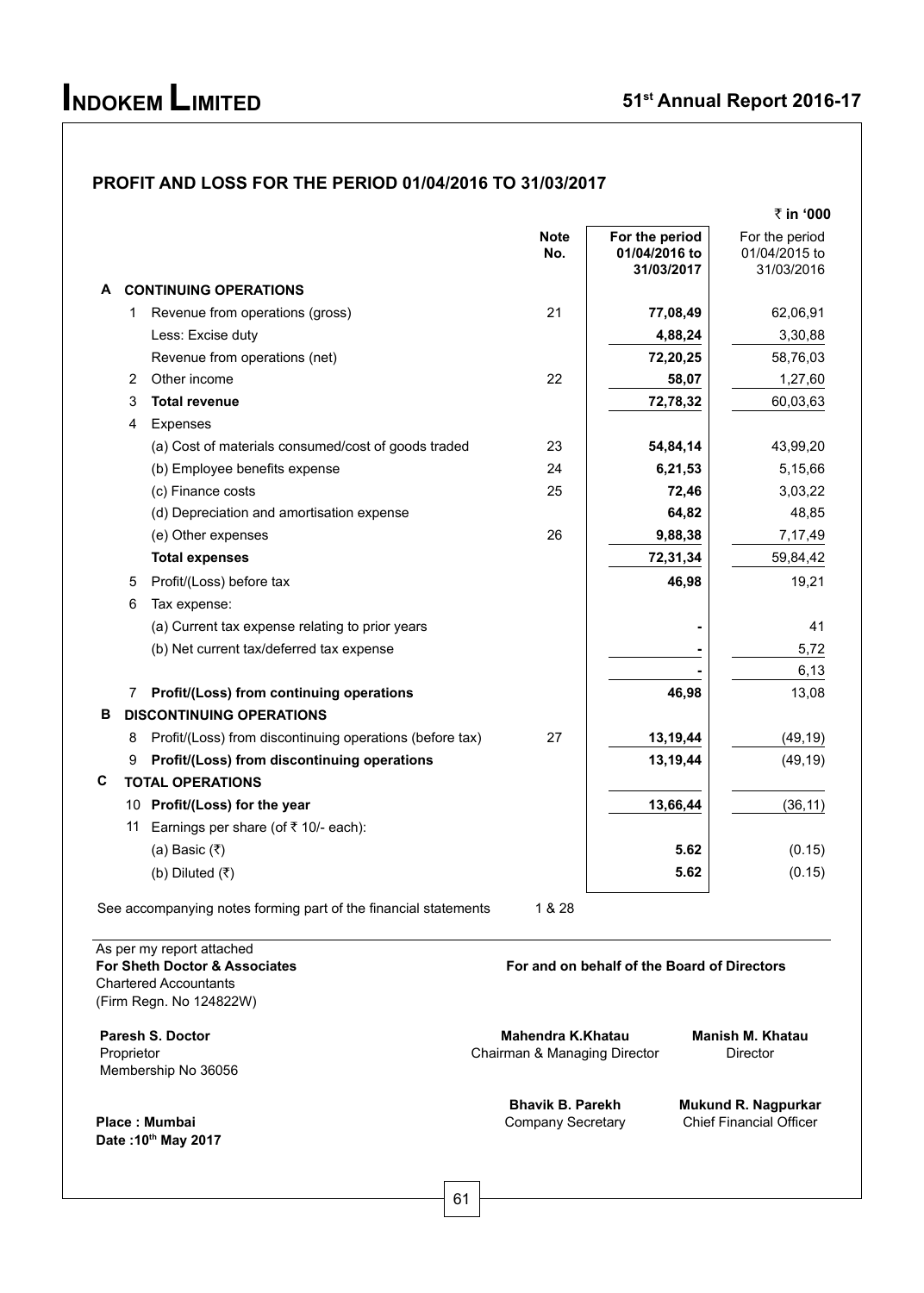# **Profit and Loss for the period 01/04/2016 to 31/03/2017**

|   |    |                                                                 |                    |                                               | ₹ in '000                                     |
|---|----|-----------------------------------------------------------------|--------------------|-----------------------------------------------|-----------------------------------------------|
|   |    |                                                                 | <b>Note</b><br>No. | For the period<br>01/04/2016 to<br>31/03/2017 | For the period<br>01/04/2015 to<br>31/03/2016 |
| A |    | <b>CONTINUING OPERATIONS</b>                                    |                    |                                               |                                               |
|   | 1  | Revenue from operations (gross)                                 | 21                 | 77,08,49                                      | 62,06,91                                      |
|   |    | Less: Excise duty                                               |                    | 4,88,24                                       | 3,30,88                                       |
|   |    | Revenue from operations (net)                                   |                    | 72,20,25                                      | 58,76,03                                      |
|   | 2  | Other income                                                    | 22                 | 58,07                                         | 1,27,60                                       |
|   | 3  | <b>Total revenue</b>                                            |                    | 72,78,32                                      | 60,03,63                                      |
|   | 4  | Expenses                                                        |                    |                                               |                                               |
|   |    | (a) Cost of materials consumed/cost of goods traded             | 23                 | 54,84,14                                      | 43,99,20                                      |
|   |    | (b) Employee benefits expense                                   | 24                 | 6,21,53                                       | 5,15,66                                       |
|   |    | (c) Finance costs                                               | 25                 | 72,46                                         | 3,03,22                                       |
|   |    | (d) Depreciation and amortisation expense                       |                    | 64,82                                         | 48,85                                         |
|   |    | (e) Other expenses                                              | 26                 | 9,88,38                                       | 7,17,49                                       |
|   |    | <b>Total expenses</b>                                           |                    | 72,31,34                                      | 59,84,42                                      |
|   | 5  | Profit/(Loss) before tax                                        |                    | 46,98                                         | 19,21                                         |
|   | 6  | Tax expense:                                                    |                    |                                               |                                               |
|   |    | (a) Current tax expense relating to prior years                 |                    |                                               | 41                                            |
|   |    | (b) Net current tax/deferred tax expense                        |                    |                                               | 5,72                                          |
|   |    |                                                                 |                    |                                               | 6,13                                          |
|   | 7  | Profit/(Loss) from continuing operations                        |                    | 46,98                                         | 13,08                                         |
| в |    | <b>DISCONTINUING OPERATIONS</b>                                 |                    |                                               |                                               |
|   | 8  | Profit/(Loss) from discontinuing operations (before tax)        | 27                 | 13,19,44                                      | (49, 19)                                      |
|   | 9  | Profit/(Loss) from discontinuing operations                     |                    | 13,19,44                                      | (49, 19)                                      |
| С |    | <b>TOTAL OPERATIONS</b>                                         |                    |                                               |                                               |
|   | 10 | Profit/(Loss) for the year                                      |                    | 13,66,44                                      | (36, 11)                                      |
|   | 11 | Earnings per share (of $\overline{\tau}$ 10/- each):            |                    |                                               |                                               |
|   |    | (a) Basic $(₹)$                                                 |                    | 5.62                                          | (0.15)                                        |
|   |    | (b) Diluted $(₹)$                                               |                    | 5.62                                          | (0.15)                                        |
|   |    | See accompanying notes forming part of the financial statements | 1 & 28             |                                               |                                               |

As per my report attached<br>For Sheth Doctor & Associates Chartered Accountants (Firm Regn. No 124822W)

Membership No 36056

**Date :10th May 2017**

**For and on behalf of the Board of Directors** 

**Paresh S. Doctor National Community Community Chairman A.Khatau Manish M. Khatau Proprietor Director Chairman A. Managing Director Director Director** Chairman & Managing Director

**Bhavik B. Parekh Mukund R. Nagpurkar** Place : Mumbai **Company Secretary** Company Secretary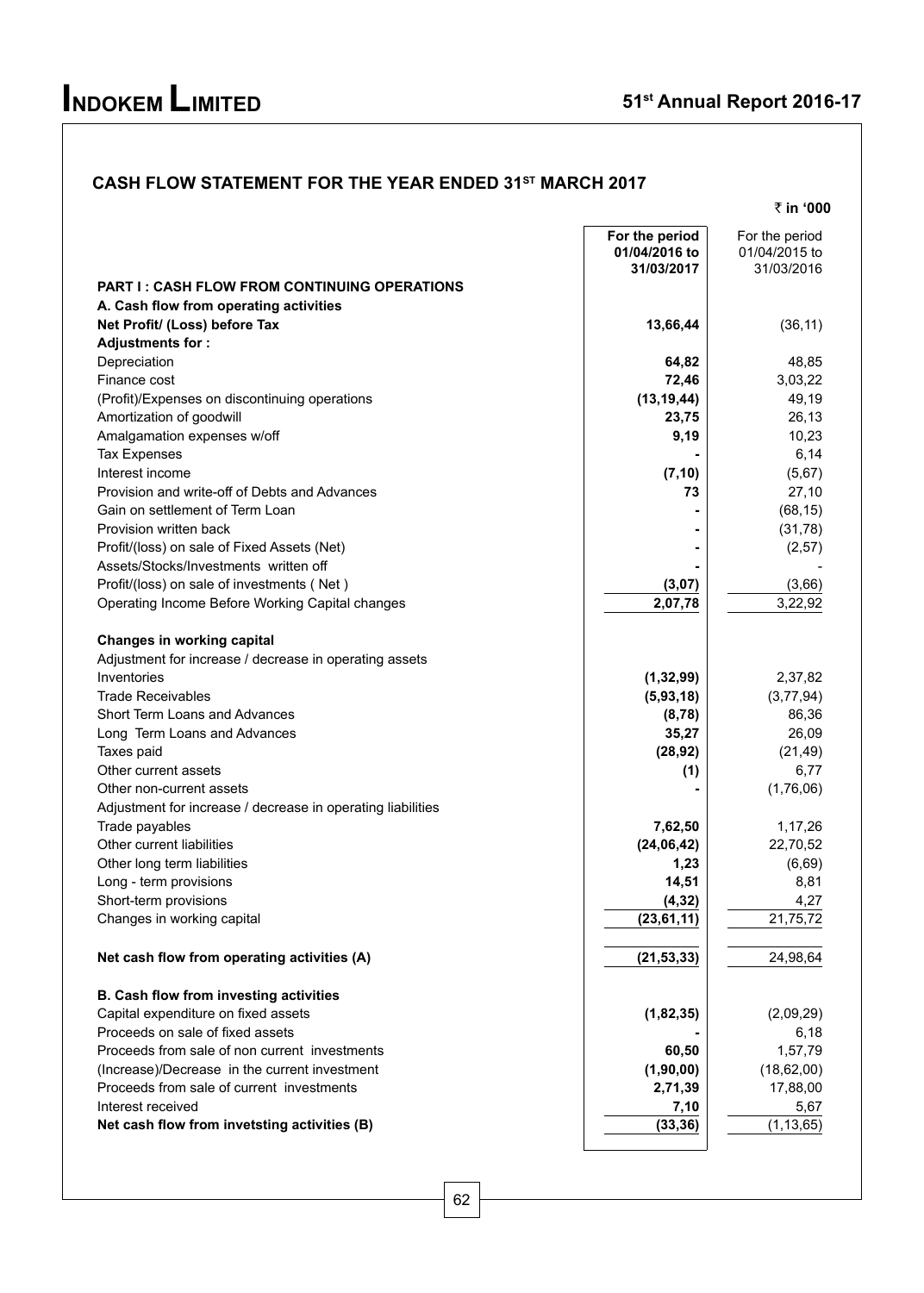# **INDOKEM LIMITED** 51<sup>st</sup> Annual Report 2016-17

# **CASH FLOW STATEMENT FOR THE YEAR ENDED 31ST MARCH 2017**

|                                                                                            |                                               | ₹ in '000                                     |
|--------------------------------------------------------------------------------------------|-----------------------------------------------|-----------------------------------------------|
|                                                                                            | For the period<br>01/04/2016 to<br>31/03/2017 | For the period<br>01/04/2015 to<br>31/03/2016 |
| <b>PART I: CASH FLOW FROM CONTINUING OPERATIONS</b>                                        |                                               |                                               |
| A. Cash flow from operating activities                                                     |                                               |                                               |
| Net Profit/ (Loss) before Tax                                                              | 13,66,44                                      | (36, 11)                                      |
| Adjustments for:                                                                           |                                               |                                               |
| Depreciation                                                                               | 64,82                                         | 48,85                                         |
| Finance cost                                                                               | 72,46                                         | 3,03,22                                       |
| (Profit)/Expenses on discontinuing operations                                              | (13, 19, 44)                                  | 49,19                                         |
| Amortization of goodwill                                                                   | 23,75                                         | 26,13                                         |
| Amalgamation expenses w/off                                                                | 9,19                                          | 10,23                                         |
| <b>Tax Expenses</b>                                                                        |                                               | 6,14                                          |
| Interest income<br>Provision and write-off of Debts and Advances                           | (7, 10)<br>73                                 | (5, 67)                                       |
| Gain on settlement of Term Loan                                                            |                                               | 27,10<br>(68, 15)                             |
| Provision written back                                                                     |                                               | (31, 78)                                      |
| Profit/(loss) on sale of Fixed Assets (Net)                                                |                                               | (2,57)                                        |
| Assets/Stocks/Investments written off                                                      |                                               |                                               |
| Profit/(loss) on sale of investments (Net)                                                 | (3,07)                                        | (3,66)                                        |
| Operating Income Before Working Capital changes                                            | 2,07,78                                       | 3,22,92                                       |
|                                                                                            |                                               |                                               |
| Changes in working capital                                                                 |                                               |                                               |
| Adjustment for increase / decrease in operating assets                                     |                                               |                                               |
| Inventories                                                                                | (1, 32, 99)                                   | 2,37,82                                       |
| <b>Trade Receivables</b>                                                                   | (5,93,18)                                     | (3,77,94)                                     |
| Short Term Loans and Advances                                                              | (8, 78)                                       | 86,36                                         |
| Long Term Loans and Advances                                                               | 35,27                                         | 26,09                                         |
| Taxes paid                                                                                 | (28, 92)                                      | (21, 49)                                      |
| Other current assets                                                                       | (1)                                           | 6,77                                          |
| Other non-current assets                                                                   |                                               | (1,76,06)                                     |
| Adjustment for increase / decrease in operating liabilities                                |                                               |                                               |
| Trade payables                                                                             | 7,62,50                                       | 1,17,26                                       |
| Other current liabilities                                                                  | (24, 06, 42)                                  | 22,70,52                                      |
| Other long term liabilities                                                                | 1,23                                          | (6, 69)                                       |
| Long - term provisions<br>Short-term provisions                                            | 14,51                                         | 8,81                                          |
| Changes in working capital                                                                 | (4, 32)<br>(23, 61, 11)                       | 4,27<br>21,75,72                              |
|                                                                                            |                                               |                                               |
| Net cash flow from operating activities (A)                                                | (21, 53, 33)                                  | 24,98,64                                      |
|                                                                                            |                                               |                                               |
| B. Cash flow from investing activities                                                     |                                               |                                               |
| Capital expenditure on fixed assets                                                        | (1, 82, 35)                                   | (2,09,29)                                     |
| Proceeds on sale of fixed assets                                                           |                                               | 6,18                                          |
| Proceeds from sale of non current investments                                              | 60,50                                         | 1,57,79                                       |
| (Increase)/Decrease in the current investment<br>Proceeds from sale of current investments | (1,90,00)                                     | (18, 62, 00)                                  |
| Interest received                                                                          | 2,71,39                                       | 17,88,00                                      |
| Net cash flow from invetsting activities (B)                                               | 7,10<br>(33, 36)                              | 5,67<br>(1, 13, 65)                           |
|                                                                                            |                                               |                                               |
|                                                                                            |                                               |                                               |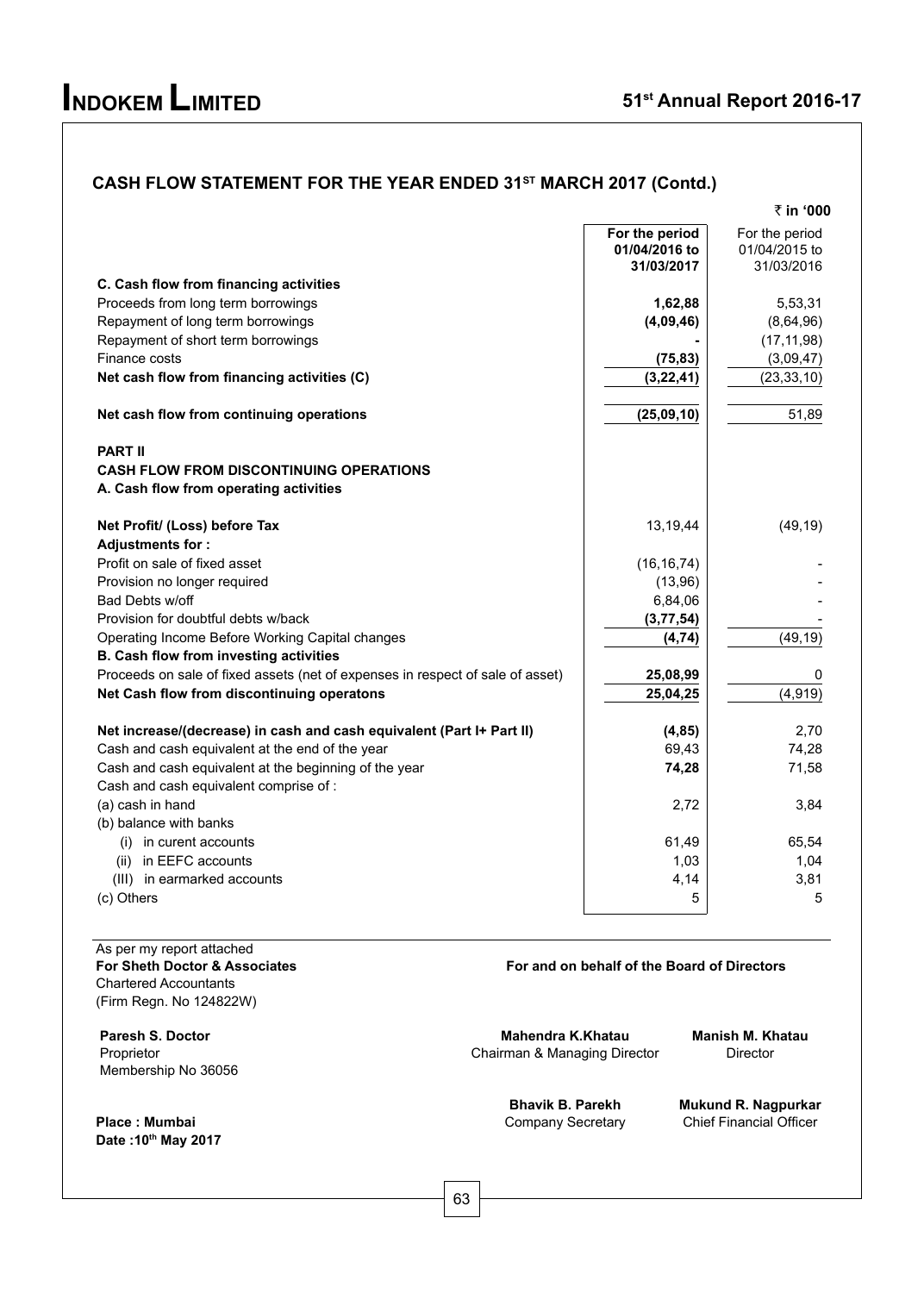# **INDOKEM LIMITED** 51<sup>st</sup> Annual Report 2016-17

# **CASH FLOW STATEMENT FOR THE YEAR ENDED 31ST MARCH 2017 (Contd.)**

|                                                                                |                                               | ₹ in '000                                     |
|--------------------------------------------------------------------------------|-----------------------------------------------|-----------------------------------------------|
|                                                                                | For the period<br>01/04/2016 to<br>31/03/2017 | For the period<br>01/04/2015 to<br>31/03/2016 |
| C. Cash flow from financing activities                                         |                                               |                                               |
| Proceeds from long term borrowings                                             | 1,62,88                                       | 5,53,31                                       |
| Repayment of long term borrowings                                              | (4,09,46)                                     | (8,64,96)                                     |
| Repayment of short term borrowings                                             |                                               | (17, 11, 98)                                  |
| Finance costs                                                                  | (75, 83)                                      | (3,09,47)                                     |
| Net cash flow from financing activities (C)                                    | (3, 22, 41)                                   | (23, 33, 10)                                  |
| Net cash flow from continuing operations                                       | (25,09,10)                                    | 51,89                                         |
| <b>PART II</b>                                                                 |                                               |                                               |
| <b>CASH FLOW FROM DISCONTINUING OPERATIONS</b>                                 |                                               |                                               |
| A. Cash flow from operating activities                                         |                                               |                                               |
| Net Profit/ (Loss) before Tax                                                  | 13,19,44                                      | (49, 19)                                      |
| Adjustments for:                                                               |                                               |                                               |
| Profit on sale of fixed asset                                                  | (16, 16, 74)                                  |                                               |
| Provision no longer required                                                   | (13,96)                                       |                                               |
| Bad Debts w/off                                                                | 6,84,06                                       |                                               |
| Provision for doubtful debts w/back                                            | (3, 77, 54)                                   |                                               |
| Operating Income Before Working Capital changes                                | (4, 74)                                       | (49, 19)                                      |
| B. Cash flow from investing activities                                         |                                               |                                               |
| Proceeds on sale of fixed assets (net of expenses in respect of sale of asset) | 25,08,99                                      | 0                                             |
| Net Cash flow from discontinuing operatons                                     | 25,04,25                                      | (4, 919)                                      |
| Net increase/(decrease) in cash and cash equivalent (Part I+ Part II)          | (4, 85)                                       | 2,70                                          |
| Cash and cash equivalent at the end of the year                                | 69,43                                         | 74,28                                         |
| Cash and cash equivalent at the beginning of the year                          | 74,28                                         | 71,58                                         |
| Cash and cash equivalent comprise of :                                         |                                               |                                               |
| (a) cash in hand                                                               | 2,72                                          | 3,84                                          |
| (b) balance with banks                                                         |                                               |                                               |
| (i) in curent accounts                                                         | 61,49                                         | 65,54                                         |
| (ii) in EEFC accounts                                                          | 1,03                                          | 1,04                                          |
| (III) in earmarked accounts                                                    | 4,14                                          | 3,81                                          |
| (c) Others                                                                     | 5                                             | 5                                             |
|                                                                                |                                               |                                               |

As per my report attached<br>For Sheth Doctor & Associates Chartered Accountants (Firm Regn. No 124822W)

Membership No 36056

**Date :10th May 2017**

# **For and on behalf of the Board of Directors**

**Paresh S. Doctor National Community Community Chairman A.Khatau Manish M. Khatau Proprietor Director Chairman A. Managing Director Director Director** Chairman & Managing Director

Place : Mumbai **Company Secretary** Company Secretary

**Bhavik B. Parekh Mukund R. Nagpurkar**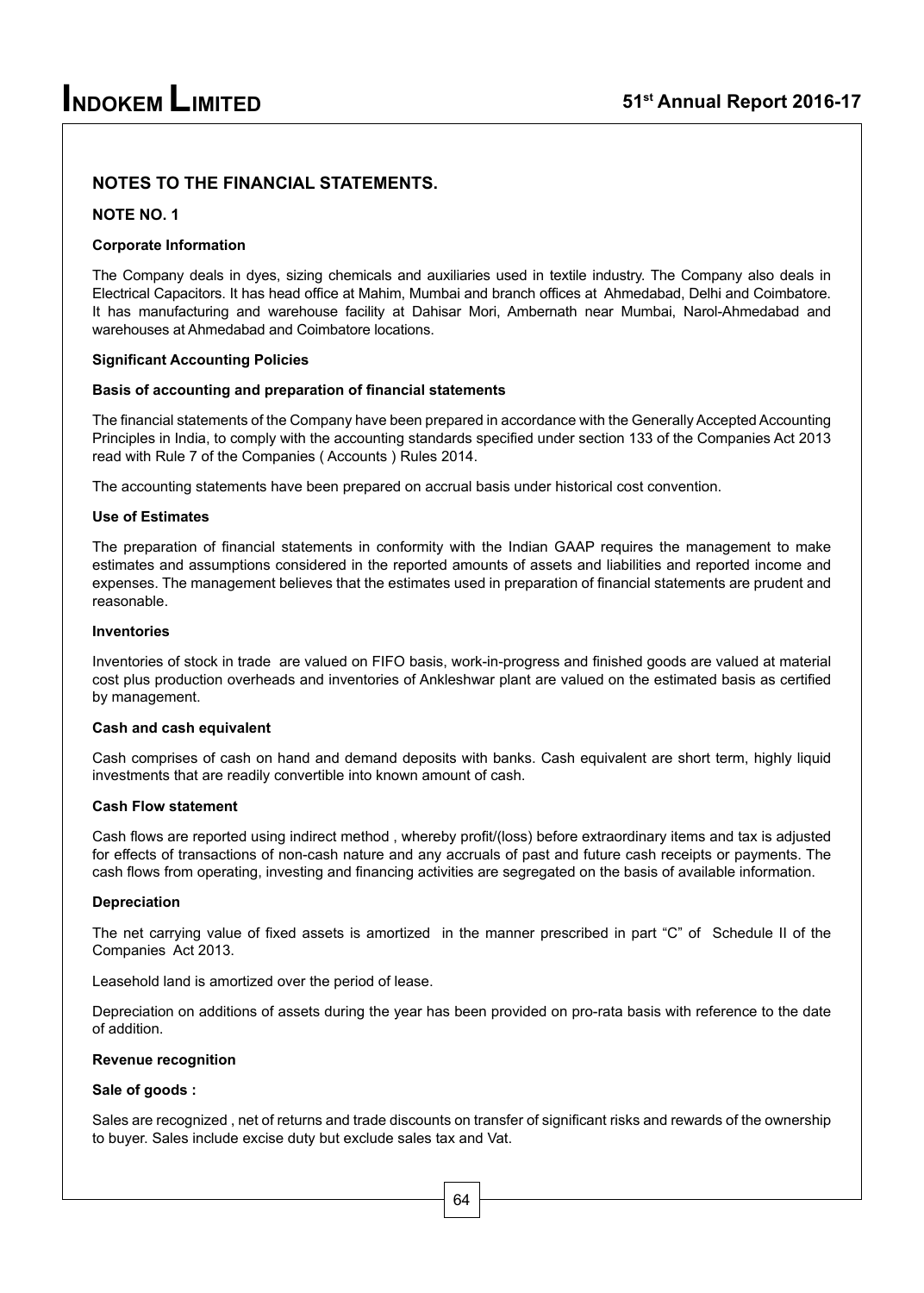# **NOTES TO THE FINANCIAL STATEMENTS.**

# **NOTE NO. 1**

#### **Corporate Information**

The Company deals in dyes, sizing chemicals and auxiliaries used in textile industry. The Company also deals in Electrical Capacitors. It has head office at Mahim, Mumbai and branch offices at Ahmedabad, Delhi and Coimbatore. It has manufacturing and warehouse facility at Dahisar Mori, Ambernath near Mumbai, Narol-Ahmedabad and warehouses at Ahmedabad and Coimbatore locations.

#### **Significant Accounting Policies**

#### **Basis of accounting and preparation of financial statements**

The financial statements of the Company have been prepared in accordance with the Generally Accepted Accounting Principles in India, to comply with the accounting standards specified under section 133 of the Companies Act 2013 read with Rule 7 of the Companies ( Accounts ) Rules 2014.

The accounting statements have been prepared on accrual basis under historical cost convention.

#### **Use of Estimates**

The preparation of financial statements in conformity with the Indian GAAP requires the management to make estimates and assumptions considered in the reported amounts of assets and liabilities and reported income and expenses. The management believes that the estimates used in preparation of financial statements are prudent and reasonable.

#### **Inventories**

Inventories of stock in trade are valued on FIFO basis, work-in-progress and finished goods are valued at material cost plus production overheads and inventories of Ankleshwar plant are valued on the estimated basis as certified by management.

#### **Cash and cash equivalent**

Cash comprises of cash on hand and demand deposits with banks. Cash equivalent are short term, highly liquid investments that are readily convertible into known amount of cash.

#### **Cash Flow statement**

Cash flows are reported using indirect method , whereby profit/(loss) before extraordinary items and tax is adjusted for effects of transactions of non-cash nature and any accruals of past and future cash receipts or payments. The cash flows from operating, investing and financing activities are segregated on the basis of available information.

#### **Depreciation**

The net carrying value of fixed assets is amortized in the manner prescribed in part "C" of Schedule II of the Companies Act 2013.

Leasehold land is amortized over the period of lease.

Depreciation on additions of assets during the year has been provided on pro-rata basis with reference to the date of addition.

#### **Revenue recognition**

#### **Sale of goods :**

Sales are recognized , net of returns and trade discounts on transfer of significant risks and rewards of the ownership to buyer. Sales include excise duty but exclude sales tax and Vat.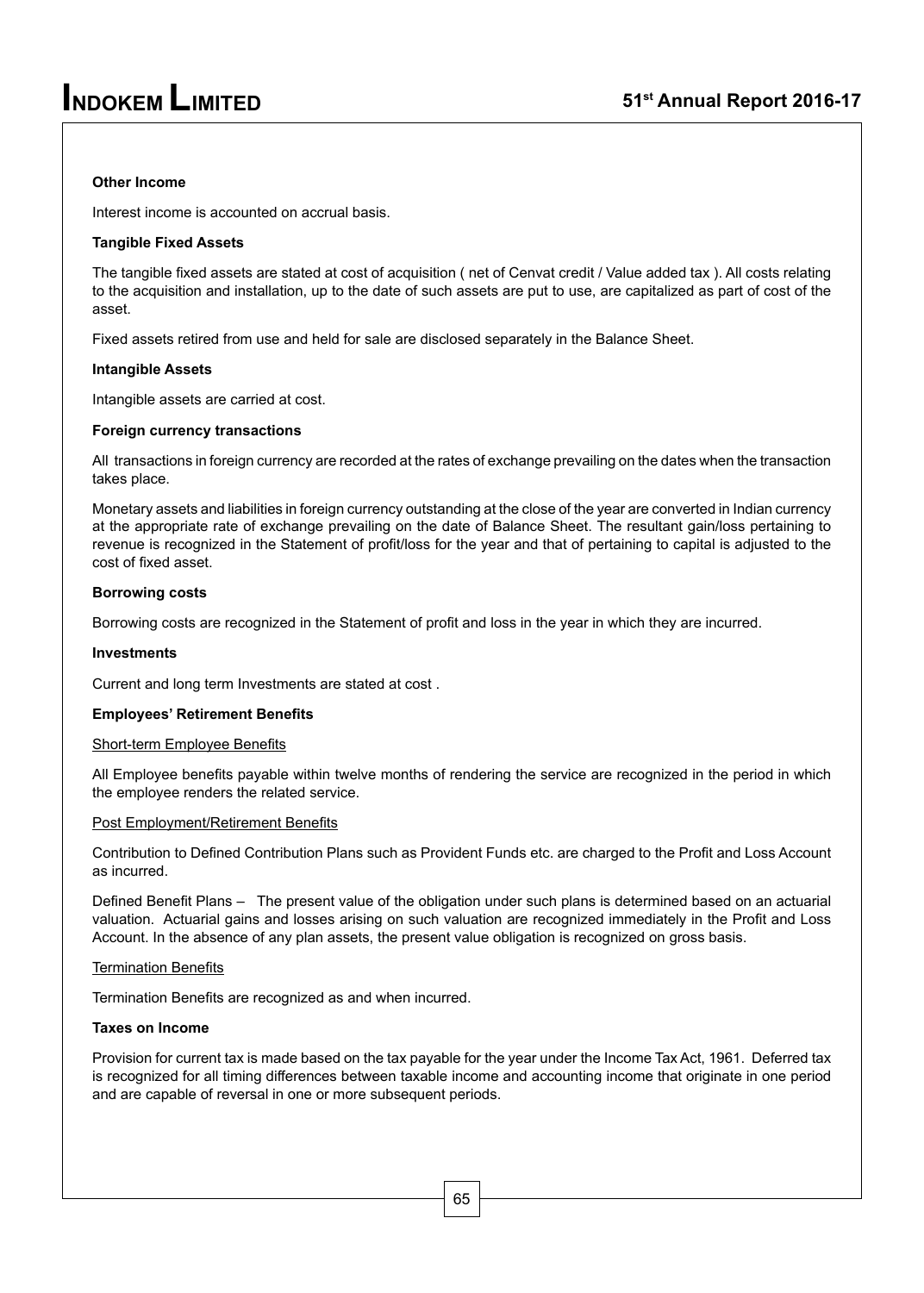# **INDOKEM LIMITED** 51st Annual Report 2016-17

### **Other Income**

Interest income is accounted on accrual basis.

#### **Tangible Fixed Assets**

The tangible fixed assets are stated at cost of acquisition ( net of Cenvat credit / Value added tax ). All costs relating to the acquisition and installation, up to the date of such assets are put to use, are capitalized as part of cost of the asset.

Fixed assets retired from use and held for sale are disclosed separately in the Balance Sheet.

#### **Intangible Assets**

Intangible assets are carried at cost.

#### **Foreign currency transactions**

All transactions in foreign currency are recorded at the rates of exchange prevailing on the dates when the transaction takes place.

Monetary assets and liabilities in foreign currency outstanding at the close of the year are converted in Indian currency at the appropriate rate of exchange prevailing on the date of Balance Sheet. The resultant gain/loss pertaining to revenue is recognized in the Statement of profit/loss for the year and that of pertaining to capital is adjusted to the cost of fixed asset.

#### **Borrowing costs**

Borrowing costs are recognized in the Statement of profit and loss in the year in which they are incurred.

#### **Investments**

Current and long term Investments are stated at cost .

#### **Employees' Retirement Benefits**

#### Short-term Employee Benefits

All Employee benefits payable within twelve months of rendering the service are recognized in the period in which the employee renders the related service.

#### Post Employment/Retirement Benefits

Contribution to Defined Contribution Plans such as Provident Funds etc. are charged to the Profit and Loss Account as incurred.

Defined Benefit Plans – The present value of the obligation under such plans is determined based on an actuarial valuation. Actuarial gains and losses arising on such valuation are recognized immediately in the Profit and Loss Account. In the absence of any plan assets, the present value obligation is recognized on gross basis.

#### Termination Benefits

Termination Benefits are recognized as and when incurred.

#### **Taxes on Income**

Provision for current tax is made based on the tax payable for the year under the Income Tax Act, 1961. Deferred tax is recognized for all timing differences between taxable income and accounting income that originate in one period and are capable of reversal in one or more subsequent periods.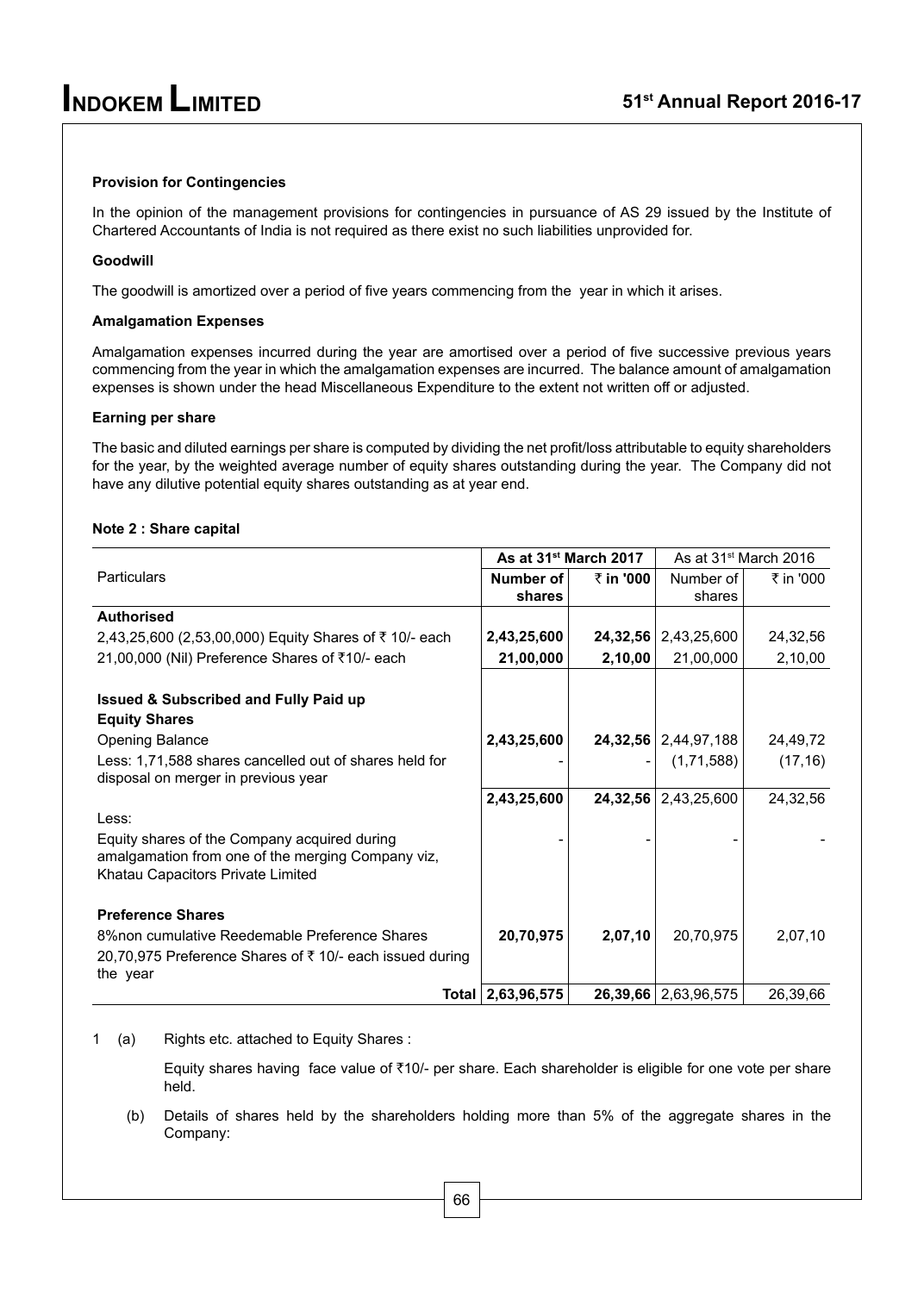# **INDOKEM LIMITED** 51<sup>st</sup> Annual Report 2016-17

#### **Provision for Contingencies**

In the opinion of the management provisions for contingencies in pursuance of AS 29 issued by the Institute of Chartered Accountants of India is not required as there exist no such liabilities unprovided for.

# **Goodwill**

The goodwill is amortized over a period of five years commencing from the year in which it arises.

#### **Amalgamation Expenses**

Amalgamation expenses incurred during the year are amortised over a period of five successive previous years commencing from the year in which the amalgamation expenses are incurred. The balance amount of amalgamation expenses is shown under the head Miscellaneous Expenditure to the extent not written off or adjusted.

#### **Earning per share**

The basic and diluted earnings per share is computed by dividing the net profit/loss attributable to equity shareholders for the year, by the weighted average number of equity shares outstanding during the year. The Company did not have any dilutive potential equity shares outstanding as at year end.

#### **Note 2 : Share capital**

|                                                                                                                                        |                     | As at 31 <sup>st</sup> March 2017 | As at 31 <sup>st</sup> March 2016 |           |  |
|----------------------------------------------------------------------------------------------------------------------------------------|---------------------|-----------------------------------|-----------------------------------|-----------|--|
| Particulars                                                                                                                            | Number of           | ₹ in '000                         | Number of                         | ₹ in '000 |  |
|                                                                                                                                        | shares              |                                   | shares                            |           |  |
| <b>Authorised</b>                                                                                                                      |                     |                                   |                                   |           |  |
| 2,43,25,600 (2,53,00,000) Equity Shares of ₹10/- each                                                                                  | 2,43,25,600         |                                   | 24,32,56   2,43,25,600            | 24,32,56  |  |
| 21,00,000 (Nil) Preference Shares of ₹10/- each                                                                                        | 21,00,000           | 2,10,00                           | 21,00,000                         | 2,10,00   |  |
| <b>Issued &amp; Subscribed and Fully Paid up</b><br><b>Equity Shares</b>                                                               |                     |                                   |                                   |           |  |
| <b>Opening Balance</b>                                                                                                                 | 2,43,25,600         |                                   | 24, 32, 56   2, 44, 97, 188       | 24,49,72  |  |
| Less: 1,71,588 shares cancelled out of shares held for<br>disposal on merger in previous year                                          |                     |                                   | (1,71,588)                        | (17, 16)  |  |
|                                                                                                                                        | 2,43,25,600         | 24,32,56                          | 2,43,25,600                       | 24,32,56  |  |
| Less:                                                                                                                                  |                     |                                   |                                   |           |  |
| Equity shares of the Company acquired during<br>amalgamation from one of the merging Company viz,<br>Khatau Capacitors Private Limited |                     |                                   |                                   |           |  |
| <b>Preference Shares</b>                                                                                                               |                     |                                   |                                   |           |  |
| 8% non cumulative Reedemable Preference Shares<br>20,70,975 Preference Shares of ₹10/- each issued during<br>the year                  | 20,70,975           | 2,07,10                           | 20,70,975                         | 2,07,10   |  |
|                                                                                                                                        | Total   2,63,96,575 |                                   | 26,39,66   2,63,96,575            | 26,39,66  |  |

1 (a) Rights etc. attached to Equity Shares :

Equity shares having face value of  $\overline{5}10/$ - per share. Each shareholder is eligible for one vote per share held.

(b) Details of shares held by the shareholders holding more than 5% of the aggregate shares in the Company: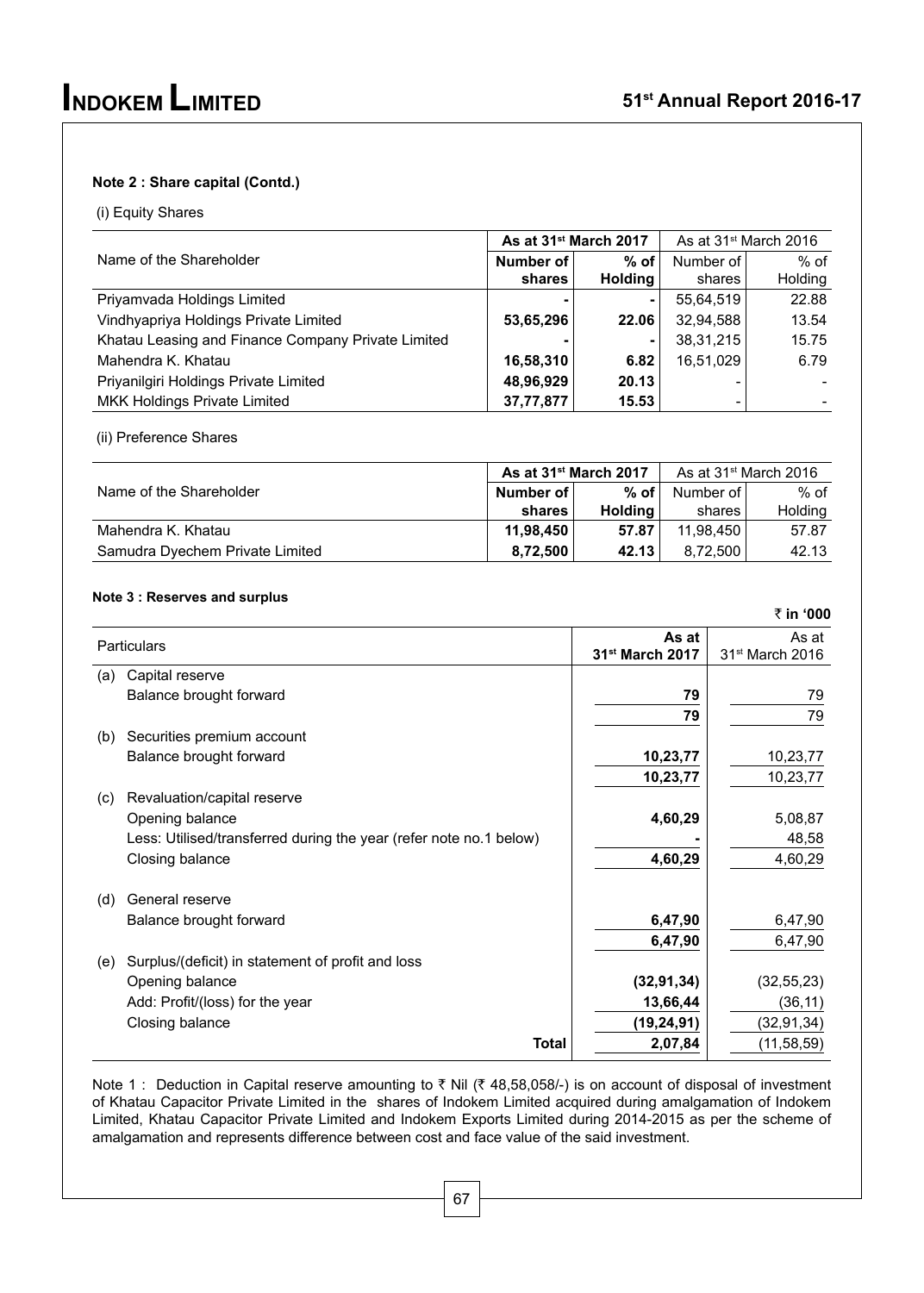` **in '000**

# **Note 2 : Share capital (Contd.)**

(i) Equity Shares

|                                                    |           | As at 31 <sup>st</sup> March 2017 | As at 31 <sup>st</sup> March 2016 |         |  |
|----------------------------------------------------|-----------|-----------------------------------|-----------------------------------|---------|--|
| Name of the Shareholder                            | Number of | $%$ of                            | Number of                         | $%$ of  |  |
|                                                    | shares    | <b>Holding</b>                    | shares                            | Holding |  |
| Priyamvada Holdings Limited                        |           | ٠                                 | 55,64,519                         | 22.88   |  |
| Vindhyapriya Holdings Private Limited              | 53,65,296 | 22.06                             | 32,94,588                         | 13.54   |  |
| Khatau Leasing and Finance Company Private Limited |           | ٠                                 | 38, 31, 215                       | 15.75   |  |
| Mahendra K. Khatau                                 | 16,58,310 | 6.82                              | 16,51,029                         | 6.79    |  |
| Priyanilgiri Holdings Private Limited              | 48,96,929 | 20.13                             |                                   |         |  |
| <b>MKK Holdings Private Limited</b>                | 37,77,877 | 15.53                             |                                   |         |  |

#### (ii) Preference Shares

|                                 | As at 31 <sup>st</sup> March 2017 |         | As at 31 <sup>st</sup> March 2016 |         |  |
|---------------------------------|-----------------------------------|---------|-----------------------------------|---------|--|
| Name of the Shareholder         | Number of                         | $%$ of  | Number of                         | $%$ of  |  |
|                                 | shares                            | Holdina | shares                            | Holding |  |
| Mahendra K. Khatau              | 11.98.450                         | 57.87   | 11.98.450                         | 57.87   |  |
| Samudra Dyechem Private Limited | 8.72.500                          | 42.13   | 8.72.500                          | 42.13   |  |

### **Note 3 : Reserves and surplus**

|     | <b>Particulars</b>                                                 | As at                       | As at                       |
|-----|--------------------------------------------------------------------|-----------------------------|-----------------------------|
|     |                                                                    | 31 <sup>st</sup> March 2017 | 31 <sup>st</sup> March 2016 |
| (a) | Capital reserve                                                    |                             |                             |
|     | Balance brought forward                                            | 79                          | 79                          |
|     |                                                                    | 79                          | 79                          |
| (b) | Securities premium account                                         |                             |                             |
|     | Balance brought forward                                            | 10,23,77                    | 10,23,77                    |
|     |                                                                    | 10,23,77                    | 10,23,77                    |
| (c) | Revaluation/capital reserve                                        |                             |                             |
|     | Opening balance                                                    | 4,60,29                     | 5,08,87                     |
|     | Less: Utilised/transferred during the year (refer note no.1 below) |                             | 48,58                       |
|     | Closing balance                                                    | 4,60,29                     | 4,60,29                     |
|     |                                                                    |                             |                             |
| (d) | General reserve                                                    |                             |                             |
|     | Balance brought forward                                            | 6,47,90                     | 6,47,90                     |
|     |                                                                    | 6,47,90                     | 6,47,90                     |
| (e) | Surplus/(deficit) in statement of profit and loss                  |                             |                             |
|     | Opening balance                                                    | (32, 91, 34)                | (32, 55, 23)                |
|     | Add: Profit/(loss) for the year                                    | 13,66,44                    | (36, 11)                    |
|     | Closing balance                                                    | (19, 24, 91)                | (32, 91, 34)                |
|     | <b>Total</b>                                                       | 2,07,84                     | (11,58,59)                  |
|     |                                                                    |                             |                             |

Note 1 : Deduction in Capital reserve amounting to  $\bar{\tau}$  Nil ( $\bar{\tau}$  48,58,058/-) is on account of disposal of investment of Khatau Capacitor Private Limited in the shares of Indokem Limited acquired during amalgamation of Indokem Limited, Khatau Capacitor Private Limited and Indokem Exports Limited during 2014-2015 as per the scheme of amalgamation and represents difference between cost and face value of the said investment.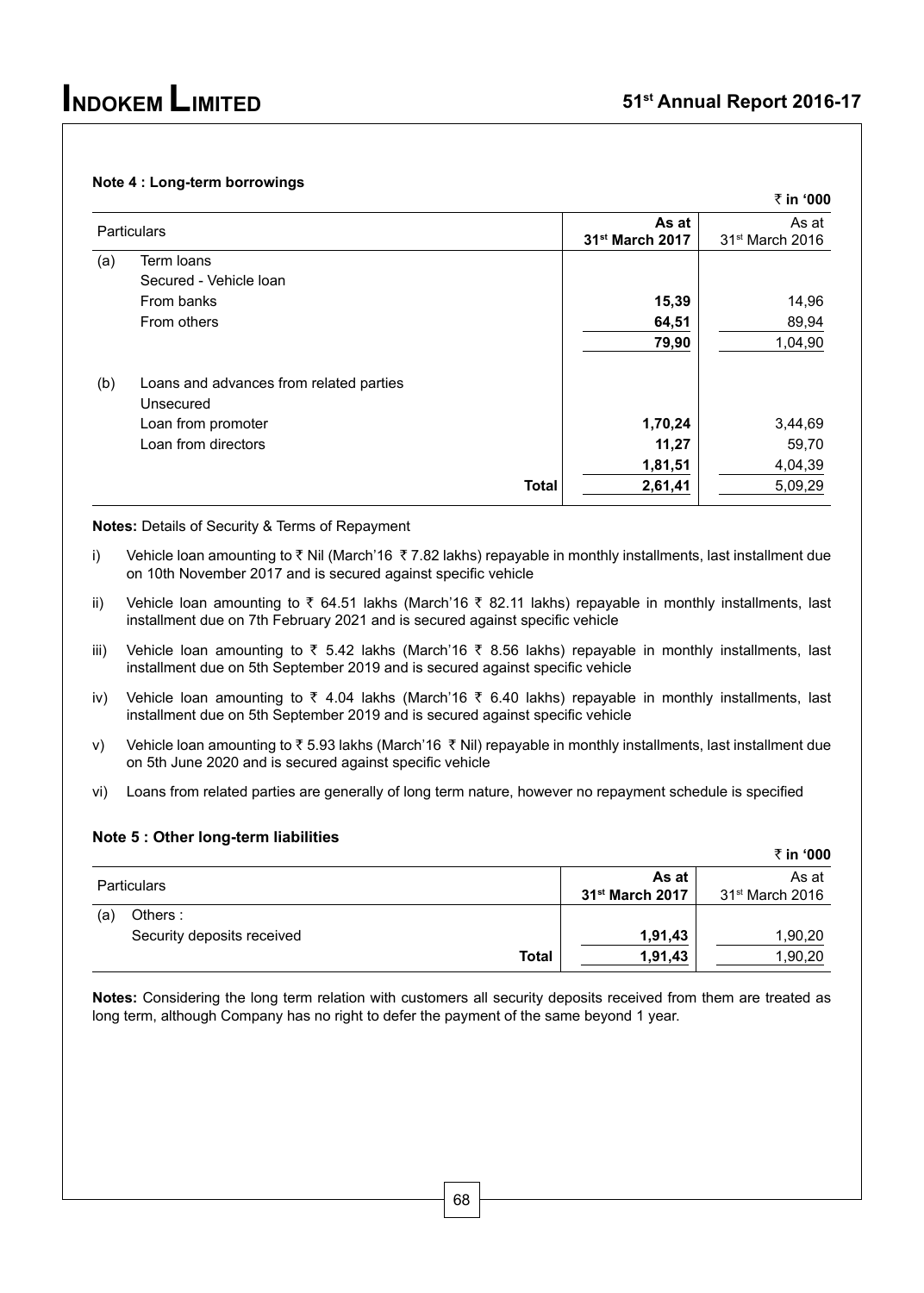$\mathbf{r}$  **i**  $\mathbf{r}$  in  $\mathbf{r}$ 

` **in '000**

#### **Note 4 : Long-term borrowings**

|     |                                         |              |                                      | $\langle$ in ouv                     |
|-----|-----------------------------------------|--------------|--------------------------------------|--------------------------------------|
|     | <b>Particulars</b>                      |              | As at<br>31 <sup>st</sup> March 2017 | As at<br>31 <sup>st</sup> March 2016 |
| (a) | Term Ioans<br>Secured - Vehicle Ioan    |              |                                      |                                      |
|     | From banks                              |              | 15,39                                | 14,96                                |
|     | From others                             |              | 64,51                                | 89,94                                |
| (b) | Loans and advances from related parties |              | 79,90                                | 1,04,90                              |
|     | Unsecured                               |              |                                      |                                      |
|     | Loan from promoter                      |              | 1,70,24                              | 3,44,69                              |
|     | Loan from directors                     |              | 11,27                                | 59,70                                |
|     |                                         |              | 1,81,51                              | 4,04,39                              |
|     |                                         | <b>Total</b> | 2,61,41                              | 5,09,29                              |

**Notes:** Details of Security & Terms of Repayment

- i) Vehicle loan amounting to  $\bar{\tau}$  Nil (March'16  $\bar{\tau}$  7.82 lakhs) repayable in monthly installments, last installment due on 10th November 2017 and is secured against specific vehicle
- ii) Vehicle loan amounting to  $\bar{\tau}$  64.51 lakhs (March'16  $\bar{\tau}$  82.11 lakhs) repayable in monthly installments, last installment due on 7th February 2021 and is secured against specific vehicle
- iii) Vehicle loan amounting to  $\bar{\tau}$  5.42 lakhs (March'16  $\bar{\tau}$  8.56 lakhs) repayable in monthly installments, last installment due on 5th September 2019 and is secured against specific vehicle
- iv) Vehicle loan amounting to  $\bar{x}$  4.04 lakhs (March'16  $\bar{x}$  6.40 lakhs) repayable in monthly installments, last installment due on 5th September 2019 and is secured against specific vehicle
- v) Vehicle loan amounting to  $\bar{\tau}$  5.93 lakhs (March'16  $\bar{\tau}$  Nil) repayable in monthly installments, last installment due on 5th June 2020 and is secured against specific vehicle
- vi) Loans from related parties are generally of long term nature, however no repayment schedule is specified

#### **Note 5 : Other long-term liabilities**

|     |                            |              |                             | . <b>. .</b>                |
|-----|----------------------------|--------------|-----------------------------|-----------------------------|
|     | Particulars                |              | As at                       | As at                       |
|     |                            |              | 31 <sup>st</sup> March 2017 | 31 <sup>st</sup> March 2016 |
| (a) | Others :                   |              |                             |                             |
|     | Security deposits received |              | 1,91,43                     | 1,90,20                     |
|     |                            | <b>Total</b> | 1,91,43                     | 1,90,20                     |

**Notes:** Considering the long term relation with customers all security deposits received from them are treated as long term, although Company has no right to defer the payment of the same beyond 1 year.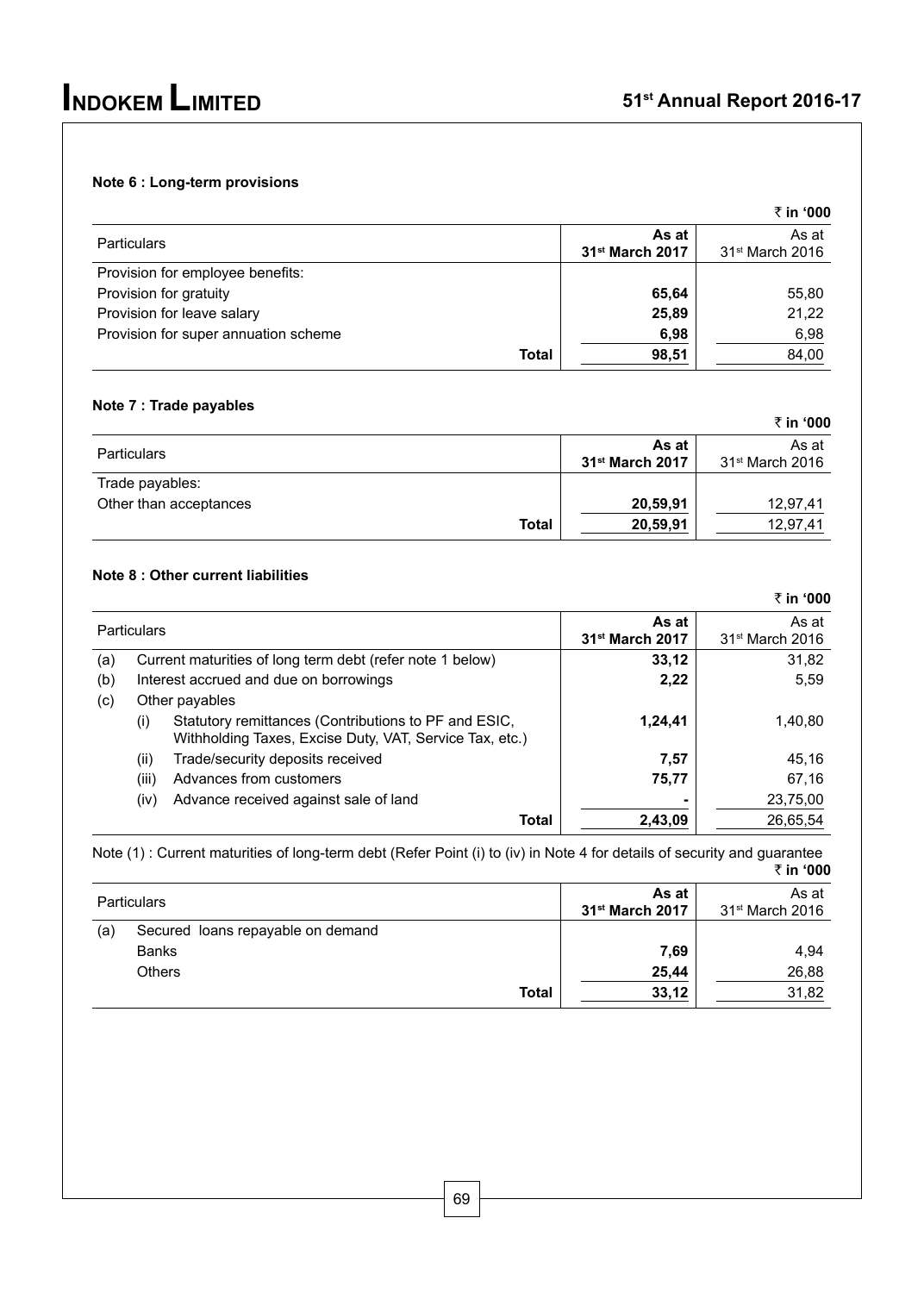` **in '000**

### **Note 6 : Long-term provisions**

|                                      |              |                                      | ₹ in '000                            |
|--------------------------------------|--------------|--------------------------------------|--------------------------------------|
| <b>Particulars</b>                   |              | As at<br>31 <sup>st</sup> March 2017 | As at<br>31 <sup>st</sup> March 2016 |
| Provision for employee benefits:     |              |                                      |                                      |
| Provision for gratuity               |              | 65,64                                | 55,80                                |
| Provision for leave salary           |              | 25,89                                | 21,22                                |
| Provision for super annuation scheme |              | 6,98                                 | 6,98                                 |
|                                      | <b>Total</b> | 98,51                                | 84,00                                |

# **Note 7 : Trade payables**

|                        |              |                             | ₹ in '000                   |
|------------------------|--------------|-----------------------------|-----------------------------|
| <b>Particulars</b>     |              | As at                       | As at                       |
|                        |              | 31 <sup>st</sup> March 2017 | 31 <sup>st</sup> March 2016 |
| Trade payables:        |              |                             |                             |
| Other than acceptances |              | 20,59,91                    | 12,97,41                    |
|                        | <b>Total</b> | 20,59,91                    | 12,97,41                    |

# **Note 8 : Other current liabilities**

|     |             |                                                                                                                 |                                      | ₹ in '000                            |
|-----|-------------|-----------------------------------------------------------------------------------------------------------------|--------------------------------------|--------------------------------------|
|     | Particulars |                                                                                                                 | As at<br>31 <sup>st</sup> March 2017 | As at<br>31 <sup>st</sup> March 2016 |
| (a) |             | Current maturities of long term debt (refer note 1 below)                                                       | 33,12                                | 31,82                                |
| (b) |             | Interest accrued and due on borrowings                                                                          | 2,22                                 | 5,59                                 |
| (c) |             | Other payables                                                                                                  |                                      |                                      |
|     | (i)         | Statutory remittances (Contributions to PF and ESIC,<br>Withholding Taxes, Excise Duty, VAT, Service Tax, etc.) | 1,24,41                              | 1,40,80                              |
|     | (ii)        | Trade/security deposits received                                                                                | 7,57                                 | 45.16                                |
|     | (iii)       | Advances from customers                                                                                         | 75,77                                | 67,16                                |
|     | (iv)        | Advance received against sale of land                                                                           |                                      | 23,75,00                             |
|     |             | Total                                                                                                           | 2,43,09                              | 26,65,54                             |

Note (1) : Current maturities of long-term debt (Refer Point (i) to (iv) in Note 4 for details of security and guarantee ` **in '000**

|     | Particulars                       |              | As at<br>31 <sup>st</sup> March 2017 | As at<br>31 <sup>st</sup> March 2016 |
|-----|-----------------------------------|--------------|--------------------------------------|--------------------------------------|
| (a) | Secured loans repayable on demand |              |                                      |                                      |
|     | <b>Banks</b>                      |              | 7.69                                 | 4.94                                 |
|     | <b>Others</b>                     |              | 25.44                                | 26,88                                |
|     |                                   | <b>Total</b> | 33,12                                | 31,82                                |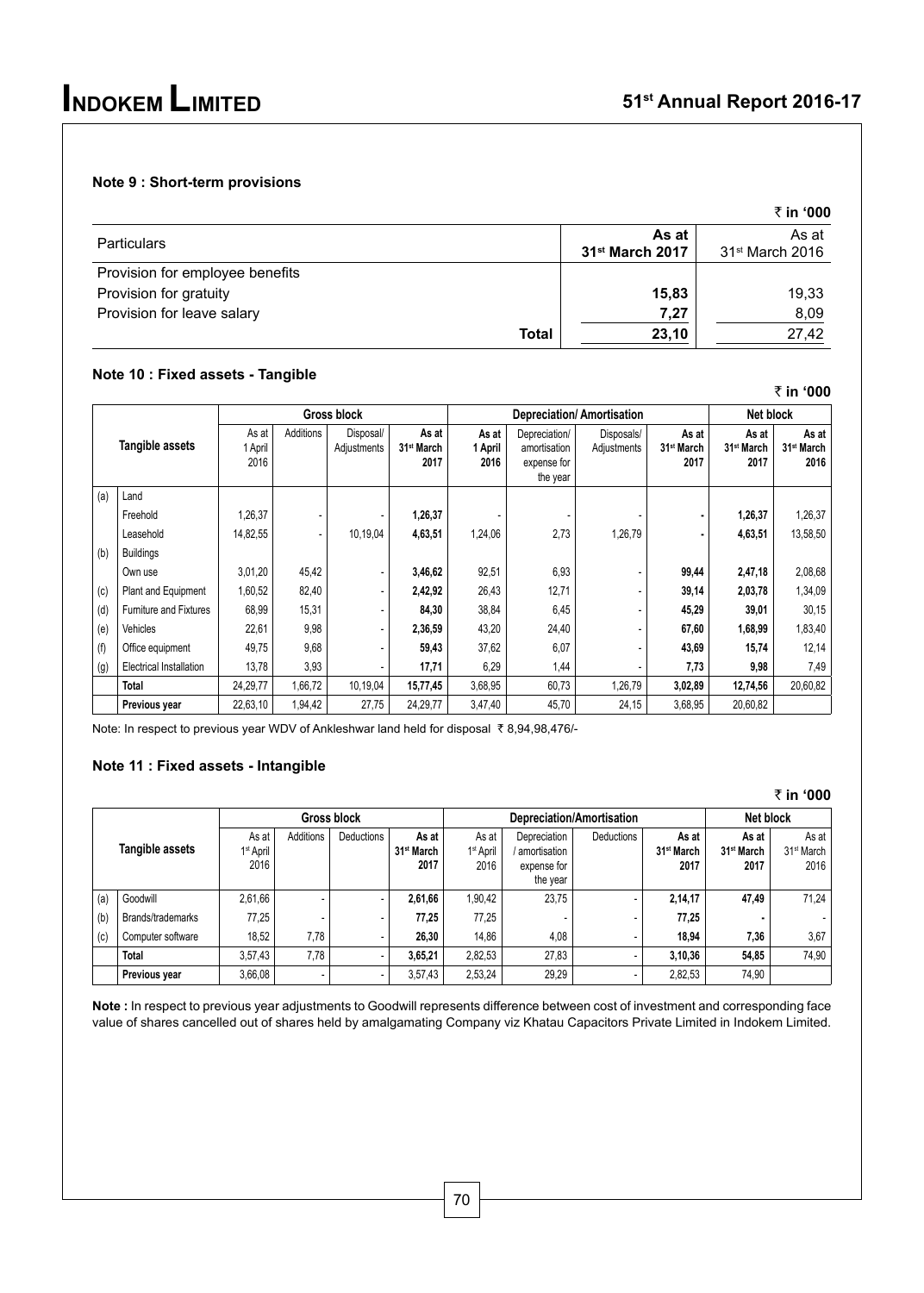#### **Note 9 : Short-term provisions**

|                                 |              |                                                            | ₹ in '000 |
|---------------------------------|--------------|------------------------------------------------------------|-----------|
| <b>Particulars</b>              |              | As at                                                      | As at     |
|                                 |              | 31 <sup>st</sup> March 2017<br>31 <sup>st</sup> March 2016 |           |
| Provision for employee benefits |              |                                                            |           |
| Provision for gratuity          |              | 15,83                                                      | 19,33     |
| Provision for leave salary      |              | 7,27                                                       | 8.09      |
|                                 | <b>Total</b> | 23,10                                                      | 27.42     |

# **Note 10 : Fixed assets - Tangible**

| \  UUV                 |                         |                          |                  |                          |                                         |                          |                                                          |                           |                                         |                                         |                                         |
|------------------------|-------------------------|--------------------------|------------------|--------------------------|-----------------------------------------|--------------------------|----------------------------------------------------------|---------------------------|-----------------------------------------|-----------------------------------------|-----------------------------------------|
|                        |                         |                          |                  | <b>Gross block</b>       |                                         |                          | <b>Depreciation/ Amortisation</b>                        |                           |                                         | Net block                               |                                         |
| <b>Tangible assets</b> |                         | As at<br>1 April<br>2016 | <b>Additions</b> | Disposal/<br>Adjustments | As at<br>31 <sup>st</sup> March<br>2017 | As at<br>1 April<br>2016 | Depreciation/<br>amortisation<br>expense for<br>the year | Disposals/<br>Adjustments | As at<br>31 <sup>st</sup> March<br>2017 | As at<br>31 <sup>st</sup> March<br>2017 | As at<br>31 <sup>st</sup> March<br>2016 |
| (a)                    | Land                    |                          |                  |                          |                                         |                          |                                                          |                           |                                         |                                         |                                         |
|                        | Freehold                | 1,26,37                  |                  |                          | 1,26,37                                 |                          |                                                          |                           |                                         | 1,26,37                                 | 1,26,37                                 |
|                        | Leasehold               | 14,82,55                 |                  | 10,19,04                 | 4,63,51                                 | 1,24,06                  | 2,73                                                     | 1,26,79                   |                                         | 4,63,51                                 | 13,58,50                                |
| (b)                    | <b>Buildings</b>        |                          |                  |                          |                                         |                          |                                                          |                           |                                         |                                         |                                         |
|                        | Own use                 | 3,01,20                  | 45,42            | ٠                        | 3,46,62                                 | 92,51                    | 6,93                                                     |                           | 99,44                                   | 2,47,18                                 | 2,08,68                                 |
| (c)                    | Plant and Equipment     | 1,60,52                  | 82,40            |                          | 2,42,92                                 | 26,43                    | 12,71                                                    |                           | 39,14                                   | 2,03,78                                 | 1,34,09                                 |
| (d)                    | Furniture and Fixtures  | 68,99                    | 15,31            |                          | 84,30                                   | 38,84                    | 6,45                                                     |                           | 45,29                                   | 39,01                                   | 30,15                                   |
| (e)                    | Vehicles                | 22,61                    | 9,98             |                          | 2,36,59                                 | 43,20                    | 24,40                                                    |                           | 67,60                                   | 1,68,99                                 | 1,83,40                                 |
| (f)                    | Office equipment        | 49,75                    | 9,68             |                          | 59,43                                   | 37,62                    | 6,07                                                     |                           | 43,69                                   | 15,74                                   | 12,14                                   |
| (g)                    | Electrical Installation | 13,78                    | 3,93             |                          | 17,71                                   | 6,29                     | 1,44                                                     |                           | 7,73                                    | 9,98                                    | 7,49                                    |
|                        | <b>Total</b>            | 24, 29, 77               | 1,66,72          | 10,19,04                 | 15,77,45                                | 3,68,95                  | 60,73                                                    | 1,26,79                   | 3,02,89                                 | 12,74,56                                | 20,60,82                                |
|                        | Previous year           | 22,63,10                 | 1,94,42          | 27,75                    | 24, 29, 77                              | 3,47,40                  | 45,70                                                    | 24,15                     | 3,68,95                                 | 20,60,82                                |                                         |

Note: In respect to previous year WDV of Ankleshwar land held for disposal ₹8,94,98,476/-

# **Note 11 : Fixed assets - Intangible**

| ₹ in '000       |                   |                                        |           |                          |                                         |                                        |                                                           |            |                                         |                                         |                                         |
|-----------------|-------------------|----------------------------------------|-----------|--------------------------|-----------------------------------------|----------------------------------------|-----------------------------------------------------------|------------|-----------------------------------------|-----------------------------------------|-----------------------------------------|
| Tangible assets |                   | <b>Gross block</b>                     |           |                          |                                         | Depreciation/Amortisation              |                                                           |            |                                         | Net block                               |                                         |
|                 |                   | As at<br>1 <sup>st</sup> April<br>2016 | Additions | Deductions               | As at<br>31 <sup>st</sup> March<br>2017 | As at<br>1 <sup>st</sup> April<br>2016 | Depreciation<br>/ amortisation<br>expense for<br>the year | Deductions | As at<br>31 <sup>st</sup> March<br>2017 | As at<br>31 <sup>st</sup> March<br>2017 | As at<br>31 <sup>st</sup> March<br>2016 |
| (a)             | Goodwill          | 2,61,66                                |           | ۰.                       | 2,61,66                                 | 1,90,42                                | 23,75                                                     |            | 2,14,17                                 | 47,49                                   | 71.24                                   |
| (b)             | Brands/trademarks | 77,25                                  |           | ۰.                       | 77.25                                   | 77.25                                  |                                                           |            | 77,25                                   |                                         |                                         |
| (c)             | Computer software | 18,52                                  | 7,78      | ۰                        | 26.30                                   | 14.86                                  | 4,08                                                      |            | 18.94                                   | 7,36                                    | 3,67                                    |
|                 | <b>Total</b>      | 3,57,43                                | 7,78      | ۰                        | 3,65,21                                 | 2,82,53                                | 27.83                                                     |            | 3,10,36                                 | 54,85                                   | 74,90                                   |
|                 | Previous year     | 3,66,08                                | ۰.        | $\overline{\phantom{a}}$ | 3,57,43                                 | 2,53,24                                | 29.29                                                     |            | 2,82,53                                 | 74,90                                   |                                         |

**Note :** In respect to previous year adjustments to Goodwill represents difference between cost of investment and corresponding face value of shares cancelled out of shares held by amalgamating Company viz Khatau Capacitors Private Limited in Indokem Limited.

` **in '000**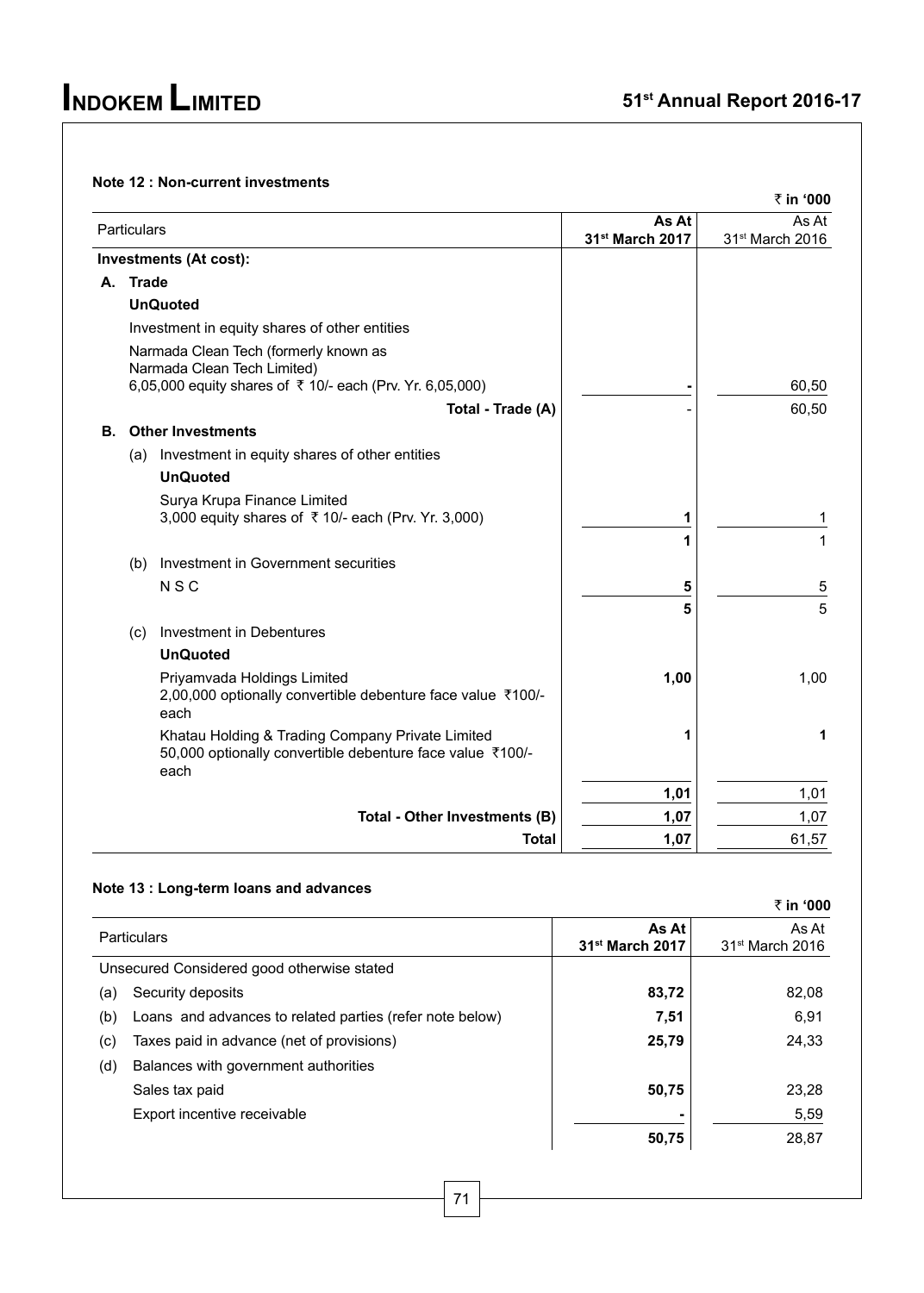#### **Note 12 : Non-current investments**

|    |             |                                                                                                                                   |                                      | ₹ in '000                            |
|----|-------------|-----------------------------------------------------------------------------------------------------------------------------------|--------------------------------------|--------------------------------------|
|    | Particulars |                                                                                                                                   | As At<br>31 <sup>st</sup> March 2017 | As At<br>31 <sup>st</sup> March 2016 |
|    |             | Investments (At cost):                                                                                                            |                                      |                                      |
|    | A. Trade    |                                                                                                                                   |                                      |                                      |
|    |             | <b>UnQuoted</b>                                                                                                                   |                                      |                                      |
|    |             | Investment in equity shares of other entities                                                                                     |                                      |                                      |
|    |             | Narmada Clean Tech (formerly known as<br>Narmada Clean Tech Limited)<br>6,05,000 equity shares of ₹ 10/- each (Prv. Yr. 6,05,000) |                                      | 60,50                                |
|    |             |                                                                                                                                   |                                      | 60,50                                |
|    |             | Total - Trade (A)<br><b>Other Investments</b>                                                                                     |                                      |                                      |
| В. |             |                                                                                                                                   |                                      |                                      |
|    |             | (a) Investment in equity shares of other entities<br><b>UnQuoted</b>                                                              |                                      |                                      |
|    |             | Surya Krupa Finance Limited<br>3,000 equity shares of ₹10/- each (Prv. Yr. 3,000)                                                 | 1                                    | 1                                    |
|    |             |                                                                                                                                   |                                      | 1                                    |
|    | (b)         | Investment in Government securities                                                                                               |                                      |                                      |
|    |             | <b>NSC</b>                                                                                                                        | 5                                    | 5                                    |
|    |             |                                                                                                                                   | 5                                    | 5                                    |
|    | (c)         | Investment in Debentures                                                                                                          |                                      |                                      |
|    |             | <b>UnQuoted</b>                                                                                                                   |                                      |                                      |
|    |             | Priyamvada Holdings Limited<br>2,00,000 optionally convertible debenture face value ₹100/-<br>each                                | 1,00                                 | 1,00                                 |
|    |             | Khatau Holding & Trading Company Private Limited<br>50,000 optionally convertible debenture face value ₹100/-<br>each             | 1                                    | 1                                    |
|    |             |                                                                                                                                   | 1,01                                 | 1,01                                 |
|    |             | Total - Other Investments (B)                                                                                                     | 1,07                                 | 1,07                                 |
|    |             | Total                                                                                                                             | 1,07                                 | 61,57                                |

#### **Note 13 : Long-term loans and advances**

|     |                                                          |                                      | \ III VVV                            |
|-----|----------------------------------------------------------|--------------------------------------|--------------------------------------|
|     | <b>Particulars</b>                                       | As At<br>31 <sup>st</sup> March 2017 | As At<br>31 <sup>st</sup> March 2016 |
|     | Unsecured Considered good otherwise stated               |                                      |                                      |
| (a) | Security deposits                                        | 83,72                                | 82,08                                |
| (b) | Loans and advances to related parties (refer note below) | 7,51                                 | 6,91                                 |
| (c) | Taxes paid in advance (net of provisions)                | 25,79                                | 24,33                                |
| (d) | Balances with government authorities                     |                                      |                                      |
|     | Sales tax paid                                           | 50,75                                | 23,28                                |
|     | Export incentive receivable                              |                                      | 5,59                                 |
|     |                                                          | 50,75                                | 28,87                                |
|     |                                                          |                                      |                                      |

71

` **in '000**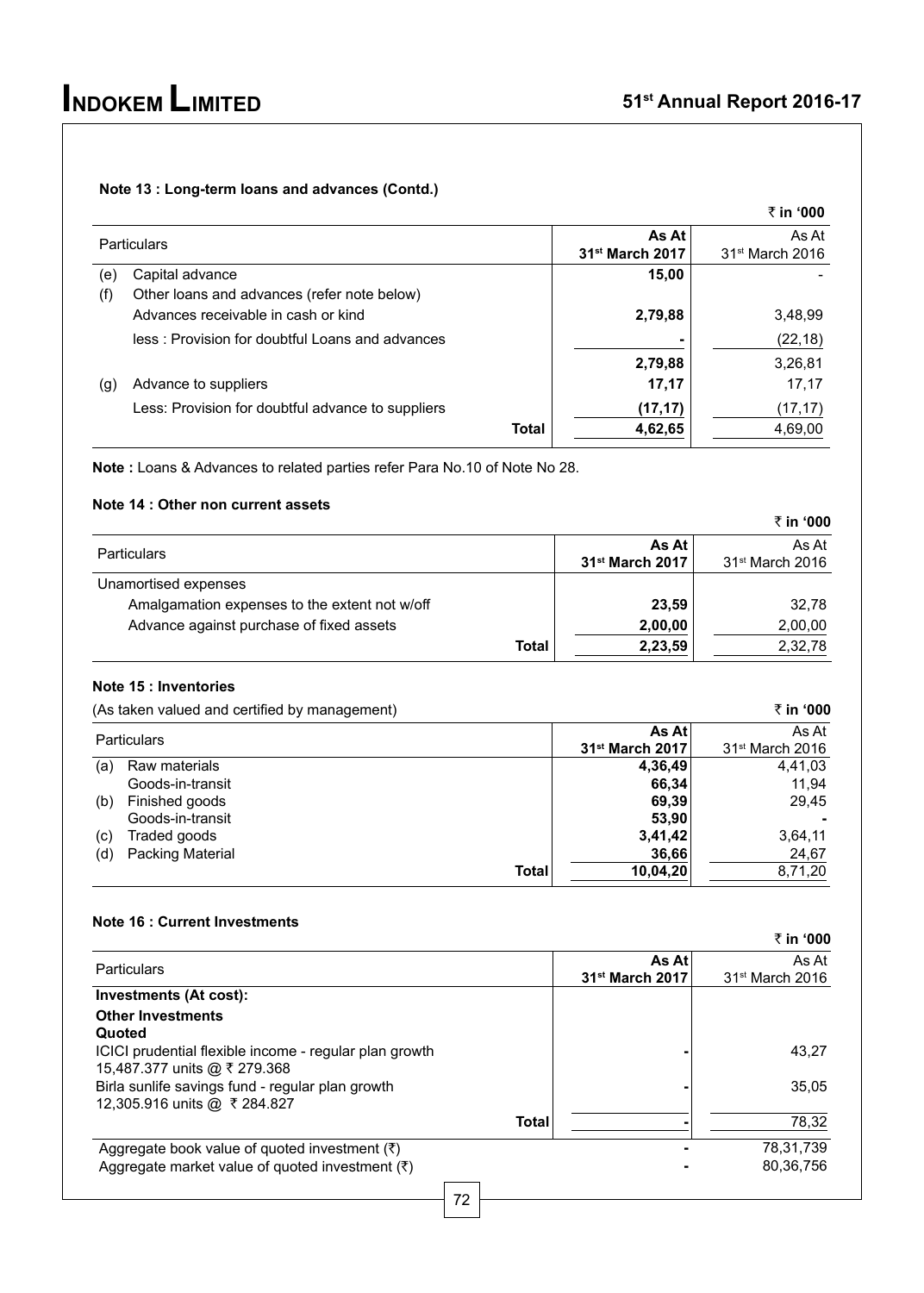#### **Note 13 : Long-term loans and advances (Contd.)**

|             |                                                   |       |                             | ₹ in '000                   |
|-------------|---------------------------------------------------|-------|-----------------------------|-----------------------------|
|             |                                                   |       | As At                       | As At                       |
| Particulars |                                                   |       | 31 <sup>st</sup> March 2017 | 31 <sup>st</sup> March 2016 |
| (e)         | Capital advance                                   |       | 15,00                       |                             |
| (f)         | Other loans and advances (refer note below)       |       |                             |                             |
|             | Advances receivable in cash or kind               |       | 2,79,88                     | 3,48,99                     |
|             | less: Provision for doubtful Loans and advances   |       |                             | (22, 18)                    |
|             |                                                   |       | 2,79,88                     | 3,26,81                     |
| (g)         | Advance to suppliers                              |       | 17,17                       | 17,17                       |
|             | Less: Provision for doubtful advance to suppliers |       | (17, 17)                    | (17, 17)                    |
|             |                                                   | Total | 4,62,65                     | 4,69,00                     |

**Note :** Loans & Advances to related parties refer Para No.10 of Note No 28.

#### **Note 14 : Other non current assets**

|                                               |                             | \ III VVV         |
|-----------------------------------------------|-----------------------------|-------------------|
| Particulars                                   | As At                       | As At             |
|                                               | 31 <sup>st</sup> March 2017 | $31st$ March 2016 |
| Unamortised expenses                          |                             |                   |
| Amalgamation expenses to the extent not w/off | 23,59                       | 32.78             |
| Advance against purchase of fixed assets      | 2,00,00                     | 2,00,00           |
| <b>Total</b>                                  | 2,23,59                     | 2,32,78           |

#### **Note 15 : Inventories**

|     | (As taken valued and certified by management) |              |                             | ₹ in '000                   |
|-----|-----------------------------------------------|--------------|-----------------------------|-----------------------------|
|     |                                               |              | As At                       | As At                       |
|     | Particulars                                   |              | 31 <sup>st</sup> March 2017 | 31 <sup>st</sup> March 2016 |
| (a) | Raw materials                                 |              | 4,36,49                     | 4.41.03                     |
|     | Goods-in-transit                              |              | 66,34                       | 11.94                       |
| (b) | Finished goods                                |              | 69.39                       | 29.45                       |
|     | Goods-in-transit                              |              | 53,90                       |                             |
| (c) | Traded goods                                  |              | 3,41,42                     | 3,64,11                     |
| (d) | Packing Material                              |              | 36,66                       | 24,67                       |
|     |                                               | <b>Total</b> | 10,04,20                    | 8,71,20                     |
|     |                                               |              |                             |                             |

#### **Note 16 : Current Investments**

|                                                            |              |                             | ₹ in '000                   |
|------------------------------------------------------------|--------------|-----------------------------|-----------------------------|
| Particulars                                                |              | As At                       | As At                       |
|                                                            |              | 31 <sup>st</sup> March 2017 | 31 <sup>st</sup> March 2016 |
| <b>Investments (At cost):</b>                              |              |                             |                             |
| <b>Other Investments</b>                                   |              |                             |                             |
| Quoted                                                     |              |                             |                             |
| ICICI prudential flexible income - regular plan growth     |              |                             | 43,27                       |
| 15,487.377 units @ ₹ 279.368                               |              |                             |                             |
| Birla sunlife savings fund - regular plan growth           |              |                             | 35.05                       |
| 12,305.916 units @ ₹ 284.827                               |              |                             |                             |
|                                                            | <b>Total</b> |                             | 78,32                       |
| Aggregate book value of quoted investment $(\bar{\tau})$   |              |                             | 78,31,739                   |
| Aggregate market value of quoted investment $(\bar{\tau})$ |              |                             | 80,36,756                   |
|                                                            |              |                             |                             |
|                                                            | 72           |                             |                             |

### ` **in '000**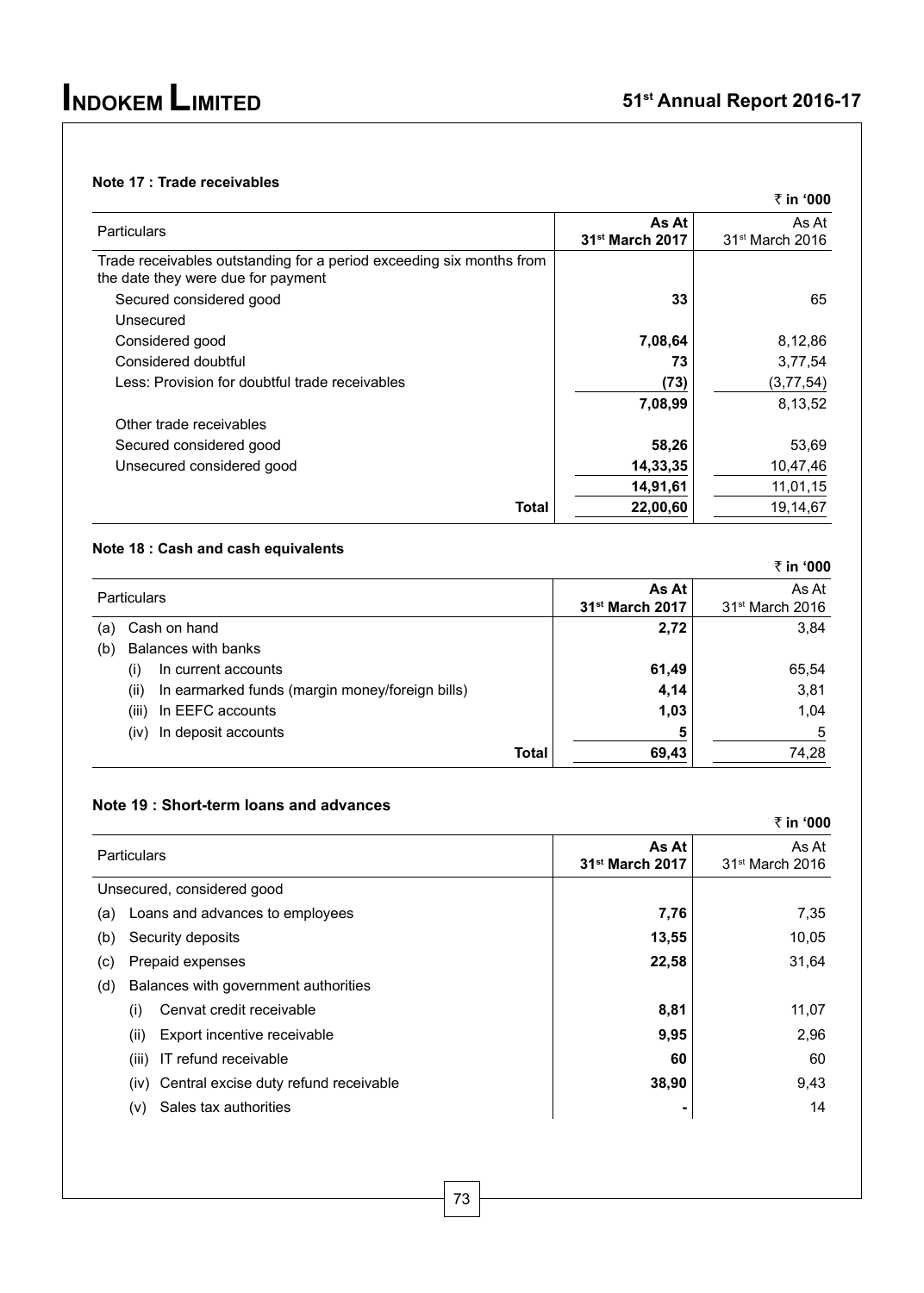#### **Note 17 : Trade receivables**

|                                                                                                            |                                      | ₹ in '000                            |
|------------------------------------------------------------------------------------------------------------|--------------------------------------|--------------------------------------|
| <b>Particulars</b>                                                                                         | As At<br>31 <sup>st</sup> March 2017 | As At<br>31 <sup>st</sup> March 2016 |
| Trade receivables outstanding for a period exceeding six months from<br>the date they were due for payment |                                      |                                      |
| Secured considered good                                                                                    | 33                                   | 65                                   |
| Unsecured                                                                                                  |                                      |                                      |
| Considered good                                                                                            | 7,08,64                              | 8,12,86                              |
| Considered doubtful                                                                                        | 73                                   | 3,77,54                              |
| Less: Provision for doubtful trade receivables                                                             | (73)                                 | (3, 77, 54)                          |
|                                                                                                            | 7,08,99                              | 8,13,52                              |
| Other trade receivables                                                                                    |                                      |                                      |
| Secured considered good                                                                                    | 58,26                                | 53,69                                |
| Unsecured considered good                                                                                  | 14,33,35                             | 10,47,46                             |
|                                                                                                            | 14,91,61                             | 11,01,15                             |
| <b>Total</b>                                                                                               | 22,00,60                             | 19,14,67                             |

#### **Note 18 : Cash and cash equivalents**

|                                                          |                                      | ₹ in '000                            |
|----------------------------------------------------------|--------------------------------------|--------------------------------------|
| <b>Particulars</b>                                       | As At<br>31 <sup>st</sup> March 2017 | As At<br>31 <sup>st</sup> March 2016 |
| Cash on hand<br>(a)                                      | 2,72                                 | 3,84                                 |
| Balances with banks<br>(b)                               |                                      |                                      |
| In current accounts<br>(i)                               | 61,49                                | 65,54                                |
| (iii)<br>In earmarked funds (margin money/foreign bills) | 4,14                                 | 3,81                                 |
| (iii)<br>In EEFC accounts                                | 1,03                                 | 1,04                                 |
| In deposit accounts<br>(iv)                              |                                      | 5                                    |
| <b>Total</b>                                             | 69,43                                | 74,28                                |

### **Note 19 : Short-term loans and advances**

|     |                                               |                                      | ₹ in '000                            |
|-----|-----------------------------------------------|--------------------------------------|--------------------------------------|
|     | <b>Particulars</b>                            | As At<br>31 <sup>st</sup> March 2017 | As At<br>31 <sup>st</sup> March 2016 |
|     | Unsecured, considered good                    |                                      |                                      |
| (a) | Loans and advances to employees               | 7,76                                 | 7,35                                 |
| (b) | Security deposits                             | 13,55                                | 10,05                                |
| (c) | Prepaid expenses                              | 22,58                                | 31,64                                |
| (d) | Balances with government authorities          |                                      |                                      |
|     | Cenvat credit receivable<br>(i)               | 8,81                                 | 11,07                                |
|     | (ii)<br>Export incentive receivable           | 9,95                                 | 2,96                                 |
|     | (iii)<br>IT refund receivable                 | 60                                   | 60                                   |
|     | Central excise duty refund receivable<br>(iv) | 38,90                                | 9,43                                 |
|     | Sales tax authorities<br>(v)                  |                                      | 14                                   |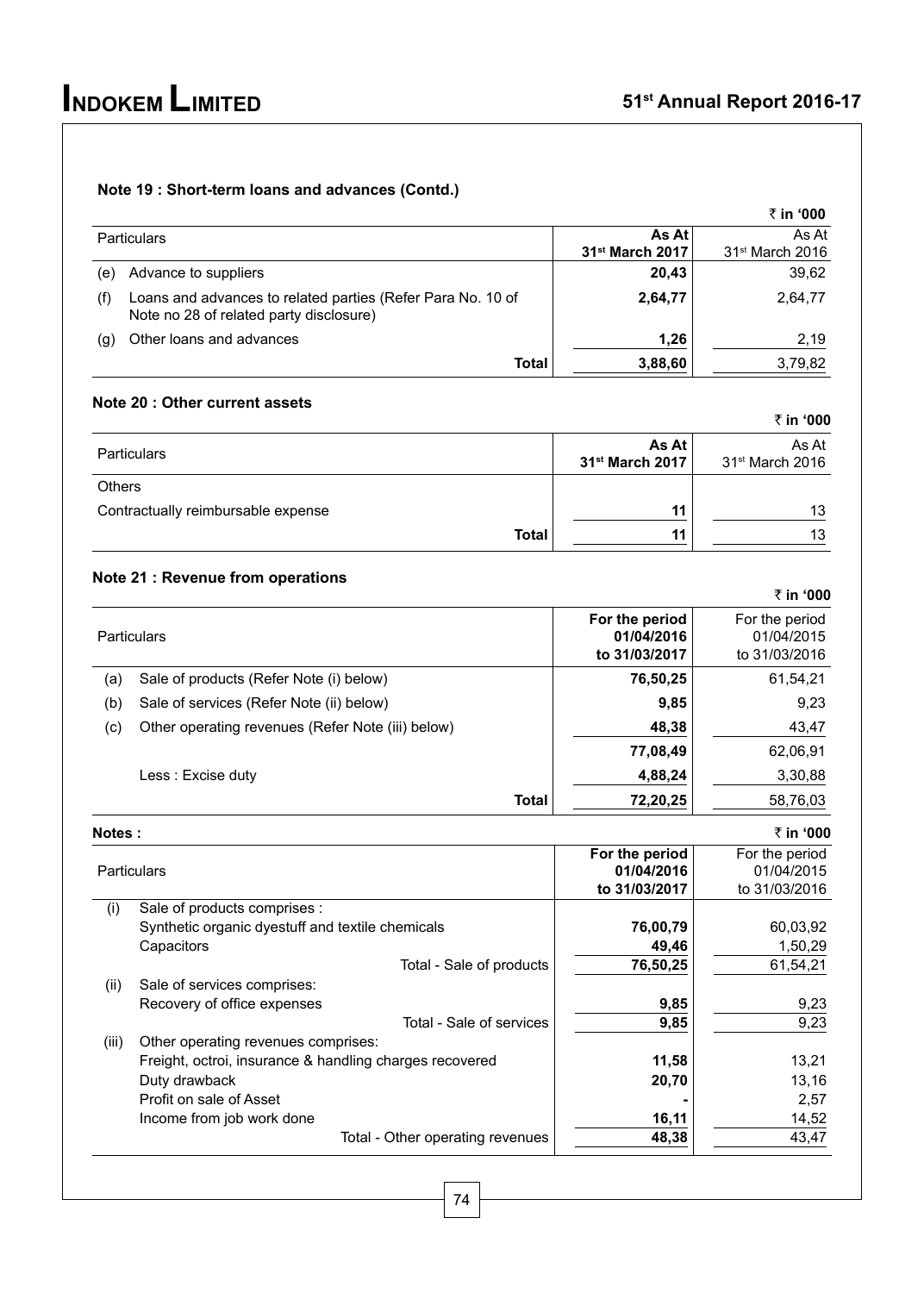### **Note 19 : Short-term loans and advances (Contd.)**

|                    |                                                                                                        |                             | ₹ in '000                   |
|--------------------|--------------------------------------------------------------------------------------------------------|-----------------------------|-----------------------------|
| <b>Particulars</b> |                                                                                                        | As At                       | As At                       |
|                    |                                                                                                        | 31 <sup>st</sup> March 2017 | 31 <sup>st</sup> March 2016 |
| (e)                | Advance to suppliers                                                                                   | 20,43                       | 39,62                       |
| (f)                | Loans and advances to related parties (Refer Para No. 10 of<br>Note no 28 of related party disclosure) | 2,64,77                     | 2,64,77                     |
| (g)                | Other loans and advances                                                                               | 1,26                        | 2,19                        |
|                    | <b>Total</b>                                                                                           | 3,88,60                     | 3,79,82                     |

#### **Note 20 : Other current assets**

|                                    |              |                                      | ₹ in '000                            |
|------------------------------------|--------------|--------------------------------------|--------------------------------------|
| <b>Particulars</b>                 |              | As At<br>31 <sup>st</sup> March 2017 | As At<br>31 <sup>st</sup> March 2016 |
| <b>Others</b>                      |              |                                      |                                      |
| Contractually reimbursable expense |              | 11                                   | 13                                   |
|                                    | <b>Total</b> | 11                                   | 13                                   |

### **Note 21 : Revenue from operations**

|     |                                                   |                                               | ₹ in '000                                     |
|-----|---------------------------------------------------|-----------------------------------------------|-----------------------------------------------|
|     | Particulars                                       | For the period<br>01/04/2016<br>to 31/03/2017 | For the period<br>01/04/2015<br>to 31/03/2016 |
| (a) | Sale of products (Refer Note (i) below)           | 76,50,25                                      | 61,54,21                                      |
| (b) | Sale of services (Refer Note (ii) below)          | 9,85                                          | 9,23                                          |
| (c) | Other operating revenues (Refer Note (iii) below) | 48,38                                         | 43,47                                         |
|     |                                                   | 77,08,49                                      | 62,06,91                                      |
|     | Less : Excise duty                                | 4,88,24                                       | 3,30,88                                       |
|     | <b>Total</b>                                      | 72,20,25                                      | 58,76,03                                      |

| Notes: |                                                         | ₹ in '000                    |                              |
|--------|---------------------------------------------------------|------------------------------|------------------------------|
|        | <b>Particulars</b>                                      | For the period<br>01/04/2016 | For the period<br>01/04/2015 |
|        |                                                         | to 31/03/2017                | to 31/03/2016                |
| (i)    | Sale of products comprises :                            |                              |                              |
|        | Synthetic organic dyestuff and textile chemicals        | 76,00,79                     | 60,03,92                     |
|        | Capacitors                                              | 49,46                        | 1,50,29                      |
|        | Total - Sale of products                                | 76,50,25                     | 61,54,21                     |
| (ii)   | Sale of services comprises:                             |                              |                              |
|        | Recovery of office expenses                             | 9,85                         | 9,23                         |
|        | Total - Sale of services                                | 9,85                         | 9,23                         |
| (iii)  | Other operating revenues comprises:                     |                              |                              |
|        | Freight, octroi, insurance & handling charges recovered | 11,58                        | 13,21                        |
|        | Duty drawback                                           | 20,70                        | 13,16                        |
|        | Profit on sale of Asset                                 |                              | 2,57                         |
|        | Income from job work done                               | 16,11                        | 14,52                        |
|        | Total - Other operating revenues                        | 48,38                        | 43,47                        |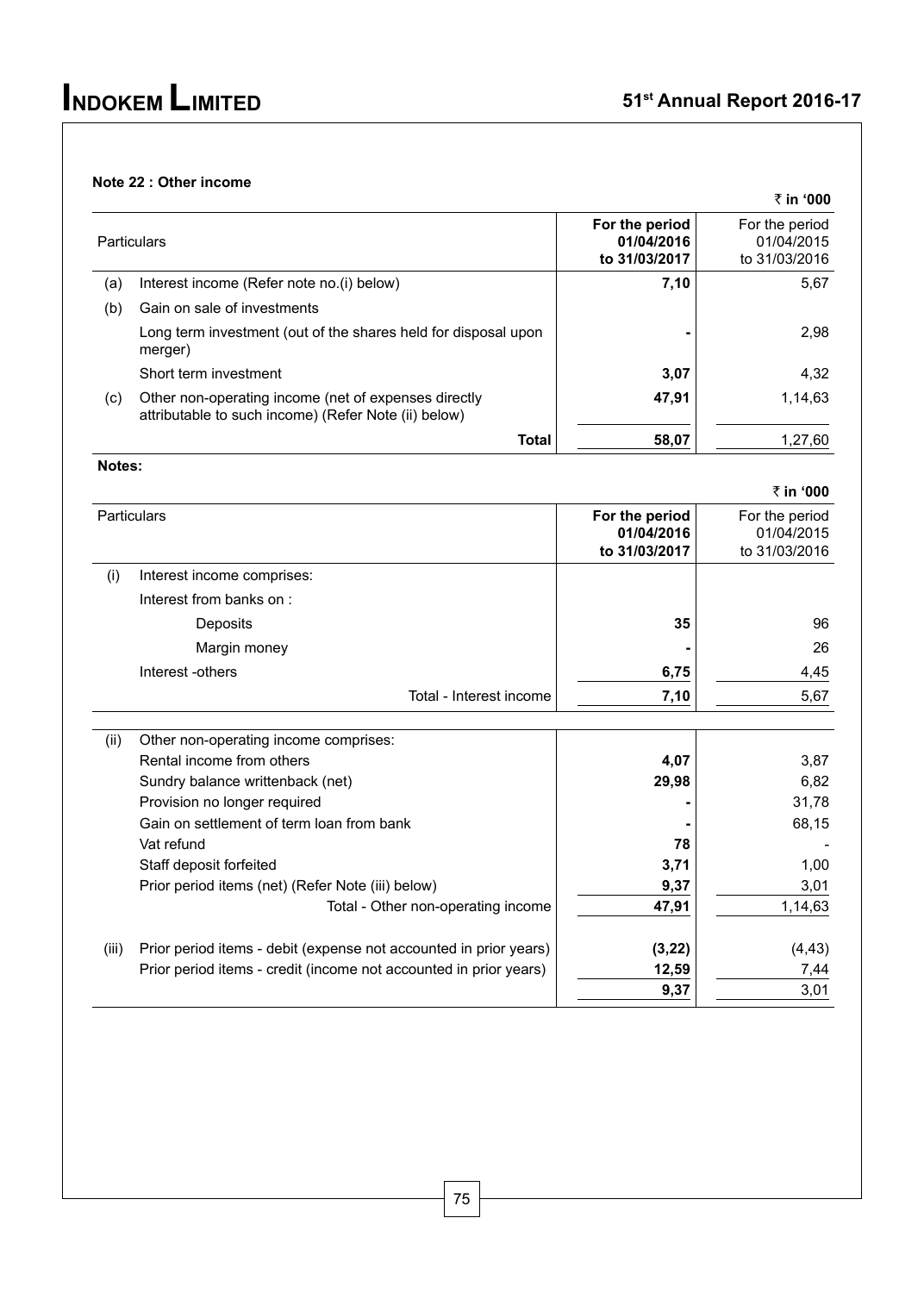#### **Note 22 : Other income**

|     |                                                                                                              |                                               | ₹ in '000                                     |
|-----|--------------------------------------------------------------------------------------------------------------|-----------------------------------------------|-----------------------------------------------|
|     | Particulars                                                                                                  | For the period<br>01/04/2016<br>to 31/03/2017 | For the period<br>01/04/2015<br>to 31/03/2016 |
| (a) | Interest income (Refer note no.(i) below)                                                                    | 7,10                                          | 5,67                                          |
| (b) | Gain on sale of investments                                                                                  |                                               |                                               |
|     | Long term investment (out of the shares held for disposal upon<br>merger)                                    |                                               | 2,98                                          |
|     | Short term investment                                                                                        | 3,07                                          | 4,32                                          |
| (c) | Other non-operating income (net of expenses directly<br>attributable to such income) (Refer Note (ii) below) | 47,91                                         | 1,14,63                                       |
|     | <b>Total</b>                                                                                                 | 58,07                                         | 1,27,60                                       |

#### **Notes:**

` **in '000**

|       | Particulars                                                       | For the period<br>01/04/2016<br>to 31/03/2017 | For the period<br>01/04/2015<br>to 31/03/2016 |
|-------|-------------------------------------------------------------------|-----------------------------------------------|-----------------------------------------------|
| (i)   | Interest income comprises:                                        |                                               |                                               |
|       | Interest from banks on:                                           |                                               |                                               |
|       | Deposits                                                          | 35                                            | 96                                            |
|       | Margin money                                                      |                                               | 26                                            |
|       | Interest -others                                                  | 6,75                                          | 4,45                                          |
|       | Total - Interest income                                           | 7,10                                          | 5,67                                          |
| (ii)  | Other non-operating income comprises:                             |                                               |                                               |
|       | Rental income from others                                         | 4,07                                          | 3,87                                          |
|       | Sundry balance writtenback (net)                                  | 29,98                                         | 6,82                                          |
|       | Provision no longer required                                      |                                               | 31,78                                         |
|       | Gain on settlement of term loan from bank                         |                                               | 68,15                                         |
|       | Vat refund                                                        | 78                                            |                                               |
|       | Staff deposit forfeited                                           | 3,71                                          | 1,00                                          |
|       | Prior period items (net) (Refer Note (iii) below)                 | 9,37                                          | 3,01                                          |
|       | Total - Other non-operating income                                | 47,91                                         | 1,14,63                                       |
| (iii) | Prior period items - debit (expense not accounted in prior years) | (3, 22)                                       | (4, 43)                                       |
|       | Prior period items - credit (income not accounted in prior years) | 12,59                                         | 7,44                                          |
|       |                                                                   | 9,37                                          | 3,01                                          |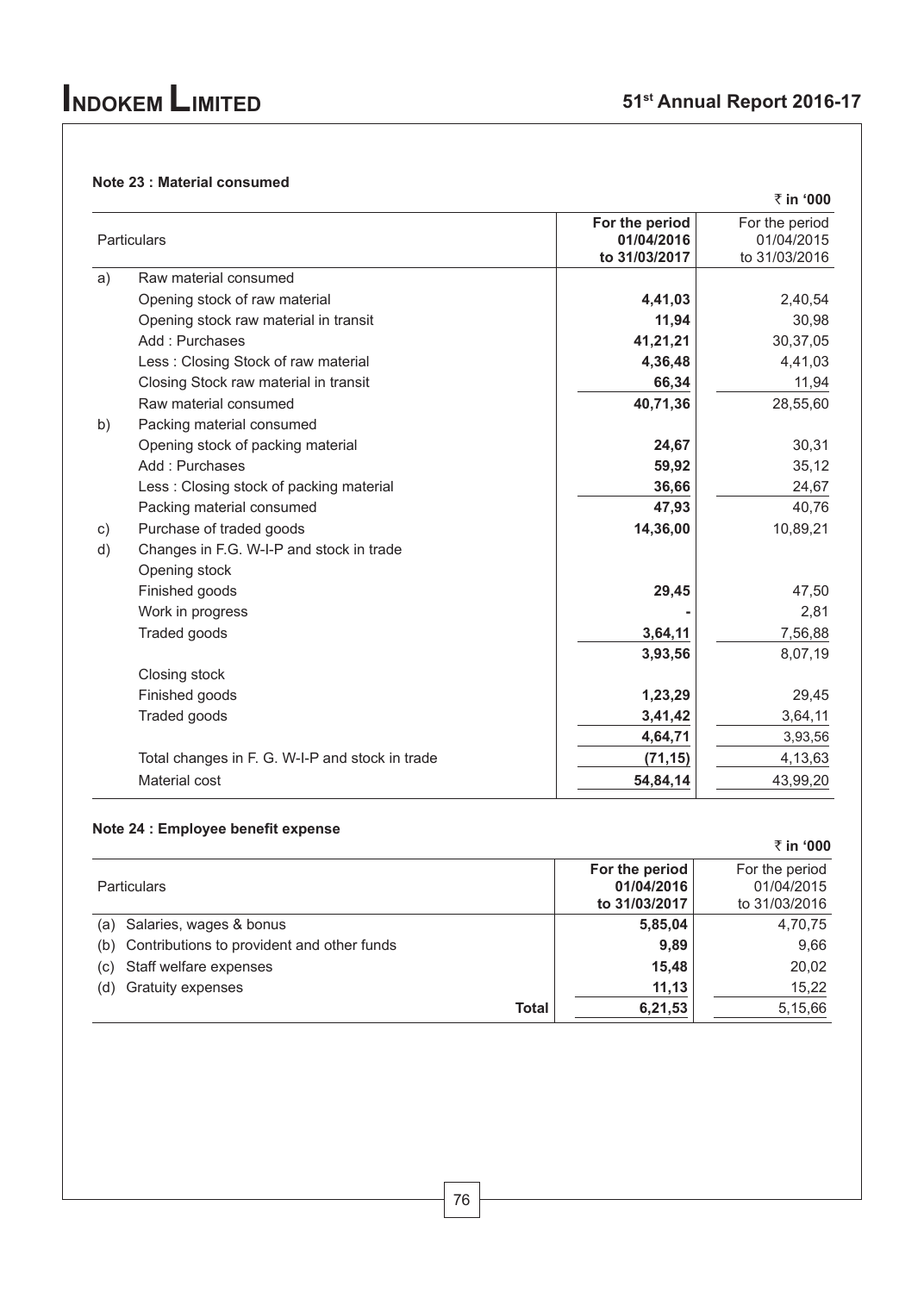#### **Note 23 : Material consumed**

|    |                                                 |                                               | ₹ in '000                                     |
|----|-------------------------------------------------|-----------------------------------------------|-----------------------------------------------|
|    | Particulars                                     | For the period<br>01/04/2016<br>to 31/03/2017 | For the period<br>01/04/2015<br>to 31/03/2016 |
| a) | Raw material consumed                           |                                               |                                               |
|    | Opening stock of raw material                   | 4,41,03                                       | 2,40,54                                       |
|    | Opening stock raw material in transit           | 11,94                                         | 30,98                                         |
|    | Add: Purchases                                  | 41,21,21                                      | 30,37,05                                      |
|    | Less: Closing Stock of raw material             | 4,36,48                                       | 4,41,03                                       |
|    | Closing Stock raw material in transit           | 66,34                                         | 11,94                                         |
|    | Raw material consumed                           | 40,71,36                                      | 28,55,60                                      |
| b) | Packing material consumed                       |                                               |                                               |
|    | Opening stock of packing material               | 24,67                                         | 30,31                                         |
|    | Add: Purchases                                  | 59,92                                         | 35,12                                         |
|    | Less: Closing stock of packing material         | 36,66                                         | 24,67                                         |
|    | Packing material consumed                       | 47,93                                         | 40,76                                         |
| C) | Purchase of traded goods                        | 14,36,00                                      | 10,89,21                                      |
| d) | Changes in F.G. W-I-P and stock in trade        |                                               |                                               |
|    | Opening stock                                   |                                               |                                               |
|    | Finished goods                                  | 29,45                                         | 47,50                                         |
|    | Work in progress                                |                                               | 2,81                                          |
|    | Traded goods                                    | 3,64,11                                       | 7,56,88                                       |
|    |                                                 | 3,93,56                                       | 8,07,19                                       |
|    | Closing stock                                   |                                               |                                               |
|    | Finished goods                                  | 1,23,29                                       | 29,45                                         |
|    | Traded goods                                    | 3,41,42                                       | 3,64,11                                       |
|    |                                                 | 4,64,71                                       | 3,93,56                                       |
|    | Total changes in F. G. W-I-P and stock in trade | (71, 15)                                      | 4,13,63                                       |
|    | Material cost                                   | 54,84,14                                      | 43,99,20                                      |
|    |                                                 |                                               |                                               |

#### **Note 24 : Employee benefit expense**

|                                                   |              |                              | ₹ in '000                    |
|---------------------------------------------------|--------------|------------------------------|------------------------------|
|                                                   |              | For the period<br>01/04/2016 | For the period<br>01/04/2015 |
| <b>Particulars</b>                                |              | to 31/03/2017                | to 31/03/2016                |
| Salaries, wages & bonus<br>(a)                    |              | 5,85,04                      | 4,70,75                      |
| Contributions to provident and other funds<br>(b) |              | 9,89                         | 9,66                         |
| Staff welfare expenses<br>(c)                     |              | 15,48                        | 20,02                        |
| <b>Gratuity expenses</b><br>(d)                   |              | 11,13                        | 15,22                        |
|                                                   | <b>Total</b> | 6,21,53                      | 5,15,66                      |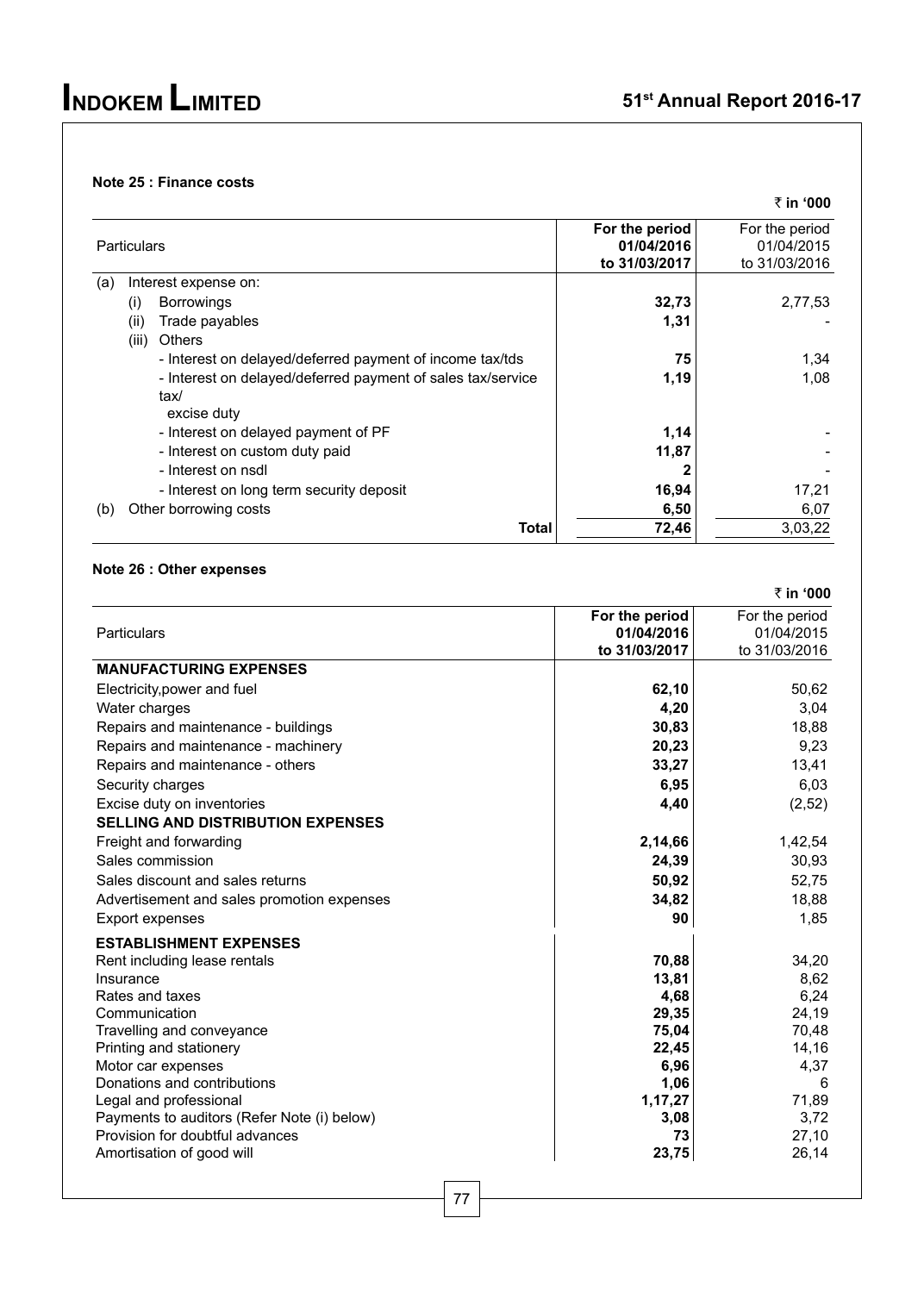#### **Note 25 : Finance costs**

|                                                                     |                                               | ₹ in '000                                     |
|---------------------------------------------------------------------|-----------------------------------------------|-----------------------------------------------|
| <b>Particulars</b>                                                  | For the period<br>01/04/2016<br>to 31/03/2017 | For the period<br>01/04/2015<br>to 31/03/2016 |
| (a)<br>Interest expense on:                                         |                                               |                                               |
| <b>Borrowings</b><br>(i)                                            | 32,73                                         | 2,77,53                                       |
| Trade payables<br>(ii)                                              | 1,31                                          |                                               |
| <b>Others</b><br>(iii)                                              |                                               |                                               |
| - Interest on delayed/deferred payment of income tax/tds            | 75                                            | 1,34                                          |
| - Interest on delayed/deferred payment of sales tax/service<br>tax/ | 1,19                                          | 1,08                                          |
| excise duty                                                         |                                               |                                               |
| - Interest on delayed payment of PF                                 | 1,14                                          |                                               |
| - Interest on custom duty paid                                      | 11,87                                         |                                               |
| - Interest on nsdl                                                  |                                               |                                               |
| - Interest on long term security deposit                            | 16,94                                         | 17,21                                         |
| Other borrowing costs<br>(b)                                        | 6,50                                          | 6,07                                          |
| Total                                                               | 72,46                                         | 3,03,22                                       |

#### **Note 26 : Other expenses**

|                                                   |                                               | ₹ in '000                                     |
|---------------------------------------------------|-----------------------------------------------|-----------------------------------------------|
| Particulars                                       | For the period<br>01/04/2016<br>to 31/03/2017 | For the period<br>01/04/2015<br>to 31/03/2016 |
| <b>MANUFACTURING EXPENSES</b>                     |                                               |                                               |
| Electricity, power and fuel                       | 62,10                                         | 50,62                                         |
| Water charges                                     | 4,20                                          | 3,04                                          |
| Repairs and maintenance - buildings               | 30,83                                         | 18,88                                         |
| Repairs and maintenance - machinery               | 20,23                                         | 9,23                                          |
| Repairs and maintenance - others                  | 33,27                                         | 13,41                                         |
| Security charges                                  | 6,95                                          | 6.03                                          |
| Excise duty on inventories                        | 4,40                                          | (2,52)                                        |
| <b>SELLING AND DISTRIBUTION EXPENSES</b>          |                                               |                                               |
| Freight and forwarding                            | 2,14,66                                       | 1,42,54                                       |
| Sales commission                                  | 24,39                                         | 30,93                                         |
| Sales discount and sales returns                  | 50,92                                         | 52,75                                         |
| Advertisement and sales promotion expenses        | 34,82                                         | 18,88                                         |
| <b>Export expenses</b>                            | 90                                            | 1,85                                          |
| <b>ESTABLISHMENT EXPENSES</b>                     |                                               |                                               |
| Rent including lease rentals                      | 70,88                                         | 34,20                                         |
| Insurance                                         | 13,81                                         | 8,62                                          |
| Rates and taxes                                   | 4,68                                          | 6,24                                          |
| Communication                                     | 29,35                                         | 24,19                                         |
| Travelling and conveyance                         | 75,04                                         | 70.48                                         |
| Printing and stationery                           | 22,45                                         | 14,16                                         |
| Motor car expenses<br>Donations and contributions | 6,96<br>1,06                                  | 4,37<br>6                                     |
| Legal and professional                            | 1,17,27                                       | 71,89                                         |
| Payments to auditors (Refer Note (i) below)       | 3,08                                          | 3,72                                          |
| Provision for doubtful advances                   | 73                                            | 27,10                                         |
| Amortisation of good will                         | 23,75                                         | 26,14                                         |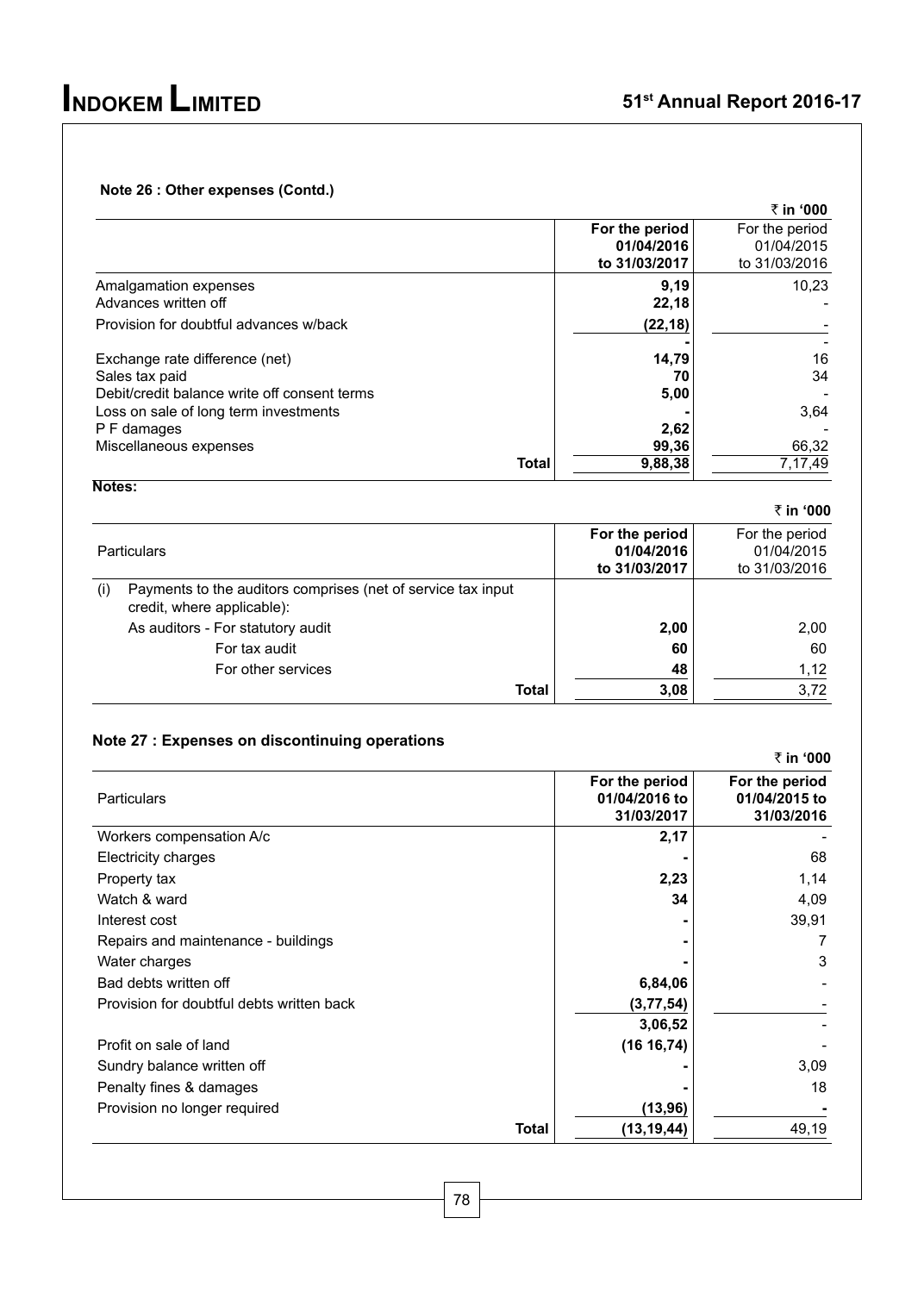#### **Note 26 : Other expenses (Contd.)**

|                                              |                | ₹ in '000      |
|----------------------------------------------|----------------|----------------|
|                                              | For the period | For the period |
|                                              | 01/04/2016     | 01/04/2015     |
|                                              | to 31/03/2017  | to 31/03/2016  |
| Amalgamation expenses                        | 9,19           | 10.23          |
| Advances written off                         | 22,18          |                |
| Provision for doubtful advances w/back       | (22, 18)       |                |
|                                              |                |                |
| Exchange rate difference (net)               | 14,79          | 16             |
| Sales tax paid                               | 70             | 34             |
| Debit/credit balance write off consent terms | 5,00           |                |
| Loss on sale of long term investments        |                | 3.64           |
| P F damages                                  | 2,62           |                |
| Miscellaneous expenses                       | 99,36          | 66,32          |
| <b>Total</b>                                 | 9,88,38        | 7,17,49        |

#### **Notes:**

` **in '000**

|     | <b>Particulars</b>                                                                          | For the period<br>01/04/2016 | For the period<br>01/04/2015 |
|-----|---------------------------------------------------------------------------------------------|------------------------------|------------------------------|
|     |                                                                                             |                              |                              |
|     |                                                                                             | to 31/03/2017                | to 31/03/2016                |
| (i) | Payments to the auditors comprises (net of service tax input)<br>credit, where applicable): |                              |                              |
|     | As auditors - For statutory audit                                                           | 2,00                         | 2.00                         |
|     | For tax audit                                                                               | 60                           | 60                           |
|     | For other services                                                                          | 48                           | 1,12                         |
|     | <b>Total</b>                                                                                | 3,08                         | 3,72                         |

### **Note 27 : Expenses on discontinuing operations**

|                                           |                                               | ₹ in '000                                     |
|-------------------------------------------|-----------------------------------------------|-----------------------------------------------|
| <b>Particulars</b>                        | For the period<br>01/04/2016 to<br>31/03/2017 | For the period<br>01/04/2015 to<br>31/03/2016 |
| Workers compensation A/c                  | 2,17                                          |                                               |
| Electricity charges                       |                                               | 68                                            |
| Property tax                              | 2,23                                          | 1,14                                          |
| Watch & ward                              | 34                                            | 4.09                                          |
| Interest cost                             |                                               | 39,91                                         |
| Repairs and maintenance - buildings       |                                               |                                               |
| Water charges                             |                                               | 3                                             |
| Bad debts written off                     | 6,84,06                                       |                                               |
| Provision for doubtful debts written back | (3, 77, 54)                                   |                                               |
|                                           | 3,06,52                                       |                                               |
| Profit on sale of land                    | (16 16, 74)                                   |                                               |
| Sundry balance written off                |                                               | 3,09                                          |
| Penalty fines & damages                   |                                               | 18                                            |
| Provision no longer required              | (13, 96)                                      |                                               |
| <b>Total</b>                              | (13,19,44)                                    | 49,19                                         |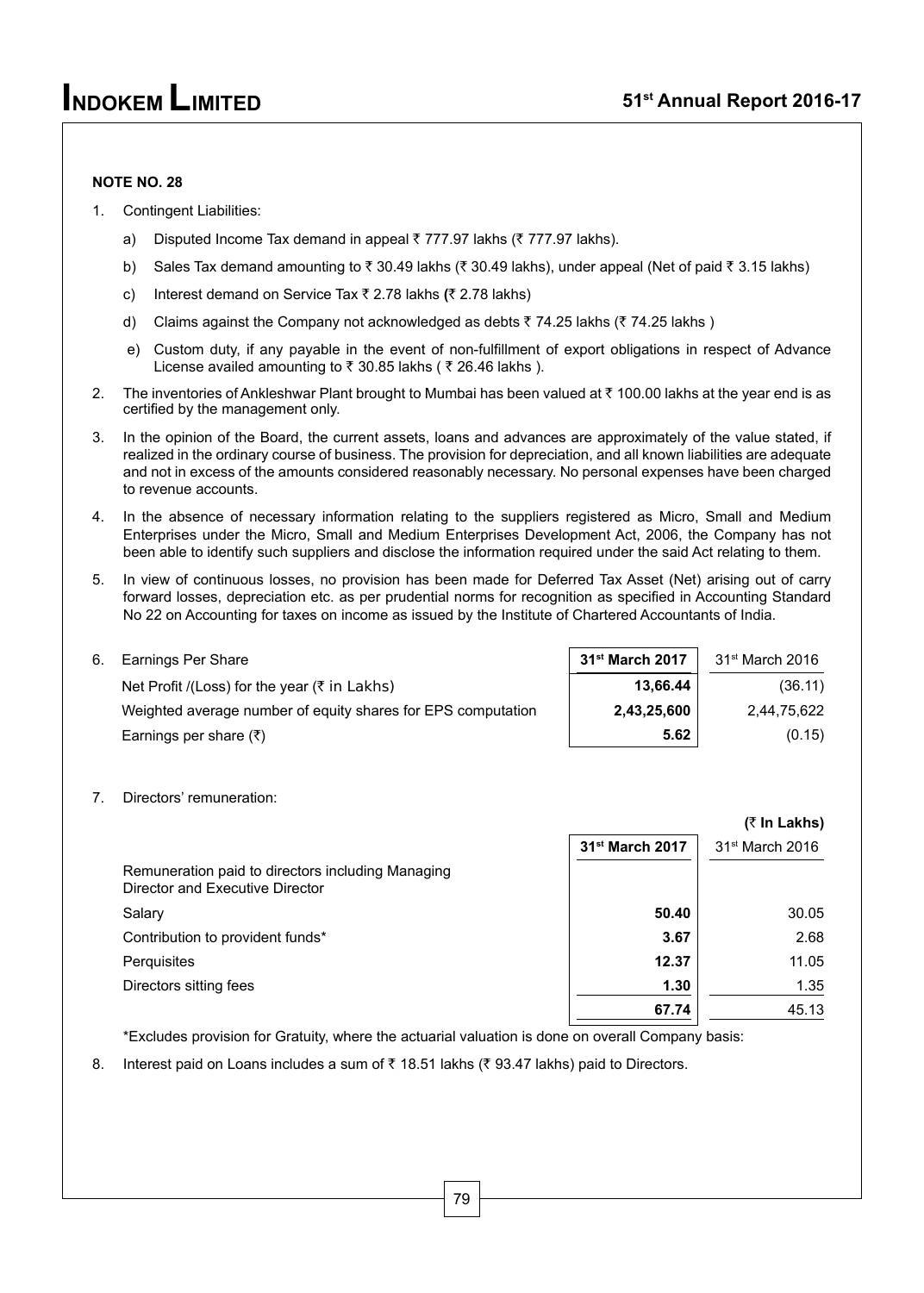**(**` **In Lakhs)**

#### **NOTE NO. 28**

- 1. Contingent Liabilities:
	- a) Disputed Income Tax demand in appeal  $\bar{\tau}$  777.97 lakhs ( $\bar{\tau}$  777.97 lakhs).
	- b) Sales Tax demand amounting to  $\bar{\tau}$  30.49 lakhs ( $\bar{\tau}$  30.49 lakhs), under appeal (Net of paid  $\bar{\tau}$  3.15 lakhs)
	- c) Interest demand on Service Tax ` 2.78 lakhs **(**` 2.78 lakhs)
	- d) Claims against the Company not acknowledged as debts  $\bar{\tau}$  74.25 lakhs ( $\bar{\tau}$  74.25 lakhs )
	- e) Custom duty, if any payable in the event of non-fulfillment of export obligations in respect of Advance License availed amounting to  $\bar{\tau}$  30.85 lakhs (  $\bar{\tau}$  26.46 lakhs ).
- 2. The inventories of Ankleshwar Plant brought to Mumbai has been valued at  $\bar{\tau}$  100.00 lakhs at the year end is as certified by the management only.
- 3. In the opinion of the Board, the current assets, loans and advances are approximately of the value stated, if realized in the ordinary course of business. The provision for depreciation, and all known liabilities are adequate and not in excess of the amounts considered reasonably necessary. No personal expenses have been charged to revenue accounts.
- 4. In the absence of necessary information relating to the suppliers registered as Micro, Small and Medium Enterprises under the Micro, Small and Medium Enterprises Development Act, 2006, the Company has not been able to identify such suppliers and disclose the information required under the said Act relating to them.
- 5. In view of continuous losses, no provision has been made for Deferred Tax Asset (Net) arising out of carry forward losses, depreciation etc. as per prudential norms for recognition as specified in Accounting Standard No 22 on Accounting for taxes on income as issued by the Institute of Chartered Accountants of India.

| 6. | Earnings Per Share                                           | $31st$ March 2017 | 31 <sup>st</sup> March 2016 |
|----|--------------------------------------------------------------|-------------------|-----------------------------|
|    | Net Profit /(Loss) for the year ( $\bar{\tau}$ in Lakhs)     | 13.66.44          | (36.11)                     |
|    | Weighted average number of equity shares for EPS computation | 2,43,25,600       | 2.44.75.622                 |
|    | Earnings per share $(\bar{x})$                               | 5.62              | (0.15)                      |

7. Directors' remuneration:

|                                                                                      |                             | K IN LAKNS)                 |
|--------------------------------------------------------------------------------------|-----------------------------|-----------------------------|
|                                                                                      | 31 <sup>st</sup> March 2017 | 31 <sup>st</sup> March 2016 |
| Remuneration paid to directors including Managing<br>Director and Executive Director |                             |                             |
| Salary                                                                               | 50.40                       | 30.05                       |
| Contribution to provident funds*                                                     | 3.67                        | 2.68                        |
| Perquisites                                                                          | 12.37                       | 11.05                       |
| Directors sitting fees                                                               | 1.30                        | 1.35                        |
|                                                                                      | 67.74                       | 45.13                       |

\*Excludes provision for Gratuity, where the actuarial valuation is done on overall Company basis:

8. Interest paid on Loans includes a sum of  $\bar{\tau}$  18.51 lakhs ( $\bar{\tau}$  93.47 lakhs) paid to Directors.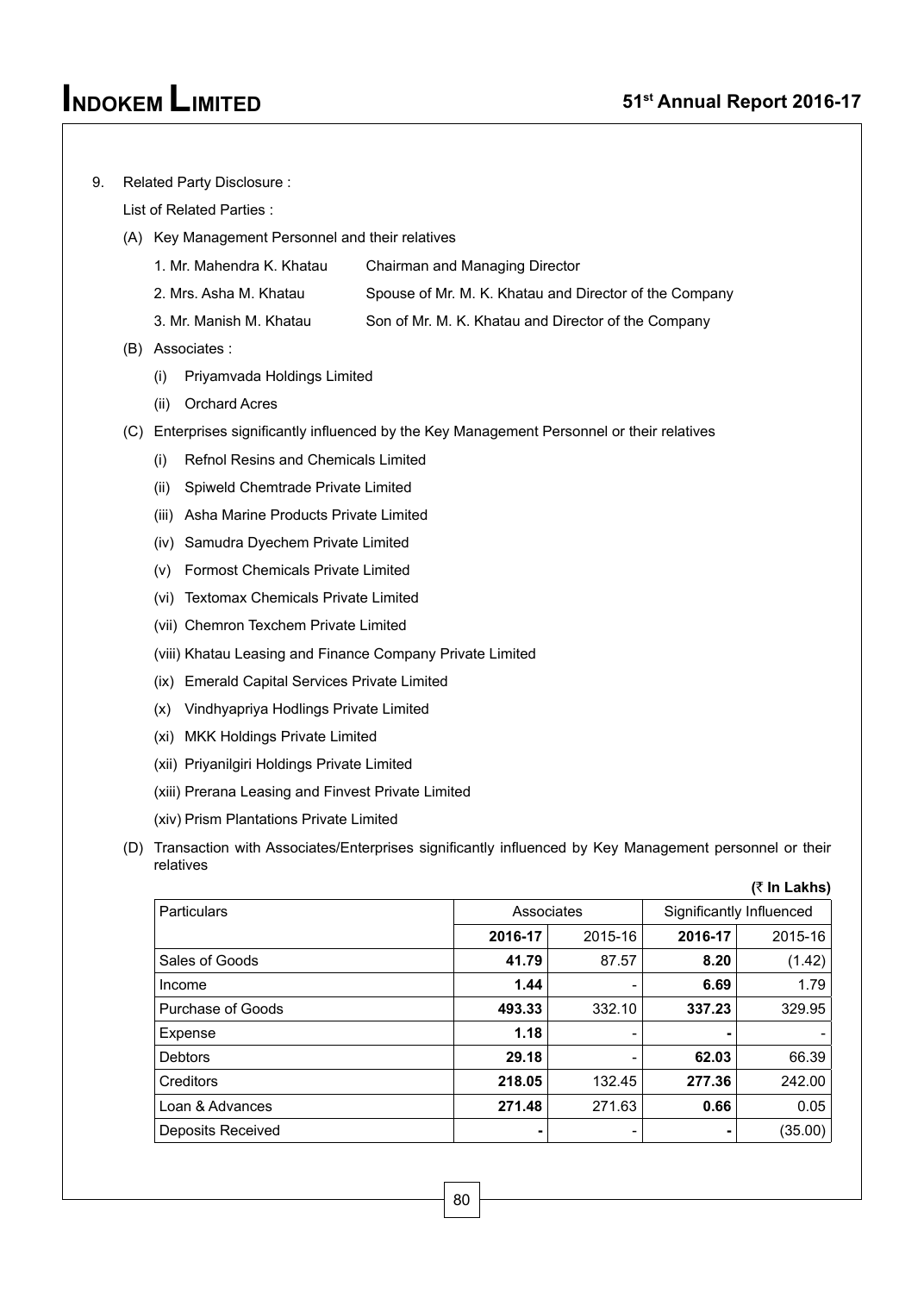$(F \ln L)$ 

### **INDOKEM LIMITED** 51st Annual Report 2016-17

9. Related Party Disclosure :

List of Related Parties :

- (A) Key Management Personnel and their relatives
	- 1. Mr. Mahendra K. Khatau Chairman and Managing Director
	- 2. Mrs. Asha M. Khatau Spouse of Mr. M. K. Khatau and Director of the Company
	- 3. Mr. Manish M. Khatau Son of Mr. M. K. Khatau and Director of the Company
- (B) Associates :
	- (i) Priyamvada Holdings Limited
	- (ii) Orchard Acres
- (C) Enterprises significantly influenced by the Key Management Personnel or their relatives
	- (i) Refnol Resins and Chemicals Limited
	- (ii) Spiweld Chemtrade Private Limited
	- (iii) Asha Marine Products Private Limited
	- (iv) Samudra Dyechem Private Limited
	- (v) Formost Chemicals Private Limited
	- (vi) Textomax Chemicals Private Limited
	- (vii) Chemron Texchem Private Limited
	- (viii) Khatau Leasing and Finance Company Private Limited
	- (ix) Emerald Capital Services Private Limited
	- (x) Vindhyapriya Hodlings Private Limited
	- (xi) MKK Holdings Private Limited
	- (xii) Priyanilgiri Holdings Private Limited
	- (xiii) Prerana Leasing and Finvest Private Limited
	- (xiv) Prism Plantations Private Limited
- (D) Transaction with Associates/Enterprises significantly influenced by Key Management personnel or their relatives

|                    |            |         |                          | 11 III LUNII 7 |
|--------------------|------------|---------|--------------------------|----------------|
| <b>Particulars</b> | Associates |         | Significantly Influenced |                |
|                    | 2016-17    | 2015-16 | 2016-17                  | 2015-16        |
| Sales of Goods     | 41.79      | 87.57   | 8.20                     | (1.42)         |
| Income             | 1.44       |         | 6.69                     | 1.79           |
| Purchase of Goods  | 493.33     | 332.10  | 337.23                   | 329.95         |
| Expense            | 1.18       |         |                          |                |
| <b>Debtors</b>     | 29.18      |         | 62.03                    | 66.39          |
| Creditors          | 218.05     | 132.45  | 277.36                   | 242.00         |
| Loan & Advances    | 271.48     | 271.63  | 0.66                     | 0.05           |
| Deposits Received  | ۰          |         | ۰                        | (35.00)        |
|                    |            |         |                          |                |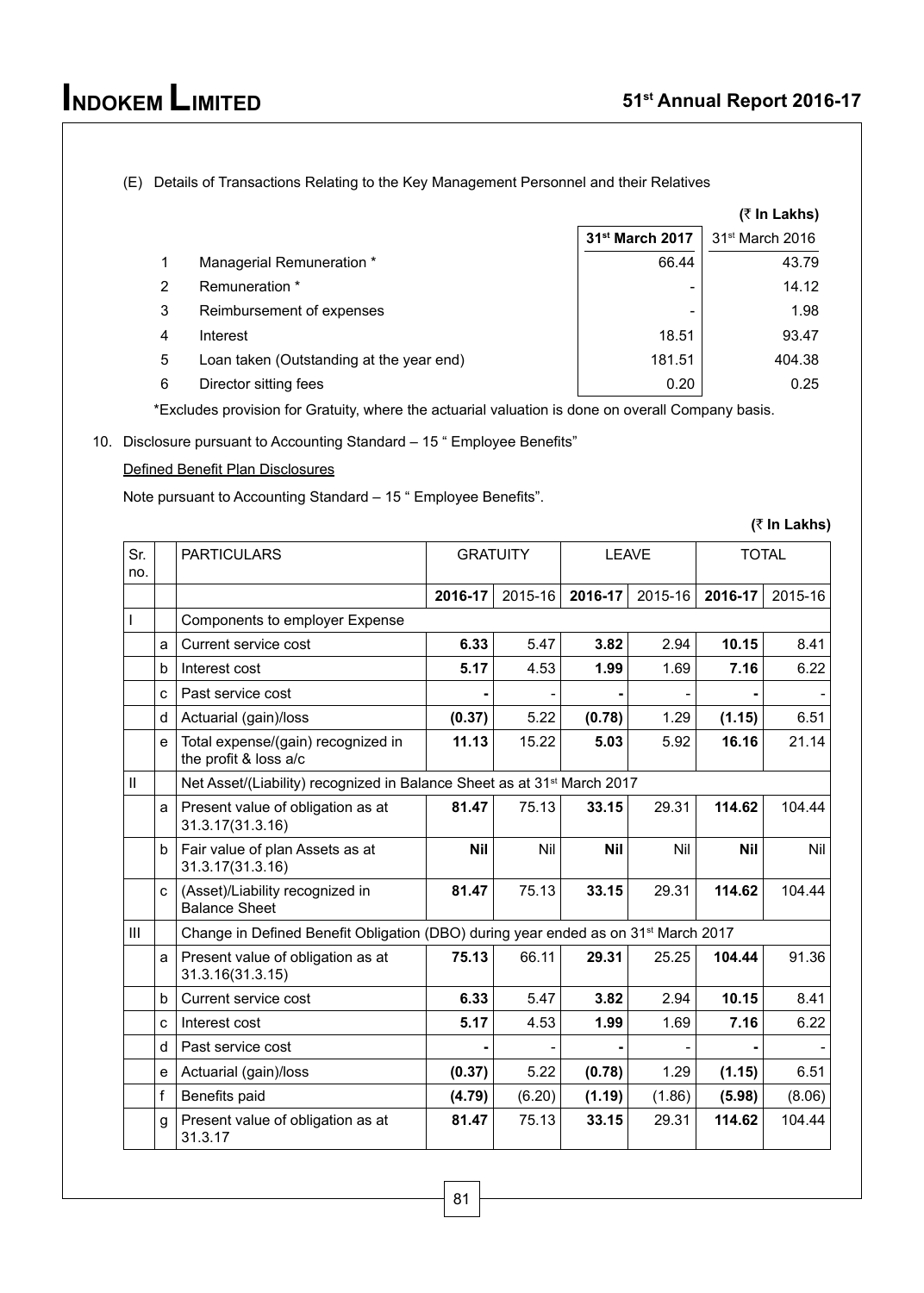## **INDOKEM LIMITED** 51st Annual Report 2016-17

(E) Details of Transactions Relating to the Key Management Personnel and their Relatives

|   |                                          |                             | (₹ In Lakhs)                |
|---|------------------------------------------|-----------------------------|-----------------------------|
|   |                                          | 31 <sup>st</sup> March 2017 | 31 <sup>st</sup> March 2016 |
|   | Managerial Remuneration *                | 66.44                       | 43.79                       |
| 2 | Remuneration *                           | -                           | 14.12                       |
| 3 | Reimbursement of expenses                | -                           | 1.98                        |
| 4 | Interest                                 | 18.51                       | 93.47                       |
| 5 | Loan taken (Outstanding at the year end) | 181.51                      | 404.38                      |
| 6 | Director sitting fees                    | 0.20                        | 0.25                        |

\*Excludes provision for Gratuity, where the actuarial valuation is done on overall Company basis.

10. Disclosure pursuant to Accounting Standard – 15 " Employee Benefits"

#### Defined Benefit Plan Disclosures

Note pursuant to Accounting Standard – 15 " Employee Benefits".

| Sr.<br>no.   |   | <b>PARTICULARS</b>                                                                             |            | <b>GRATUITY</b> | <b>LEAVE</b> |             |            | <b>TOTAL</b> |
|--------------|---|------------------------------------------------------------------------------------------------|------------|-----------------|--------------|-------------|------------|--------------|
|              |   |                                                                                                | 2016-17    | 2015-16         | 2016-17      | $2015 - 16$ | 2016-17    | 2015-16      |
| L            |   | Components to employer Expense                                                                 |            |                 |              |             |            |              |
|              | a | Current service cost                                                                           | 6.33       | 5.47            | 3.82         | 2.94        | 10.15      | 8.41         |
|              | b | Interest cost                                                                                  | 5.17       | 4.53            | 1.99         | 1.69        | 7.16       | 6.22         |
|              | C | Past service cost                                                                              |            |                 |              |             |            |              |
|              | d | Actuarial (gain)/loss                                                                          | (0.37)     | 5.22            | (0.78)       | 1.29        | (1.15)     | 6.51         |
|              | e | Total expense/(gain) recognized in<br>the profit & loss a/c                                    | 11.13      | 15.22           | 5.03         | 5.92        | 16.16      | 21.14        |
| $\mathbf{I}$ |   | Net Asset/(Liability) recognized in Balance Sheet as at 31 <sup>st</sup> March 2017            |            |                 |              |             |            |              |
|              | a | Present value of obligation as at<br>31.3.17(31.3.16)                                          | 81.47      | 75.13           | 33.15        | 29.31       | 114.62     | 104.44       |
|              | b | Fair value of plan Assets as at<br>31.3.17(31.3.16)                                            | <b>Nil</b> | Nil             | <b>Nil</b>   | Nil         | <b>Nil</b> | Nil          |
|              | C | (Asset)/Liability recognized in<br><b>Balance Sheet</b>                                        | 81.47      | 75.13           | 33.15        | 29.31       | 114.62     | 104.44       |
| III          |   | Change in Defined Benefit Obligation (DBO) during year ended as on 31 <sup>st</sup> March 2017 |            |                 |              |             |            |              |
|              | a | Present value of obligation as at<br>31.3.16(31.3.15)                                          | 75.13      | 66.11           | 29.31        | 25.25       | 104.44     | 91.36        |
|              | b | Current service cost                                                                           | 6.33       | 5.47            | 3.82         | 2.94        | 10.15      | 8.41         |
|              | C | Interest cost                                                                                  | 5.17       | 4.53            | 1.99         | 1.69        | 7.16       | 6.22         |
|              | d | Past service cost                                                                              |            |                 |              |             |            |              |
|              | e | Actuarial (gain)/loss                                                                          | (0.37)     | 5.22            | (0.78)       | 1.29        | (1.15)     | 6.51         |
|              | f | Benefits paid                                                                                  | (4.79)     | (6.20)          | (1.19)       | (1.86)      | (5.98)     | (8.06)       |
|              | g | Present value of obligation as at<br>31.3.17                                                   | 81.47      | 75.13           | 33.15        | 29.31       | 114.62     | 104.44       |

 **(**` **In Lakhs)**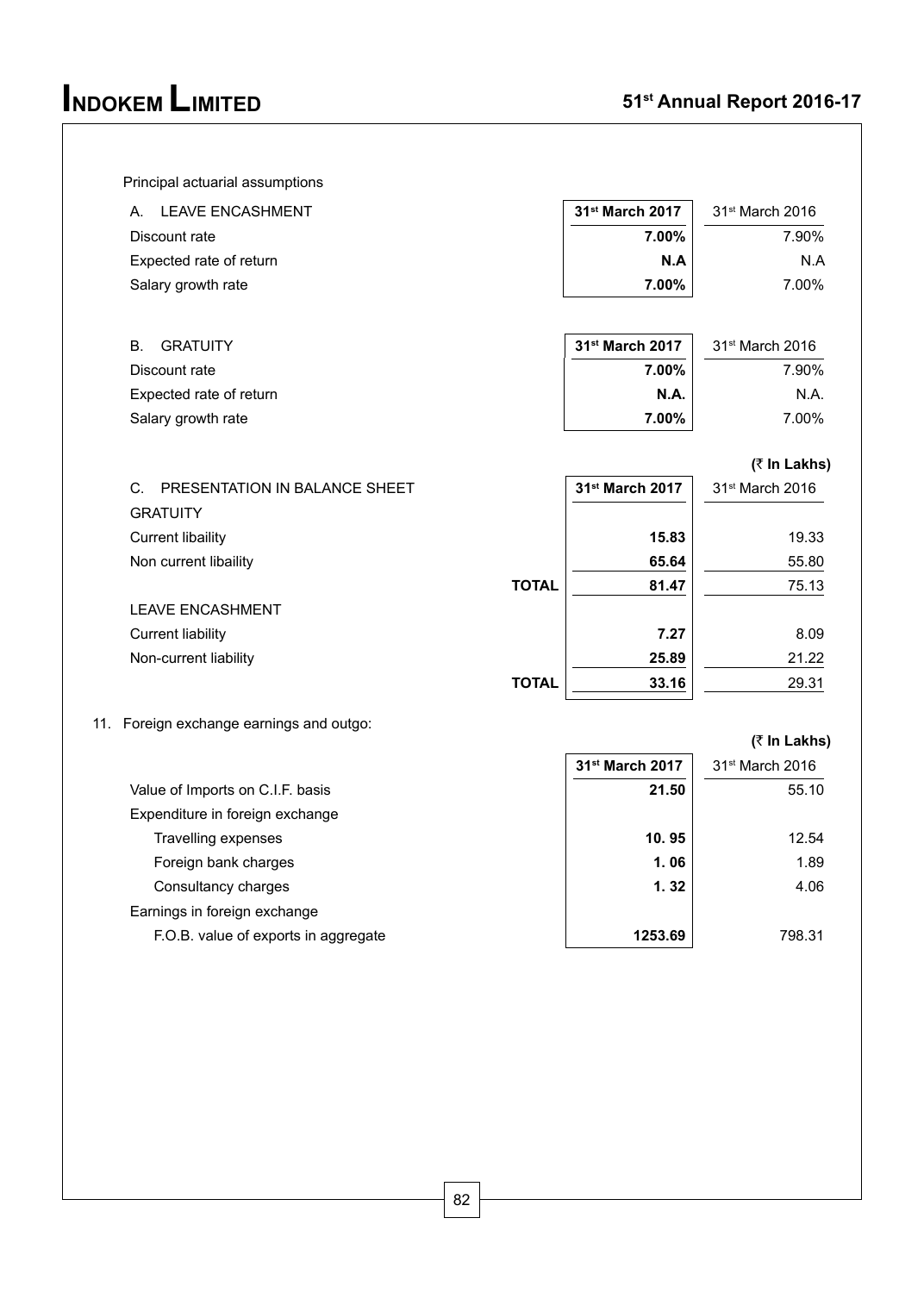**(**` **In Lakhs)**

 **(**` **In Lakhs)**

Principal actuarial assumptions

| A. LEAVE ENCASHMENT     | $31st$ March 2017 | $31st$ March 2016 |
|-------------------------|-------------------|-------------------|
| Discount rate           | 7.00%             | 7.90%             |
| Expected rate of return | N.A               | N.A               |
| Salary growth rate      | 7.00%             | 7.00%             |

| В.<br><b>GRATUITY</b>   | $31$ <sup>st</sup> March 2017 | $31st$ March 2016 |
|-------------------------|-------------------------------|-------------------|
| Discount rate           | 7.00%                         | 7.90%             |
| Expected rate of return | <b>N.A.</b>                   | N.A.              |
| Salary growth rate      | 7.00%                         | 7.00%             |

| PRESENTATION IN BALANCE SHEET<br>C. | 31 <sup>st</sup> March 2017 | 31 <sup>st</sup> March 2016 |
|-------------------------------------|-----------------------------|-----------------------------|
| <b>GRATUITY</b>                     |                             |                             |
| Current libaility                   | 15.83                       | 19.33                       |
| Non current libaility               | 65.64                       | 55.80                       |
| <b>TOTAL</b>                        | 81.47                       | 75.13                       |
| <b>LEAVE ENCASHMENT</b>             |                             |                             |
| Current liability                   | 7.27                        | 8.09                        |
| Non-current liability               | 25.89                       | 21.22                       |
| <b>TOTAL</b>                        | 33.16                       | 29.31                       |

#### 11. Foreign exchange earnings and outgo:

|                                      | 31 <sup>st</sup> March 2017 | 31 <sup>st</sup> March 2016 |
|--------------------------------------|-----------------------------|-----------------------------|
| Value of Imports on C.I.F. basis     | 21.50                       | 55.10                       |
| Expenditure in foreign exchange      |                             |                             |
| Travelling expenses                  | 10.95                       | 12.54                       |
| Foreign bank charges                 | 1.06                        | 1.89                        |
| Consultancy charges                  | 1.32                        | 4.06                        |
| Earnings in foreign exchange         |                             |                             |
| F.O.B. value of exports in aggregate | 1253.69                     | 798.31                      |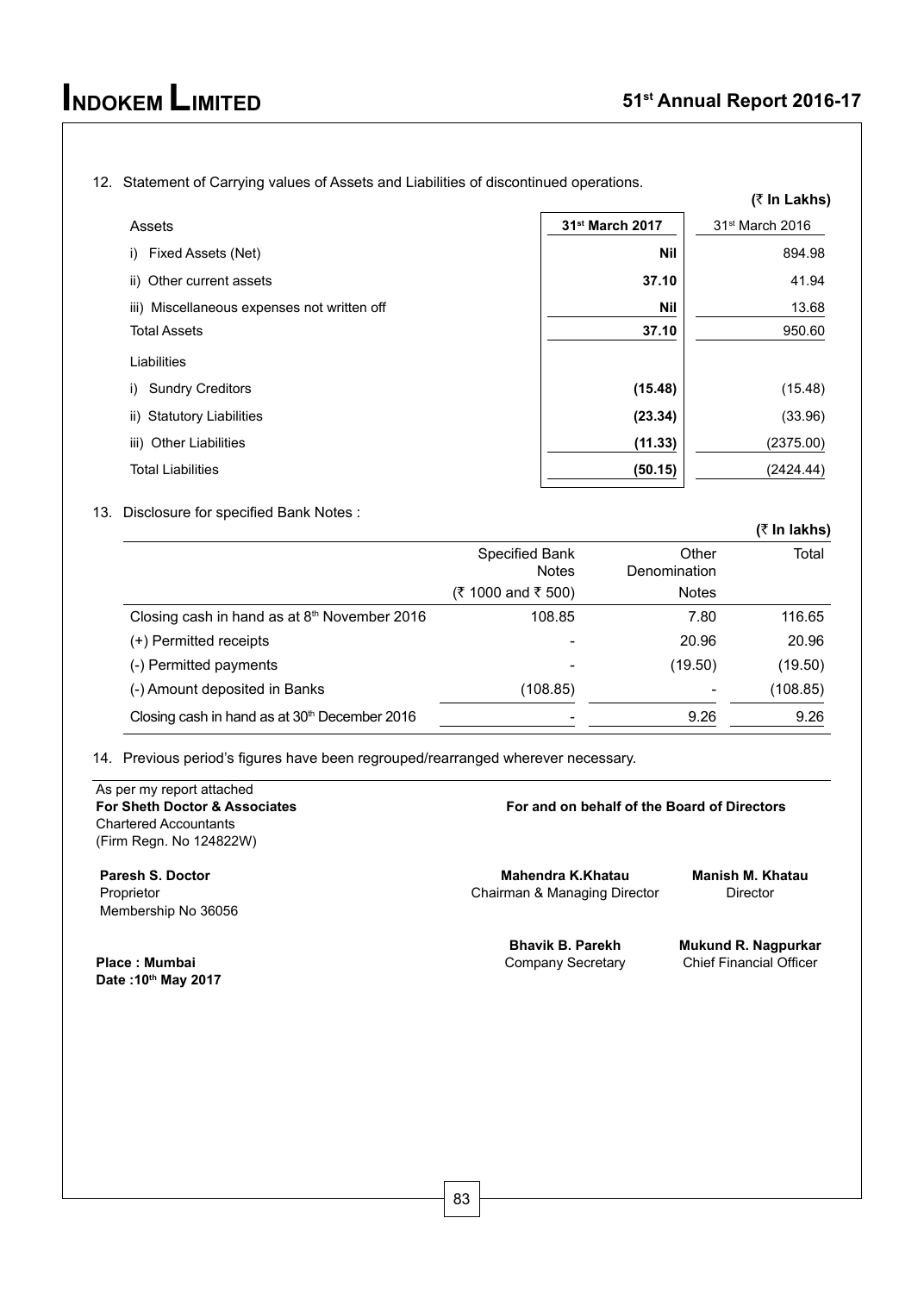12. Statement of Carrying values of Assets and Liabilities of discontinued operations.

|                                             |                             | (₹ In Lakhs)                |
|---------------------------------------------|-----------------------------|-----------------------------|
| Assets                                      | 31 <sup>st</sup> March 2017 | 31 <sup>st</sup> March 2016 |
| Fixed Assets (Net)<br>i)                    | <b>Nil</b>                  | 894.98                      |
| ii) Other current assets                    | 37.10                       | 41.94                       |
| iii) Miscellaneous expenses not written off | Nil                         | 13.68                       |
| <b>Total Assets</b>                         | 37.10                       | 950.60                      |
| Liabilities                                 |                             |                             |
| <b>Sundry Creditors</b><br>i)               | (15.48)                     | (15.48)                     |
| ii) Statutory Liabilities                   | (23.34)                     | (33.96)                     |
| iii) Other Liabilities                      | (11.33)                     | (2375.00)                   |
| <b>Total Liabilities</b>                    | (50.15)                     | (2424.44)                   |
|                                             |                             |                             |

#### 13. Disclosure for specified Bank Notes :

|                                                           | Specified Bank<br><b>Notes</b> | Other<br>Denomination | Total    |
|-----------------------------------------------------------|--------------------------------|-----------------------|----------|
|                                                           | (₹ 1000 and ₹ 500)             | <b>Notes</b>          |          |
| Closing cash in hand as at $8th$ November 2016            | 108.85                         | 7.80                  | 116.65   |
| (+) Permitted receipts                                    |                                | 20.96                 | 20.96    |
| (-) Permitted payments                                    |                                | (19.50)               | (19.50)  |
| (-) Amount deposited in Banks                             | (108.85)                       |                       | (108.85) |
| Closing cash in hand as at 30 <sup>th</sup> December 2016 |                                | 9.26                  | 9.26     |

14. Previous period's figures have been regrouped/rearranged wherever necessary.

As per my report attached Chartered Accountants (Firm Regn. No 124822W)

Membership No 36056

Date : 10<sup>th</sup> May 2017

**For Sheth Doctor & Associates For and on behalf of the Board of Directors** 

**Paresh S. Doctor National Control of the Mahendra K.Khatau Manish M. Khatau Proprietor Director Chairman & Managing Director Director Director** Chairman & Managing Director

**(**` **In lakhs)**

**Place : Mumbai** Company Secretary

**Bhavik B. Parekh Mukund R. Nagpurkar**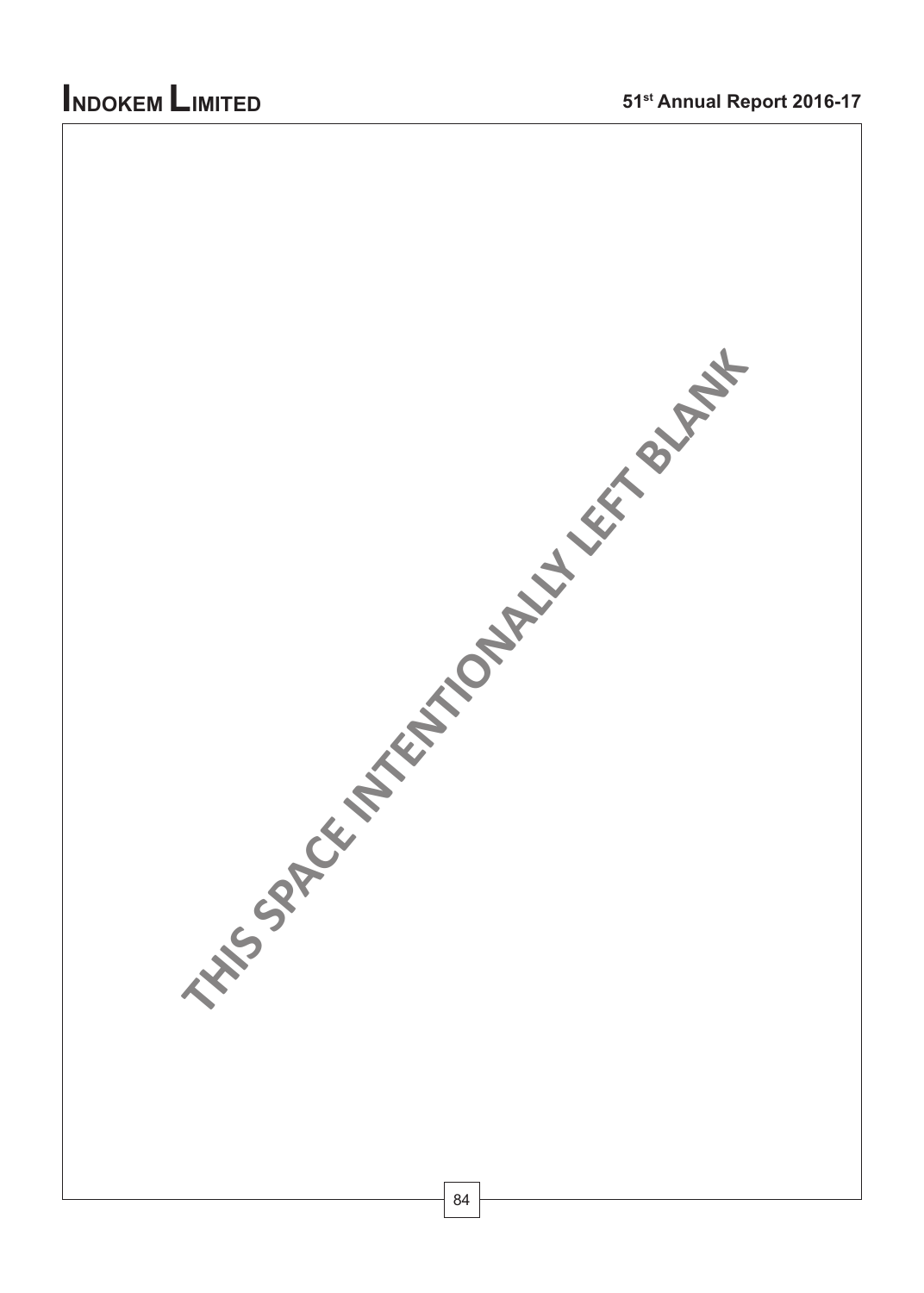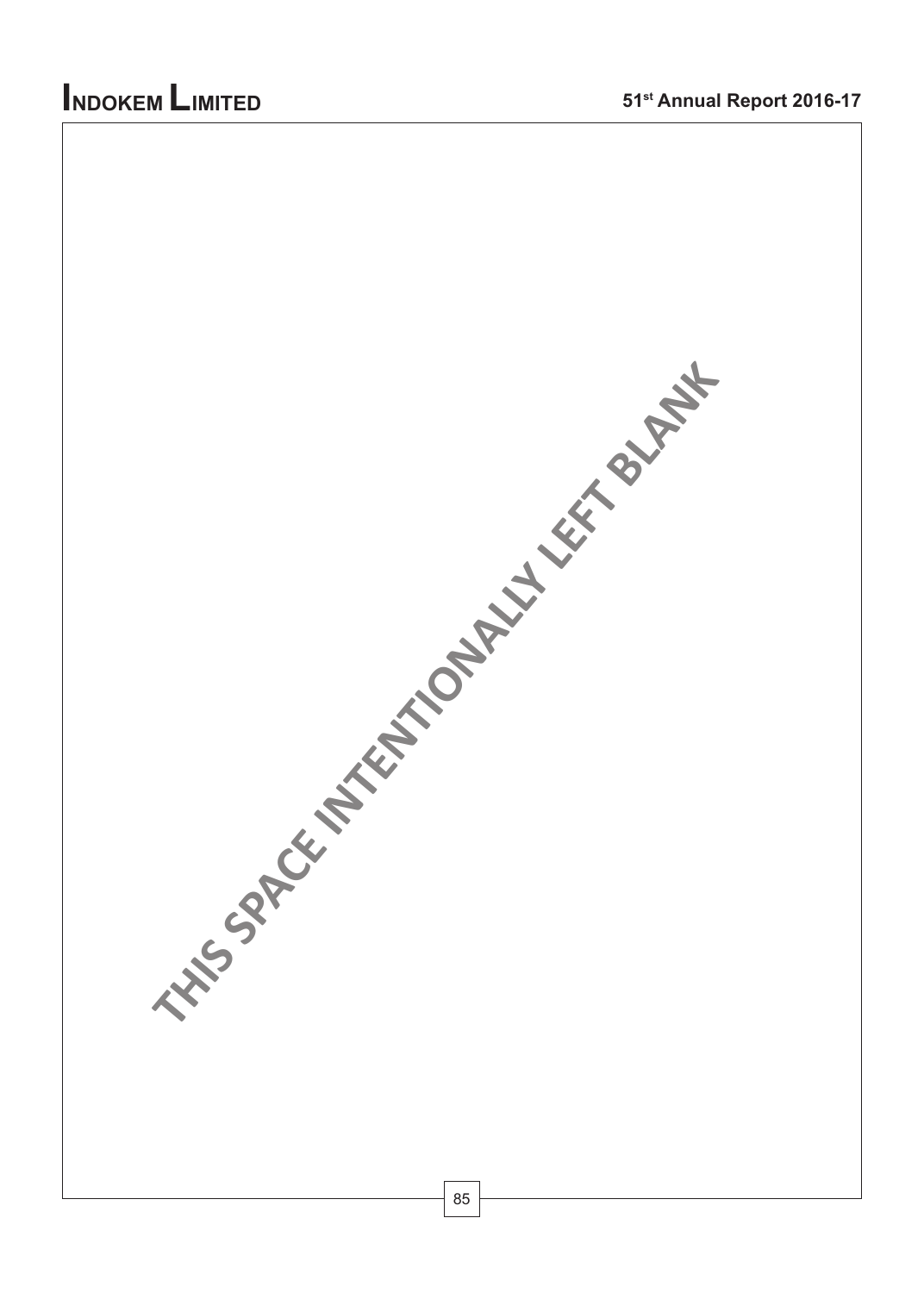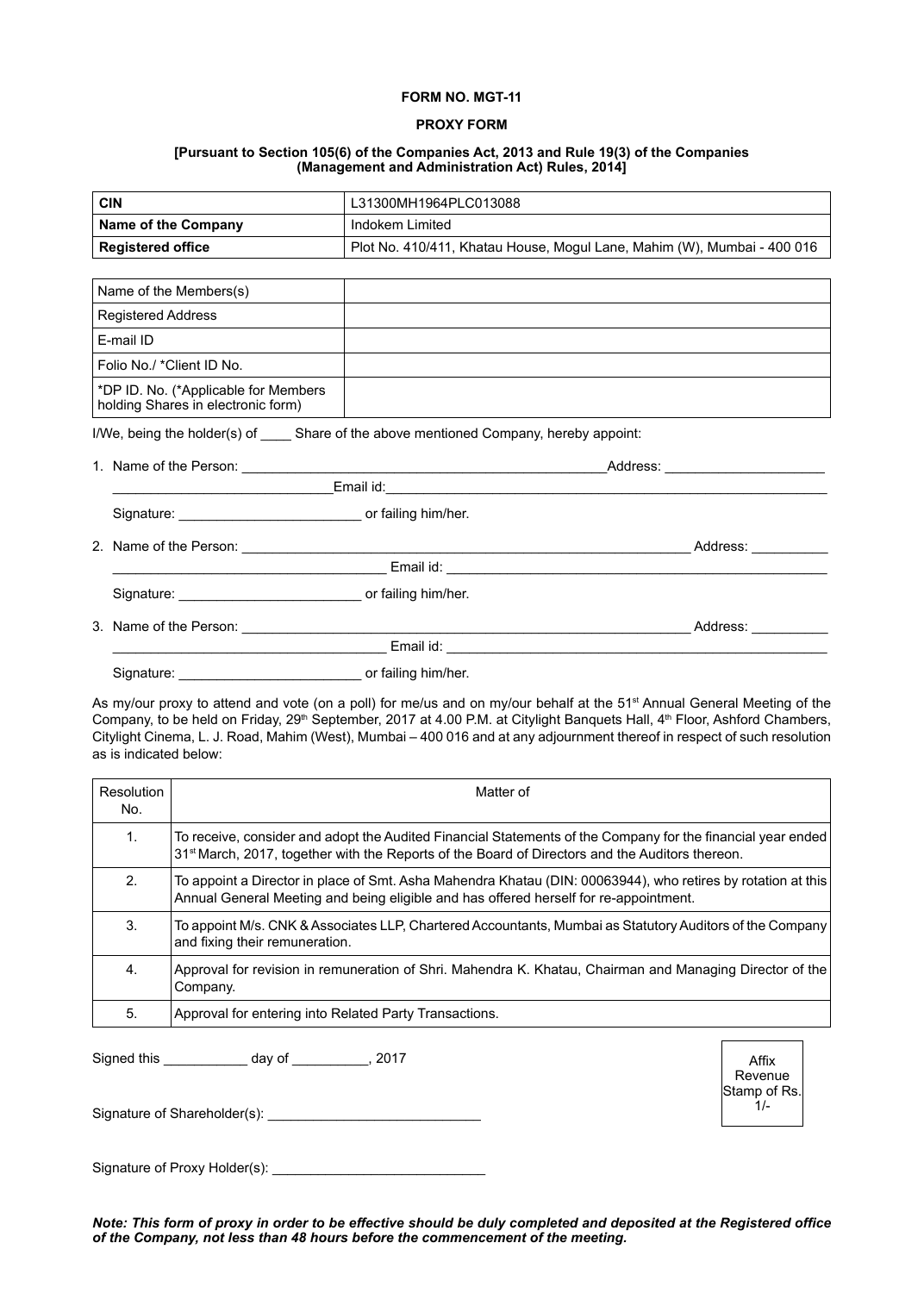#### **FORM NO. MGT-11**

#### **PROXY FORM**

#### **[Pursuant to Section 105(6) of the Companies Act, 2013 and Rule 19(3) of the Companies (Management and Administration Act) Rules, 2014]**

| <b>CIN</b>                                                                                          | L31300MH1964PLC013088                                                                     |                            |
|-----------------------------------------------------------------------------------------------------|-------------------------------------------------------------------------------------------|----------------------------|
| Indokem Limited<br>Name of the Company                                                              |                                                                                           |                            |
| Plot No. 410/411, Khatau House, Mogul Lane, Mahim (W), Mumbai - 400 016<br><b>Registered office</b> |                                                                                           |                            |
|                                                                                                     |                                                                                           |                            |
| Name of the Members(s)                                                                              |                                                                                           |                            |
| <b>Registered Address</b>                                                                           |                                                                                           |                            |
| E-mail ID                                                                                           |                                                                                           |                            |
| Folio No./ *Client ID No.                                                                           |                                                                                           |                            |
| *DP ID. No. (*Applicable for Members<br>holding Shares in electronic form)                          |                                                                                           |                            |
|                                                                                                     | I/We, being the holder(s) of ______ Share of the above mentioned Company, hereby appoint: |                            |
|                                                                                                     |                                                                                           |                            |
|                                                                                                     |                                                                                           |                            |
|                                                                                                     |                                                                                           |                            |
|                                                                                                     |                                                                                           | Address: National Address: |
|                                                                                                     |                                                                                           |                            |
| Signature: ___________________________________ or failing him/her.                                  |                                                                                           |                            |
|                                                                                                     |                                                                                           | Address: 2004              |
|                                                                                                     |                                                                                           |                            |
| Signature:                                                                                          | or failing him/her.                                                                       |                            |

As my/our proxy to attend and vote (on a poll) for me/us and on my/our behalf at the 51<sup>st</sup> Annual General Meeting of the Company, to be held on Friday, 29<sup>th</sup> September, 2017 at 4.00 P.M. at Citylight Banquets Hall, 4<sup>th</sup> Floor, Ashford Chambers, Citylight Cinema, L. J. Road, Mahim (West), Mumbai – 400 016 and at any adjournment thereof in respect of such resolution as is indicated below:

| Resolution<br>No. | Matter of                                                                                                                                                                                                      |
|-------------------|----------------------------------------------------------------------------------------------------------------------------------------------------------------------------------------------------------------|
| 1.                | To receive, consider and adopt the Audited Financial Statements of the Company for the financial year ended<br>31st March, 2017, together with the Reports of the Board of Directors and the Auditors thereon. |
| 2 <sub>1</sub>    | To appoint a Director in place of Smt. Asha Mahendra Khatau (DIN: 00063944), who retires by rotation at this<br>Annual General Meeting and being eligible and has offered herself for re-appointment.          |
| 3.                | To appoint M/s. CNK & Associates LLP, Chartered Accountants, Mumbai as Statutory Auditors of the Company<br>and fixing their remuneration.                                                                     |
| 4.                | Approval for revision in remuneration of Shri. Mahendra K. Khatau, Chairman and Managing Director of the<br>Company.                                                                                           |
| 5.                | Approval for entering into Related Party Transactions.                                                                                                                                                         |

Affix Revenue Stamp of Rs.  $1/-$ 

Signed this \_\_\_\_\_\_\_\_\_\_\_ day of \_\_\_\_\_\_\_\_\_\_, 2017

Signature of Shareholder(s): \_\_\_\_\_\_\_\_\_\_\_\_\_\_\_\_\_\_\_\_\_\_\_\_\_\_\_\_

Signature of Proxy Holder(s): \_\_\_\_\_\_\_\_\_\_\_\_\_\_\_\_\_\_\_\_\_\_\_\_\_\_\_\_

*Note: This form of proxy in order to be effective should be duly completed and deposited at the Registered office of the Company, not less than 48 hours before the commencement of the meeting.*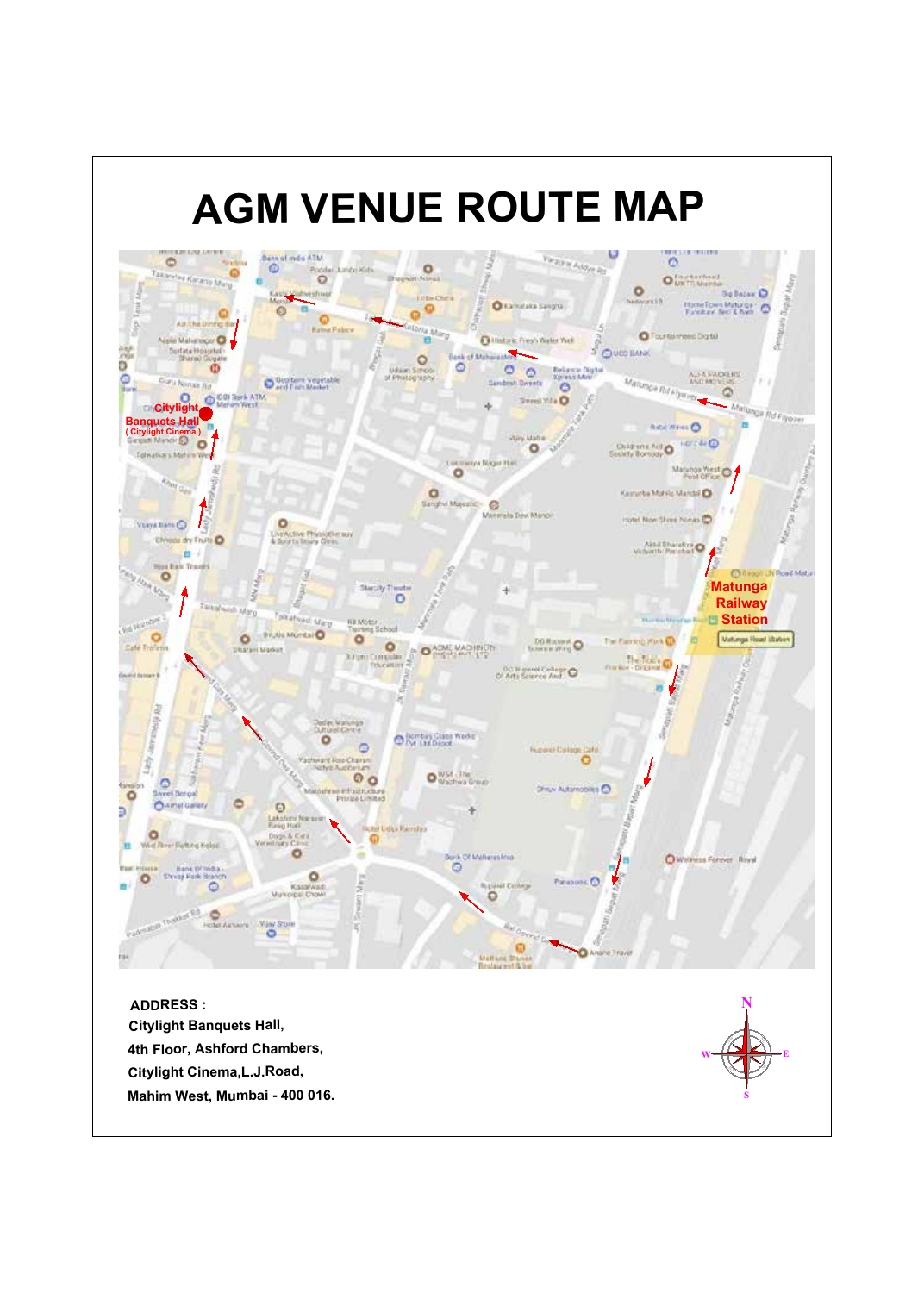